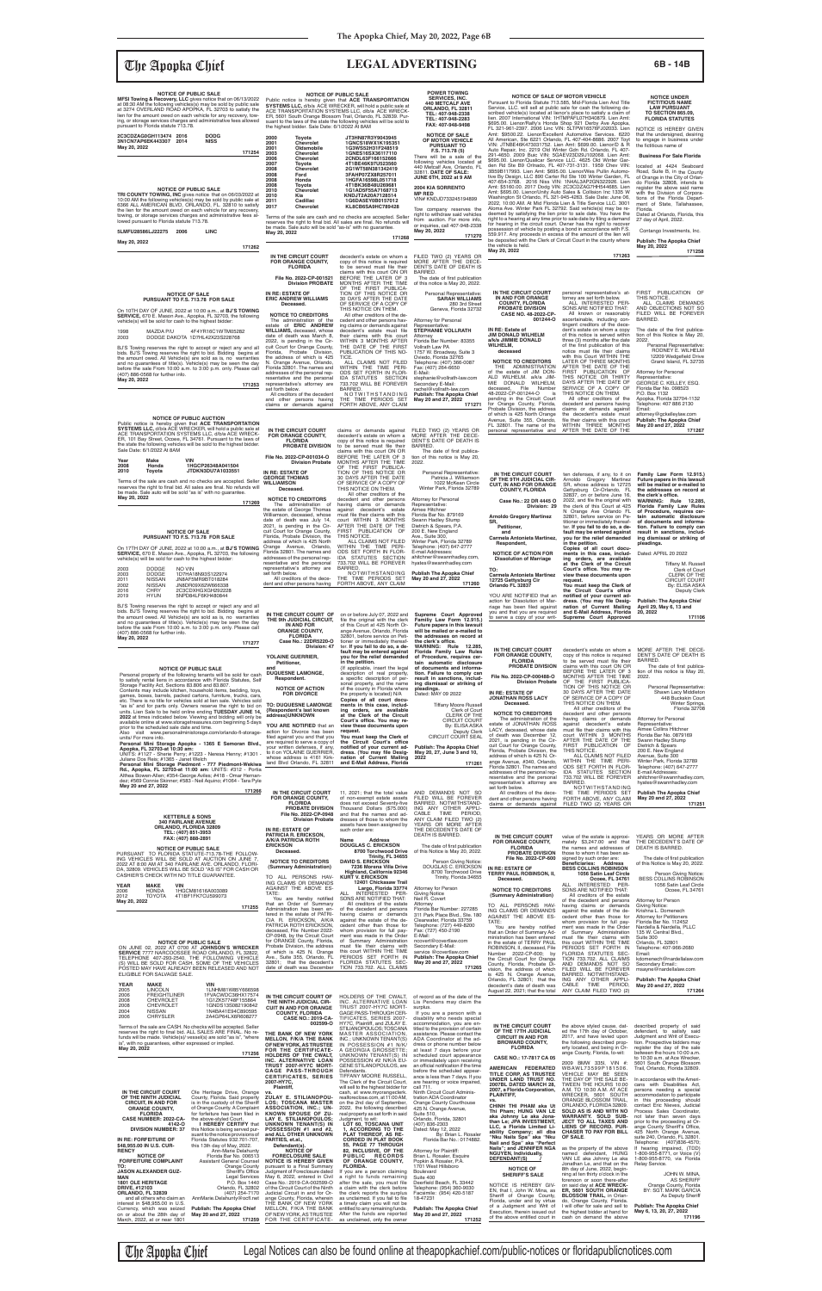The Apopka Chief Legal Notices can also be found online at theapopkachief.com/public-notices or floridapublicnotices.com

## The Apopka Chief **LEGAL ADVERTISING 6B - 14B**

The administration of the estate of JONATHAN ROSS LACY, deceased, whose date having claims or demands<br>against decedent's estate<br>must-file-their-claims-with-this Representative: Aimee Collins Hitchner

prior to the scheduled sale date and time.<br>Also visit www.personalministorage.com/orlando-fl-storage-

decedent's estate on whom a copy of this notice is required<br>to be served must file their claims with this court ON OR<br>BEFORE THE LATER OF 3<br>MONTHS AFTER THE TIME<br>OF THE FIRST PUBLICA-<br>TION OF THIS NOTICE OR<br>30 DAYS AFTER THE DATE OF SERVICE OF A COPY OF THIS NOTICE ON THEM. All other creditors of the decedent and other persons MORE AFTER THE DECE-DENT'S DATE OF DEATH IS BARRED. The date of first publica-<br>tion of this notice is May 20, 2022. Personal Representative: Shawn Lacy Middleton 448 Buckskin Court Winter Springs Florida 32708

## **NOTICE OF PUBLIC SALE MFSI Towing & Recovery, LLC** gives notice that on 06/13/2022<br>at 08:30 AM the following vehicles(s) may be sold by public sale<br>at 3274 OVERLAND ROAD APOPKA, FL 32703 to satisfy the

Attorney for Personal

# **NOTICE UNDER FICTITIOUS NAME LAW PURSUANT TO SECTION 865.09, FLORIDA STATUTES NOTICE OF SALE OF MOTOR VEHICLE** Pursuant to Florida Statute 713.585, Mid-Florida Lien And Title Service, LLC. will sell at public sale for cash the following described vehicle(s) located at lienor's place to satisfy a claim of<br>scribed vehicle(s) located at lienor's place to satisfy a claim anti-<br>\$695.00. Lienor/Rath's Honda Shop 921 Derby Ave Apopka,<br>FL 321-961-2397. 2006 Linc VI

NOTICE IS HEREBY GIVEN that the undersigned, desiring to engage in business under the fictitious name of

### **NOTICE OF SALE PURSUANT TO F.S. 713.78 FOR SALE**  On 10TH DAY OF JUNE, 2022 at 10:00 a.m., at **BJ'S TOWING SERVICE,** 670 E. Mason Ave., Apopka, FL 32703, the following vehicle(s) will be sold for cash to the highest bidder: 1998 MAZDA P/U 4F4YR16C1WTM05282 2003 DODGE DAKOTA 1D7HL42X23S228768

located at 4424 Seaboard Road, Suite B, in the County of Orange in the City of Orlan-do Florida 32808, intends to register the above said name with the Division of Corporations of the Florida Department of State, Tallahassee, Florida. Dated at Orlando, Florida, this \$695.00. Lienor/Qualicar Service LLC. 4625 Old Winter Gar-<br>6en Rd Ste B9 Orlnado, FL 407-731-3131. 1959 Chev VIN:<br>3B59B117993. Lien Amt: \$695.00. Lienor/Wes Pullin Automo-<br>tive By Design, LLC 890 Carter Rd Ste 100 Winter G

27 day of April, 2022. Contango Investments, Inc. right to a hearing at any time prior to sale date by filing a demand<br>for hearing in the circuit court. Owner has the right to recover<br>possession of vehicle by posting a bond in accordance with F.S.<br>559.917. Any proceeds in

BJ'S Towing reserves the right to accept or reject any and all bids. BJ'S Towing reserves the right to bid. Bidding begins at the amount owed. All Vehicle(s) are sold as is, no warranties and no guarantees of title(s). Vehicle(s) may be seen the day before the sale From 10:00 a.m. to 3:00 p.m. only. Please call (407) 886-0568 for further info. **May 20, 2022**

**NOTICE OF PUBLIC AUCTION<br>Public notice is hereby given that ACE TRANSPORTATION**<br>**SYSTEMS LLC**, d/b/a ACE WRECKER, will hold a public sale at<br>ACE TRANSPORTATION SYSTEMS LLC, d/b/a ACE WRECK-<br>ER, 101 Bay Street, Ocoee, FL 3

**171253**

lien for the amount owed on each vehicle for any recovery, tow-ing, or storage services charges and administrative fees allowed pursuant to Florida statute 713.78.

> Florida, Probate Division, the<br>address of which is 425 North<br>Orange Avenue, Orlando,<br>Florida 32801. The names and<br>addresses of the personal representative and the personal representative's attorney are set forth below. All creditors of the decedent and other persons having WITHIN THE TIME PERI-ODS SET FORTH IN FLOR-IDA STATUTES SECTION 733.702 WILL BE FOREVER BARRED. NOTWITHSTANDING

**2C3CDZAG0GH113474 2016 DODG 3N1CN7AP6EK443307 2014 NISS May 20, 2022**

By: ELISA ASKA Deputy Clerk CIRCUIT COURT SEAL

**IN THE CIRCUIT COURT FOR ORANGE COUNTY, FLORIDA PROBATE DIVISION File No. 2022-CP-000488-O Division Probate IN RE: ESTATE OF JONATHAN ROSS LACY Deceased. NOTICE TO CREDITORS** Supreme Court Approved<br>
Familiy Law Form 12.915.)<br>
Future papers in this lawsuit<br>
will be mailed or e-mailed to<br>
the addresses on record at<br>
the clerk's office. **WARNING: Rule 12.285, Florida Family Law Rules of Procedure, requires cer-tain automatic disclosure of documents and informa-tion. Failure to comply can result in sanctions, including dismissal or striking of pleadings.** Dated: MAY 09 2022 Tiffany Moore Russell Clerk of Court CLERK OF THE CIRCUIT COURT

### **Business For Sale Florida**

**Publish: The Apopka Chief May 20, 2022 171258**

 **Deceased.**

|                                                                  | 171254 |
|------------------------------------------------------------------|--------|
|                                                                  |        |
|                                                                  |        |
|                                                                  |        |
|                                                                  |        |
| <b>NOTICE OF PUBLIC SALE</b>                                     |        |
| TRI COUNTY TOWING, INC gives notice that on 06/03/2022 at        |        |
| 10:00 AM the following vehicles(s) may be sold by public sale at |        |
| 6366 ALL AMERICAN BLVD, ORLANDO, FL. 32810 to satisfy            |        |

THE TIME PERIODS SET FORTH ABOVE, ANY CLAIM **Publish The Apopka Chief May 20 and 27, 2022 171260**

**IN THE CIRCUIT COURT OF** on or before July 07, 2022 and on or before July 07, 2022 and<br>file the original with the clerk<br>of this Court at 425 North Or-<br>ange Avenue, Orlando, Florida<br>32801, before service on Peti-<br>tioner or immediately thereaf-<br>ter. If you fail to do so, a de**fault may be entered against you for the relief demanded in the petition.** {If applicable, insert the legal description of real property, a specific description of personal property, and the name<br>of the county in Florida where<br>**Copies of all court docu-**<br>**ments in this case, includ**ing orders, are available<br>at the Clerk of the Circuit<br>Court's office. You may re-

Personal Representative: Patricia J. Williamson 1022 McKean Circle Winter Park, Florida 32789 Attorney for Personal Representative: Aimee Hitchner Florida Bar No. 879169 Swann Hadley Stump Dietrich & Spears, P.A. 200 E. New England Ave., Suite 300, Winter Park, Florida 32789 Telephone: (407) 647-2777 E-mail Addresses: ahitchner@swannhadley.com, hyates@swannhadley.com

**THE 9th JUDICIAL CIRCUIT, IN AND FOR ORANGE COUNTY, FLORIDA Case No.: 22DR5220-O**

 **Division: 47**

**YOLAINE GUERRIER,**

 **Respondent.**

**NOTICE OF ACTION FOR DIVORCE**

**view these documents upon** 

10:00 AM the following vehicles(s) may be sold by public sale at 6366 ALL AMERICAN BLVD, ORLANDO, FL. 32810 to satisfy the lien for the amount owed on each vehicle for any recovery, towing, or storage services charges and administrative fees al-lowed pursuant to Florida statute 713.78.

| 5LMFU28586LJ22275 | 2006 | <b>LINC</b> |  |
|-------------------|------|-------------|--|
|                   |      |             |  |

**May 20, 2022**

**171262**

**IN RE: ESTATE OF GEORGE THOMAS WILLIAMSON** Terms of the sale are cash and no checks are accepted. Seller<br>reserves the right to final bid. All sales are final. No refunds will be made. Sale auto will be sold "as is" with no guarantee.

the vehicle is held. **May 20, 2022**

**171263**

Fax: (407) 264-6650<br>E-Mail: E-Mail: stephanie@vollrath-law.com Secondary E-Mail: rachel@vollrath-law.com **Publish: The Apopka Chief**

**Public notice is hereby given that ACE TRANSPORTATION**<br>**SYSTEMS LLC,** d/b/a ACE WRECKER, will hold a public sale at<br>ACE TRANSPORTATION SYSTEMS LLC, d/b/a ACE WRECK-ER, 5601 South Orange Blossom Trail, Orlando, FL 32839. Pur-suant to the laws of the state the following vehicles will be sold to the highest bidder. Sale Date: 6/1/2022 At 8AM

 **Petitioner, and DUQUESNE LAMONGE, NOTICE OF PUBLIC SALE**<br>Personal property of the following tenants will be sold for cash<br>to satisfy rental liens in accordance with Florida Statutes, Self<br>Storage Facility Act, Sections 83.806 and 83.807. Contents may include kitchen, household items, bedding, toys, games, boxes, barrels, packed cartons, furniture, trucks, cars, etc. There is no title for vehicles sold at lien sale. Vehicles sold "as is" and for parts only. **2022** at times indicated below. Viewing and bidding will only be

**TO: DUQUESNE LAMONGE {Respondent's last known address}UNKNOWN YOU ARE NOTIFIED** that an action for Divorce has been **request.**<br>filed against you and that you **You must keep the Clerk of** available online at www.storagetreasures.com beginning 5 days

**JUNE 6TH, 2022 at 9 AM 2004 KIA SORRENTO MP RED**<br>VIN# KNDJD733245194899

The date of first publication<br>of this notice is May 20, 2022.

Terms of the sale are cash and no checks are accepted. Seller<br>reserves the right to final bid. All sales are final. No refunds will<br>be made. Sale auto will be sold "as-is" with no guarantee. **May 20, 2022** Tow company reserves the right to withdraw said vehicles from auction. For more info, or inquiries, call 407-948-2338 **May 20, 2022**

**IN THE CIRCUIT COURT FOR ORANGE COUNTY, FLORIDA PROBATE DIVISION File No. 2022-CP-001034-O Division Probate NOTICE TO CREDITORS** The administration of the estate of George Thomas Williamson, deceased, whose date of death was July 14, 2021, is pending in the Cir-cuit Court for Orange County, claims or demands against decedent's estate on whom a copy of this notice is required<br>to be served must file their to be served must file their<br>claims with this court ON OR<br>BEFORE THE LATER OF 3<br>MONTHS AFTER THE TIME<br>OF THE FIRST PUBLICA-<br>TION OF THIS NOTICE OR<br>30 DAYS AFTER THE DATE OF SERVICE OF A COPY OF THIS NOTICE ON THEM. All other creditors of the decedent and other persons having claims or demands<br>against decedent's estate<br>must file their claims with this<br>court WITHIN 3 MONTHS<br>AFTER THE DATE OF THE<br>FIRST PUBLICATION OF THIS NOTICE. ALL CLAIMS NOT FILED FILED TWO (2) YEARS OR MORE AFTER THE DECE-DENT'S DATE OF DEATH IS BARRED.<br>The date of first publication of this notice is May 20,<br>2022. DS SET Y CLAIM **May 20 and 27, 2022**

| Year | Make   | VIN               |
|------|--------|-------------------|
| 2008 | Honda  | 1HGCP26348A041504 |
| 2010 | Toyota | JTDKN3DU7A1033551 |

**May 20, 2022**

**171269**

### **NOTICE OF SALE PURSUANT TO F.S. 713.78 FOR SALE**

On 17TH DAY OF JUNE, 2022 at 10:00 a.m., at **BJ'S TOWING**<br>**SERVICE,** 670 E. Mason Ave., Apopka, FL 32703, the following<br>vehicle(s) will be sold for cash to the highest bidder:

| visit www.personalministorage.com/orlando-fl-storage-<br>Also<br>units/ For more info.<br>Personal Mini Storage Apopka - 1365 E Semoran Blvd.,<br>Apopka, FL 32703-at 10:30 am:<br>UNITS: #1127 - Sherie Perry; #1223 - Neresa Henny; #1301<br>Juliane Dos Reis; #1365 - Janet Welch<br>Personal Mini Storage Piedmont - 777 Piedmont-Wekiwa<br>Rd., Apopka, FL 32703-at 11:00 am: UNITS: #312 - Portia<br>Althea Bowen-Allen; #354-George Aviles; #418 - Omar Hernan-<br>dez; #569 Connie Skinner; #583 - Neil Aquino; #1064 - Tara Pyle<br>May 20 and 27, 2022 | action for Divorce has been<br>filed against you and that you<br>are required to serve a copy of<br>your written defenses, if any,<br>to it on YOLAINE GUERRIER.<br>whose address is 4161 Kirk-<br>land Blvd Orlando, FL 32811                                                                                                        | request.<br>You must keep the Clerk of<br>the Circuit Court's office<br>notified of your current ad-<br>dress. (You may file Desig-<br>nation of Current Mailing<br>and E-Mail Address, Florida                                                                                                                                                               | Deputy Clerk<br>CIRCUIT COURT SEAL<br><b>Publish: The Apopka Chief</b><br>May 20, 27, June 3 and 10,<br>2022<br>171261                                                                                                                                                                                                                  | LAUT, UBUBASBU, WIIUSB UAIB<br>of death was December 12,<br>2021, is pending in the Cir-<br>cuit Court for Orange County,<br>Florida, Probate Division, the<br>address of which is 425 N. Or-<br>ange Avenue, #340, Orlando,<br>Florida 32801. The names and<br>addresses of the personal rep-<br>resentative and the personal<br>representative's attorney are<br>set forth below. | THUST THE THEIL GRILLIS WILL LINS<br>court WITHIN 3 MONTHS<br>AFTER THE DATE OF THE<br>FIRST PUBLICATION OF<br>THIS NOTICE.<br>ALL CLAIMS NOT FILED<br>WITHIN THE TIME PERI-<br>ODS SET FORTH IN FLOR-<br>IDA STATUTES SECTION<br>733.702 WILL BE FOREVER<br>BARRED.<br>NOTWITHSTANDING                                                         | <b>ATTLER COMING FILLO IN RE</b><br>Florida Bar No. 0879169<br>Swann Hadley Stump<br>Dietrich & Spears<br>200 E. New England<br>Avenue, Suite 300<br>Winter Park, Florida 32789<br>Telephone: (407) 647-2777<br>E-mail Addresses:<br>ahitchner@swannhadley.com<br>hyates@swannhadley.com                                                                                      |
|------------------------------------------------------------------------------------------------------------------------------------------------------------------------------------------------------------------------------------------------------------------------------------------------------------------------------------------------------------------------------------------------------------------------------------------------------------------------------------------------------------------------------------------------------------------|---------------------------------------------------------------------------------------------------------------------------------------------------------------------------------------------------------------------------------------------------------------------------------------------------------------------------------------|---------------------------------------------------------------------------------------------------------------------------------------------------------------------------------------------------------------------------------------------------------------------------------------------------------------------------------------------------------------|-----------------------------------------------------------------------------------------------------------------------------------------------------------------------------------------------------------------------------------------------------------------------------------------------------------------------------------------|-------------------------------------------------------------------------------------------------------------------------------------------------------------------------------------------------------------------------------------------------------------------------------------------------------------------------------------------------------------------------------------|-------------------------------------------------------------------------------------------------------------------------------------------------------------------------------------------------------------------------------------------------------------------------------------------------------------------------------------------------|-------------------------------------------------------------------------------------------------------------------------------------------------------------------------------------------------------------------------------------------------------------------------------------------------------------------------------------------------------------------------------|
| 171266<br><b>KETTERLE &amp; SONS</b><br><b>340 FAIRLANE AVENUE</b><br>ORLANDO, FLORIDA 32809<br>TEL: (407) 851-3953                                                                                                                                                                                                                                                                                                                                                                                                                                              | IN THE CIRCUIT COURT<br>FOR ORANGE COUNTY,<br><b>FLORIDA</b><br>PROBATE DIVISION<br>File No. 2022-CP-0948<br><b>Division Probate</b><br>IN RE: ESTATE OF                                                                                                                                                                              | 11, 2021; that the total value<br>of non-exempt estate assets<br>does not exceed Seventy-five<br>Thousand Dollars (\$75.000)<br>and that the names and ad-<br>dresses of those to whom the<br>assets have been assigned by<br>such order are:                                                                                                                 | AND DEMANDS NOT SO<br>FILED WILL BE FOREVER<br>BARRED. NOTWITHSTAND-<br>ING ANY OTHER APPLI-<br>CABLE TIME<br>PERIOD,<br>ANY CLAIM FILED TWO (2)<br>YEARS OR MORE AFTER<br>THE DECEDENT'S DATE OF                                                                                                                                       | All creditors of the dece-<br>dent and other persons having<br>claims or demands against                                                                                                                                                                                                                                                                                            | THE TIME PERIODS SET<br>FORTH ABOVE, ANY CLAIM<br>FILED TWO (2) YEARS OR                                                                                                                                                                                                                                                                        | <b>Publish The Apopka Chief</b><br>May 20 and 27, 2022<br>171251                                                                                                                                                                                                                                                                                                              |
| FAX: (407) 888-2891<br><b>NOTICE OF PUBLIC SALE</b><br>PURSUANT TO FLORIDA STATUTE-713.78-THE FOLLOW-<br>ING VEHICLES WILL BE SOLD AT AUCTION ON JUNE 7,<br>2022 AT 8:00 AM AT 340 FAIRLANE AVE. ORLANDO, FLORI-<br>DA, 32809. VEHICLES WILL BE SOLD "AS IS" FOR CASH OR<br>CASHIER'S CHECK WITH NO TITLE GUARANTEE.                                                                                                                                                                                                                                             | PATRICIA R. ERICKSON,<br>A/K/A PATRICIA ROTH<br><b>ERICKSON</b><br>Deceased.<br><b>NOTICE TO CREDITORS</b><br>(Summary Administration)<br>TO ALL PERSONS HAV-                                                                                                                                                                         | Address<br>Name<br><b>DOUGLAS C. ERICKSON</b><br>8700 Torchwood Drive<br>Trinity, FL 34655<br><b>DAVID S. ERICKSON</b><br>7236 Morena Villa Drive<br>Highland, California 92346<br><b>KURT V. ERICKSON</b>                                                                                                                                                    | <b>DEATH IS BARRED</b><br>The date of first publication<br>of this Notice is May 20, 2022.<br>Person Giving Notice:<br>DOUGLAS C. ERICKSON<br>8700 Torchwood Drive<br>Trinity, Florida 34655                                                                                                                                            | IN THE CIRCUIT COURT<br><b>FOR ORANGE COUNTY,</b><br><b>FLORIDA</b><br>PROBATE DIVISION<br>File No. 2022-CP-600<br>IN RE: ESTATE OF<br><b>TERRY PAUL ROBINSON, II,</b><br>Deceased.                                                                                                                                                                                                 | value of the estate is approxi-<br>mately \$3,247.00 and that<br>the names and addresses of<br>those to whom it has been as-<br>signed by such order are:<br>Beneficiaries: Address<br><b>BESS COLLINS ROBINSON</b><br>1056 Satin Leaf Circle<br>Ocoee, FL 34761                                                                                | YEARS OR MORE AFTER<br>THE DECEDENT'S DATE OF<br>DEATH IS BARRED.<br>The date of first publication<br>of this Notice is May 20, 2022.<br>Person Giving Notice:<br><b>BESS COLLINS ROBINSON</b>                                                                                                                                                                                |
| YEAR<br><b>MAKE</b><br><b>VIN</b><br>2006<br><b>HONDA</b><br>1HGCM81616A003089<br>2012<br><b>TOYOTA</b><br>4T1BF1FK7CU599073<br>May 20, 2022<br>171255                                                                                                                                                                                                                                                                                                                                                                                                           | ING CLAIMS OR DEMANDS<br>AGAINST THE ABOVE ES-<br>TATE:<br>You are hereby notified<br>that an Order of Summary<br>Administration has been en-<br>tered in the estate of PATRI-<br>CIA R. ERICKSON, A/K/A<br>PATRICIA ROTH ERICKSON,                                                                                                   | 12401 Chickasaw Trail<br>Largo, Florida 33774<br>ALL<br>INTERESTED PER-<br>SONS ARE NOTIFIED THAT:<br>All creditors of the estate<br>of the decedent and persons<br>having claims or demands<br>against the estate of the de-<br>cedent other than those for                                                                                                  | Attorney for Person<br><b>Giving Notice</b><br>Neil R. Covert<br>Attorney<br>Florida Bar Number: 227285<br>311 Park Place Blvd., Ste. 180<br>Clearwater, Florida 33759<br>Telephone: (727) 449-8200                                                                                                                                     | <b>NOTICE TO CREDITORS</b><br>(Summary Administration)<br>TO ALL PERSONS HAV-<br>ING CLAIMS OR DEMANDS<br>AGAINST THE ABOVE ES-<br>TATE:<br>You are hereby notified                                                                                                                                                                                                                 | ALL INTERESTED PER-<br>SONS ARE NOTIFIED THAT:<br>All creditors of the estate<br>of the decedent and persons<br>having claims or demands<br>against the estate of the de-<br>cedent other than those for<br>whom provision for full pay-<br>ment was made in the Order                                                                          | 1056 Satin Leaf Circle<br>Ocoee, FL 34761<br><b>Attorney for Person</b><br><b>Giving Notice:</b><br>Krishna L. Domenech<br><b>Attorney for Petitioners</b><br>Florida Bar No. 112452<br>Nardella & Nardella, PLLC                                                                                                                                                             |
| <b>NOTICE OF PUBLIC SALE</b><br>ON JUNE 02, 2022 AT 0700 AT JOHNSON'S WRECKER<br>SERVICE 7777 NARCOOSSEE ROAD ORLANDO, FL 32822,<br>TELEPHONE 407-293-2540. THE FOLLOWING VEHICLE<br>(S) WILL BE SOLD FOR CASH. SOME OF THE VEHICLES<br>POSTED MAY HAVE ALREADY BEEN RELEASED AND NOT<br>ELIGIBLE FOR SALVAGE SALE.                                                                                                                                                                                                                                              | deceased, File Number 2022-<br>CP-0948, by the Circuit Court<br>for ORANGE County, Florida,<br>Probate Division, the address<br>of which is 425 N. Orange<br>Ave., Suite 355, Orlando, FL<br>32801; that the decedent's<br>date of death was December                                                                                 | whom provision for full pay-<br>ment was made in the Order<br>of Summary Administration<br>must file their claims with<br>this court WITHIN THE TIME<br>PERIODS SET FORTH IN<br>FLORIDA STATUTES SEC-<br>TION 733.702. ALL CLAIMS                                                                                                                             | Fax: (727) 450-2190<br>E-Mail:<br>ncovert@covertlaw.com<br>Secondary E-Mail:<br>service @covertlaw.com<br><b>Publish: The Apopka Chief</b><br>May 20 and 27, 2022<br>171265                                                                                                                                                             | that an Order of Summary Ad-<br>ministration has been entered<br>in the estate of TERRY PAUL<br>ROBINSON, II, deceased, File<br>Number 2022-CP-600: by<br>the Circuit Court for Orange<br>County, Florida, Probate Di-<br>vision, the address of which<br>is 425 N. Orange Avenue,<br>Orlando, FL 32801; that the                                                                   | of Summary Administration<br>must file their claims with<br>this court WITHIN THE TIME<br>PERIODS SET FORTH IN<br>FLORIDA STATUTES SEC-<br>TION 733.702. ALL CLAIMS<br>AND DEMANDS NOT SO<br>FILED WILL BE FOREVER<br>BARRED. NOTWITHSTAND<br>ING ANY OTHER APPLI-                                                                              | 135 W. Central Blvd<br>Suite 300<br>Orlando, FL 32801<br>Telephone: 407-966-2680<br>Email:<br>kdomenech@nardellalaw.com<br>Secondary Email::<br>msayne@nardellalaw.com<br><b>Publish: The Apopka Chief</b>                                                                                                                                                                    |
| YEAR<br>MAKE<br><b>VIN</b><br>1LNHM81W85Y666598<br>2005<br><b>LINCOLN</b><br>1FVACWDC36HX17574<br>2006<br>FREIGHTLINER<br><b>CHEVROLET</b><br>1G1ZK57748F155864<br>2008<br>2008<br><b>CHEVROLET</b><br>1GNDS13S082190842<br>2004<br><b>NISSAN</b><br>1N4BA41E94C890595<br>2006<br><b>CHRYSLER</b><br>2A4GP64LX6R608277<br>Terms of the sale are CASH. No checks will be accepted. Seller<br>reserves the right to final bid. ALL SALES ARE FINAL. No re-                                                                                                         | IN THE CIRCUIT COURT OF<br>THE NINTH JUDICIAL CIR-<br><b>CUIT IN AND FOR ORANGE</b><br><b>COUNTY, FLORIDA</b><br><b>CASE NO.: 2019-CA-</b><br>002599-0                                                                                                                                                                                | HOLDERS OF THE CWALT,<br>INC. ALTERNATIVE LOAN<br>TRUST 2007-HY7C MORT-<br>GAGE PASS-THROUGH CER-<br>TIFICATES, SERIES 2007-<br>HY7C, Plaintiff, and ZULAY E.<br>STILIANOPOULOS; TOSCANA                                                                                                                                                                      | of record as of the date of the<br>Lis Pendens may claim the<br>surplus.<br>If you are a person with a<br>disability who needs special<br>accommodation, you are en-<br>titled to the provision of certain                                                                                                                              | decedent's date of death was<br>August 22, 2021; that the total<br>IN THE CIRCUIT COURT<br>OF THE 17TH JUDICIAL                                                                                                                                                                                                                                                                     | CABLE TIME<br>PERIOD.<br>ANY CLAIM FILED TWO (2)<br>the above styled cause, dat-<br>ed the 17th day of October,                                                                                                                                                                                                                                 | May 20 and 27, 2022<br>171264<br>described property of said<br>defendant, to satisfy said                                                                                                                                                                                                                                                                                     |
| funds will be made. Vehicle(s)/ vessel(s) are sold "as is", "where<br>is", with no guarantees, either expressed or implied.<br>May 20, 2022<br>171256                                                                                                                                                                                                                                                                                                                                                                                                            | THE BANK OF NEW YORK<br>MELLON, F/K/A THE BANK<br>OF NEW YORK, AS TRUSTEE<br>FOR THE CERTIFICATE-<br>HOLDERS OF THE CWALT,<br>INC. ALTERNATIVE LOAN<br>TRUST 2007-HY7C MORT-<br>GAGE PASS-THROUGH<br><b>CERTIFICATES, SERIES</b><br>2007-HY7C.                                                                                        | MASTER ASSOCIATION,<br>INC.; UNKNOWN TENANT(S)<br>IN POSSESSION #1 N/K/<br>A GEORGIA GROSSETTE;<br>UNKNOWN TENANT(S) IN<br>POSSESSION #2 N/K/A EU-<br>GENE STILANOPOULOS, are<br>Defendants.<br>TIFFANY MOORE RUSSELL,<br>The Clerk of the Circuit Court,                                                                                                     | assistance. Please contact the<br>ADA Coordinator at the ad-<br>dress or phone number below<br>at least 7 days before your<br>scheduled court appearance<br>or immediately upon receiving<br>an official notification if the time<br>before the scheduled appear-<br>ance is less than 7 days. If you<br>are hearing or voice impaired, | <b>CIRCUIT IN AND FOR</b><br><b>BROWARD COUNTY,</b><br><b>FLORIDA</b><br>CASE NO.: 17-7817 CA 05<br>AMERICAN FEDERATED<br>TITLE CORP, AS TRUSTEE<br>UNDER LAND TRUST NO.                                                                                                                                                                                                            | 2017, and have levied upon<br>the following described prop-<br>erty located, and being in Or-<br>ange County, Florida, to-wit:<br>2009 BMW 3351, VIN #:<br>WBAWL73599P181506.<br>VEHICLE MAY BE SEEN<br>THE DAY OF THE SALE BE-                                                                                                                 | Judgment and Writ of Execu-<br>tion. Prospective bidders may<br>register the day of the sale<br>between the hours 10:00 a.m.<br>to 10:30 a.m. at Ace Wrecker,<br>5601 South Orange Blossom<br>Trail, Orlando, Florida 32809.<br>In accordance with the Ameri-                                                                                                                 |
| IN THE CIRCUIT COURT<br>Ole Heritage Drive, Orange vs.<br>OF THE NINTH JUDICIAL<br>County, Florida. Said property<br><b>CIRCUIT, IN AND FOR</b><br>is in the custody of the Sheriff<br><b>ORANGE COUNTY,</b><br>of Orange County. A Complaint<br>for forfeiture has been filed in<br><b>FLORIDA</b><br>CASE NUMBER: 2022-CA-<br>the above-styled Court<br>I HEREBY CERTIFY that<br>4142-O<br><b>DIVISION NUMBER: 37</b><br>this Notice is being served pur-<br>suant to the notice provisions of<br>Florida Statutes 932.701-707,<br>IN RE: FORFEITURE OF        | Plaintiff,<br>ZULAY E. STILIANOPOU-<br>LOS; TOSCANA MASTER<br><b>ASSOCIATION, INC.; UN-</b><br>KNOWN SPOUSE OF ZU-<br>LAY E. STILIANOPOULOS;<br><b>UNKNOWN TENANT(S) IN</b><br>POSSESSION #1 and #2,<br>and ALL OTHER UNKNOWN<br>PARTIES, et.al.,                                                                                     | will sell to the highest bidder for<br>cash, at www.myorangeclerk.<br>realforeclose.com, at 11:00 AM,<br>on the 2nd day of September,<br>2022, the following described<br>real property as set forth in said<br>Judgment, to wit:<br>LOT 60, TOSCANA UNIT<br>1, ACCORDING TO THE<br>PLAT THEREOF, AS RE-<br><b>CORDED IN PLAT BOOK</b><br>55. PAGE 77 THROUGH | call 711.<br>Ninth Circuit Court Adminis-<br>tration ADA Coordinator<br>Orange County Courthouse<br>425 N. Orange Avenue,<br>Suite 510,<br>Orlando, Florida, 32801<br>(407) 836-2303<br>Dated: May 12, 2022<br>By: Brian L. Rosaler<br>Florida Bar No.: 0174882.                                                                        | 2007BL DATED MARCH 28,<br>2007, a Florida Corporation,<br><b>PLAINTIFF,</b><br>vs.<br>CHINH THI PHAM aka Ut<br>Thi Pham; HUNG VAN LE<br>aka Johnny Le aka Jona-<br>than Le; JPA INVESTMENT,<br>LLC, a Florida Limited Li-<br>ability Company; all dba<br>"Nku Nails Spa" aka "Nku<br>Nail and Spa" aka "Perfect                                                                     | TWEEN THE HOURS 10:00<br>A.M. TO 10:30 A.M. AT ACE<br>WRECKER. 5601 SOUTH<br>ORANGE BLOSSOM TRAIL,<br>ORLANDO, FLORIDA 32809.<br>SOLD AS IS AND WITH NO<br>WARRANTY. SOLD SUB-<br>JECT TO ALL TAXES AND<br>LIENS OF RECORD. PUR-<br><b>CHASER TO PAY FOR BILL</b><br>OF SALE.                                                                   | cans with Disabilities Act,<br>persons needing a special<br>accommodation to participate<br>in this proceeding should<br>contact Eric Nieves, Judicial<br>Process Sales Coordinator,<br>not later than seven days<br>prior to the proceeding at Or-<br>ange County Sheriff's Office,<br>425 North Orange Avenue,<br>suite 240, Orlando, FL 32801<br>Telephone: (407)836-4570; |
| this 13th day of May, 2022.<br>\$48,955.00 IN U.S. CUR-<br>Ann-Marie Delahunty<br><b>RENCY</b><br>Florida Bar No. 006513<br><b>NOTICE OF</b><br><b>FORFEITURE COMPLAINT</b><br><b>Assistant General Counsel</b><br>Orange County<br>TO:<br>Sheriff's Office<br>JASON ALEXANDER GUZ-<br>MAN<br>Legal Services<br><b>1801 OLE HERITAGE</b><br>P.O. Box 1440<br>Orlando, FL 32802<br>DRIVE, #12103<br>(407) 254-7170<br>ORLANDO, FL 32839<br>AnnMarie.Delahunty@ocfl.net<br>and all others who claim an                                                             | Defendant(s).<br><b>NOTICE OF</b><br><b>FORECLOSURE SALE</b><br><b>NOTICE IS HEREBY GIVEN</b><br>pursuant to a Final Summary<br>Judgment of Foreclosure dated<br>May 6, 2022, entered in Civil<br>Case No.: 2019-CA-002599-O<br>of the Circuit Court of the Ninth<br>Judicial Circuit in and for Or-<br>ange County, Florida, wherein | 82, INCLUSIVE, OF THE<br>PUBLIC RECORDS<br>OF ORANGE COUNTY,<br><b>FLORIDA.</b><br>If you are a person claiming<br>a right to funds remaining<br>after the sale, you must file<br>a claim with the clerk before<br>the clerk reports the surplus<br>as unclaimed. If you fail to file                                                                         | Attorney for Plaintiff:<br>Brian L. Rosaler, Esquire<br>Popkin & Rosaler, P.A.<br>1701 West Hillsboro<br>Boulevard<br>Suite 400<br>Deerfield Beach, FL 33442<br>Telephone: (954) 360-9030<br>Facsimile: (954) 420-5187<br>18-47231                                                                                                      | Nails"; and JENNIFER NGA<br>NGUYEN, Individually,<br>DEFENDANT(S)<br><b>NOTICE OF</b><br><b>SHERIFF'S SALE</b><br>NOTICE IS HEREBY GIV-<br>EN, that I, John W. Mina, as<br>Sheriff of Orange County,<br>Florida, under and by virtue                                                                                                                                                | as the property of the above<br>named defendant, HUNG<br>VAN LE aka Johnny Le aka<br>Jonathan Le, and that on the<br>8th day of June, 2022, begin-<br>ning at ten thirty o'clock in the<br>forenoon or soon there-after<br>on said day at ACE WRECK-<br>ER, 5601 SOUTH ORANGE<br><b>BLOSSOM TRAIL, in Orlan-</b><br>do, Orange County, Florida. | If hearing impaired, (TDD)<br>1-800-955-8771, or Voice (V)<br>1-800-955-8770, via Florida<br>Relay Service.<br>JOHN W. MINA,<br><b>AS SHERIFF</b><br>Orange County, Florida<br>BY: SGT. MARK GARCIA<br>As Deputy Sheriff                                                                                                                                                      |
| interest in \$48,955.00 in U.S.<br>Currency, which was seized<br><b>Publish: The Apopka Chief</b><br>May 20 and 27, 2022<br>on or about the 28th day of<br>171259<br>March, 2022, at or near 1801                                                                                                                                                                                                                                                                                                                                                                | THE BANK OF NEW YORK<br>MELLON, F/K/A THE BANK<br>OF NEW YORK, AS TRUSTEE<br>FOR THE CERTIFICATE-                                                                                                                                                                                                                                     | a timely claim you will not be<br>entitled to any remaining funds.<br>After the funds are reported<br>as unclaimed, only the owner                                                                                                                                                                                                                            | <b>Publish: The Apopka Chief</b><br>May 20 and 27, 2022<br>171252                                                                                                                                                                                                                                                                       | of a Judgment and Writ of<br>Execution, therein issued out<br>of the above entitled court in                                                                                                                                                                                                                                                                                        | I will offer for sale and sell to<br>the highest bidder at hand for<br>cash on demand the above                                                                                                                                                                                                                                                 | <b>Publish: The Apopka Chief</b><br>May 6, 13, 20, 27, 2022<br>171196                                                                                                                                                                                                                                                                                                         |

| 2003<br>2003<br>2011<br>2002<br>2016<br>2019 | <b>DODGE</b><br><b>DODGE</b><br><b>NISSAN</b><br><b>NISSAN</b><br>CHRY<br><b>HYUN</b> | NO VIN<br>1D7HA18N93S122974<br>JN8AF5MR9BT018284<br>JN8DR09X62W666338<br>2C3CDXHGXGH292228<br>5NPD84LF6KH480844 |
|----------------------------------------------|---------------------------------------------------------------------------------------|-----------------------------------------------------------------------------------------------------------------|
|                                              |                                                                                       |                                                                                                                 |
|                                              |                                                                                       |                                                                                                                 |

BJ'S Towing reserves the right to accept or reject any and all bids. BJ'S Towing reserves the right to bid. Bidding begins at the amount owed. All Vehicle(s) are sold as is, no warranties and no guarantees of title(s). Vehicle(s) may be seen the day before the sale From 10:00 a.m. to 3:00 p.m. only. Please call (407) 886-0568 for further info. **May 20, 2022 171277**

| IN THE CIRCUIT COURT<br>FOR ORANGE COUNTY,<br><b>FLORIDA</b><br>File No. 2022-CP-001521<br><b>Division PROBATE</b><br>IN RE: ESTATE OF<br><b>ERIC ANDREW WILLIAMS</b><br>Deceased.<br><b>NOTICE TO CREDITORS</b> | decedent's estate on whom a<br>copy of this notice is required<br>to be served must file their<br>claims with this court ON OR<br>BEFORE THE LATER OF 3<br>MONTHS AFTER THE TIME<br>OF THE FIRST PUBLICA-<br>TION OF THIS NOTICE OR<br>30 DAYS AFTER THE DATE<br>OF SERVICE OF A COPY OF<br>THIS NOTICE ON THEM.<br>All other creditors of the de- |
|------------------------------------------------------------------------------------------------------------------------------------------------------------------------------------------------------------------|----------------------------------------------------------------------------------------------------------------------------------------------------------------------------------------------------------------------------------------------------------------------------------------------------------------------------------------------------|
| The administration of the                                                                                                                                                                                        | cedent and other persons hav-                                                                                                                                                                                                                                                                                                                      |
| estate of <b>ERIC ANDREW</b>                                                                                                                                                                                     | ing claims or demands against                                                                                                                                                                                                                                                                                                                      |
| <b>WILLIAMS, deceased, whose</b>                                                                                                                                                                                 | decedent's estate<br>must file                                                                                                                                                                                                                                                                                                                     |
| date of death was March 8,<br>2022, is pending in the Cir-                                                                                                                                                       | their claims with this court<br>WITHIN 3 MONTHS AFTER                                                                                                                                                                                                                                                                                              |
| cuit Court for Orange County,                                                                                                                                                                                    | THE DATE OF THE FIRST                                                                                                                                                                                                                                                                                                                              |
| Florida, Probate Division,                                                                                                                                                                                       | PUBLICATION OF THIS NO-                                                                                                                                                                                                                                                                                                                            |
| the address of which is 425<br>N. Orange Avenue, Orlando,                                                                                                                                                        | TICE.<br>ALL CLAIMS NOT FILED                                                                                                                                                                                                                                                                                                                      |
| Florida 32801. The names and                                                                                                                                                                                     | WITHIN THE TIME PERI-                                                                                                                                                                                                                                                                                                                              |
| addresses of the personal rep-                                                                                                                                                                                   | ODS SET FORTH IN FLOR-                                                                                                                                                                                                                                                                                                                             |
| resentative and the personal<br>representative's attorney are                                                                                                                                                    | IDA STATUTES<br><b>SECTION</b><br>733.702 WILL BE FOREVER                                                                                                                                                                                                                                                                                          |
| set forth below.                                                                                                                                                                                                 | BARRED.                                                                                                                                                                                                                                                                                                                                            |
| All creditors of the decedent                                                                                                                                                                                    | NOTWITHSTANDING                                                                                                                                                                                                                                                                                                                                    |
| and other persons<br>having<br>claims or demands<br>against                                                                                                                                                      | THE TIME PERIODS SET<br>FORTH ABOVE, ANY CLAIM                                                                                                                                                                                                                                                                                                     |
|                                                                                                                                                                                                                  |                                                                                                                                                                                                                                                                                                                                                    |

FILED TWO (2) YEARS OR MORE AFTER THE DECE-DENT'S DATE OF DEATH IS

BARRED.

Personal Representative: **SARAH WILLIAMS** 280 3rd Street Geneva, Florida 32732

Attorney for Personal Representative: **STEPHANIE VOLLRATH**

Attorney Florida Bar Number: 83355 Vollrath Law PA 1757 W. Broadway, Suite 3 Oviedo, Florida 32765 Telephone: (407) 366-0087

**171271**

| 2000 | Toyota           | JT3HN87R3Y9043945 |
|------|------------------|-------------------|
| 2001 | Chevrolet        | 1GNCS18WX1K195351 |
| 2001 | Oldsmobile       | 1G3WS52H31F248519 |
| 2003 | <b>Chevrolet</b> | 1GNES16SX36117110 |
| 2006 | Chevrolet        | 2CNDL63F166152666 |
| 2007 | Toyota           | 4T1BE46K97U523560 |
| 2008 | Chevrolet        | 2G1WT58N381342419 |
| 2008 | Ford             | 3FAHP07ZX8R257011 |
| 2008 | Honda            | 1HGFA16598L051718 |
| 2008 | Toyota           | 4T1BK36B48U269681 |
| 2010 | Chevrolet        | 1G1AD5F55A7168713 |
| 2010 | Kia              | KNDJT2A20A7128514 |
| 2011 | Cadillac         | 1G6DA5EY0B0157012 |
| 2017 | Chevrolet        | KL8CB6SA9HC789428 |
|      |                  |                   |

**171268**

| IN THE CIRCUIT COURT<br>IN AND FOR ORANGE<br><b>COUNTY, FLORIDA</b>                                                     | personal representative's at-<br>torney are set forth below.<br>ALL INTERESTED PER-                                                 | <b>PUBLICATION</b><br>OF<br>FIRST<br>THIS NOTICE.<br>ALL CLAIMS DEMANDS                       |
|-------------------------------------------------------------------------------------------------------------------------|-------------------------------------------------------------------------------------------------------------------------------------|-----------------------------------------------------------------------------------------------|
| <b>PROBATE DIVISION</b><br><b>CASE NO. 48-2022-CP-</b><br>001244-0                                                      | SONS ARE NOTIFIED THAT:<br>All known or reasonably<br>ascertainable, including con-<br>tingent creditors of the dece-               | AND OBJECTIONS NOT SO<br>FILED WILL BE FOREVER<br>BARRED.                                     |
| IN RE: Estate of<br><b>JIM DONALD WILHELM</b><br>a/k/a JIMMIE DONALD                                                    | dent's estate on whom a copy<br>of this notice is served within<br>three (3) months after the date                                  | The date of the first publica-<br>tion of this Notice is May 20,<br>2022.                     |
| WILHELM.<br>deceased                                                                                                    | of the first publication of this<br>notice must file their claims<br>with this Court WITHIN THE                                     | Personal Representative:<br>RODNEY E. WILHELM<br>12209 Wedgefield Drive                       |
| <b>NOTICE TO CREDITORS</b><br><b>ADMINISTRATION</b><br>THF<br>of the estate of JIM DON-<br>ALD WILHELM, a/k/a JIM-      | LATER OF THREE MONTHS<br>AFTER THE DATE OF THE<br><b>PUBLICATION</b><br>FIRST<br>OF<br>THIS NOTICE OR THIRTY                        | Grand Island, FL 32735<br><b>Attorney for Personal</b><br>Representative:                     |
| WILHELM.<br>MIE<br><b>DONALD</b><br>Number<br>deceased.<br>File<br>48-2022-CP-001244-O<br>is                            | DAYS AFTER THE DATE OF<br>SERVICE OF A COPY OF<br>THIS NOTICE ON THEM.                                                              | GEORGE C. KELLEY, ESQ.<br>Florida Bar No. 098523<br>P.O. Box 1132                             |
| pending in the Circuit Court<br>for Orange County, Florida,<br>Probate Division, the address                            | All other creditors of the<br>decedent and persons having<br>claims or demands against                                              | Apopka, Florida 32704-1132<br>Telephone: 407 886 2130<br>Email:                               |
| of which is 425 North Orange<br>Avenue, Suite 355, Orlando,<br>FL 32801. The name of the<br>personal representative and | the decedent's estate must<br>file their claims with this court<br>THREE<br><b>WITHIN</b><br><b>MONTHS</b><br>AFTER THE DATE OF THE | attorney@gckelleylaw.com<br><b>Publish: The Apopka Chief</b><br>May 20 and 27, 2022<br>171267 |

**POWER TOWING SERVICES, INC. 440 METCALF AVE ORLANDO, FL 32811 TEL: 407-948-2338 TEL: 407-948-2283 FAX: 407-948-9498 NOTICE OF SALE** 

**OF MOTOR VEHICLE**<br> **PURSUANT TO**<br> **F.S. 713.78 (5)**<br>
There will be a sale of the<br>
440 Metcalf Ave, Orlando, FL<br>
32811. **DATE OF SALE:** 

**171270**

| IN THE CIRCUIT COURT<br>OF THE 9TH JUDICIAL CIR-<br><b>CUIT, IN AND FOR ORANGE</b><br><b>COUNTY, FLORIDA</b><br>Case No.: 22 DR 4445 O<br>Division: 29 | ten defenses, if any, to it on<br>Arnoldo Gregory Martinez<br>SR, whose address is 12725<br>Gettysburg Cir-Orlando, FL<br>32837, on or before June 16,<br>2022, and file the original with<br>the clerk of this Court at 425 | Family Law Form 12.915.)<br>Future papers in this lawsuit<br>will be mailed or e-mailed to<br>the addresses on record at<br>the clerk's office.<br>WARNING: Rule<br>12.285,<br>Florida Family Law Rules |
|--------------------------------------------------------------------------------------------------------------------------------------------------------|------------------------------------------------------------------------------------------------------------------------------------------------------------------------------------------------------------------------------|---------------------------------------------------------------------------------------------------------------------------------------------------------------------------------------------------------|
| <b>Arnoldo Gregory Martinez</b><br>SR.<br>Petitioner,<br>and                                                                                           | N Orange Ave Orlando FL<br>32801, before service on Pe-<br>titioner or immediately thereaf-<br>ter. If you fail to do so, a de-<br>fault may be entered against                                                              | of Procedure, requires cer-<br>tain automatic disclosure<br>of documents and informa-<br>tion. Failure to comply can<br>result in sanctions, includ-                                                    |
| Carmela Antonieta Martinez,<br>Respondent,                                                                                                             | you for the relief demanded<br>in the petition.<br>Copies of all court docu-                                                                                                                                                 | ing dismissal or striking of<br>pleadings.                                                                                                                                                              |
| <b>NOTICE OF ACTION FOR</b><br><b>Dissolution of Marriage</b>                                                                                          | ments in this case, includ-<br>ing orders, are available<br>at the Clerk of the Circuit                                                                                                                                      | Dated: APRIL 20 2022<br>Tiffany M. Russell                                                                                                                                                              |
| TO:<br>Carmela Antonieta Martinez<br>12725 Gettysburg Cir                                                                                              | Court's office. You may re-<br>view these documents upon<br>reauest.                                                                                                                                                         | Clerk of Court<br><b>CLERK OF THE</b><br><b>CIRCUIT COURT</b>                                                                                                                                           |
| Orlando FL 32837<br>YOU ARE NOTIFIED that an                                                                                                           | You must keep the Clerk of<br>the Circuit Court's office<br>notified of your current ad-                                                                                                                                     | By: ELISA ASKA<br>Deputy Clerk                                                                                                                                                                          |
| action for Dissolution of Mar-<br>riage has been filed against<br>you and that you are required                                                        | dress. (You may file Desig-<br>nation of Current Mailing<br>and E-Mail Address, Florida                                                                                                                                      | <b>Publish: The Apopka Chief</b><br>April 29, May 6, 13 and<br>20, 2022                                                                                                                                 |
| to serve a copy of your writ-                                                                                                                          | Supreme Court Approved                                                                                                                                                                                                       | 171106                                                                                                                                                                                                  |
|                                                                                                                                                        |                                                                                                                                                                                                                              |                                                                                                                                                                                                         |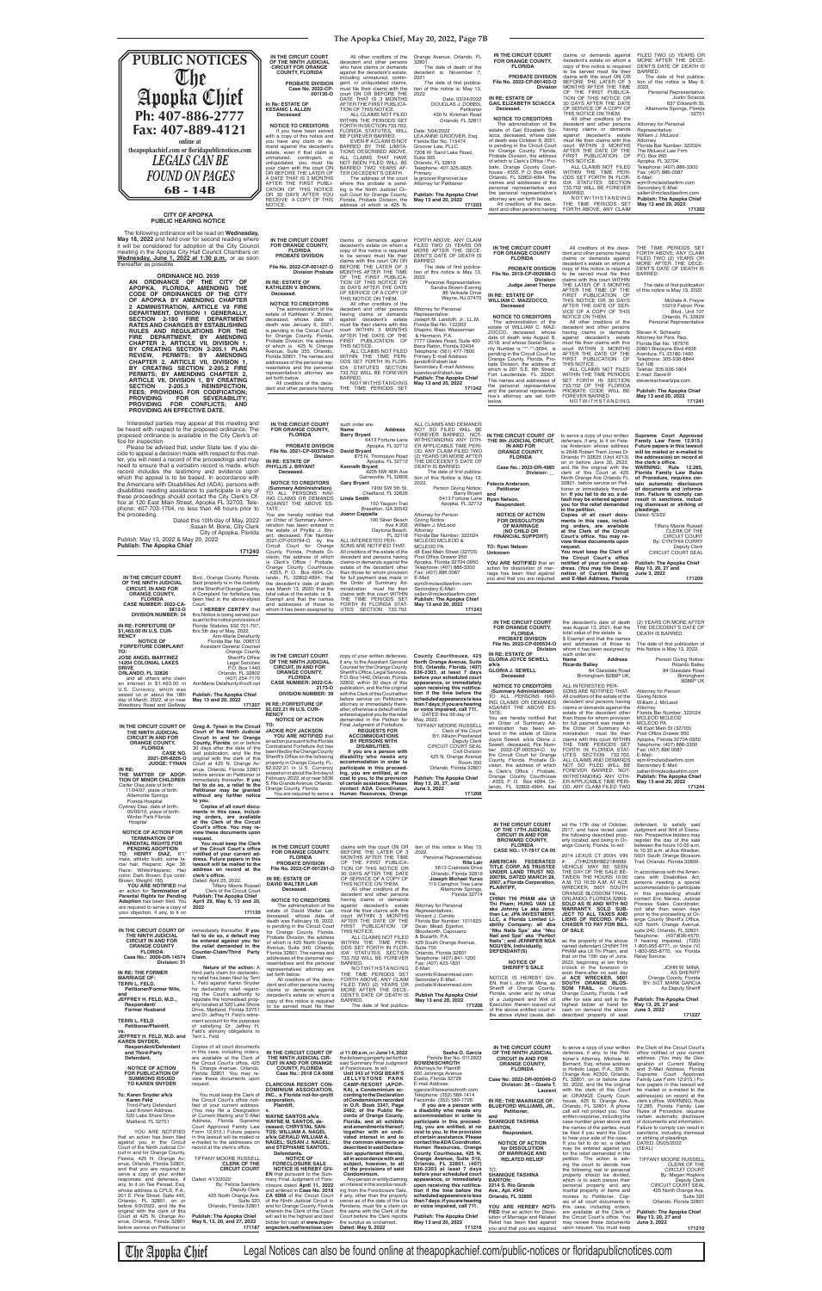### **The Apopka Chief, May 20, 2022, Page 7B**

**THE 9th JUDICIAL CIRCUIT,** 

| E CIRCUIT COURT<br><b>)RANGE COUNTY,</b><br><b>FLORIDA</b><br><b>BATE DIVISION</b>                                           | total value of the estate is  | the decedent's date of death<br>was August 13, 2021; that the<br>\$ Exempt and that the names                                                                                                                                                | (2) YEARS OR MORE AFTEI<br>THE DECEDENT'S DATE O<br>DEATH IS BARRED.                                                                                                        |
|------------------------------------------------------------------------------------------------------------------------------|-------------------------------|----------------------------------------------------------------------------------------------------------------------------------------------------------------------------------------------------------------------------------------------|-----------------------------------------------------------------------------------------------------------------------------------------------------------------------------|
| . 2022-CP-000534-O<br><b>Division</b><br><b>STATE OF</b>                                                                     | such order are:               | and addresses of those to<br>whom it has been assigned by                                                                                                                                                                                    | The date of first publication of<br>this Notice is May 13, 2022.                                                                                                            |
| <b>JOYCE SEWELL</b>                                                                                                          | Name<br><b>Ricardo Bailey</b> | Address                                                                                                                                                                                                                                      | Person Giving Notice<br>Ricardo Baile                                                                                                                                       |
| <b>J. SEWELL</b><br>ceased                                                                                                   |                               | 84 Glaisdale Road<br>Birmingham B288P UK,                                                                                                                                                                                                    | 84 Glaisdale Roa<br>Birminghar<br><b>B288PU</b>                                                                                                                             |
| <b>E TO CREDITORS</b><br>ary Administration)<br>- PERSONS HAV-<br>NIMS OR DEMANDS<br>T THE ABOVE ES-<br>hereby notified that | ALL INTERESTED PER-           | SONS ARE NOTIFIED THAT:<br>All creditors of the estate of the<br>decedent and persons having<br>claims or demands against the<br>estate of the decedent other<br>than those for whom provision<br>face full consumer and consumers and a few | Attorney for Person<br>Giving Notice<br>William J. McLeod<br>Attorney<br>Florida Bar Number: 322024<br><b>MCLEOD MCLEOD</b><br>$\overline{N}$ $\overline{N}$ $\overline{N}$ |

The Apopka Chief Legal Notices can also be found online at theapopkachief.com/public-notices or floridapublicnotices.com

**IN THE CIRCUIT COURT OF**  to serve a copy of your written

### **IN AND FOR ORANGE COUNTY, FLORIDA Case No.: 2022-DR-4985 Division: \_\_ Felecia Anderson, Petitioner and Ryan Nelson, Respondent. NOTICE OF ACTION FOR DISSOLUTION OF MARRIAGE (NO CHILD OR FINANCIAL SUPPORT) TO: Ryan Nelson Unknown** defenses, if any, to it on Fele-cia Anderson whose address is 2648 Robert Trent Jones Dr Orlando Fl 32835 (Unit #213) on or before June 30, 2022, and file the original with the<br>North Orange Ave Orlando FL<br>32801, before service on Peti-<br>32801, before service on Peti-<br>tioner or immediately thereaf-<br>ter. I**f you fail to do so, a default may be entered against you for the relief demanded in the petition. Copies of all court docu-ments in this case, includ-ing orders, are available at the Clerk of the Circuit**  Court's office. You may re-<br>view these documents upon **request.** You must keep the Clerk of<br>the Circuit Court's office **Family Law Form 12.915.) Future papers in this lawsuit will be mailed or e-mailed to the address(es) on record at**  the clerk's office.<br>WARNING: Rule 12.285, **Florida Family Law Rules of Procedure, requires cer-tain automatic disclosure of documents and information. Failure to comply can result in sanctions, including dismissal or striking of pleadings.** Dated: 5/3/22 Tiffany Moore Russell CLERK OF THE CIRCUIT COURT By: CYNTHIA CURRY Deputy Clerk CIRCUIT COURT SEAL

**Supreme Court Approved** 

wjm@mcleodlawfirm.com<br>Secondary E-Mail:<br>sallen@mcleodlawfirm.com<br>**Publish: The Apopka Chief May 13 and 20, 2022 171202**

> FORTH ABOVE, ANY CLAIM FILED TWO (2) YEARS OR MORE AFTER THE DECE-DENT'S DATE OF DEATH IS BARRED.<br>The date of first publica-<br>tion of this notice is May 13,

 6413 Fortune Lane Apopka, FL 32712 **David Bryant** 875 N. Thompson Road Apopka, FL 32712<br>**Kenneth Bryant**<br>4205 NW 46th Ave<br>Gainesville, FL 32606 1900 SW 5th St. Cheifland, FL 32626 **Linda Smith** 150 Yaupon Trail Braselton, GA 30542 ALL CLAIMS AND DEMANDS<br>NOT SO FILED WILL BE<br>FOREVER BARRED. NOT-<br>WITHSTANDING ANY OTH-<br>ER APPLICABLE TIME PERI-OD, ANY CLAIM FILED TWO (2) YEARS OR MORE AFTER THE DECEDENT'S DATE OF DEATH IS BARRED. The date of first publica-<br>tion of this Notice is May 13, 2022. Person Giving Notice: Barry Bryant 6413 Fortune Lane Apopka, FL 32712 Attorney for Person Giving Notice William J. McLeod Attorney Florida Bar Number: 322024 MCLEOD MCLEOD & MCLEOD PA 48 East Main Street (32703)<br>Post Office Drawer 950

You are hereby notified that<br>an Order of Summary Admin-<br>istration has been entered in<br>the estate of Phyllis J. Bry-<br>ant, deceased, File Number<br>2021-CP-003794-O, by the<br>Circuit Court for Orange<br>County, Florida, Probate Di-<br> **Joann Cappella** 100 Silver Beach Ave # 206<br>Daytona Beach,<br>FL 32118<br>ALL INTERESTED PER-<br>SONS ARE NOTIFIED THAT:<br>All creditors of the estate of the decedent and persons having

All creditors of the decedent and other persons having

claims or demands against decedent's estate on whom a copy of this notice is required to be served must file their claims with this court ON OR BEFORE THE LATER OF 3 MONTHS AFTER THE TIME OF THE FIRST PUBLICA-TION OF THIS NOTICE OR 30 DAYS AFTER THE DATE OF SERVICE OF A COPY OF THIS NOTICE ON THEM. All other creditors of the decedent and other persons having claims or demands against decedent's estate must file their claims with this<br>court WITHIN 3 MONTHS AFTER THE DATE OF THE FIRST PUBLICATION OF THIS NOTICE. ALL CLAIMS NOT FILED WITHIN THE TIME PERI-<br>ODS SET FORTH IN FLOR-<br>IDA STATUTES SECTION<br>733.702 WILL BE FOREVER<br>BARRED. N N N N N N N N N N N N N N N N N N H N O K FILED TWO (2) YEARS OR MORE AFTER THE DECE-DENT'S DATE OF DEATH IS BARRED. The date of first publica-<br>tion of this notice is May 6, 2022. Personal Representative: Justin Sciacca 637 Ellsworth St. Altamonte Springs, Florida Attorney for Personal Representative: William J. McLeod Attorney Florida Bar Number: 322024 The McLeod Law Firm P.O. Box 950 Apopka, FL 32704 Telephone: (407) 886-3300 Fax: (407) 886-0087 E-Mail:

THE TIME PERIODS SET FORTH ABOVE, ANY CLAIM

32701

| Orange Avenue, Orlando, FL                                                                                                                                                                                                                               | IN THE CIRCUIT COURT                                                                                                                                                                                                                                                                                                                                                                            |
|----------------------------------------------------------------------------------------------------------------------------------------------------------------------------------------------------------------------------------------------------------|-------------------------------------------------------------------------------------------------------------------------------------------------------------------------------------------------------------------------------------------------------------------------------------------------------------------------------------------------------------------------------------------------|
| 32801.                                                                                                                                                                                                                                                   | FOR ORANGE COUNTY,                                                                                                                                                                                                                                                                                                                                                                              |
| The date of death of the                                                                                                                                                                                                                                 | <b>FLORIDA</b>                                                                                                                                                                                                                                                                                                                                                                                  |
| decedent is: November 7,<br>2021<br>The date of first publica-<br>tion of this notice is: May 13,<br>2022                                                                                                                                                | <b>PROBATE DIVISION</b><br>File No. 2022-CP-001403-O<br><b>Division</b>                                                                                                                                                                                                                                                                                                                         |
| Date: 03/24/2022                                                                                                                                                                                                                                         | <b>IN RE: ESTATE OF</b>                                                                                                                                                                                                                                                                                                                                                                         |
| DOUGLAS J. DOBBS,                                                                                                                                                                                                                                        | <b>GAIL ELIZABETH SCIACCA</b>                                                                                                                                                                                                                                                                                                                                                                   |
| Petitioner                                                                                                                                                                                                                                               | Deceased.                                                                                                                                                                                                                                                                                                                                                                                       |
| 430 N. Kirkman Road                                                                                                                                                                                                                                      | <b>NOTICE TO CREDITORS</b>                                                                                                                                                                                                                                                                                                                                                                      |
| Orlando, FL 32811                                                                                                                                                                                                                                        | The administration of the                                                                                                                                                                                                                                                                                                                                                                       |
| Date: 5/04/2022<br>LEA ANNE GROOVER, Esg.<br>Florida Bar No. 115474<br>Groover Law, PLLC<br>7208 W. Sand Lake Road,<br>Suite 305<br>Orlando, FL 32819<br>Telephone: 407-325-9925<br>Primary:<br>la.groover@groover.law<br><b>Attorney for Petitioner</b> | estate of Gail Elizabeth Sci-<br>acca, deceased, whose date<br>of death was October 6, 2021,<br>is pending in the Circuit Court<br>for Orange County, Florida,<br>Probate Division, the address<br>of which is Clerk's Office / Pro-<br>bate, Orange County Court-<br>house - #355, P. O. Box 4994,<br>Orlando, FL 32802-4994. The<br>names and addresses of the<br>personal representative and |
| <b>Publish: The Apopka Chief</b>                                                                                                                                                                                                                         | the personal representative's                                                                                                                                                                                                                                                                                                                                                                   |
| May 13 and 20, 2022                                                                                                                                                                                                                                      | attorney are set forth below.                                                                                                                                                                                                                                                                                                                                                                   |

| IN THE CIRCUIT COURT<br>OF THE NINTH JUDICIAL<br><b>CIRCUIT FOR ORANGE</b><br><b>COUNTY, FLORIDA</b>                                                                                                                                                                                                                                                                                                                | All other creditors of the<br>decedent and other persons<br>who have claims or demands<br>against the decedent's estate,<br>including unmatured, contin-                                                                                                                                                                                                                                | Orange Avenue, Orlando, FL<br>32801.<br>The date of death of the<br>decedent is: November 7.<br>2021                                                                                                                                                                                         |
|---------------------------------------------------------------------------------------------------------------------------------------------------------------------------------------------------------------------------------------------------------------------------------------------------------------------------------------------------------------------------------------------------------------------|-----------------------------------------------------------------------------------------------------------------------------------------------------------------------------------------------------------------------------------------------------------------------------------------------------------------------------------------------------------------------------------------|----------------------------------------------------------------------------------------------------------------------------------------------------------------------------------------------------------------------------------------------------------------------------------------------|
| <b>PROBATE DIVISION</b><br>Case No. 2022-CP-<br>001130-0                                                                                                                                                                                                                                                                                                                                                            | gent, or unliquidated claims,<br>must file their claims with the<br>court ON OR BEFORE THE                                                                                                                                                                                                                                                                                              | The date of first publica-<br>tion of this notice is: May 13,<br>2022                                                                                                                                                                                                                        |
| In Re: ESTATE OF<br><b>KESANIC LALLEN</b><br>Deceased                                                                                                                                                                                                                                                                                                                                                               | DATE THAT IS 3 MONTHS<br>AFTER THE FIRST PUBLICA-<br>TION OF THIS NOTICE.<br>ALL CLAIMS NOT FILED<br>WITHIN THE PERIODS SET                                                                                                                                                                                                                                                             | Date: 03/24/2022<br>DOUGLAS J. DOBBS,<br>Petitioner<br>430 N. Kirkman Road<br>Orlando, FL 32811                                                                                                                                                                                              |
| <b>NOTICE TO CREDITORS</b><br>If you have been served<br>with a copy of this notice and<br>you have any claim or de-<br>mand against the decedent's<br>estate, even if that claim is<br>unmatured, contingent,<br>or<br>unliquidated, you must file<br>your claim with the court ON<br>OR BEFORE THE LATER OF<br>A DATE THAT IS 3 MONTHS<br>AFTER THE FIRST PUBLI-<br>CATION OF THIS NOTICE<br>OR 30 DAYS AFTER YOU | FORTH IN SECTION 733.702,<br>FLORIDA STATUTES, WILL<br>BE FOREVER BARRED.<br>EVEN IF A CLAIM IS NOT<br>BARRED BY THE LIMITA-<br>TIONS DESCRIBED ABOVE.<br>ALL CLAIMS THAT HAVE<br>NOT BEEN FILED WILL BE<br>BARRED TWO YEARS AF-<br>TER DECEDENT'S DEATH.<br>The address of the court<br>where this probate is pend-<br>ing is the Ninth Judicial Cir-<br>cuit Court for Orange County, | Date: 5/04/2022<br>LEA ANNE GROOVER, Esg.<br>Florida Bar No. 115474<br>Groover Law, PLLC<br>7208 W. Sand Lake Road,<br>Suite 305<br>Orlando, FL 32819<br>Telephone: 407-325-9925<br>Primary:<br>la.groover@groover.law<br><b>Attorney for Petitioner</b><br><b>Publish: The Apopka Chief</b> |
| RECEIVE A COPY OF THIS<br>NOTICE.                                                                                                                                                                                                                                                                                                                                                                                   | Florida, Probate Division, the<br>address of which is 425 N.                                                                                                                                                                                                                                                                                                                            | May 13 and 20, 2022<br>171203                                                                                                                                                                                                                                                                |

| ding unmatured, contin-    | 2021                            |
|----------------------------|---------------------------------|
| or unliquidated claims,    | The date of first publica-      |
| file their claims with the | tion of this notice is: May 13, |
| ON OR BEFORE THE           | 2022                            |
| E THAT IS 3 MONTHS         | Date: 03/24/2022                |
| ER THE FIRST PUBLICA-      | DOUGLAS J. DOBBS,               |
| I OF THIS NOTICE.          | Petitioner                      |
| ALL CLAIMS NOT FILED       | 430 N. Kirkman Road             |
| HIN THE PERIODS SET        | Orlando, FL 32811               |
| TH IN SECTION 733.702.     |                                 |
| RIDA STATUTES. WILL        | Date: 5/04/2022                 |
| OREVER BARRED.             | LEA ANNE GROOVER, Esg.          |
| EVEN IF A CLAIM IS NOT     | Florida Bar No. 115474          |
| RED BY THE LIMITA-         | Groover Law, PLLC               |
| IS DESCRIBED ABOVE,        | 7208 W. Sand Lake Road,         |
| CLAIMS THAT HAVE           | Suite 305                       |
| BEEN FILED WILL BE         | Orlando, FL 32819               |
| RED TWO YEARS AF-          | Telephone: 407-325-9925         |
| DECEDENT'S DEATH.          | Primary:                        |
| The address of the court   | la.groover@groover.law          |
| e this probate is pend-    | <b>Attorney for Petitioner</b>  |
|                            |                                 |

|                                                                                                     |                                                                                                       | is Clerk's Office / Probate,<br>Orange County Courthouse<br>- #355, P. O. Box 4994, Or-               | claims or demands against the<br>estate of the decedent other<br>than those for whom provision             | Apopka, Florida 32704-0950<br>Telephone: (407) 886-3300<br>Fax: (407) 886 0087                  | YOU ARE NOTIFIED that an<br>action for dissolution of mar-<br>riage has been filed against       | notified of your current ad-<br>dress. (You may file Desig-<br>nation of Current Mailing            | <b>Publish: The Apopka Chief</b><br>May 13, 20, 27 and<br>June 3, 2022                           |
|-----------------------------------------------------------------------------------------------------|-------------------------------------------------------------------------------------------------------|-------------------------------------------------------------------------------------------------------|------------------------------------------------------------------------------------------------------------|-------------------------------------------------------------------------------------------------|--------------------------------------------------------------------------------------------------|-----------------------------------------------------------------------------------------------------|--------------------------------------------------------------------------------------------------|
| IN THE CIRCUIT COURT<br>OF THE NINTH JUDICIAL<br><b>CIRCUIT, IN AND FOR</b>                         | Blvd., Orange County, Florida.<br>Said property is in the custody<br>of the Sheriff of Orange County. | lando, FL 32802-4994; that<br>the decedent's date of death<br>was March 13, 2020; that the            | for full payment was made in<br>the Order of Summary Ad-<br>ministration must file their                   | E-Mail:<br>wim@mcleodlawfirm.com<br>Secondary E-Mail:                                           | you and that you are required                                                                    | and E-Mail Address, Florida                                                                         | 171209                                                                                           |
| <b>ORANGE COUNTY,</b><br><b>FLORIDA</b><br><b>CASE NUMBER: 2022-CA-</b>                             | A Complaint for forfeiture has<br>been filed in the above-styled<br>Court.                            | total value of the estate is \$<br>Exempt and that the names<br>and addresses of those to             | claims with this court WITHIN<br>THE TIME PERIODS SET<br>FORTH IN FLORIDA STAT-                            | sallen@mcleodlawfirm.com<br><b>Publish: The Apopka Chief</b><br>May 13 and 20, 2022             |                                                                                                  |                                                                                                     |                                                                                                  |
| 3812-0<br><b>DIVISION NUMBER: 34</b>                                                                | I HEREBY CERTIFY that<br>this Notice is being served pur-<br>suant to the notice provisions of        | whom it has been assigned by                                                                          | UTES SECTION 733.702.                                                                                      | 171243                                                                                          |                                                                                                  |                                                                                                     | (2) YEARS OR MORE AFTER                                                                          |
| IN RE: FORFEITURE OF<br>\$1,463.00 IN U.S. CUR-<br><b>RENCY</b>                                     | Florida Statutes 932.701-707,<br>this 5th day of May, 2022.<br>Ann-Marie Delahunty                    |                                                                                                       |                                                                                                            |                                                                                                 | IN THE CIRCUIT COURT<br>FOR ORANGE COUNTY,<br><b>FLORIDA</b>                                     | the decedent's date of death<br>was August 13, 2021; that the<br>total value of the estate is       | THE DECEDENT'S DATE OF<br>DEATH IS BARRED.                                                       |
| <b>NOTICE OF</b><br><b>FORFEITURE COMPLAINT</b>                                                     | Florida Bar No. 006513<br><b>Assistant General Counsel</b>                                            |                                                                                                       |                                                                                                            |                                                                                                 | PROBATE DIVISION<br>File No. 2022-CP-000534-O<br><b>Division</b>                                 | \$ Exempt and that the names<br>and addresses of those to<br>whom it has been assigned by           | The date of first publication of<br>this Notice is May 13, 2022.                                 |
| TO:<br><b>JOSE ANGEL MARTINEZ</b><br><b>14204 COLONIAL LAKES</b>                                    | Orange County<br>Sheriff's Office<br><b>Legal Services</b>                                            | IN THE CIRCUIT COURT<br>OF THE NINTH JUDICIAL                                                         | copy of your written defenses,<br>if any, to the Assistant General                                         | County Courthouse, 425<br>North Orange Avenue, Suite                                            | IN RE: ESTATE OF<br><b>GLORIA JOYCE SEWELL</b><br>a/k/a                                          | such order are:<br><b>Address</b><br>Name<br><b>Ricardo Bailev</b>                                  | Person Giving Notice:<br>Ricardo Bailey                                                          |
| <b>DRIVE</b><br>ORLANDO, FL 32826<br>and all others who claim                                       | P.O. Box 1440<br>Orlando, FL 32802<br>(407) 254-7170                                                  | <b>CIRCUIT, IN AND FOR</b><br><b>ORANGE COUNTY,</b><br><b>FLORIDA</b>                                 | Counsel for the Orange County<br>Sheriff's Office, Legal Services,<br>P.O. Box 1440. Orlando, Florida      | 510, Orlando, Florida, (407)<br>836-2303, at least 7 days<br>before your scheduled court        | <b>GLORIA J. SEWELL</b><br>Deceased                                                              | 84 Glaisdale Road<br>Birmingham B288P UK,                                                           | 84 Glaisdale Road<br>Birmingham<br><b>B288P UK</b>                                               |
| an interest in \$1,463.00 in<br>U.S. Currency, which was<br>seized on or about the 18th             | AnnMarie.Delahunty@ocfl.net<br><b>Publish: The Apopka Chief</b>                                       | CASE NUMBER: 2022-CA-<br>2173-0<br><b>DIVISION NUMBER: 39</b>                                         | 32802, within 30 days of this<br>publication, and file the original<br>with the Clerk of this Court either | appearance, or immediately<br>upon receiving this notifica-<br>tion if the time before the      | <b>NOTICE TO CREDITORS</b><br>(Summary Administration)                                           | ALL INTERESTED PER-<br>SONS ARE NOTIFIED THAT:                                                      | Attorney for Person                                                                              |
| day of March, 2022, at or near<br>Woodbury Road and Golfway                                         | May 13 and 20, 2022<br>171207                                                                         | IN RE: FORFEITURE OF<br>\$2,022.21 IN U.S. CUR-                                                       | before service on Petitioner's<br>attorney or immediately there-<br>after; otherwise a default will be     | scheduled appearance is less<br>than 7 days; if you are hearing<br>or voice impaired, call 711. | TO ALL PERSONS HAV-<br>ING CLAIMS OR DEMANDS<br>AGAINST THE ABOVE ES-                            | All creditors of the estate of the<br>decedent and persons having<br>claims or demands against the  | <b>Giving Notice</b><br>William J. McLeod<br>Attorney                                            |
|                                                                                                     |                                                                                                       | <b>RENCY</b><br><b>NOTICE OF ACTION</b>                                                               | entered against you for the relief<br>demanded in the Petition for                                         | DATED this 06 day of<br>May, 2022.                                                              | TATE:<br>You are hereby notified that<br>an Order of Summary Ad-                                 | estate of the decedent other<br>than those for whom provision<br>for full payment was made in       | Florida Bar Number: 322024<br><b>MCLEOD MCLEOD</b><br><b>MCLEOD PA</b>                           |
| IN THE CIRCUIT COURT OF<br>THE NINTH JUDICIAL<br><b>CIRCUIT IN AND FOR</b>                          | Greg A. Tynan in the Circuit<br>Court of the Ninth Judicial<br>Circuit in and for Orange              | TO:<br><b>JACKIE ROY JACKSON</b><br>YOU ARE NOTIFIED that                                             | Final Judgment of Forfeiture.<br><b>REQUESTS FOR</b><br><b>ACCOMMODATIONS</b>                              | TIFFANY MOORE RUSSELL<br>Clerk of the Court<br>BY: Allison Prestwood                            | ministration has been en-<br>tered in the estate of Gloria<br>Joyce Sewell, a/k/a Gloria J.      | the Order of Summary Ad-<br>ministration must file their<br>claims with this court WITHIN           | 48 East Main St (32703)<br>Post Office Drawer 950                                                |
| <b>ORANGE COUNTY,</b><br><b>FLORIDA</b><br><b>CASE NO.</b>                                          | County, Florida, on or before<br>30 days after the date of the<br>last publication, and file the      | an action pursuant to the Florida<br>Contraband Forfeiture Act has<br>been filed by the Orange County | <b>BY PERSONS WITH</b><br><b>DISABILITIES.</b><br>If you are a person with                                 | Deputy Clerk<br>CIRCUIT COURT SEAL<br>Civil Division                                            | Sewell, deceased, File Num-<br>ber 2022-CP-000534-O, by                                          | THE TIME PERIODS SET<br>FORTH IN FLORIDA STAT-                                                      | Apopka, Florida 32704-0950<br>Telephone: (407) 886-3300<br>Fax: (407) 886 0087                   |
| 2021-DR-8205-O<br><b>JUDGE: TYNAN</b>                                                               | original with the clerk of this<br>Court at 425 N. Orange Av-                                         | Sheriff's Office on the following<br>property in Orange County, FL:<br>\$2,022.21 in U.S. Currency    | disability who needs any<br>accommodation in order to<br>participate in this proceed-                      | 425 N. Orange Avenue<br><b>Room 350</b><br>Orlando, Florida 32801                               | the Circuit Court for Orange<br>County, Florida, Probate Di-<br>vision, the address of which     | UTES SECTION 733.702.<br>ALL CLAIMS AND DEMANDS<br>NOT SO FILED WILL BE                             | E-Mail:<br>wjm@mcleodlawfirm.com<br>Secondary E-Mail:                                            |
| IN RE:<br>THE MATTER OF ADOP-<br>TION OF MINOR CHILDREN                                             | enue, Orlando, Florida 32801<br>before service on Petitioner or<br>immediately thereafter, If you     | seized on or about the 3rd day of<br>February, 2022, at or near 5636                                  | ing, you are entitled, at no<br>cost to you, to the provision                                              | <b>Publish: The Apopka Chief</b>                                                                | is Clerk's Office / Probate,<br>Orange County Courthouse<br>- #355, P. O. Box 4994, Or-          | FOREVER BARRED. NOT-<br>WITHSTANDING ANY OTH-<br>ER APPLICABLE TIME PERI-                           | sallen@mcleodlawfirm.com<br><b>Publish: The Apopka Chief</b><br>May 13 and 20, 2022              |
| Carter Diaz, date of birth:<br>11/04/07, place of birth:<br><b>Altamonte Springs</b>                | fail to do so, a relief to the<br>Petitioner may be granted<br>without any further notice             | S. Rio Grande Avenue, Orlando,<br>Orange County, Florida.<br>You are required to serve a              | of certain assistance. Please<br>contact ADA Coordinator.<br>Human Resources, Orange                       | May 13, 20, 27, and<br>June 3, 2022<br>171208                                                   | lando, FL 32802-4994; that                                                                       | OD, ANY CLAIM FILED TWO                                                                             | 171244                                                                                           |
| Florida Hospital<br>Cydney Diaz, date of birth:                                                     | to you.<br>Copies of all court docu-<br>ments in this case, includ-                                   |                                                                                                       |                                                                                                            |                                                                                                 |                                                                                                  |                                                                                                     |                                                                                                  |
| 05/09/10, place of birth:<br>Winter Park Florida<br>Hospital                                        | ing orders, are available<br>at the Clerk of the Circuit                                              |                                                                                                       |                                                                                                            |                                                                                                 | IN THE CIRCUIT COURT                                                                             | ed the 17th day of October,                                                                         | defendant, to satisfy said                                                                       |
| <b>NOTICE OF ACTION FOR</b><br><b>TERMINATION OF</b>                                                | Court's office. You may re-<br>view these documents upon<br>request.                                  |                                                                                                       |                                                                                                            |                                                                                                 | OF THE 17TH JUDICIAL<br><b>CIRCUIT IN AND FOR</b><br><b>BROWARD COUNTY,</b>                      | 2017, and have levied upon<br>the following described prop-<br>erty located, and being in Or-       | Judgment and Writ of Execu-<br>tion. Prospective bidders may<br>register the day of the sale     |
| <b>PARENTAL RIGHTS FOR</b><br><b>PENDING ADOPTION</b><br>TO: HENRY DIAZ, 6'1"                       | You must keep the Clerk<br>of the Circuit Court's office<br>notified of your current ad-              | IN THE CIRCUIT COURT<br><b>FOR ORANGE COUNTY,</b>                                                     | claims with this court ON OR<br>BEFORE THE LATER OF 3                                                      | tion of this notice is May 13,<br>2022.                                                         | <b>FLORIDA</b><br>CASE NO.: 17-7817 CA 05                                                        | ange County, Florida, to-wit:                                                                       | between the hours 10:00 a.m.<br>to 10:30 a.m. at Ace Wrecker,                                    |
| male, athletic build, some fa-<br>cial hair, Hispanic. Age: 36;                                     | dress. Future papers in this<br>lawsuit will be mailed to the                                         | <b>FLORIDA</b><br><b>PROBATE DIVISION</b><br>File No. 2022-CP-001291-O                                | MONTHS AFTER THE TIME<br>OF THE FIRST PUBLICA-<br>TION OF THIS NOTICE OR                                   | Personal Representatives:<br>Rita Lair<br>5613 Craindale Drive                                  | AMERICAN FEDERATED<br>TITLE CORP, AS TRUSTEE                                                     | 2014 LEXUS CT 200H, VIN<br>#: JTHKD5BH8E2184689.<br>VEHICLE MAY BE SEEN                             | 5601 South Orange Blossom<br>Trail, Orlando, Florida 32809.                                      |
| Race: White\Hispanic; Hair<br>color: Dark Brown; Eye color:<br>Brown; Weight: 185.                  | address on record at the<br>clerk's office.<br>Dated: April 25, 2022                                  | IN RE: ESTATE OF                                                                                      | 30 DAYS AFTER THE DATE<br>OF SERVICE OF A COPY OF<br>THIS NOTICE ON THEM.                                  | Orlando, Florida 32819<br>Joseph Michael Yurso                                                  | UNDER LAND TRUST NO.<br>2007BL DATED MARCH 28.<br>2007, a Florida Corporation,                   | THE DAY OF THE SALE BE-<br>TWEEN THE HOURS 10:00<br>A.M. TO 10:30 A.M. AT ACE                       | In accordance with the Ameri-<br>cans with Disabilities Act,<br>persons needing a special        |
| <b>YOU ARE NOTIFIED that</b><br>an action for Termination of<br><b>Parental Rights for Pending</b>  | Tiffany Moore Russell<br>Clerk of the Circuit Court<br><b>Publish: The Apopka Chief</b>               | DAVID WALTER LAIR<br>Deceased.                                                                        | All other creditors of the<br>decedent and other persons                                                   | 110 Camphor Tree Lane<br>Altamonte Springs.<br>Florida 32714                                    | PLAINTIFF,<br>vs<br>CHINH THI PHAM aka Ut                                                        | WRECKER, 5601 SOUTH<br>ORANGE BLOSSOM TRAIL,                                                        | accommodation to participate<br>in this proceeding should                                        |
| Adoption has been filed. You<br>are required to serve a copy of<br>your objection, if any, to it on | April 29, May 6, 13 and 20,<br>2022<br>171120                                                         | <b>NOTICE TO CREDITORS</b><br>The administration of the<br>estate of David Walter Lair,               | having claims or demands<br>aqainst<br>decedent's estate<br>must file their claims with this               | <b>Attorney for Personal</b><br>Representatives:                                                | Thi Pham: HUNG VAN LE<br>aka Johnny Le aka Jona-                                                 | ORLANDO, FLORIDA 32809.<br>SOLD AS IS AND WITH NO<br>WARRANTY. SOLD SUB-                            | contact Eric Nieves, Judicial<br>Process Sales Coordinator,<br>not later than seven days         |
|                                                                                                     |                                                                                                       | deceased, whose date of<br>death was February 16, 2022,<br>is pending in the Circuit Court            | court WITHIN 3 MONTHS<br>AFTER THE DATE OF THE<br>FIRST PUBLICATION OF                                     | Vincent J. Comito<br>Florida Bar Number: 1011623<br>Dean, Mead, Egerton,                        | than Le; JPA INVESTMENT,<br>LLC, a Florida Limited Li-<br>ability Company; all dba               | JECT TO ALL TAXES AND<br>LIENS OF RECORD. PUR-<br><b>CHASER TO PAY FOR BILL</b>                     | prior to the proceeding at Or-<br>ange County Sheriff's Office,<br>425 North Orange Avenue,      |
| IN THE CIRCUIT COURT OF<br>THE NINTH JUDICIAL<br><b>CIRCUIT IN AND FOR</b>                          | immediately thereafter. If you<br>fail to do so, a default may<br>be entered against you for          | for Orange County, Florida,<br>Probate Division, the address                                          | THIS NOTICE.<br>ALL CLAIMS NOT FILED                                                                       | Bloodworth, Capouano<br>& Bozarth, P.A.<br>420 South Orange Avenue,                             | "Nku Nails Spa" aka "Nku<br>Nail and Spa" aka "Perfect<br>Nails"; and JENNIFER NGA               | OF SALE.<br>as the property of the above                                                            | suite 240, Orlando, FL 32801<br>Telephone: (407)836-4570;<br>If hearing impaired, (TDD)          |
| <b>ORANGE COUNTY</b><br><b>FLORIDA</b>                                                              | the relief demanded in the<br>Counter-Claim/Third Party                                               | of which is 425 North Orange<br>Avenue, Suite 340, Orlando,<br>Florida 32801. The names and           | WITHIN THE TIME PERI-<br>ODS SET FORTH IN FLOR-<br>IDA STATUTES SECTION                                    | Suite 700<br>Orlando, Florida 32801                                                             | <b>NGUYEN, Individually,</b><br>DEFENDANT(S)                                                     | named defendant, CHINH THI<br>PHAM aka Ut Thi Pham, and                                             | 1-800-955-8771, or Voice (V)<br>1-800-955-8770, via Florida                                      |
| Case No.: 2009-DR-14574<br>Division: 31                                                             | Claim.<br>Nature of the action: A                                                                     | addresses of the personal rep-<br>resentatives and the personal<br>representatives' attorney are      | 733.702 WILL BE FOREVER<br>BARRED.<br>NOTWITHSTANDING                                                      | Telephone: (407) 841-1200<br>Fax: (407) 423-1831<br>E-Mail:                                     | <b>NOTICE OF</b><br><b>SHERIFF'S SALE</b>                                                        | that on the 15th day of June,<br>2022, beginning at ten thirty<br>o'clock in the forenoon or        | Relay Service.<br>JOHN W. MINA,                                                                  |
| IN RE: THE FORMER<br><b>MARRIAGE OF:</b><br>TERRI L. FELD.                                          | third party claim for declarato-<br>ry relief has been filed by Terri<br>L. Feld against Karen Snyder | set forth below.<br>All creditors of the dece-<br>dent and other persons having                       | THE TIME PERIODS SET<br>FORTH ABOVE, ANY CLAIM<br>FILED TWO (2) YEARS OR                                   | vcomito@deanmead.com<br>Secondary E-Mail:<br>probate@deanmead.com                               | NOTICE IS HEREBY GIV-<br>EN, that I, John W. Mina, as                                            | soon there-after on said day<br>at ACE WRECKER, 5601<br>SOUTH ORANGE BLOS-                          | <b>AS SHERIFF</b><br>Orange County, Florida<br>BY: SGT. MARK GARCIA                              |
| Petitioner/Former Wife,<br>and<br>JEFFREY H. FELD, M.D.,                                            | for declaratory relief regard-<br>ing the Court's authority to<br>liquidate the homestead prop-       | claims or demands against<br>decedent's estate on whom a                                              | MORE AFTER THE DECE-<br>DENT'S DATE OF DEATH IS                                                            | <b>Publish The Apopka Chief</b>                                                                 | Sheriff of Orange County,<br>Florida, under and by virtue<br>of a Judgment and Writ of           | <b>SOM TRAIL, in Orlando,</b><br>Orange County, Florida. I will<br>offer for sale and sell to the   | As Deputy Sheriff<br><b>Publish: The Apopka Chief</b>                                            |
| Respondent/<br><b>Former Husband</b>                                                                | erty located at 520 Lake Shore<br>Drive, Maitland, Florida 32751                                      | copy of this notice is required<br>to be served must file their                                       | BARRED.<br>The date of first publica-                                                                      | May 13 and 20, 2022<br>171206                                                                   | Execution, therein issued out<br>of the above entitled court in                                  | highest bidder at hand for<br>cash on demand the above                                              | May 13, 20, 27 and<br>June 3, 2022                                                               |
| <b>TERRI L. FELD</b><br>Petitioner/Plaintiff,                                                       | and Dr. Jeffrey H. Feld's retire-<br>ment account for the purposes<br>of satisfying Dr. Jeffrey H.    |                                                                                                       |                                                                                                            |                                                                                                 | the above styled cause, dat-                                                                     | described property of said                                                                          | 171227                                                                                           |
| VS.<br>JEFFREY H. FELD, M.D. and<br><b>KAREN SNYDER,</b>                                            | Feld's alimony obligations to<br>Terri L. Feld.                                                       |                                                                                                       |                                                                                                            |                                                                                                 |                                                                                                  |                                                                                                     |                                                                                                  |
| Respondent/Defendant<br>and Third-Party<br>Defendant.                                               | Copies of all court documents<br>in this case, including orders,<br>are available at the Clerk of     | IN THE CIRCUIT COURT OF<br>THE NINTH JUDICIAL CIR-                                                    | at 11:00 a.m. on June 14, 2022                                                                             | Sasha O. Garcia<br>Florida Bar No. 0112923                                                      | IN THE CIRCUIT COURT<br>OF THE NINTH JUDICIAL                                                    | to serve a copy of your written<br>defenses, if any, to the Peti-                                   | the Clerk of the Circuit Court's<br>office notified of your current                              |
| <b>NOTICE OF ACTION</b>                                                                             | the Circuit Court's office, 425<br>N. Orange Avenue, Orlando,                                         | <b>CUIT IN AND FOR ORANGE</b><br><b>COUNTY, FLORIDA</b>                                               | the following property set forth in<br>said Summary Final Judgment<br>of Foreclosure, to wit:              | <b>BOWENISCHROTH</b><br><b>Attorneys for Plaintiff</b>                                          | <b>CIRCUIT IN AND FOR</b><br><b>ORANGE COUNTY,</b><br><b>FLORIDA</b>                             | tioner's Attorney, Michele M.<br>Bernard, Esg. whose address<br>is Holistic Legal, P.A., 390 N.     | address. (You may file Des-<br>ignation of Current Mailing<br>and E-Mail Address, Florida        |
| <b>FOR PUBLICATION OF</b><br><b>SUMMONS ISSUED</b><br><b>TO KAREN SNYDER</b>                        | Florida 32801. You may re-<br>view these documents upon<br>request.                                   | Case No.: 2018 CA 6008<br><b>CLARCONA RESORT CON-</b>                                                 | Unit 343 of YOGI BEAR'S<br><b>JELLYSTONE PARK</b><br>CAMP-RESORT (APOP-                                    | 600 Jennings Avenue<br>Eustis, Florida 32726<br>E-mail Address:                                 | Case No: 2022-DR-005049-O<br>Division: 38 - Gisela T.                                            | Orange Ave. #2300, Orlando,<br>FL 32801, on or before June<br>30, 2022, and file the original       | Supreme Court Approved<br>Family Law Form 12.915.) Fu-<br>ture papers in this lawsuit will       |
| To: Karen Snyder a/k/a<br>Karen Feld                                                                | You must keep the Clerk of<br>the Circuit Court's office noti-                                        | DOMINIUM ASSOCIATION,<br>INC., a Florida not-for-profit<br>corporation,                               | KA), a Condominium ac-<br>cording to the Declaration<br>of Condominium recorded                            | sgarcia@bowenschroth.com<br>Telephone: (352) 589-1414<br>Facsimile: (352) 589-1726              | Laurent<br>IN RE: THE MAARIAGE OF:                                                               | with the clerk of this Court<br>at: ORANGE County Court-<br>house, 425 N. Orange Ave.,              | be mailed or e-mailed to the<br>address(es) on record at the<br>clerk's office. WARNING: Rule    |
| <b>Third-Party Defendant</b><br>Last Known Address:                                                 | fied of your current address.<br>(You may file a Designation<br>of Current Mailing and E-Mail         | Plaintiff,<br>v.                                                                                      | in O.R. Book 3347, Page<br>2482, of the Public Re-                                                         | If you are a person with<br>a disability who needs any<br>accommodation in order to             | <b>BLUEFORD WILLIAMS, JR.,</b><br>Petitioner,                                                    | Orlando, FL 32801. A phone<br>call will not protect you. Your                                       | 12.285, Florida Family Law<br>Rules of Procedure, requires                                       |
| 520 Lake Shore Drive<br>Maitland, FL 32751                                                          | Address, Florida Supreme<br>Court Approved Family Law                                                 | WAYNE SANTOS a/k/a<br><b>WAYNE M. SANTOS, de-</b><br>ceased; CHRYSTAL SAN-                            | cords of Orange County,<br>Florida, and all exhibits<br>and amendments thereof;                            | participate in this proceed-<br>ing, you are entitled, at no                                    | and<br><b>SHANIQUE TASHINA</b><br><b>BARTON,</b>                                                 | written response, including the<br>case number given above and<br>the names of the parties, must    | certain automatic disclosure<br>of documents and information.<br>Failure to comply can result in |
| YOU ARE NOTIFIED<br>that an action has been filed<br>against you in the Circuit                     | Form 12.915.) Future papers<br>in this lawsuit will be mailed or<br>e-mailed to the addresses on      | <b>TOS; WILLIAM A. NAGEL</b><br>a/k/a GERALD WILLIAM A.<br>NAGEL; SUSAN J. NAGEL;                     | together with an undi-<br>vided interest in and to<br>the common elements as                               | cost to you, to the provision<br>of certain assistance. Please<br>contact the ADA Coordinator,  | Respondent.<br><b>NOTICE OF ACTION</b>                                                           | be filed if you want the Court<br>to hear your side of the case.<br>If you fail to do so, a default | sanctions, including dismissal<br>or striking of pleadings.<br>DATED: 05/05/2022                 |
| Court of the Ninth Judicial Cir-<br>cuit in and for Orange County,<br>Florida, 425 N. Orange Av-    | record at the clerk's office.<br>TIFFANY MOORE RUSSELL                                                | and STEPHANIE SANTOS,<br>Defendants.<br><b>NOTICE OF</b>                                              | described in said Declara-<br>tion appurtenant thereto,<br>all in accordance with and                      | Human Resources, Orange<br>County Courthouse, 425 N.<br>Orange Avenue, Suite 510,               | for DISSOLUTION<br>OF MARRIAGE AND<br><b>RELATED RELIEF</b>                                      | may be entered against you<br>for the relief demanded in the                                        | (SEAL)<br>TIFFANY MOORE RUSSELL                                                                  |
| enue, Orlando, Florida 32801,<br>and that you are required to                                       | <b>CLERK OF THE</b><br><b>CIRCUIT COURT</b>                                                           | <b>FORECLOSURE SALE</b><br><b>NOTICE IS HEREBY GIV-</b>                                               | subject, however, to all<br>of the provisions of said                                                      | Orlando, FL 32801, (407)<br>836-2303 at least 7 days                                            | TO.                                                                                              | petition. The action is ask-<br>ing the court to decide how<br>the following real or personal       | <b>CLERK OF THE</b><br><b>CIRCUIT COURT</b>                                                      |
| serve a copy of your written<br>responses and defenses, if<br>any, to it on Tee Persad, Esq.        | Dated: 4/13/2022<br><b>By: Felicia Sanders</b>                                                        | <b>EN</b> that pursuant to the Sum-<br>mary Final Judgment of Fore-<br>closure dated April 11, 2022   | Condominium.<br>Any person or entity claiming<br>an interest in the surplus result-                        | before your scheduled court<br>appearance, or immediately<br>upon receiving this notifica-      | <b>SHANIQUE TASHINA</b><br><b>BARTON:</b><br>2214 S. Rio Grande                                  | property should be divided,<br>which is to each person their<br>personal property and any           | By: Megan Hopkins<br><b>Deputy Clerk</b><br><b>CIRCUIT COURT SEAL</b>                            |
| whose address is CPLS, P.A.,<br>201 E. Pine Street, Suite 445,<br>Orlando, FL 32801, on or          | Deputy Clerk<br>425 North Orange Ave.<br>Suite 320                                                    | and entered in Case No. 2018<br>CA 6008 of the Circuit Court<br>of the Ninth Judicial Circuit in      | ing from the Foreclosure Sale,<br>if any, other than the property<br>owner as of the date of the Lis       | tion if the time before the<br>scheduled appearance is less<br>than 7 days; if you are hearing  | Ave., Apt. #342<br>Orlando, FL 32805                                                             | marital property or items and<br>monies to Petitioner. Cop-<br>ies of all court documents in        | 425 North Orange Ave.<br>Suite 320<br>Orlando, Florida 32801                                     |
| before 6/9/2022, and file the<br>original with the clerk of this<br>Court at 425 N. Orange Av-      | Orlando, Florida 32801                                                                                | and for Orange County, Florida<br>wherein the Clerk of the Court                                      | Pendens, must file a claim on<br>the same with the Clerk of the                                            | or voice impaired, call 711.                                                                    | YOU ARE HEREBY NOTI-<br>FIED that an action for Disso-                                           | this case, including orders,<br>are available at the Clerk of                                       | <b>Publish: The Apopka Chief</b>                                                                 |
| enue, Orlando, Florida 32801<br>before service on Petitioner or                                     | <b>Publish: The Apopka Chief</b><br>May 6, 13, 20, and 27, 2022<br>171187                             | will sell to the highest and best<br>bidder for cash at www.myor-<br>angeclerk.realforeclose.com      | Court before the Clerk reports<br>the surplus as unclaimed.<br>Dated: May 9, 2022                          | <b>Publish: The Apopka Chief</b><br>May 13 and 20, 2022<br>171216                               | lution of Marriage and Related<br>Relief has been filed against<br>you and that you are required | the Circuit Court's office. You<br>may review these documents<br>upon request. You must keep        | May 13, 20, 27 and<br>June 3, 2022<br>171210                                                     |

Date: 03/24/2022 DOUGLAS J. DOBBS, Petitioner 430 N. Kirkman Road Orlando, FL 32811 LEA ANNE GROOVER, Esq. 7208 W. Sand Lake Road, Telephone: 407-325-9925

date of dea

 Interested parties may appear at this meeting and be heard with respect to the proposed ordinance. The proposed ordinance is available in the City Clerk's office for inspection.

Please be advised that, under State law, if you decide to appeal a decision made with respect to this mat-ter, you will need a record of the proceedings and may need to ensure that a verbatim record is made, which record includes the testimony and evidence upon which the appeal is to be based. In accordance with the Americans with Disabilities Act (ADA), persons with disabilities needing assistance to participate in any of these proceedings should contact the City Clerk's Office at 120 East Main Street, Apopka FL 32703, Tele-<br>phone: 407-703-1704, no less than 48 hours prior to the proceeding.

below.

| IN THE CIRCUIT COURT<br>All creditors of the dece-<br>FORTH ABOVE, ANY CLAIM<br><b>FOR ORANGE COUNTY</b><br>dent and other persons having<br>claims or demands against<br>FILED TWO (2) YEARS OR<br><b>FLORIDA</b><br>decedent's estate on whom a<br>MORE AFTER THE DECE-<br>DENT'S DATE OF DEATH IS<br>copy of this notice is required<br><b>PROBATE DIVISION</b><br>File No. 2019-CP-002688-O<br>to be served must file their<br>BARRED.<br>Division:<br>claims with this court WITHIN<br>THE LATER OF 3 MONTHS<br><b>Judge Janet Thorpe</b><br>The date of first publication<br>AFTER THE TIME OF THE<br>of this notice is May 13, 2022.<br>IN RE:  ESTATE OF<br>FIRST PUBLICATION<br>OF<br>THIS NOTICE OR 30 DAYS<br>WILLIAM C. MAZZOCCO,<br>Michele A. Freyre<br>AFTER THE DATE OF SER-<br>10219 Falcon Pine<br>Deceased<br>VICE OF A COPY OF THIS<br>Blvd., Unit 107<br>NOTICE ON THEM.<br>Orlando, FL 32829<br><b>NOTICE TO CREDITORS</b><br>All other creditors of the<br>Personal Representative<br>The administration of the<br>estate of WILLIAM C. MAZ-<br>decedent and other persons<br>having claims or demands<br>Steven K. Schwartz<br>ZOCCO, deceased, whose<br>date of death was August 8,<br>against decedent's estate<br>Attorney for Pers, Rep.<br>Florida Bar No. 187976<br>2018, and whose Social Secu-<br>must file their claims with this<br>rity Number is ***-**-3694, is<br>court WITHIN 3 MONTHS<br>20801 Biscayne Blvd #506<br>pending in the Circuit Court for<br>AFTER THE DATE OF THE<br>Aventura, FL 33180-1400<br>Orange County, Florida, Pro-<br><b>PUBLICATION</b><br>Telephone: 305-936-8844<br><b>FIRST</b><br>OF<br>THIS NOTICE.<br>bate Division, the address of<br>Ext 106<br>which is 201 S.E. 6th Street,<br>ALL CLAIMS NOT FILED<br>Telefax: 305-936-1804<br>Fort Lauderdale, FL 33301.<br>WITHIN THE TIME PERIODS<br>E-mail: Steve@<br>The names and addresses of<br>SET FORTH IN SECTION<br>stevenkschwartzpa.com<br>733.702 OF THE FLORIDA<br>the personal representative<br>PROBATE CODE WILL BE<br><b>Publish: The Apopka Chief</b><br>and the personal representa-<br>tive's attorney are set forth<br>FOREVER BARRED.<br>May 13 and 20, 2022<br>171241<br>NOTWITHSTANDING<br>below. |  |                      |
|-----------------------------------------------------------------------------------------------------------------------------------------------------------------------------------------------------------------------------------------------------------------------------------------------------------------------------------------------------------------------------------------------------------------------------------------------------------------------------------------------------------------------------------------------------------------------------------------------------------------------------------------------------------------------------------------------------------------------------------------------------------------------------------------------------------------------------------------------------------------------------------------------------------------------------------------------------------------------------------------------------------------------------------------------------------------------------------------------------------------------------------------------------------------------------------------------------------------------------------------------------------------------------------------------------------------------------------------------------------------------------------------------------------------------------------------------------------------------------------------------------------------------------------------------------------------------------------------------------------------------------------------------------------------------------------------------------------------------------------------------------------------------------------------------------------------------------------------------------------------------------------------------------------------------------------------------------------------------------------------------------------------------------------------------------------------------------------------------------------------------------------------------------------------------------------------------------------------------------------------|--|----------------------|
|                                                                                                                                                                                                                                                                                                                                                                                                                                                                                                                                                                                                                                                                                                                                                                                                                                                                                                                                                                                                                                                                                                                                                                                                                                                                                                                                                                                                                                                                                                                                                                                                                                                                                                                                                                                                                                                                                                                                                                                                                                                                                                                                                                                                                                         |  | THE TIME PERIODS SET |
|                                                                                                                                                                                                                                                                                                                                                                                                                                                                                                                                                                                                                                                                                                                                                                                                                                                                                                                                                                                                                                                                                                                                                                                                                                                                                                                                                                                                                                                                                                                                                                                                                                                                                                                                                                                                                                                                                                                                                                                                                                                                                                                                                                                                                                         |  |                      |
|                                                                                                                                                                                                                                                                                                                                                                                                                                                                                                                                                                                                                                                                                                                                                                                                                                                                                                                                                                                                                                                                                                                                                                                                                                                                                                                                                                                                                                                                                                                                                                                                                                                                                                                                                                                                                                                                                                                                                                                                                                                                                                                                                                                                                                         |  |                      |
|                                                                                                                                                                                                                                                                                                                                                                                                                                                                                                                                                                                                                                                                                                                                                                                                                                                                                                                                                                                                                                                                                                                                                                                                                                                                                                                                                                                                                                                                                                                                                                                                                                                                                                                                                                                                                                                                                                                                                                                                                                                                                                                                                                                                                                         |  |                      |
|                                                                                                                                                                                                                                                                                                                                                                                                                                                                                                                                                                                                                                                                                                                                                                                                                                                                                                                                                                                                                                                                                                                                                                                                                                                                                                                                                                                                                                                                                                                                                                                                                                                                                                                                                                                                                                                                                                                                                                                                                                                                                                                                                                                                                                         |  |                      |
|                                                                                                                                                                                                                                                                                                                                                                                                                                                                                                                                                                                                                                                                                                                                                                                                                                                                                                                                                                                                                                                                                                                                                                                                                                                                                                                                                                                                                                                                                                                                                                                                                                                                                                                                                                                                                                                                                                                                                                                                                                                                                                                                                                                                                                         |  |                      |
|                                                                                                                                                                                                                                                                                                                                                                                                                                                                                                                                                                                                                                                                                                                                                                                                                                                                                                                                                                                                                                                                                                                                                                                                                                                                                                                                                                                                                                                                                                                                                                                                                                                                                                                                                                                                                                                                                                                                                                                                                                                                                                                                                                                                                                         |  |                      |
|                                                                                                                                                                                                                                                                                                                                                                                                                                                                                                                                                                                                                                                                                                                                                                                                                                                                                                                                                                                                                                                                                                                                                                                                                                                                                                                                                                                                                                                                                                                                                                                                                                                                                                                                                                                                                                                                                                                                                                                                                                                                                                                                                                                                                                         |  |                      |
|                                                                                                                                                                                                                                                                                                                                                                                                                                                                                                                                                                                                                                                                                                                                                                                                                                                                                                                                                                                                                                                                                                                                                                                                                                                                                                                                                                                                                                                                                                                                                                                                                                                                                                                                                                                                                                                                                                                                                                                                                                                                                                                                                                                                                                         |  |                      |
|                                                                                                                                                                                                                                                                                                                                                                                                                                                                                                                                                                                                                                                                                                                                                                                                                                                                                                                                                                                                                                                                                                                                                                                                                                                                                                                                                                                                                                                                                                                                                                                                                                                                                                                                                                                                                                                                                                                                                                                                                                                                                                                                                                                                                                         |  |                      |
|                                                                                                                                                                                                                                                                                                                                                                                                                                                                                                                                                                                                                                                                                                                                                                                                                                                                                                                                                                                                                                                                                                                                                                                                                                                                                                                                                                                                                                                                                                                                                                                                                                                                                                                                                                                                                                                                                                                                                                                                                                                                                                                                                                                                                                         |  |                      |
|                                                                                                                                                                                                                                                                                                                                                                                                                                                                                                                                                                                                                                                                                                                                                                                                                                                                                                                                                                                                                                                                                                                                                                                                                                                                                                                                                                                                                                                                                                                                                                                                                                                                                                                                                                                                                                                                                                                                                                                                                                                                                                                                                                                                                                         |  |                      |
|                                                                                                                                                                                                                                                                                                                                                                                                                                                                                                                                                                                                                                                                                                                                                                                                                                                                                                                                                                                                                                                                                                                                                                                                                                                                                                                                                                                                                                                                                                                                                                                                                                                                                                                                                                                                                                                                                                                                                                                                                                                                                                                                                                                                                                         |  |                      |
|                                                                                                                                                                                                                                                                                                                                                                                                                                                                                                                                                                                                                                                                                                                                                                                                                                                                                                                                                                                                                                                                                                                                                                                                                                                                                                                                                                                                                                                                                                                                                                                                                                                                                                                                                                                                                                                                                                                                                                                                                                                                                                                                                                                                                                         |  |                      |
|                                                                                                                                                                                                                                                                                                                                                                                                                                                                                                                                                                                                                                                                                                                                                                                                                                                                                                                                                                                                                                                                                                                                                                                                                                                                                                                                                                                                                                                                                                                                                                                                                                                                                                                                                                                                                                                                                                                                                                                                                                                                                                                                                                                                                                         |  |                      |
|                                                                                                                                                                                                                                                                                                                                                                                                                                                                                                                                                                                                                                                                                                                                                                                                                                                                                                                                                                                                                                                                                                                                                                                                                                                                                                                                                                                                                                                                                                                                                                                                                                                                                                                                                                                                                                                                                                                                                                                                                                                                                                                                                                                                                                         |  |                      |
|                                                                                                                                                                                                                                                                                                                                                                                                                                                                                                                                                                                                                                                                                                                                                                                                                                                                                                                                                                                                                                                                                                                                                                                                                                                                                                                                                                                                                                                                                                                                                                                                                                                                                                                                                                                                                                                                                                                                                                                                                                                                                                                                                                                                                                         |  |                      |
|                                                                                                                                                                                                                                                                                                                                                                                                                                                                                                                                                                                                                                                                                                                                                                                                                                                                                                                                                                                                                                                                                                                                                                                                                                                                                                                                                                                                                                                                                                                                                                                                                                                                                                                                                                                                                                                                                                                                                                                                                                                                                                                                                                                                                                         |  |                      |
|                                                                                                                                                                                                                                                                                                                                                                                                                                                                                                                                                                                                                                                                                                                                                                                                                                                                                                                                                                                                                                                                                                                                                                                                                                                                                                                                                                                                                                                                                                                                                                                                                                                                                                                                                                                                                                                                                                                                                                                                                                                                                                                                                                                                                                         |  |                      |

**IN THE CIRCUIT COURT FOR ORANGE COUNTY, FLORIDA PROBATE DIVISION File No. 2022-CP-001427-O Division Probate**

**IN RE: ESTATE OF KATHLEEN V. BROWN, Deceased. NOTICE TO CREDITORS**

The administration of the<br>
estate of Kathleen V. Brown,<br>
death was January 6, 2021,<br>
is pending in the Circuit Court<br>
for Orange County, Florida,<br>
Probate Division, the address

of which is 425 N. Orange Avenue, Suite 355, Orlando, Florida 32801. The names and addresses of the personal rep-resentative and the personal representative's attorney are set forth below. All creditors of the dece-dent and other persons having claims or demands against

decedent's estate on whom a<br>copy of this notice is required<br>to be served must file their<br>claims with this court ON OR<br>BEFORE THE LATER OF 3<br>MONTHS AFTER THE TIME

OF THE FIRST PUBLICA-TION OF THIS NOTICE OR 30 DAYS AFTER THE DATE OF SERVICE OF A COPY OF THIS NOTICE ON THEM.

All other creditors of the<br>decedent and other persons<br>having claims or demands<br>against decedent's estate<br>must file their claims with this<br>court WITHIN 3 MONTHS<br>AFTER THE DATE OF THE<br>FIRST PUBLICATION OF<br>THIS NOTICE.

ALL CLAIMS NOT FILED<br>WITHIN THE TIME PERI-<br>ODS SET FORTH IN FLOR-<br>IDA STATUTES SECTION<br>733.702 WILL BE FOREVER

2022.

Personal Representative: Sandra Brown-Evering 86 Verkade Drive Wayne, NJ 07470

Attorney for Personal<br>Representative:

BARRED. NOTWITHSTANDING THE TIME PERIODS SET **May 13 and 20, 2022**

Representative: Joseph M. Landolfi , Jr., LL.M. Florida Bar No. 122203 Shapiro, Blasi, Wasserman & Hermann, P.A.

7777 Glades Road, Suite 400 Boca Raton, Florida 33434 Telephone: (561) 477-7800 Primary E-mail Address: jlandolfi @sbwh.law Secondary E-mail Address: ksandoval@sbwh.law **Publish: The Apopka Chief**

**171242**

**IN THE CIRCUIT COURT FOR ORANGE COUNTY, FLORIDA PROBATE DIVISION File No. 2021-CP-003794-O Division IN RE: ESTATE OF PHYLLIS J. BRYANT Deceased. NOTICE TO CREDITORS<br>
<b>(Summary Administration)**<br>
TO ALL PERSONS HAV-<br>
ING CLAIMS OR DEMANDS<br>
AGAINST THE ABOVE ES-<br>
TATE: such order are: **Name Address Barry Bryant Gary Bryant**

### **CITY OF APOPKA PUBLIC HEARING NOTICE**

 The following ordinance will be read on **Wednesday,**  May 18, 2022 and held over for second reading where it will be considered for adoption at the City Council meeting in the Apopka City Hall Council Chambers on **Wednesday, June 1, 2022 at 1:30 p.m.**, or as soon thereafter as possible.

**ORDINANCE NO. 2939<br>AN ORDINANCE OF THE CITY OF<br>APOPKA, FLORIDA, AMENDING THE<br>CODE OF ORDINANCES OF THE CITY<br>OF APOPKA BY AMENDING CHAPTER<br>2 ADMINISTRATION, ARTICLE VII FIRE<br>DEPARTMENT, DIVISION 1 GENERALLY,<br>SECTION 2-180 RULES AND REGULATIONS FOR THE FIRE DEPARTMENT; BY AMENDING CHAPTER 2, ARTICLE VII, DIVISION 1, BY CREATING SECTION 2-205.1 PLAN REVIEW, PERMITS; BY AMENDING CHAPTER 2, ARTICLE VII, DIVISION 1, BY CREATING SECTION 2-205.2 FIRE PERMITS; BY AMENDING CHAPTER 2,**  ARTICLE VII, DIVISION 1, BY CREATING<br>SECTION 2-205.3 REINSPECTION,<br>FEES; PROVIDING FOR CODIFICATION;<br>PROVIDING FOR SEVERABILITY;<br>PROVIDING FOR CONFLICTS; AND<br>PROVIDING ANEFFECTIVE DATE.

> Dated this 10th day of May, 2022 Susan M. Bone, City Clerk City of Apopka, Florida

Publish: May 13, 2022 & May 20, 2022 **Publish: The Apopka Chief**

**171240**

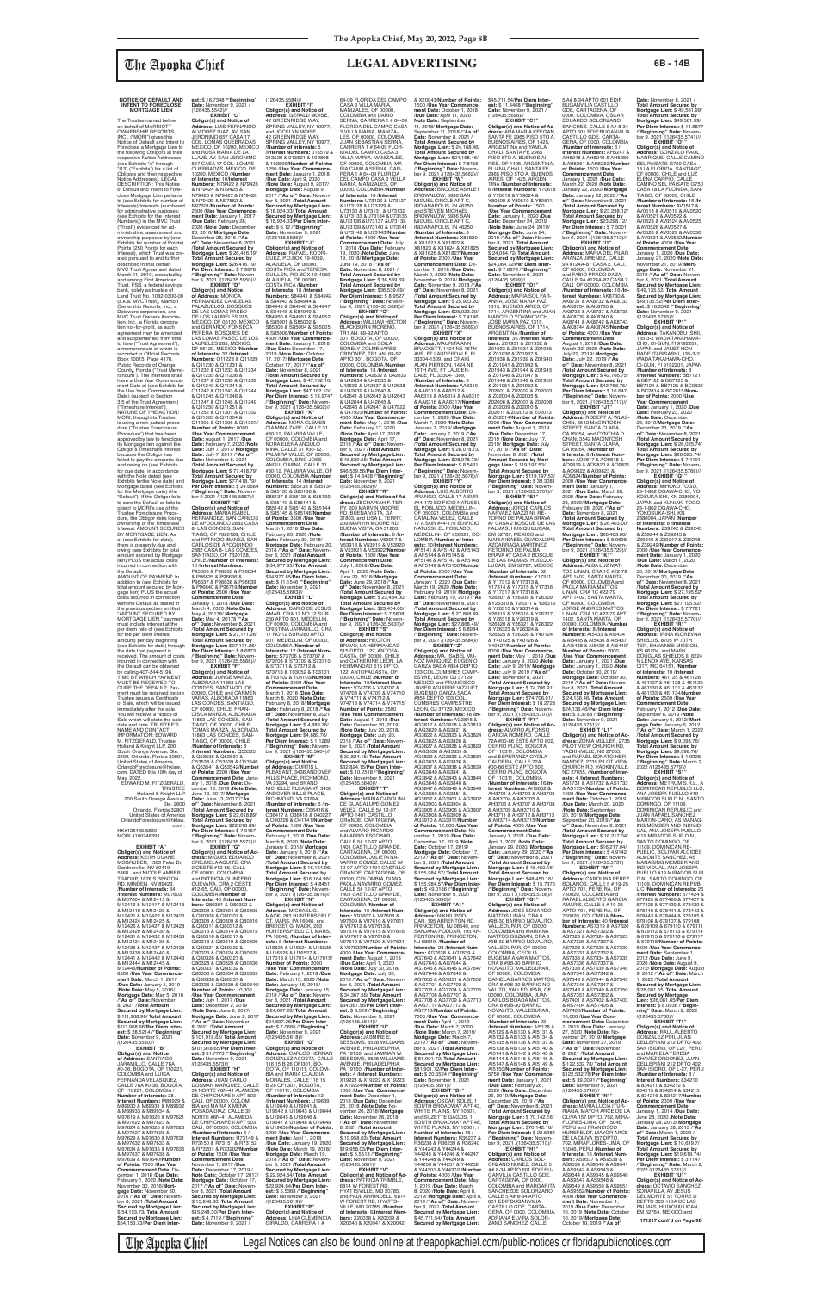# **NOTICE OF DEFAULT AND INTENT TO FORECLOSE MORTGAGE LIEN**

CALLE 76A #0-36, BOGOTA, OF 110221, COLOMBIA / **Interest Numbers:** M89929 & M89930 & M89931 & M89932 & M89933 & M89934 & M97619 & M97620 & M97621 & M97622 & M97623 & M97624 & M97625 & M97626 & M97627 & M97628 & M97629 & M97630 & M97631 M97634 & M97635 & M97636 & M97637 & M97638 & M97639 & M97640/**Number of Points:** 7000 /**Use Year Commencement Date:** December 1, 2016 /**Due Date:** February 1, 2020 /**Note Date:** November 30, 2016/**Mortgage Date:** November 30,<br>2016 /**"As of" Date:** Novem-<br>ber 8, 2021 /**Total Amount Secured by Mortgage Lien:** \$ 54,153.73/ **Total Amount Secured by Mortgage Lien:** \$54,153.73/**Per Diem Inter-**11863 LAS CONDES, SAN-TIAGO, OF 00000, CHILE /**Number of Interests:** 8 /**Interest Numbers:** Q53535 & Q53536 & Q53537 & Q53538 & Q53539 & Q53540 & Q53541 & Q53542/**Number of Points:** 2000 /**Use Year Commencement Date:** January 1, 2018 /**Due Date:** De-cember 13, 2019 /**Note Date:** June 13, 2017/ **Mortgage Date:** June 13, 2017 /**"As of" Date:** November 8, 2021 /**Total Amount Secured by Mortgage Lien:** \$ 22,618.89/ **Total Amount Secured by Mortgage Lien: \$22,618.89/<br><b>Per Diem Interest: \$** 7.0157<br>/**"Beginning" Date:** Novem-<br>ber 9, 2021 /(126435.5572)// **EXHIBIT "G" Obligor(s) and Notice of Ad-dress:** MIGUEL EDUARDO OREJUELA AQUITE, CRA 2 OESTE #12-65, CALI, OF 00000, COLOMBIA and PATRICIA QUINTERO GUEVARA, CRA 2 OESTE #12-65, CALI, OF 00000, COLOMBIA /**Number of Interests:** 40 /**Interest Num-bers:** Q80301 & Q80302 & Q80303 & Q80304 & Q80305 & Q80306 & Q80307 & Q80308 & Q80309 & Q80310 & Q80311 & Q80312 & Q80313 & Q80314 & Q80315 & Q80316 & Q80317 & Q80318 & Q80319 & Q80320 & Q80321 & Q80322 & Q80323 & Q80324 & Q80325 & Q80326 & Q80327 & Q80328 & Q80329 & Q80330 & Q80331 & Q80332 & Q80333 & Q80334 & Q80335 & Q80336 & Q80337 & Q80338 & Q80339 & Q80340/ **Number of Points:** 10,000 /**Use Year Commencement Date:** July 1, 2017 /**Due Date:** December 2, 2019 /**Note Date:** June 2, 2017/ **Mortgage Date:** June 2, 2017 /**"As of" Date:** November 8, 2021 /**Total Amount Secured by Mortgage Lien:** \$ 101,918.65/ **Total Amount Secured by Mortgage Lien:** \$101,918.65/**Per Diem Inter-est:** \$ 31.7773 /**"Beginning" Date:** November 9, 2021 /(126435.5573)// **EXHIBIT "H" Obligor(s) and Notice of Address:** JUAN CARLO DOSMAN MARQUEZ, CALLE 39 NORTE #6N-41 ALAMEDA DE CHIPICHAPE II APT 503, CALI, OF 00000, COLOM-BIA and MARIA XIMENA POSADA DIAZ, CALLE 39 NORTE #6N-41 ALAMEDA DE CHIPICHAPE II APT 503, CALI, OF 00000, COLOMBIA /**Number of Interests:** 6 / **Interest Numbers:** R73149 & R73150 & R73151 & R73152 & R73201 & R73202/**Number of Points:** 1500 /**Use Year Commencement Date:** November 1, 2017 /**Due Date:** December 17, 2019 / **Note Date:** October 17, 2017/ **Mortgage Date:** October 17, 2017 /**"As of" Date:** Novem-ber 8, 2021 /**Total Amount Secured by Mortgage Lien:** \$ 15,248.30/ **Total Amount Secured by Mortgage Lien:** \$15,248.30/**Per Diem Inter-est:** \$ 4.7119 /**"Beginning" November 9, 2021** 

The Trustee named below on behalf of MARRIOTT OWNERSHIP RESORTS,<br>INC., ("MORI") gives this<br>Notice of Default and Intent to Foreclose a Mortgage Lien to the following Obligors at their respective Notice Addresses (see Exhibits "A" through "I13" ("Exhibits") for a list of Obligors and their respective Notice Addresses). LEGAL DESCRIPTION: This Notice of Default and Intent to Foreclose Mortgage Lien pertains to (see Exhibits for number of Interests) Interests (numbered for administrative purposes: (see Exhibits for the Interest Numbers)) in the MVC Trust ("Trust") evidenced for ad-ministrative, assessment and ownership purposes by (see Exhibits for number of Points) Points (250 Points for each Interest), which Trust was created pursuant to and further described in that certain MVC Trust Agreement dated March 11, 2010, executed by and among First American Trust, FSB, a federal savings bank, solely as trustee of Land Trust No. 1082-0300-00 (a.k.a. MVC Trust), Marriott Ownership Resorts, Inc., a Delaware corporation, and MVC Trust Owners Association, Inc., a Florida corpora-tion not-for-profit, as such agreement may be amended and supplemented from time to time ("Trust Agreement"), a memorandum of which is recorded in Official Records Book 10015, Page 4176, Public Records of Orange County, Florida ("Trust Memo-randum"). The Interests shall have a Use Year Commence-ment Date of (see Exhibits for the Use Year Commencement Date) (subject to Section 3.5 of the Trust Agreement) ("Timeshare Interest"). NATURE OF THE ACTION: MORI, through its Trustee, is using a non-judicial procedure ("Trustee Foreclosure Procedure") that has been approved by law to foreclos its Mortgage lien against the Obligor's Timeshare Interest because the Obligor has failed to pay the amounts due and owing on (see Exhibits<br>for due date) in accordance with the Note dated (see Exhibits forthe Note date) and Mortgage dated (see Exhibits for the Mortgage date) (the "Default"). If the Obligor fails to cure the Default or fails to object to MORI's use of the Trustee Foreclosure Proce-dure, the Obligor risks losing ownership of the Timeshare Interest. AMOUNT SECURED BY MORTGAGE LIEN: As of (see Exhibits for date), there is presently due and owing (see Exhibits for total amount secured by Mortgage lien) PLUS the actual costs incurred in connection with<br>the Default the Default. AMOUNT OF PAYMENT: In addition to (see Exhibits for total amount secured by Mortgage lien) PLUS the actual costs incurred in connection with the Default as stated in the previous section entitled "AMOUNT SECURED BY MORTGAGE LIEN," payment must include interest at the per diem rate of (see Exhibits for the per diem interest amount) per day beginning (see Exhibits for date) through the date that payment is received. The amount of costs incurred in connection with the Default can be obtained by calling 407-244-5198. TIME BY WHICH PAYMENT MUST BE RECEIVED TO CURE THE DEFAULT: Payment must be received before Trustee issues a Certificate of Sale, which will be issued immediately after the sale. You will receive a Notice of & N79424 & N79425 & /**"Beginning" Date:** Novem-ber 9, 2021 /(126435.5550)// **Obligor(s) and Notice of Address:** MONICA HERNANDEZ CANDELAS PALAZUELOS, BOSQUES DE LAS LOMAS PASEO LAURELES 285, MEXICO, DF 05120, MEXICO /**Number** Q11232 & Q11233 & Q11234 & Q11235 & Q11236 & Q11237 & Q11238 & Q11239 & Q11240 & Q11241 & Q11242 & Q11243 & Q11244 & Q11245 & Q11246 & Q11247 & Q11248 & Q11249 & Q11250 & Q11251 & Q11252 & Q11301 & Q11302 & Q11303 & Q11304 & Q11305 & Q11306 & Q11307/ **Number of Points:** 8000 ber 9 2021 /(126435.5567)//

# **est:** \$ 16.7348 /**"Beginning"**<br>**Date:** November 9, 2021 /<br>(126435.5542)//

January 1, 2018 /**Due Date:** March 4, 2020 /**Note Date:** May 4, 20178/ **Mortgage Date:** May 4, 20178 /**"As of" Date:** November 8, 2021 /**Total Amount Secured by Mortgage Lien:** \$ 27,171.26/ **Total Amount Secured by Mortgage Lien:** \$27,171.26/ **Per Diem Interest:** \$ 8.6873 /**"Beginning" Date:** Novem-ber 9, 2021 /(126435.5568)// **EXHIBIT "F" Obligor(s) and Notice of<br><b>Address:** DARIO DE JESUS<br>AMAR, CRA 17 NO 12 SUR<br>260 APTO 901, MEDELLIN,

Sale which will state the sale date and time. TRUSTEE'S NAME AND CONTACT INFORMATION: EDWARD M. FITZGERALD, Trustee, Holland & Knight LLP, 200 South Orange Avenue, Ste. 2600, Orlando, Florida 32801, United States of America, OrlandoForeclosure@hklaw. com. DATED this 10th day of May, 2022. EDWARD M. FITZGERALD, TRUSTEE Holland & Knight LLP 200 South Orange Avenue, Ste. 2600 Orlando, Florida 32801 United States of America OrlandoForeclosure@hklaw. com . HK#126435.5530 MORI #100248391 **EXHIBIT "A" Obligor(s) and Notice of Address:** KEITH DUANE<br>MCGRUDER, 1363 Petar Dr,<br>Gardnerville, NV 89410-5868 , and NICOLE AMBER TRADUP, 1678 S BENTON RD, MINDEN, NV 89423, /**Number of Interests:** 34 /**Interest Numbers:** M07603 & M07604 & M12415 & M12416 & M12417 & M12418 & M12419 & M12420 & M12421 & M12422 & M12423 & M12424 & M12425 & M12426 & M12427 & M12428 & M12429 & M12430 & M12431 & M12432 & M12433 & M12434 & M12435 & M12436 & M12437 & M12438 & M12439 & M12440 & M12441 & M12442 & M12443 & M12444 & M12445 & M12446/**Number of Points:** 8500 /**Use Year Commence-ment Date:** March 1, 2017 /**Due Date:** January 5, 2019 /**Note Date:** May 5, 2016/ **Mortgage Date:** May 5, 2016 /**"As of" Date:** November 8, 2021 /**Total Amount Secured by Mortgage Lien:** \$ 111,968.96/ **Total Amount Secured by Mortgage Lien:** \$111,968.96/**Per Diem Inter-est:** \$ 28.5214 /**"Beginning" Date:** November 9, 2021<br>/(126435.5530)// **EXHIBIT "B" Obligor(s) and Notice of Address:** SANTIAGO JARAMILLO, CALLE 76A #0-36, BOGOTA, OF 110221, COLOMBIA and LUISA FERNANDA VELASQUEZ,

**Number of Interests:** 28 /

& M97632 & M97633 &

**EXHIBIT "C"<br>
<b>Obligor(s) and Notice of**<br> **Address:** LUIS FERNANDO<br>
ALVIDREZ DIAZ, AV. SAN<br>JERONIMO 657 CASA 17<br>
COL. LOMAS QUEBRADAS, MEXICO, DF 10200, MEXICO<br>and ROSA MARIA DE LA and ROSA MARIA DE LA LLAVE, AV. SAN JERONIMO 657 CASA 17 COL. LOMAS QUEBRADAS, MEXICO, DF 10200, MEXICO /**Number of Interests:** 10/**Interest Numbers:** N79422 & N79423 N79426 & N79427 & N79428 & N79429 & N97552 & N97601/**Number of Points:** 2500 /**Use Year Commence-ment Date:** January 1, 2017 /**Due Date:** February 28, 2020 /**Note Date:** December 28, 2016/ **Mortgage Date:** December 28, 2016 /**"As of" Date:** November 8, 2021 /**Total Amount Secured by Mortgage Lien:** \$ 26,416.19/ **Total Amount Secured by Mortgage Lien:** \$26,416.19/ **Per Diem Interest:** \$ 7.9678 **Address:** GERALD MOISE, 42 GREENRIDGE WAY, SPRING VALLEY, NY 10977 and JOCELYN MOISE,<br>42 GREENRIDGE WAY, SPRING VALLEY, NY 10977. /**Number of Interests:** 5 /**Interest Numbers:** 013519 & 013520 & 013521 & 192808 & 192809/**Number of Points:** 1250 /**Use Year Commence-ment Date:** January 1, 2018 /**Due Date:** April 9, 2020 /Note Date: August 9, 2017/<br>Mortgage Date: August 9,<br>2017/"As of" Date: Novem-<br>ber 8, 2021 /Total Amount<br>Secured by Mortgage Lien:<br>Secured by Mortgage Lien:<br>Secured by Mortgage Lien:<br>Secured by Mortgage Lien:<br>S: 18,924.03/ **est:** \$ 6.12 /**"Beginning"**<br>**Date:** November 9, 2021<br>/(126435.5586)// **EXHIBIT "J" Obligor(s) and Notice of Address:** RAFAEL RODRI-

**EXHIBIT "D"**

**Obligor(s) and Notice of<br><b>Address:** MARIA ISABEL<br>HERNANDEZ, SAN CARLOS<br>DE APOQUINDO 2882 CASA 8- LAS CONDES, SAN-TIAGO, OF 7620128, CHILE and PATRICIO IBANEZ, SAN CARLOS DE APOQUINDO 2882 CASA 8- LAS CONDES, SANTIAGO, OF 7620128, CHILE /**Number of Interests:** 10 /**Interest Numbers:** P95003 & P96633 & P96634 & P96635 & P96636 & P96637 & P96638 & P96639 & P96640 & P96719/**Number of Points:** 2500 /**Use Year Commencement Date:** S85142 & S85143 & S85144 & S85145 & S85146/**Number of Points:** 3500 /**Use Year Commencement Date:** March 1, 2018 /**Due Date:** February 20, 2020 /**Note Date:** February 20, 2018/ **Mortgage Date:** February 20, 2018 /**"As of" Date:** Novem-ber 8, 2021 /**Total Amount Secured by Mortgage Lien:** \$ 34,977.85/ **Total Amount Secured by Mortgage Lien:** \$34,977.85/**Per Diem Inter-est:** \$ 11.1546 /**"Beginning" Date:** November 9, 2021 /(126435.5603)// **EXHIBIT "L"**

**EXHIBIT "E"**

RY, 209 MARVIN MOORE RD, BUENA VISTA, GA 31803, and LISA L. TERRY, 209 MARVIN MOORE RD, BUENA VISTA, GA 31803, /**Number of Interests:** 6 /**Interest Numbers:** V53917 & V53918 & V53919 & V53920 & V53921 & V53922/**Number of Points:** 1500 /**Use Year Commencement Date:** July 1, 2018 /**Due Date:** April 1, 2020 /**Note Date:** June 29, 2018/ **Mortgage Date:** June 29, 2018 /**"As**  of" Date: November 8, 2021<br>Motal Amount Secured by<br>Mortgage Lien: \$ 23,434.00/<br>Total Amount Secured by<br>Mortgage Lien: \$23,434.00/<br>Per Diem Interest: \$ 7.5808<br>"Beginning" Date: November 9, 2021 /(126435.5637)//<br>ber 9, 2021

DE LOS LAURELES 285, MEXICO, DF 05120, MEXICO and GERARDO FONSECA PERERA, BOSQUES DE LAS LOMAS PASEO DE LOS **of Interests:** 32 /**Interest**<br>**Numbers:** Q11228 & Q11229<br>& Q11230 & Q11231 & GUEZ, P.O.BOX 19-4059, ALAJUELA, OF 00000, COSTA RICA and TERESA GUILLEN, P.O.BOX 19-4059, ALAJUELA, OF 00000, COSTA RICA /**Number of Interests:** 18 /**Interest Numbers:** S84941 & S84942 & S84943 & S84944 & S84945 & S84946 & S84947 & S84948 & S84949 & S84950 & S84951 & S84952 & S85001 & S85002 & S85003 & S85004 & S85005 & S85006/**Number of Points:** 4500 /**Use Year Commencement Date:** January 1, 2018<br> **Due Date:** December 17 /**Due Date:** December 17, 2019 /**Note Date:** October 17, 2017/ **Mortgage Date:** October 17, 2017 /**"As of" Date:** November 8, 2021 /**Total Amount Secured by Mortgage Lien:** \$ 47,162.10/ **Total Amount Secured by Mortgage Lien:** \$47,162.10/ **Per Diem Interest:** \$ 13.9747 /**"Beginning" Date:** Novem-ber 9, 2021 /(126435.5602)// **EXHIBIT "K"**

/**Use Year Commencement Date:** August 1, 2017 /**Due Date:** February 7, 2020 /**Note Date:** July 7, 2017/ **Mortgage Date:** July 7, 2017 /**"As of" Date:** November 8, 2021 /**Total Amount Secured by Mortgage Lien:** \$ 77,418.79/ **Total Amount Secured by Mortgage Lien:** \$77,418.79/ **Per Diem Interest:** \$ 24.6664 /**"Beginning" Date:** Novem-**Obligor(s) and Notice of Address:** NORA CLEMEN-CIA MINA ZAPE, CALLE 31 #30-12, PALMIRA VALLE, OF 00000, COLOMBIA and NORA ELENA ANGULO<br>MINA, CALLE 31 #30-12,<br>PALMIRA VALLE, OF 00000,<br>COLOMBIA, ERIC JOSE ANGULO MINA, CALLE 31 #30-12, PALMIRA VALLE, OF 00000, COLOMBIA /**Number of Interests:** 14 /**Interest**<br>**Numbers:** S85133 & S85134<br>& S85135 & S85136 & S85137 & S85138 & S85139 & S85140 & S85141 &

& X20043/**Number of Points:** 1500 /**Use Year Commence-ment Date:** October 1, 2018 /**Due Date:** April 11, 2020 / **Note Date:** September 11, 2018/ **Mortgage Date:** September 11, 2018 /**"As of" Date:** November 8, 2021 / **Total Amount Secured by Mortgage Lien:** \$ 24,168.46/ **Total Amount Secured by Mortgage Lien: \$24,168.46/<br><b>Per Diem Interest: \$** 7.8455<br>/**"Beginning" Date:** Novem-<br>ber 9, 2021 /(126435.5662)// **EXHIBIT "W"<br><b>Obligor(s) and Notice of<br><b>Address:** BROOKE ASHLEY<br>BROWNLOW, 5936 SAN<br>MIGUEL CIRCLE APT C,<br>INDIANAPOLIS, IN 46250,

> **Commencement Date:** De-cember 1, 2020 /**Due Date:** March 7, 2020 /**Note Date:** January 7, 2019/ **Mortgage Date:** January 7, 2019 /**"As**  of" Date: November 8, 2021<br>Mortgage Lien: \$ 28,078.73/<br>Mortgage Lien: \$ 28,078.73/<br>Total Amount Secured by<br>Mortgage Lien: \$28,078.73/<br>Per Diem Interest: \$ 8.5431<br>("Beginning" Date: Novem-<br>ber 9, 2021 /(126435.5678)// **EXHIBIT "Y" Obligor(s) and Notice of Address:** LUIS ALBERTO ARANGO, CALLE 17 A SUR #44-170 EDIFICIO NATUSSI, EL POBLADO, MEDELLIN-,<br>OF 050021, COLOMBIA and<br>CATALINA VELEZ, CALLE 17 A SUR #44-170 EDIFICIO NATUSSI, EL POBLADO,<br>MEDELLIN-, OF 050021, CO-Z02006 & Z02007 & Z02008 & Z02009 & Z02010 & Z02011 & Z02012 & Z02013 & Z02014/**Number of Points:** 9000 /**Use Year Commencement Date:** August 1, 2019 /**Due Date:** December 17, 2019 /**Note Date:** July 17, 2019/ **Mortgage Date:** July 17, 2019 /**"As of" Date:** November 8, 2021 /**Total Amount Secured by Mortgage Lien:** \$ 119,197.53/ **Total Amount Secured by Mortgage Lien:** \$119,197.53/<br>**Per Diem Interest:** \$ 39.3081<br>/**"Beginning" Date:** Novem-<br>ber 9, 2021 /(126435.5701)// **EXHIBIT "E1"<br><b>Obligor(s) and Notice of<br><b>Address**: JORGE CARLOS<br>NARVAEZ MAZZI NI, RE-<br>TORNO DE PALMA BRAVA<br>#7 CASA 2 BOSQUE DE LAS

> **Address:** MA. ISABEL MU-NOZ MARQUEZ, EUGENIO GARZA SADA #854 DEPTO 103 COL.CUMBRES CAMP-ESTRE, LEON, GJ 37129, MEXICO and FRANCISCO JAVIER AGUIRRE VIZZUET, EUGENIO GARZA SADA #854 DEPTO 103 COL. CUMBRES CAMPESTRE, LEON, GJ 37129, MEXICO /**Number of Interests:** 48 /**In-**Y26325 & Y26326 & Y40124 & Y40125 & Y40126 & Y40127/**Number of Points:** 8000 /**Use Year Commencement Date:** May 1, 2019 /**Due Date:** January 9, 2020 /**Note Date:** July 9, 2019/ **Mortgage Date:** July 9, 2019 /**"As of" Date:** November 8, 2021 /**Total Amount Secured by Mortgage Lien:** \$ 74,706.91/ **Total Amount Secured by Mortgage Lien:** \$74,706.91/<br>**Per Diem Interest:** \$ 18.2728<br>/**"Beginning" Date:** Novem-<br>ber 9, 2021 /(126435.5707)//

**Obligor(s) and Notice of Address:** JORGE MARZA, ALBORADA 11863 LAS CONDES, SANTIAGO, OF 00000, CHILE and CARMEN VARAS, ALBORADA 11863 LAS CONDES, SANTIAGO, OF 00000, CHILE, FRAN-CISCA MARZA, ALBORADA 11863 LAS CONDES, SAN-TIAGO, OF 00000, CHILE, TOMAS MARZA, ALBORADA S73713 & T03052 & T03101 & T03102 & T03103/**Number of Points:** 3000 /**Use Year Commencement Date:** March 1, 2018 /**Due Date:** March 8, 2020 /**Note Date:** February 8, 2018/ **Mortgage Date:** February 8, 2018 /**"As of" Date:** November 8, 2021 /**Total Amount Secured by Mortgage Lien:** \$ 4,889.76/ **Total Amount Secured by Mortgage Lien:** \$4,889.76/ **Per Diem Interest:** \$ 1.1289 /**"Beginning" Date:** Novem- $(126435.5604)$ // **EXHIBIT "M Obligor(s) and Notice of Address:** CURTIS L<br>PLEASANT, 3436 ANDOVER<br>HILLS PLACE, RICHMOND, VA 23294, and BRANDI<br>NICHELLE PLEASANT, 3436 ANDOVER HILLS PLACE, RICHMOND, VA 23294, /**Number of Interests:** 6 /**Interest Numbers:** O36416 & O36417 & O36418 & 040227  $&$  040228 & 041141/**Number of Points:** 1500 /**Use Year Commencement Date:** February 1, 2018 /**Due Date:** March 8, 2020 /**Note Date:** January 8, 2018/ **Mortgage Date:** January 8, 2018 /**"As of" Date:** November 8, 2021 /**Total Amount Secured by Mortgage Lien:** \$ 16,164.96/ **Total Amount Secured by Mortgage Lien:** \$16,164.96/ **Per Diem Interest:** \$ 4.8451 /**"Beginning" Date:** Novem-ber 9, 2021 /(126435.5616)// **EXHIBIT "N" Obligor(s) and Notice of Address:** MICHAEL G. MACK, 203 HUNTERSFIELD CT, MARS, PA 16046, and BRIDGET G. MACK, 203 HUNTERSFIELD CT, MARS, PA 16046, /**Number of Inter ests:** 8 /**Interest Numbers:** U16523 & U16524 & U16525 & U16526 & U16527 & U17013 & U17014 & U17015/ **Number of Points:** 2000 /**Use Year Commencement Date:** February 1, 2018 /**Due Date:** March 15, 2020 /**Note Date:** January 15, 2018/ **Mortgage Date:** January 15, 2018 /**"As of" Date:** Novem-ber 8, 2021 /**Total Amount Secured by Mortgage Lien:** \$ 24,697.26/ **Total Amount Secured by Mortgage Lien:** \$24,697.26/**Per Diem Inter-est:** \$ 7.0666 /**"Beginning" Date:** November 9, 2021 /(126435.5618)// **EXHIBIT "O" Obligor(s) and Notice of Address:** CARLOS HERNAN GONZALEZ ACOSTA, CALLE 116 15 B 26 OFI301, BO-GOTA, OF 110111, COLOM-BIA and MARIA CLAUDIA MORALES, CALLE 116 15 B 26 OFI 301, BOGOTA, OF 110111, COLOMBIA /**Number of Interests:** 12 /**Interest Numbers:** U19639 & U19640 & U19641 & U19642 & U19643 & U19644 & U19645 & U19646 & U19647 & U19648 & U19649 & U19650/**Number of Points:** 3000 /**Use Year Commencement Date:** April 1, 2018 /**Due Date:** January 19, 2020 /**Note Date:** March 19, 2018/ **Mortgage Date:** March 19, 2018 /**"As of" Date:** November 8, 2021 /**Total Amount Secured by Mortgage Lien:** \$ 22,924.64/ **Total Amount Secured by Mortgage Lien:** \$22,924.64/**Per Diem Interest:** \$ 5.5368 /**"Beginning" Date:** November 9, 2021<br>/(126435.5619)// **EXHIBIT "P" Obligor(s) and Notice of Address:** LINA CLEMENCIA GIRALDO, CARRERA 1 #

(126435.5584)// **EXHIBIT "I" Obligor(s) and Notice of**  64-09 FLORIDA DEL CAMPO<br>CASA 3 VILLA MARIA,<br>MANIZALES, OF 00000, COLOMBIA and DARIO SERNA, CARRERA 1 # 64-09 FLORIDA DEL CAMPO CASA 3 VILLA MARIA, MANIZA-LES, OF 00000, COLOMBIA, JUAN SEBASTIAN SERNA, CARRERA 1 # 64-09 FLOR-IDA DEL CAMPO CASA 3 VILLA MARIA, MANIZALES, OF 00000, COLOMBIA, MA-RIA CAMILA SERNA, CAR-RERA 1 # 64-09 FLORIDA DEL CAMPO CASA 3 VELLA MARIA, MANIZALES, OF 00000, COLOMBIA /**Number of Interests:** 18 /**Interest**<br>**Numbers:** U73126 & U73127<br>& U73128 & U73129 & U73130 & U73131 & U73132 & U73133 &U73134 &U73135 &U73136 &U73137 &U73138 &U73139 &U73140 & U73141 & U73142 & U73143/**Number of Points:** 4500 /**Use Year Commencement Date:** July 1, 2018 /**Due Date:** February

> MARCELO YOVANOVICH, JOSE MARIA PAZ 1315, BUENOS AIRES, OF 1714, ARGENTINA /**Number of Interests:** 36 /**Interest Num-bers:** Z01931 & Z01932 & Z01933 & Z01934 & Z01935 & Z01936 & Z01937 & Z01938 & Z01939 & Z01940 & Z01941 & Z01942 & Z01943 & Z01944 & Z01945 & Z01946 & Z01947 & Z01948 & Z01949 & Z01950 & Z01951 & Z01952 & Z02001 & Z02002 & Z02003 & Z02004 & Z02005 &

**of Points:** 4000 /**Use Year Commencement Date:** January 1, 2021 /**Due Date:** April 1, 2020 /**Note Date:** January 29, 2020/ **Mortgage Date:** January 29, 2020 /**"As of" Date:** November 8, 2021 /**Total Amount Secured by Mortgage Lien:** \$ 48,450.16/ **Total Amount Secured by Mortgage Lien:** \$48,450.16/ **Per Diem Interest:** \$ 15.7375 /**"Beginning" Date:** Novem-ber 9, 2021 /(126435.5708)// **EXHIBIT "G1" Obligor(s) and Notice of Address:** JOSE EDUARDO<br>MATTOS LINAN, CRA 8 #9B-30 BARRIO NOVALITO, VALLEDUPAR, OF 00000, COLOMBIA and MARIANA MATTOS GUZMAN, CRA 8 #9B-30 BARRIO NOVALITO, VALLEDUPAR, OF 00000, COLOMBIA, CECILIA EUGENIA ANAYA MATTOS, CRA 8 #9B-30 BARRIO NOVALITO, VALLEDUPAR, OF 00000, COLOMBIA,<br>DANIELA BARROS MATTOS, CRA 8 #9B-30 BARRIO NO-VALITO, VALLEDUPAR, OF 00000, COLOMBIA, JUAN CARLOS BOADA MATTOS, CRA 8 #9B-30 BARRIO<br>NOVALITO, VALLEDUPAR, OF 00000, COLOMBIA<br>/**Number of Interests:** 23<br>/**Interest Numbers:** AI5128 &<br>AI5129 & AI5130 & AI5131 & AI5132 & AI5133 & AI5134 & AI5135 & AI5136 & AI5137 & AI5138 & AI5139 & AI5140 & AI5141 & AI5142 & AI5143 & AI5144 & AI5145 & AI5146 & AI5147 & AI5148 & AI5149 & AI5150/**Number of Points:** 5750 /**Use Year Commencement Date:** January 1, 2021 /**Due Date:** February 26, 2020 /**Note Date:** December 26, 2019/ **Mortgage Date:** December 26, 2019 /**"As of" Date:** November 8, 2021 /**Total Amount Secured by Mortgage Lien:** \$ 70,142.16/ **Total Amount Secured by Mortgage Lien:** \$70,142.16/ Per Diem Interest: \$22.5284<br>""Beginning" Date: Novem-<br>ber 9, 2021 /(126435.5710)/<br>Dbligor(s) and Notice of<br>Obligor(s) and Notice of<br>Address: CARLOS SOL-<br>ORZANO NUNEZ, CALLE 5<br>A# 8-34 APTO 601 EDIF.BU-

**dress:** ALVARO ALFONSO<br>GARCIA ROMERO, CALLE<br>72A #00-86 ESTE APTO 602,<br>CERRO PIJAO, BOGOTA, OF 110311, COLOMBIA<br>and ESPERANZA OYOLA CALDERA, CALLE 72A #00-86 ESTE APTO 602, CERRO PIJAO, BOGOTA, OF 110311, COLOMBIA /**Number of Interests:** 16/**In-terest Numbers:** AH3652 & AH3701 & AH3702 & AH3703 & AH3704 & AH3705 & AH3706 & AH3707 & AH3708 & AH3709 & AH3710 & AH3711 & AH3712 & AH3713 & AH3714 & AH3715/**Number**  GANVILIA CASTILLO GDE,<br>CARTAGENA, OF 0000,<br>COLOMBIA and MARGARITA SANCHEZDE SOLORZANO, CALLE 5 A# 8-34 APTO 601 EDIF.BUGANVILIA CASTILLO GDE, CARTA-GENA, OF 0000, COLOMBIA, ADRIANA ELVIRA SOLOR-ZANO SANCHEZ, CALLE

**Obligor(s) and Notice of<br><b>Address:** ROBERT A. WLAS-<br>CHIN, 3542 MACINTOSH<br>STREET, SANTA CLARA, CA 95054, and CYNTHIA D CHAN, 3542 MACINTOSH STREET, SANTA CLARA, CA 95054, /**Number of Interests:** 8 /**Interest Num-bers:** AO9817 & AO9818 & AO9819 & AO9820 & AO9821 & AO9822 & AO9823 & AO9824/**Number of Points:** 2000 /**Use Year Commence-ment Date:** January 1, 2021 /**Due Date:** March 28, 2020 /**Note Date:** February 28, 2020/ **Mortgage Date:** February 28, 2020 /**"As of" Date:** November 8, 2021 /**Total Amount Secured by Mortgage Lien:** \$ 26,403.00/ **Total Amount Secured by Mortgage Lien:** \$26,403.00/ **Per Diem Interest:** \$ 8.9698 /**"Beginning" Date:** Novem-ber 9, 2021 /(126435.5729)// **EXHIBIT "K1"**

19, 2020 /**Note Date:** June 19, 2018/ **Mortgage Date:** June 19, 2018 /**"As of" Date:** November 8, 2021 / Total Amount Secured by<br>Mortgage Lien: \$36,539,69/<br>Total Amount Secured by<br>Mortgage Lien: \$36,539,69/<br>Per Diem Interest: \$8.9527<br>"Beginning" Date: November 9, 2021 /(126435.5628)//<br>ber 9, 2021 /(126435.5628)// **Obligor(s) and Notice of<br><b>Address:** WILLIAM HECTOR<br>BLACKBURN MORENO,<br>TR1 AN. 69-92 APTO 301, BOGOTA, OF 00000, COLOMBIA and SOILA SORELY COLMENARES ORDONEZ, TR1 AN. 69-92 APTO 301, BOGOTA, OF 00000, COLOMBIA /**Number** 

OF 00000, COLOMBIA and CRISTINA JARAMILLO, CRA 17 NO 12 SUR 260 APTO 901, MEDELLIN, OF 00000, COLOMBIA /**Number of Interests:** 12 /**Interest Numbers:** S73706 & S73707 & S73708 & S73709 & S73710 & S73711 & S73712 & **Obligor(s) and Notice<br><b>of Address:** HECTOR<br>BRAVO, LA HERMANDAD<br>515 DPTO. 122, ANTOFA-GASTA, OF 00000, CHILE and CATHERINE LEON, LA HERMANDAD 515 DPTO. 122, ANTOFAGASTA, OF 00000, CHILE /**Number of Interests:** 10/**Interest Numbers:** V74706 & V74707 & V74708 & V74709 & V74710 & V74711 & V74712 & V74713 & V74714 & V74715/ **Number of Points:** 2500 /**Use Year Commencement Date:** August 1, 2018 /**Due Date:** December 20, 2019 /**Note Date:** July 20, 2018/ **Mortgage Date:** July 20, 2018 /**"As of" Date:** Novem-ber 8, 2021 /**Total Amount Secured by Mortgage Lien:** \$ 32,824.15/ **Total Amount Secured by Mortgage Lien:** \$32,824.15/**Per Diem Inter-est:** \$ 10.2518 /**"Beginning" Date:** November 9, 2021 /(126435.5640)// **EXHIBIT "T" Obligor(s) and Notice of<br><b>Address:** MARIA CAROLINA<br>DE GUADALUPE GOMEZ<br>VELEZ, CALLE 5# 12-97 APTO 1401 CASTILLO<br>GRANDE, CARTAGENA, OF 00000, COLOMBIA<br>and ALVARO RICARDO<br>NAVARRO ESCOBAR,<br>CALLE 5# 12-97 APTO 1401 CASTILLO GRANDE, CARTAGENA, OF 00000, COLOMBIA, JULIETA NA-VARRO GOMEZ, CALLE 5# 12-97 APTO 1401 CASTILLO GRANDE, CARTAGENA, OF 00000, COLOMBIA, DIANA PAOLA NAVARRO GOMEZ, CALLE 5# 12-97 APTO 1401 CASTILLO GRANDE, CARTAGENA, OF 00000, COLOMBIA /**Number of Interests:** 16 /**Interest Num-bers:** V97607 & V97608 & V97609 & V97610 & V97611 & V97612 & V97613 & V97614 & V97615 & V97616 & V97617 & V97618 & V97619 & V97620 & V97621 & V97622/**Number of Points:** 4000 /**Use Year Commencement Date:** August 1, 2018 /**Due Date:** April 1, 2020 /**Note Date:** July 30, 2018/ **Mortgage Date:** July 30,<br>2018 /**"As of" Date:** Novem-<br>ber 8, 2021 /**Total Amount Secured by Mortgage Lien:** \$ 34,367.56/ **Total Amount Secured by Mortgage Lien:** \$34,367.56/**Per Diem Inter-est:** \$ 8.529 /**"Beginning" Date:** November 9, 2021 /(126435.5644)// **EXHIBIT "U" Obligor(s) and Notice of Address:** JASMINE E. SESSOMS, 8528 WILLIAMS AVENUE, PHILADELPHIA, PA 19150, and JAMMAR W. SESSOMS, 8528 WILLIAMS AVENUE, PHILADELPHIA, PA 19150, /**Number of Inter ests:** 4 /**Interest Numbers:** X19221 & X19222 & X19223 & X19224/**Number of Points:** 1000 /**Use Year Commencement Date:** December 1, 2018 /**Due Date:** December 26, 2018 /**Note Date:** November 26, 2018/ **Mortgage Date:** November 26, 2018 /**"As of" Date:** November 8, 2021 /**Total Amount Secured by Mortgage Lien:** \$ 19,958.03/ **Total Amount Secured by Mortgage Lien:** \$19,958.03/**Per Diem Inter-est:** \$ 5.5513 /**"Beginning" Date:** November 9, 2021 /(126435.5661)/ **EXHIBIT "V" Obligor(s) and Notice of Ad-dress:** PATRICIA TRIMBLE, 6814 W FOREST RD, HYATTSVILLE, MD 20785, and PAUL ARRINDELL, 6814 W FOREST RD, HYATTS-VILLE, MD 20785, /**Number of Interests:** 6/**Interest Num-bers:** X20038 & X20039 & X20040 & X20041 & X20042

**Date:** November 9, 2021<br>/(126435.5731)// **EXHIBIT "L1"**

**of Interests:** 18 /**Interest Numbers:** U42632 & U42633 & U42634 & U42635 & U42636 & U42637 & U42638 & U42639 & U42640 & U42641 & U42642 & U42643 & U42644 & U42645 & U42646 & U42647 & U47922 & U47923/**Number of Points:**

4500 /**Use Year Commence-ment Date:** May 1, 2018 /**Due Date:** February 17, 2020 /**Note Date:** April 17, 2018/ **Mortgage Date:** April 17, 2018 /**"As of" Date:** Novem-ber 8, 2021 /**Total Amount Secured by Mortgage Lien:** \$ 46,539.56/ **Total Amount Secured by Mortgage Lien:** \$46,539.56/**Per Diem Interest:** \$ 14.8458 /**"Beginning"**<br>**Date:** November 9, 2021<br>/(126435.5629)// **EXHIBIT "R" Obligor(s) and Notice of Ad-dress:** ZECHARIAH F. TER-

> & AS9552/**Number of Points:** 4000 /**Use Year Commence**ment Date: November 1,<br>2019 /Due Date: December 2019 /**Due Date:** December 10, 2019 /**Note Date:** October 10, 2019/ **Mortgage Date:** tober 10, 2019 /**"As of**

**EXHIBIT "R1"<br><b>Obligor(s) and Notice of**<br>**Address**: IRINA IGOREVNA<br>SHIELDS, 8705 W 70TH<br>TER, SHAWNEE MISSION,<br>KS 66204, and MARK DOUGLAS SHIELDS II, 6224 N LENOX AVE, KANSAS CITY, MO 64151, /**Number of Interests:** 10 /**Interest**<br>**Numbers:** 461125 & 461126<br>& 461127 & 461128 & 461129 & 461130 & 461131 & 461132 & 461133 & 461134/**Number of Points:** 2500 /**Use Year Commencement Date:** February 1, 2012 /**Due Date:** September 6, 2019 /**Note Date:** January 6, 2012/ **Mort-gage Date:** January 6, 2012 /**"As of" Date:** March 1, 2022

D.N., SANTO DOMINGO, OI 11109, DOMINICAN REPUB-LIC /**Number of Interests:** 26 /**Interest Numbers:** 677424 & 677425 & 677426 & 677427 & 677428 & 677429 & 678439 & 678440 & 678441 & 678442 & 678443 & 678444 & 679105 & 679106 & 679107 & 679108 & 679109 & 679110 & 679111 & 679112 & 679113 & 679114 & 679115 & 679116 & 679117 & 679118/**Number of Points:** 6500 /**Use Year Commence**<br>ment Date: September 1 ment Date: September 1,<br>2012 /**Note Date:** June 9,<br>2020 /**Mote Date: August 9,<br>2012/ <b>Mortgage Date:** August<br>9, 2012 /"**As of" Date:** March<br>1, 2022 /**Total Amount Secured by Mortgage Lien:** \$ 26,081.65/ **Total Amount Secured by Mortgage Lien:** \$26,081.65/**Per Diem Interest:** \$ 8.0936 /**"Begin-ning" Date:** March 2, 2022 /(126435.5780)// **EXHIBIT "T1" Obligor(s) and Notice of Address:** RAUL ALBERTO GONZALEZ PIRI, JUAN DELLEPIANI 212 DPTO 402, SAN ISIDRO, OF L27, PERU and MARIELA TERESA<br>CHAVEZ ORDONEZ, JUAN<br>DELLEPIANI 212 DPTO 402, SAN ISIDRO, OF L-27, PERU /**Number of Interests:** 8 / **Interest Numbers:** 834210<br>& 834211 & 834212 &<br>834213 & 834214 & 834215 & 834216 & 834217/**Number of Points:** 2000 /**Use Year Commencement Date:** January 1, 2014 /**Due Date:** June 28, 2020 /**Note Date:** January 28, 2013/ **Mortgage Date:** January 28, 2013 /**"As of" Date:** March 1, 2022 / **Total Amount Secured by Mortgage Lien:** \$ 10,619.7/ **Total Amount Secured by Mortgage Lien:** \$10,619.74/ **Per Diem Interest:** \$ 3.1147 /**"Beginning" Date:** March 2, 2022 /(126435.5781)// **EXHIBIT "U1" Obligor(s) and Notice of Ad-dress:** OCTAVIO SANCHEZ SORAVILLA, AV JESUS DEL MONTE 51 TORRE D DEPTO 303, HDA DE LAS PALMAS, HUIXQUILUCAN, EM 52764, MEXICO and **171217 cont'd on Page 9B**

**The Apopka Chief** Legal Notices can also be found online at theapopkachief.com/public-notices or floridapublicnotices.com

and STEVEN MICHAEL BROWNLOW, 5936 SAN MIGUEL CIRCLE APT C, INDIANAPOLIS, IN 46250, /**Number of Interests:** 8 /**Interest Numbers:** X81820 & X81821 & X81822 & X81823 & X81824 & X81825 & X81826 & X81827/**Number of Points:** 2000 /**Use Year Commencement Date:** De-cember 1, 2018 /**Due Date:** March 9, 2020 /**Note Date:** November 9, 2018/ **Mortgage Date:** November 9, 2018 /**"As of" Date:** November 8, 2021 /**Total Amount Secured by Mortgage Lien:** \$ 25,923.20/ **Total Amount Secured by Mortgage Lien:** \$25,923.20/ **Per Diem Interest:** \$ 7.4146 /**"Beginning" Date:** Novem-ber 9, 2021 /(126435.5669)// **EXHIBIT "X" Obligor(s) and Notice of Address:** MAURITA ANN BRACKETT, 1424 NE 16TH AVE, FT LAUDERDALE, FL 33304-1309, and CRAIG ALAN PIERSON, 1424 NE 16TH AVE, FT LAUDER-DALE, FL 33304-1309, /**Number of Interests:** 8 /**Interest Numbers:** AA6310 & AA6311 & AA6312 & AA6313 & AA6314 & AA6315 & AA6316 & AA6317/**Number of Points:** 2000 /**Use Year** 

& AG3820 & AG3821 & AG3822 & AG3823 & AG3824 & AG3825 & AG3826 & AG3827 & AG3828 & AG3829 & AGS830 & AG3831 & AG3832 & AG3833 & AG3834 & AG3835 & AG3836 & AG3837 & AG3838 & AG3839 & AG3840 & AG3841 & AG3842 & AG3843 & AG3844 & AG3845 & AG3846 & AG3847 & AG3848 & AG3849 & AG3850 & AG3851 & AG3852 & AG3901 & AG3902 & AG3903 & AG3904 & AG3905 & AG3906 & AG3907 & AG3908 & AG3909 & AG3910 & AG3911/**Number of Points:** 12,000 /**Use Year Commencement Date:** No-vember 1, 2019 /**Due Date:** December 17, 2019 /**Note Date:** October 17, 2019/ **Mortgage Date:** October 17, 2019 /**"As of" Date:** Novem-ber 8, 2021 /**Total Amount Secured by Mortgage Lien:** \$ 155,984.57/ **Total Amount Secured by Mortgage Lien:** \$ 155,984.57/**Per Diem Interest:** \$ 49.0186 /**"Beginning"<br><b>Date:** November 9, 2021<br>/(126435.5690)//<br>**EXHIBIT "A1" Obligor(s) and Notice of Address:** NIKHIL POD-DAR, 195 ARRENTON RD PRINCETON, NJ 08540, and SANJANA PODDAR, 195 AR-RENTON RD, PRINCETON, NJ 08540, /**Number of Interests:** 28 /**Interest Numbers:** AG7638 & AG7639 &<br>AG7640 & AG7641 & AG7642<br>& AG7643 & AG7644 &<br>AG7645 & AG7646 & AG7647 & AG7648 & AG7649 & AG7650 & AG7651 & AG7652 & AG7701 & AG7702 & AG7703 & AG7704 & AG7705 & AG7706 & AG7707 & AG7708 & AG7709 & AG7710 & AG7711 & AG7712 & AG7713/**Number of Points:** 7000 /**Use Year Commencement Date:** April 1, 2019 /**Due Date:** March 7, 2020 /**Note Date:** March 7, 2019/ **Mortgage Date:** March 7,<br>2019 /**"As of" Date:** Novem-<br>ber 8, 2021 /**Total Amount Secured by Mortgage Lien:** \$ 81,901.72/ **Total Amount Secured by Mortgage Lien:** \$81,901.72/**Per Diem Inter-est:** \$ 20.5524 /**"Beginning"**  Date: November 9, 2021 /(126435.5691)// **EXHIBIT "B1" Obligor(s) and Notice of Address:** OSCAR SOLIS, 1 SOUTH BROADWAY APT 43, WHITE PLAINS, NY 10601 and SUZETTE GAGOS, 1 SOUTH BROADWAY APT 4E, WHITE PLAINS, NY 10601, / **Number of Interests:** 16 / **Interest Numbers:** R36237 & R36238 & R36239 & R36240 & Y44243 & Y44244 & Y44245 & Y44246 & Y44247 & Y44248 & Y44249 & Y44250 & Y44251 & Y44252 & Y44301 & Y44302 /**Number of Points:** 4000 /**Use Year Commencement Date:** May 1, 2019 /**Due Date:** March 8, 2020 /**Note Date:** April 8, 2019/ **Mortgage Date:** April 8, 2019 /**"As of" Date:** November 8, 2021 /**Total Amount Secured by Mortgage Lien:** \$ 45,711.54/ **Total Amount** 

LOMBIA /**Number of Inter-ests:** 10/**Interest Numbers:** AF5141 & AF5142 & AF5143 & AF5144 & AF5145 & AF5146 & AF5147 & AF5148 & AF5149 & AF5150/**Number of Points:** 2500 /**Use Year Commencement Date:** January 1, 2020 /**Due Date:** March 19, 2020 /**Note Date:** February 19, 2019/ **Mortgage Date:** February 19, 2019 /**"As of" Date:** November 8, 2021 /**Total Amount Secured by Mortgage Lien:** \$ 27,868.49/ **Total Amount Secured by Mortgage Lien:** \$27,868.49/ **Per Diem Interest:** \$ 6.8984 /**"Beginning" Date:** Novem-ber 9, 2021 /(126435.5684)// **EXHIBIT "Z" Obligor(s) and Notice of**  PALMAS, HUIXQUILUCAN,<br>EM 52787, MEXICO and MARIA ISABEL GUADALUPE AZCARRAGA MARTINEZ,<br>RETORNO DE PALMA<br>BRAVA #7 CASA 2 BOSQUE DE LAS PALMAS, HUIXQUI-LUCAN, EM 52787, MEXICO /**Number of Interests:** 32<br>/**Interest Numbers:** Y17311<br>& Y17312 & Y17313 &<br>Y17314 & Y17315 & Y17316 & Y17317 & Y17318 & Y26307 & Y26308 & Y26309 &Y26310 & Y26311 & Y26312<br>& Y26313 & Y26314 &<br>Y26315 & Y26316 & Y26317<br>& Y26318 & Y26319 & Y26320 & Y26321 & Y26322 & Y26323 & Y26324 &

**Secured by Mortgage Lien:**

(126435.5696)// **EXHIBIT "C1"**

ARGENTINA and YAMILA CHALI, SANTA FE 2965

AIRES, OF 1425, ARGEN-<br>TINA /Number of Interests

**terest Numbers:** AG3816 & AG3817 & AG3818 & AG3819 **EXHIBIT "F1" Obligor(s) and Notice of Ad-**

\$45,711.54/**Per Diem Inter-est:** \$ 11.4468 /**"Beginning" Date:** November 9, 2021 / **Obligor(s) and Notice of Ad-<br><b>dress:** ANA MARIA KEEGAN,<br>SANTA FE 2965 PISO 5TO A,<br>BUENOS AIRES, OF 1425, PISO 5TO A, BUENOS AI-RES, OF 1425, ARGENTINA, ELIANA CHALI, SANTA FE 2965 PISO 5TO A, BUENOS 5 A# 8-34 APTO 601 EDIF. BUGANVILIA CASTILLO GDE, CARTAGENA, OF 0000, COLOMBIA, OSCAR EDUARDO SOLORZANO SANCHEZ, CALLE 5 A# 8-34 APTO 601 EDIF.BUGANVILIA CASTILLO GDE, CARTA-GENA, OF 0000, COLOMBIA /**Number of Interests:** 6 / **Interest Numbers:** AH5247 & AH5248 & AH5249 & AH5250 & AH5251 & AH5252/**Number of Points:** 1500 /**Use Year Commencement Date:** January 1, 2021 /**Due Date:** March 22, 2020 /**Note Date:**

TINA /**Number of Interests:** 6 /**Interest Numbers:** Y70618 & Y70619 & Y79024 & Y80509 & Y80510 & Y80511/ **Number of Points:** 1500 /**Use Year Commencement Date:** January 1, 2020 /**Due Date:** December 24, 2019 /**Note Date:** June 24, 2019/ **Mortgage Date:** June 24, 2019 /**"As of" Date:** November 8, 2021 /**Total Amount Secured by Mortgage Lien:** \$ 24,064.72/ **Total Amount Secured by Mortgage Lien:** \$24,064.72/**Per Diem Inter-est:** \$ 7.8879 /**"Beginning" Date:** November 9, 2021<br>/(126435.5699)// **EXHIBIT "D1" Obligor(s) and Notice of Address:** MARIA SOL FAR-ANNA, JOSE MARIA PAZ January 22, 2020/ **Mortgage Date:** January 22, 2020 /**"As of" Date:** November 8, 2021 /**Total Amount Secured by Mortgage Lien:** \$ 23,298.12/ **Total Amount Secured by Mortgage Lien:** \$23,298.12/<br>**Per Diem Interest: \$** 7.5001<br>/**"Beginning" Date:** Novem-<br>ber 9, 2021 /(126435.5712)// **EXHIBIT "I1" Obligor(s) and Notice of Address:** MARIA DEL PILAR ARANZA JIMENEZ, CALLE 9A #124A-87 CASA 2, CALI, OF 00000, COLOMBIA and FABIO PRADO DAZA, CALLE 9A #124A-87 CASA 2, CALI, OF 00000, COLOMBIA /**Number of Interests:** 16 /**In-terest Numbers:** AK8730 & AK8731 & AK8732 & AK8733

1315, BUENOS AIRES, OF 1714, ARGENTINA and JUAN & AK8734 & AK8735 & AK8736 & AK8737 & AK8738 & AK8739 & AK8740 & AK8741 & AK8742 & AK8743 & AK8744 & AK8745/**Number of Points:** 4000 /**Use Year Commencement Date:** August 1, 2019 /**Due Date:** March 22, 2020 /**Note Date:** July 22, 2019/ **Mortgage Date:** July 22, 2019 /**"As of" Date:** November 8, 2021 /**Total Amount Secured by Mortgage Lien:** \$ 42,766.75/ **Total Amount Secured by Mortgage Lien:** \$42,766.75/ **Per Diem Interest:** \$ 10.647 /**"Beginning" Date:** November 9, 2021 /(126435.5717)// **EXHIBIT "J1"**

> **Obligor(s) and Notice of Address:** ALBA LUZ MAT-TOS LINAN, CRA 1C #22-79 APT 1402, SANTA MARTA, OF 00000, COLOMBIA and PAOLA MARIA MATTOS LINAN, CRA 1C #22-79 APT 1402, SANTA MARTA, OF 00000, COLOMBIA,<br>JORGE ANDRES MATTOS<br>LINAN, CRA 1C #22-79 APT<br>1402, SANTA MARTA, OF 00000, COLOMBIA /**Number of Interests: 8 /Interest of Interests:** 8 /**Interest**<br>Numbers: AI5433 & AI5434<br>& AI5435 & AI5436 & AI5437<br>& AI5438 & AI5439 & AI5440/<br>**Number of Points:** 2000 /**Use Year Commencement Date:** January 1, 2021 /**Due Date:** January 1, 2020 /**Note Date:** October 30, 2019/ **Mortgage Date:** October 30, 2019 /**"As of" Date:** November 8, 2021 /**Total Amount Secured by Mortgage Lien:** \$ 24,136.46/ **Total Amount Secured by Mortgage Lien:** \$24,136.46/**Per Diem Inter-est:** \$ 3.3788 /**"Beginning"**

**Date:** November 8, 2021 / **Total Amount Secured by Mortgage Lien:** \$ 49,561.99/ **Total Amount Secured by Mortgage Lien:** \$49,561.99/ **Per Diem Interest:** \$ 14.6877 /**"Beginning" Date:** Novem-ber 9, 2021 /(126435.5741)// **EXHIBIT "O1"**

**Obligor(s) and Notice of Address:** GONZALO RAUL MANRIQUE, CALLE CAMINO<br>SEL PAISATE G750 CASA<br>18 LA FLORIDA, SANTIAGO,<br>OF 00000, CHILE and LUZ ELENA CARPIO, CALLE CAMINO SEL PAISATE G750 CASA 18 LA FLORIDA, SAN-TIAGO, OF 00000, CHILE /**Number of Interests:** 16 /**Interest Numbers:** AV0517 & AV0518 & AV0519 & AV0520 & AV0521 & AV0522 & AV0523 & AV0524 & AV0525 & AV0526 & AV0527 & AV0528 & AV0529 & AV0530 & AV0531 & AV0532/**Number of Points:** 4000 /**Use Year Commencement Date:** January 1, 2020 /**Due Date:** January 21, 2020 /**Note Date:** November 21, 2019/ **Mort-gage Date:** November 21, 2019 /**"As of" Date:** Novem-ber 8, 2021 /**Total Amount Secured by Mortgage Lien:** \$ 49,135.52/ **Total Amount Secured by Mortgage Lien:** \$49,135.52/**Per Diem Interest:** \$ 16.3542 /**"Beginning" Date:** November 9, 2021 /(126435.5745)//

**Obligor(s) and Notice of Ad-dress:** ZONIA MULLER, 2735 PILOT VIEW CHURCH RD, YADKINVILLE, NC 27055, and RAFAEL SONATO HER-NANDEZ, 2735 PILOT VIEW CHURCH RD, YADKINVILLE, NC 27055, /**Number of Interests:** 4 /**Interest Numbers:** AS1731 & AS1732 & AS1733 & AS1734/**Number of Points:** 1000 /**Use Year Commencement Date:** October 1, 2019 /**Due Date:** March 20, 2020 /**Note Date:** September 20, 2019/ **Mortgage Date:** September 20, 2019 /**"As of" Date:** November 8, 2021 /**Total Amount Secured by Mortgage Lien:** \$ 16,217.04/ **Total Amount Secured by Mortgage Lien:** \$16,217.04/ **Per Diem Interest:** \$ 4.9142 /**"Beginning" Date:** Novem-ber 9, 2021 /(126435.5737) **EXHIBIT "M1" Obligor(s) and Notice of Address:** CAROLINA PEREZ<br>BOLANOS CALLE 5 # 19-25 BOLANOS, CALLE 5 # 19-25 APTO 701, PEREIRA, OF 760020, COLOMBIA and RAFAEL ALBERTO GARCIA AMARIS, CALLE 5 # 19-25 APTO 701, PEREIRA, OF 760020, COLOMBIA /**Number of Interests:** 40 /**Interest<br><b>Numbers:** AS7319 & AS7320<br>& AS7321 & AS7322 &<br>AS7323 & AS7324 & AS7325 & AS7326 & AS7327 & AS7328 & AS7329 & AS7330 & AS7331 & AS7332 & AS7333 & AS7334 & AS7335 & AS7336 & AS7337 & AS7338 & AS7339 & AS7340 & AS7341 & AS7342 & AS7343 & AS7344 & AS7345 & AS7346 & AS7347 & AS7348 & AS7349 & AS7350 & AS7351 & AS7352 & AS7401 & AS7402 & AS7403 & AS7404 & AS7405 & AS7406/**Number of Points:** 10,000 /**Use Year Commencement Date:** December 1, 2019 /**Due Date:** January 27, 2020 /**Note Date:** November 27, 2019/ **Mortgage**  Date: November 27, 2019<br> **/"As of" Date: November** /**"As of" Date:** November 8, 2021 /**Total Amount Secured by Mortgage Lien:** \$ 122,532.78/ **Total Amount Secured by Mortgage Lien:** \$122,532.78/**Per Diem Interest:** \$ 39.0091 /**"Beginning"**<br>**Date:** November 9, 2021<br>/(126435.5740)// **EXHIBIT "N1" Obligor(s) and Notice of Ad-dress:** MARIA LUCIA ITUR-RIAGA, MAYOR ARCE DE LA OLIVA 157 DPTO. 702, MIRA-FLORES-LIMA, OF 15046, PERU and FRANCISCO HUNEFELDT, MAYOR ARCE DE LA OLIVA 157 DPTO. 702, MIRAFLORES-LIMA, OF 15046, PERU /**Number of Interests:** 16 /**Interest Num-bers:** AS9537 & AS9538 & AS9539 & AS9540 & AS9541 & AS9542 & AS9543 & AS9544 & AS9545 & AS9546 & AS9547 & AS9548 & AS9549 & AS9550 & AS9551 /**Total Amount Secured by Mortgage Lien:** \$ 9,098.76/ **Total Amount Secured by Mortgage Lien:** \$9,098.76/ **Per Diem Interest:** \$ 1.9928 /**"Beginning" Date:** March 2, 2022 /(126435.5779)// **EXHIBIT "S1" Obligor(s) and Notice of Address:** METRUM S.R.L., A DOMINICAN REPUBLIC LLC, ANA JOSEFA PUELLO #19 MIRADOR SUR D.N., SANTO DOMINGO, OF 11109, DOMINICAN REPUBLIC and JUAN RAFAEL SANCHEZ MARTIN-CARO, AS MANAG-ING MEMBER AND INDIVID-UAL, ANA JOSEFA PUELLO # 19 MIRADOR SUR D.N., SANTO DOMINGO, OF 11109, DOMINICAN RE-PUBLIC, BOLIVAR ALCIDES ALMONTE SANCHEZ, AS MANAGING MEMBER AND INDIVIDUAL, ANA JOSEFA PUELLO #19 MIRADOR SUR

**EXHIBIT "P1" Obligor(s) and Notice of Address:** TAKANOBU ISHII, 135-3-2 WADA TAKAHAMA-CHO, OI-GUN, FI 9192201, JAPAN and JANET HON-RADE ITABISASHI, 135-3-2 WADA TAKAHAMA-CHO, OI-GUN, FI 9192201, JAPAN /**Number of Interests:** 8 /**Interest Numbers:** BB7121 & BB7122 & BB7123 & BB7124 & BB7125 & BC0826 & BC2814 & BC2815/**Num-ber of Points:** 2000 /**Use Year Commencement Date:** January 1, 2020 /**Due Date:** February 23, 2020 /**Note Date:** December 23, 2019/**Mortgage Date:** December 23, 2019 /**"As of" Date:** November 8, 2021 /**Total Amount Secured by Mortgage Lien:** \$ 26,025.74/ **Total Amount Secured by Mortgage Lien:** \$26,025.74/ **Per Diem Interest:** \$ 7.4101 /**"Beginning" Date:** Novem-ber 9, 2021 /(126435.5768)// **EXHIBIT "Q1"**

**Obligor(s) and Notice of<br><b>Address:** MIHOKO TOGO,<br>23-1-802 OGAWA-CHO, YO-KOSUKA-SHI, KN 2380004, JAPAN and KUNIAKI TOGO 23-1-802 OGAWA-CHO, YOKOSUKA-SHI, KN 2380004, JAPAN /**Number of Interests:** 8 /**Interest Numbers:** Z39242 & Z39243 & Z39244 & Z39245 & Z39246 & Z39247 & Z39248 & Z39249/**Number of Points:** 2000 /**Use Year Commence-ment Date:** January 1, 2020 /**Due Date:** March 1, 2020 /Note Date: December<br>30, 2019/ Mortgage Date:<br>December 30, 2019 /"As<br>of" Date: November 8, 2021<br>Mortgage Lien: \$ 27,195.52/<br>Mortgage Lien: \$ 27,195.52/<br>Total Amount Secured by **Mortgage Lien:** \$27,195.52/<br>**Per Diem Interest:** \$ 7.7721<br>/**"Beginning" Date:** Novem-<br>ber 9, 2021 /(126435.5770)//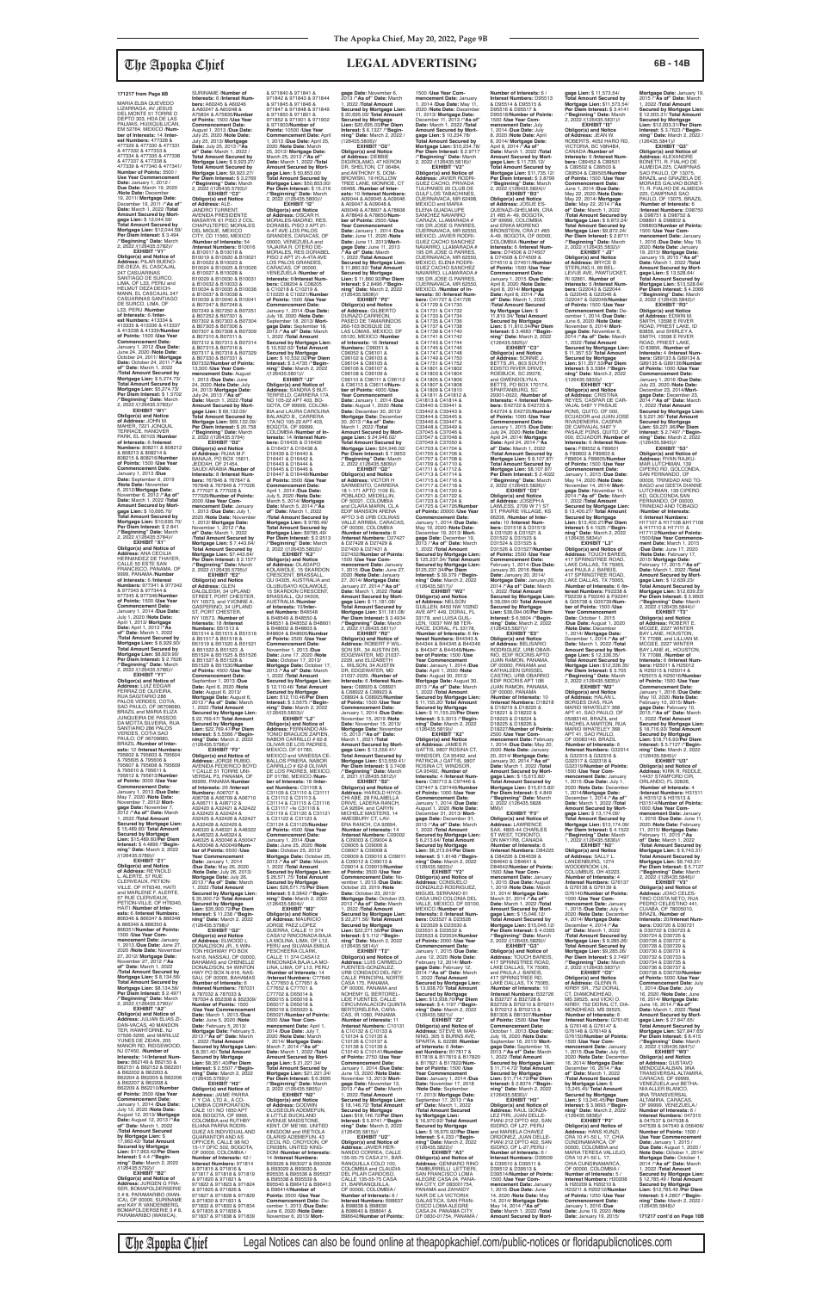**EXHIBIT "V1" Obligor(s) and Notice of Address:** PILAR BUENO-DE-DEZA, EL CASCAJAL<br>247 CASUARINAS SANTIAGO DE SURCO,<br>LIMA, OF L33, PERU and<br>HELMUT DEZA DEICH-<br>MANN, EL CASCAJAL 247 CASUARINAS SANTIAGO DE SURCO, LIMA, OF L33, PERU /**Number of Interests:** 6 /**Inter-**<br>**est Numbers:** 413334 &<br>413335 & 413336 & 413337 & 413338 & 41339/**Number of Points:** 1500 /**Use Year Commencement Date:** January 1, 2012 /**Due Date:** June 24, 2020 /**Note Date:** October 24, 2011/ **Mortgage Date:** October 24, 2011 /**"As of" Date:** March 1, 2022 /**Total Amount Secured by Mortgage Lien:** \$ 5,274.73/ **Total Amount Secured by Mortgage Lien: \$5,274.73/<br><b>Per Diem Interest: \$** 1.5702<br>/**"Beginning" Date:** March<br>2, 2022 /(126435.5783)//

**EXHIBIT "W1" Obligor(s) and Notice of Address:** JOHN M. MAHER, 7221 JONQUIL TERRACE, HANOVER **PARK, EL 60103 /Number of Interests:** 6 /**Interest**<br>**Numbers:** 808211 & 808212<br>& 808213 & 808214 & 808215 & 808216/**Number of Points:** 1500 /**Use Year Commencement Date:** January 1, 2013 /**Due Date:** September 6, 2019 /**Note Date:** November 6, 2012/**Mortgage Date:** November 6, 2012 /**"As of" Date:** March 1, 2022 /**Total Amount Secured by Mort-gage Lien:** \$ 10,695.70/ **Total Amount Secured by Mortgage Lien:** \$10,695.70/ **Per Diem Interest:** \$ 2.841 /**"Beginning" Date:** March 2, 2022 /(126435.5784)// **EXHIBIT "X1"**

**Obligor(s) and Notice of Address:** ANA CECILIA<br>HERNANDEZ DE THAYER, CALLE 50 ESTE SAN FRANCISCO, PANAMA, OF 9999, PANAMA /**Number of Interests:** 6 /**Interest Numbers:** 977341 & 977342 & 977343 & 977344 & 977345 & 977346/**Number of Points:** 1500 /**Use Year Commencement Date:** January 1, 2014 /**Due Date:** July 1, 2020 /**Note Date:** April 1, 2013/ **Mortgage Date:** April 1, 2013 /**"As of" Date:** March 1, 2022 /**Total Amount Secured by Mortgage Lien:** \$ 8,929.90/ **Total Amount Secured by Mortgage Lien:** \$8,929.90/ **Per Diem Interest:** \$ 2.7626 /**"Beginning" Date:** March 2, 2022 /(126435.5786)//

ICA), OF 00000, SURINAME

**The Apopka Chief** Legal Notices can also be found online at theapopkachief.com/public-notices or floridapublicnotices.com

**EXHIBIT "Y1" Obligor(s) and Notice of Address:** LUIZ EDGAR FERRAZ DE OLIVEIRA, RUA SAGITARIO 286 PALOS VERDES, COTIA, SAO PAULO, OF 06709680, BRAZIL and MARIA ELIZA JUNQUEIRA DE PASSOS DA MOTTA SILVEIRA, RUA SANTIARIO 286 PALÓS VERDES, COTIA SAO PAULO, OF 06709680, BRAZIL /**Number of Inter-ests:** 12 /**Interest Numbers:** 795602 & 795603 & 795604 & 795605 & 795606 & 795607 & 795608 & 795609 & 795610 & 795611 & 795612 & 795613/**Number of Points:** 3000 /**Use Year Commencement Date:** January 1, 2013 /**Due Date:** May 7, 2020 /**Note Date:** November 7, 2012/ **Mortgage Date:** November 7, 2012 /**"As of" Date:** March 1, 2022 /**Total Amount Secured by Mortgage Lien:** \$ 15,489.60/ **Total Amount Secured by Mortgage Lien:** \$15,489.60/**Per Diem Interest:** \$ 4.4899 /**"Beginning" Date:** March 2, 2022 /(126435.5789)// **EXHIBIT "Z1" Obligor(s) and Notice of Address:** REYNOLD<br>L. ALERTE, 57 RUE CLERVEAUX, PETION-VILLE, OF HT6340, HAITI and MARLENE F. ALERTE, 57 RUE CLERVEAUX, PETION-VILLE, OF HT6340 HAITI /**Number of Interests:** 6 /**Interest Numbers:** 866346 & 866347 & 866348 & 866349 & 866350 & 866351/**Number of Points:** 1500 /**Use Year Commencement Date:** January 1, 2013 /**Due Date:** June 27, 2020 /**Note Date:** November 27, 2012/ **Mortgage Date:** November 27, 2012 /**"As of" Date:** March 1, 2022 /**Total Amount Secured by Mortgage Lien:** \$ 8,134.56/ **Total Amount Secured by Mortgage Lien:** \$8,134.56/ **Per Diem Interest:** \$ 2.4971 /**"Beginning" Date:** March 2, 2022 /(126435.5790)// **EXHIBIT "A2" Obligor(s) and Notice of Address:** JULIAN ELIAS ZI-DAN-VACAS, 40 MANDON TER, HAWHTORNE, NJ 07506-3206, and MARILUZ YUNES DE ZIDAN, 205 MANOR RD, RIDGEWOOD, NJ 07450, /**Number of Interests:** 14/**Interest Numbers:** B62149 & B62150 & B62151 & B62152 & B62201 & B62202 & B62203 & B62204 & B62205 & B62206 & B62207 & B62208 & B62209 & B62210/**Numbe of Points:** 3500 /**Use Year Commencement Date:** January 1, 2014 /**Due Date:** July 12, 2020 /**Note Date:** August 12, 2013/ **Mortgage Date:** August 12, 2013 /**"As of" Date:** March 1, 2022 /**Total Amount Secured by Mortgage Lien:** \$ 17,963.42/ **Total Amount Secured by Mortgage Lien:** \$17,963.42/**Per Diem Interest:** \$ 4.4 /**"Begin-ning" Date:** March 2, 2022 /(126435.5792)// **EXHIBIT "B2" Obligor(s) and Notice of<br><b>Address:** JURGEN G FRA-<br>SER, BOMAPOLDERSERIE<br>3 # 8, PARAMARIBO (WAN-**Secured by Mortgage Lien:** \$ 22,769.47/ **Total Amount Secured by Mortgage Lien:** \$22,769.47/**Per Diem** 

SURINAME /**Number of Interests:** 6 /**Interest Num-bers:** A60245 & A60246 & A60247 & A60248 & A75834 & A75835/**Number of Points:** 1500 /**Use Year Commencement Date:** August 1, 2013 /**Due Date:** July 25, 2020 /**Note Date:** July 25, 2013/ **Mortgage Date:** July 25, 2013 /**"As of" Date:** March 1, 2022 / **Total Amount Secured by Mortgage Lien:** \$ 9,923.27/ **Total Amount Secured by Mortgage Lien: \$9,923.27/<br><b>Per Diem Interest: \$** 3.2769<br>/**"Beginning" Date:** March<br>2, 2022 /(126435.5793)// **EXHIBIT "C2"<br><b>Obligor(s) and Notice**<br>**of Address:** ALE-<br>JANDRO TURRENT,<br>AVENIDA PRESIDENTE<br>MASARYK 61 PISO 2 COL. CHAPULTEPEC MORALES DEL MIGUE, MEXICO CITY, CD 11560, MEXICO /**Number of Interests:** 54 /**Interest Numbers:** B10016 & B10017 & B10018 & B10019 & B10020 & B10021 & B10022 & B10023 & B10024 & B10025 & B10026 & B10027 & B10028 & B10029 & B10030 & B10031 & B10032 & B10033 & B10034 & B10035 & B10036 & B10037 & B10038 & B10039 & B10040 & B10041 & B07247 & B07248 & B07249 & B07250 & B07251 & B07252 & B07301 & B07302 & B07303 & B07304 & B07305 & B07306 & B07307 & B07308 & B07309 & B07310 & B07311 & B07312 & B07313 & B07314 & B07315 & B07316 & B07317 & B07318 & B07329 & B07330 & B07331 & B07332/**Number of Points:** 13,500 /**Use Year Com-mencement Date:** August **mencement Date:** Augus<br>1, 2013 /**Due Date:** June 24, 2020 /**Note Date:** July 24, 2013/ **Mortgage Date:** July 24, 2013 /"As of"<br>Date: March 1, 2022 /Total<br>Amount Secured by Mort-<br>gage Lien: \$ 69,132.09/<br>Total Amount Secured by<br>Mortgage Lien: \$69,132.09/<br>Per Diem Interest: \$ 20.758 /**"Beginning" Date:** March 2, 2022 /(126435.5794) **EXHIBIT "D2" Obligor(s) and Notice of Address:** RUAA M.F. BANAJA, PO BOX 15611,<br>JEDDAH, OF 21454,<br>SAUDI ARABIA /**Number of**<br>**Interests:** 8 /**Interest Numbers:** 767846 & 767847 & 767848 & 767849 & 777026 & 777027 & 777028 & 777029/**Number of Points:** 2000 /**Use Year Commencement Date:** January 1, 2013 /**Due Date:** July 1, 2020 /**Note Date:** November 1, 2012/ **Mortgage Date:** November 1, 2012 /**"As of" Date:** March 1, 2022 /**Total Amount Secured by Mortgage Lien:** \$ 7,443.64/ **Total Amount Secured by Mortgage Lien: \$7,443.64/<br><b>Per Diem Interest: \$** 2.1577<br>/**"Beginning" Date:** March<br>2, 2022 /(126435.5795)// **EXHIBIT "E2"<br>
<b>Obligor(s) and Notice**<br> **of Address:** GLEN<br>
DALGLEISH, 34 UPLAND<br>
STREET, PORT CHESTER,<br>
NY 10573, and YVONNE A. GASPERINO, 34 UPLAND ST, PORT CHESTER, NY 10573, /**Number of Interests:** 18 /**Interest Numbers:** B51513 & B51514 & B51515 & B51516 & B51517 & B51518 & 8 B51519 & B51520 & B51521<br>8 B51522 & B51523 & & B51522 & B51523 .& B51524 & B51525 & B51526 & B51527 & B51528 & B51529 & B51530/**Number of Points:** 4500 /**Use Year Commencement Date:** September 1, 2013 /**Due Date:** April 6, 2020 /**Note Date:** August 6, 2013/ **Mortgage Date:** August 6, 2013 /**"As of" Date:** March 1, 2022 /**Total Amount** 

and KAY R VANDENBERG, BOMAPOLDERSERIE 3 # 8, PARAMARIBO (WANICA), **Interest:** \$ 5.5566 /**"Begin-ning" Date:** March 2, 2022 /(126435.5796)// **EXHIBIT "F2" Obligor(s) and Notice of Address:** JORGE RUBIO, AVENIDA FEDERICO BOYD Y CALLE 51 TORRE UNI-VERSAL P3, PANAMA, OF 99999, PANAMA **Number of Interests:** 26 /**Interest Numbers:** A06707 & A06708 & A06709 & A06710 & A06711 & A06712 & A32420 & A32421 & A32422 & A32423 & A32424 & A32425 & A32426 & A32427 & A32428 & A32429 & A46320 & A46321 & A46322 & A46323 & A46324 & A46325 & A50046 & A50047 & A50048 & A50049/**Num-ber of Points:** 6500 /**Use Year Commencement Date:** January 1, 2014 /**Due Date:** May 26, 2020 /**Note Date:** July 26, 2013/ **Mortgage Date:** July 26, 2013 /**"As of" Date:** March 1, 2022 /**Total Amount Secured by Mortgage Lien:** \$ 35,900.72/ **Total Amount Secured by Mortgage Lien:** \$35,900.72/**Per Diem Interest:** \$ 11.238 /**"Begin-ning" Date:** March 2, 2022 /(126435.5798)// **EXHIBIT "G2" Obligor(s) and Notice<br><b>of Address:** ELWOOD L<br>DONALDSON JR., 5 WIN-<br>TON HIGHWAY PO BOX N-916, NASSAU, OF 00000, BAHAMAS and CHENELLE DONALDSON, 54 WINTON HWY PO BOX N-916, NAS-SAU, OF 00000, BAHAMAS /**Number of Interests:** 6 /**Interest Numbers:** 787031 & 787032 & 787033 & 787034 & 852308 & 852309/ **Number of Points:** 1500 /**Use Year Commencement Date:** March 1, 2013 /**Due Date:** June 5, 2020 /**Note Date:** February 5, 2013/ **Mortgage Date:** February 5, 2013 /**"As of" Date:** March 1, 2022 /**Total Amount Secured by Mortgage Lien:** \$ 8,351.40/ **Total Amount Secured by Mortgage Lien:** \$8,351.40/**Per Diem Interest:** \$ 2.5507 /**"Begin-ning" Date:** March 2, 2022 /(126435.5799)// **EXHIBIT "H2" Obligor(s) and Notice of Address:** JAIME PARRA<br>P. Y CIA. LTD A., A CO-<br>LOMBIA CORPORATION,<br>CALE 101 NO 1650 APT 608, BOGOTA, OF 9999, COLOMBIA and RUTHBY ELIANA PARRA RODRI-GUEZ AS INDIVIDUAL AND GUARANTOR AND AS OFFICER, CALLE 98 NO 15-17 OFIC 502, BOGOTA, OF 00000, COLOMBIA / **Number of Interests:** 42 / **Interest Numbers:** 971814 & 971815 & 971816 & 971817 & 971818 & 971819 & 971820 & 971821 & 971822 & 971823 & 971824 & 971825 & 971826 & 971827 & 971828 & 971829 & 971830 & 971831 & 971832 & 971833 & 971834 & 971835 & 971836 & 971837 & 971838 & 971839

**gage Lien:** \$ 11,573.54/ **Total Amount Secured by Mortgage Lien:** \$11,573.54/ **Per Diem Interest:** \$ 3.4141<br>/**"Beginning" Date:** March<br>2, 2022 /(126435.5831)// **EXHIBIT "I3" Obligor(s) and Notice of Address:** JEAN W. ROBERTS, 4052 HARO RD, VICTORIA, BC V8N4B4, CANADA /**Number of Interests:** 6 /**Interest Numbers:** C89452 & C89501 & C89502 & C89503 & C89504 & C89505/**Number of Points:** 1500 /**Use Year Commencement Date:** June 1, 2014 /**Due Date:** May 22, 2020 /**Note Date:** May 22, 2014/ **Mortgage<br><b>Dat**e: May 22, 2014 /"**As<br>of" Date:** March 1, 2022<br>**/Total Amount Secured by<br><b>Mortgage Lien:** \$ 9,872.24/ **Total Amount Secured by Mortgage Lien:** \$9,872.24/ **Per Diem Interest:** \$ 2.8711 /**"Beginning" Date:** March 2, 2022 /(126435.5832)// **EXHIBIT " J3" Obligor(s) and Notice of Address:** BRYCE B STERLING II, 69 BEL LEVUE AVE, PAWTUCKET,<br>RI 02861, /**Number of**<br>**Interests:** 6 /Interest Num**bers:** G22043 & G22044 & G22045 & G22046 & G22047 & G22048/**Number of Points:** 1500 /**Use Year Commencement Date:** De-cember 1, 2014 /**Due Date:** June 6, 2020 /**Note Date:** November 6, 2014/ Mort-<br>gage Date: November 6,<br>2014 /"As of" Date: March<br>1, 2022 /Total Amount<br>Secured by Mortgage Lien:<br>Stil,357.53/ Total Amount<br>Secured by Mortgage<br>Lien: \$11,357.53/Per Diem<br>Interest: \$ 3.3384 /"Begin-<br>I /(126435.5833)//<br>"EXHIBIT "K3 **EXHIBIT "K3"<br><b>Obligor(s) and Notice<br><b>of Address**: CRISTINA<br>REYES, CASPAR DE CAR-<br>VAJAL 5487 Y PASAJE<br>PONS, QUITO, OF 000, ECUADOR and JUAN JOSE RIVADENEIRA, CASPAR DE CARVAJAL 5487 Y PASAJE PONS, QUITO, OF 000, ECUADOR /**Number of Interests:** 6 /**Interest Numbers:** F89552 & F89601 & F89602 & F89603 & F89604 & F89605/**Number of Points:** 1500 /**Use Year Commencement Date:** January 1, 2015 /**Due Date:** May 14, 2020 /**Note Date:** November 14, 2014/Mort-<br>gage Date: November 14,<br>2014/"As of" Date: March<br>1, 2022/Total Amount<br>Secured by Mortgage Lien:<br>\$13,400.27/Total Amount<br>Lien: \$13,400.27/Per Diem<br>Lien: \$13,400.27/Per Diem<br>niterest: \$ 4.1525 /"Begin

& 971840 & 971841 & 971842 & 971843 & 971844 & 971845 & 971846 & 971847 & 971848 & 971849 & 971850 & 971851 & 971852 & 971901 & 971902 & 971903/**Number of Points:** 10500 /**Use Year Commencement Date:** April 1, 2013 /**Due Date:** April 25, 2020 /**Note Date:** March 25, 2013/ **Mortgage Date:** March 25, 2013 /**"As of" Date:** March 1, 2022 /**Total Amount Secured by Mort-gage Lien:** \$ 50,853.00/ **Total Amount Secured by Mortgage Lien:** \$50,853.00/ **Per Diem Interest:** \$ 15.216 /**"Beginning" Date:** March 2, 2022 /(126435.5800)// **EXHIBIT "I2" Obligor(s) and Notice of Address:** OSCAR H. MORALES-MADRID, RES. DORABEL PISO 2 APT.21- A-4T AVE.LOS PALOS GRANDES, CARACAS, OF 00000, VENEZUELA and YAJAIRA R. OTERO DE-MORALES, RES DORABEL PISO 2 APT 21-A-4TA AVE LOS PALOS GRANDES, CARACAS, OF 00000, VENEZUELA /**Number of Interests:** 6/**Interest Num-bers:** C08204 & C08205 & C10218 & C10219 & C10220 & C10221/**Number of Points:** 1500 /**Use Year Commencement Date:** January 1, 2014 /**Due Date:** July 18, 2020 /**Note Date:** tember 18, 2013/ Mort**gage Date:** September 18, 2013 /**"As of" Date:** March 1, 2022 /**Total Amount Secured by Mortgage Lien:** \$ 10,532.02/ **Total Amount Secured by Mortgage Lien:** \$ 10,532.02/**Per Diem Interest:** \$ 3.4735 /**"Begin-ning" Date:** March 2, 2022 /(126435.5801)// **EXHIBIT "J2" Obligor(s) and Notice of Address:** SANDRA S BUT-TERFIELD, CARRERA 17A NO 105-22 APT 403, BO-GOTA, OF 99999, COLOM-BIA and LAURA CAROLINA BALANZO B., CARRERA 17A NO 105-22 APT 403, BOGOTA, OF 99999, COLOMBIA /**Number of In-terests:** 14 /**Interest Num-bers:** D16435 & D16436 & D16437 & D16438 & D16439 & D16440 & D16441 & D16442 & D16443 & D16444 & D16445 & D16446 & D16447 & D16448/**Number of Points:** 3500 /**Use Year Commencement Date:** April 1, 2014 /**Due Date:** July 5, 2020 /**Note Date:** March 5, 2014/ **Mortgage Date:** March 5, 2014 /**"As of" Date:** March 1, 2022 /**Total Amount Secured by Mortgage Lien:** \$ 9785.49/ **Total Amount Secured by Mortgage Lien:** \$9785.49/ **Per Diem Interest:** \$ 2.9513 /**"Beginning" Date:** March 2, 2022 /(126435.5802)// **EXHIBIT "K2" Obligor(s) and Notice of Address:** OLADAPO KOLAWOLE, 15 SKARDON CRESCENT, BRASSALL,<br>QU 04305, AUSTRALIA and OLUBUSAYO KOLAWOLE,<br>15 SKARDON CRESCENT,<br>BRASSALL, QU 04305,<br>AUSTRALIA /**Number of Interests:** 10/**Inter-est Numbers:** B48548 & B48549 & B48550 & B48551 & B48552 & B48601 & B48602 & B48603 & B48604 & B48605/**Number of Points:** 2500 /**Use Year Commencement Date:** November 1, 2013 /**Due Date:** June 17, 2020 /**Note Date:** October 17, 2013/ **Mortgage Date:** October 17, 2013 /**"As of" Date:** March 1, 2022 /**Total Amount Secured by Mortgage Lien:** \$ 12,110.46/ **Total Amount Secured by Mortgage Lien:** \$12,110.46/**Per Diem Interest:** \$ 3.5675 /**"Begin-ning" Date:** March 2, 2022 /(126435.5803)// **EXHIBIT "L2" Obligor(s) and Notice of Address:** FERNANDO AN-TONIO BRAOJOS ZAPIEN, NABOR CARRILLO # 62-8 OLIVAR DE LOS PADRES,<br>MEXICO, DF 01780,<br>MEXICO and VANESSA CE-<br>BALLOS PINERA, NABOR CARRILLO # 62-8 OLIVAR<br>DE LOS PADRES, MEXICO, DF 01780, MEXICO /**Num-ber of Interests:** 18 /**Inter-est Numbers:** C31108 & C31109 & C31110 & C31111 & C31112 & C31113 & C31114 & C31115 & C31116 & C31117 «fe C31118 & C31119 & C31120 & C31121 & C31122 & C31123 & C31124 & C31125/**Number of Points:** 4500 /**Use Year Commencement Date:** January 1, 2014 /**Due Date:** June 25, 2020 /**Note Date:** October 25, 2013/ **Mortgage Date:** October 25, 2013 /**"As of" Date:** March 1, 2022 /**Total Amount Secured by Mortgage Lien:** \$ 26,571.75/ **Total Amount Secured by Mortgage Lien:** \$26,571.75/**Per Diem Interest:** \$ 8.3842 /**"Begin-ning" Date:** March 2, 2022 /(126435.5804)// **EXHIBIT "M2" Obligor(s) and Notice of Address:** MAURICIO JORGE PAEZ LOPEZ GUERRA, CALLE 11 374 CASA12 RINCONADA BAJA LA MOLINA, LIMA, OF L12, PERU and SILVANA EMILIA PESCHEERA CLARK, CALLE 11 374 CASA12 RINCONADA BAJA LA MO-LINA, LIMA, OF L12, PERU /**Number of Interests:** 14 /**Interest Numbers:** C77649 & C77650 & C77651 & C77652 & C77701 & C77702 & D65014 & D65015 & D65016 & D65017 & D65018 & D65019 & D65020 & D65021/**Number of Points:** 3500 /**Use Year Commencement Date:** April 1, 2014 /**Due Date:** July 7, 2020 /**Note Date:** March 7, 2014/ **Mortgage Date:** March 7, 2014 /**"As of" Date:** March 1, 2022 /**Total Amount Secured by Mortgage Lien:** \$ 21,221.34/ **Total Amount Secured by Mortgage Lien:** \$21,221.34/ **Per Diem Interest:** \$ 6.3695 /**"Beginning" Date:** March 2, 2022 /(126435.5805)// **EXHIBIT "N2" Obligor(s) and Notice of Address:** GODWIN OLUSEGUN ADEMEFUN, 8 LITTLE BUCKLAND<br>AVENUE MAIDSTONE, KENT, OF ME160, UNITED KINGDOM and IRETIOLA OLARISI ADEMEFUN, 43 CECIL RD, CROYDON, OF CR03BN, UNITED KING-DOM /**Number of Interests:** 14 /**Interest Numbers:** B93026 & B93027 & B93028 & B93029 & B93030 & B95535 & B95536 & B95537 & B95538 & B95539 & B95540 & B96412 & B96413<br>& B96414/Number of & B96414/**Number of Points:** 3500 /**Use Year Commencement Date:** De-cember 1, 2013 /**Due Date:** June 6, 2020 /**Note Date:** November 6, 2013/ **Mortgage Date:** November 6, 2013 /**"As of" Date:** March 1, 2022 /**Total Amount Secured by Mortgage Lien:** \$ 20,695.03/ **Total Amount Secured by Mortgage Lien:** \$20,695.03/**Per Diem Interest:** \$ 6.1327 /**"Begin-ning" Date:** March 2, 2022 / (126435.5806)// **EXHIBIT "O2" Obligor(s) and Notice of Address:** DEBBIE DIGIROLAMO, 47 KERON<br>DR, SHELTON, CT 06484, and ANTHONY S. DOM-BROWSKI, 19 HOLLOW<br>TREE LANE, MONROE, CT 06468, /**Number of Interests:** 10 /**Interest Numbers:** A09044 & A09045 & A09046 & A09047 & A09048 & A09049 & A78607 & A78608 & A78649 & A78650/**Num-ber of Points:** 2500 /**Use Year Commencement Date:** January 1, 2014 /**Due Date:** June 11, 2020 /**Note Date:** June 11, 2013/**Mort-gage Date:** June 11, 2013 /**"As of" Date:** March 1, 2022 /**Total Amount Secured by Mortgage Lien:** \$ 11,860.92/ **Total Amount Secured by Mortgage Lien:** \$ 11,860.92/**Per Diem Interest:** \$ 2.8496 /**"Beginning" Date:** March 2, 2022 /(126435.5808)// **EXHIBIT "P2" Obligor(s) and Notice of Address:** GILBERTO DURAZO CARREON, PASEO DE TAMARINDOS 260-103 BOSQUE DE LAS LOMAS, MEXICO, DF 05120, MEXICO /**Number of Interests:** 16 /**Interest Numbers:** C96051 & C96052 & C96101 & C96102 & C96103 & C96104 & C96105 & C96106 & C96107 & C96108 & C96109 & C96110 & C96111 & C96112 & C96113 & C96114/**Number of Points:** 4000 /**Use Year Commencement Date:** January 1, 2014 /**Due Date:** August 1, 2020 /**Note Date:** December 30, 2013/ **Mortgage Date:** December 30, 2013 /**"As of" Date:** March 1, 2022 /**Total Amount Secured by Mort-gage Lien:** \$ 24,946.02/ **Total Amount Secured by Mortgage Lien:** \$24,946.02/ **Per Diem Interest:** \$ 7.9853 /**"Beginning" Date:** March 2, 2022 /(126435.5809)// **EXHIBIT "Q2" Obligor(s) and Notice of Address:** VICTOR H<br>SARMIENTO, CARRERA 18 1-171 APTO 1106 EL POBLADO, MEDELLIN,<br>OF 50021, COLOMBIA<br>and CLARA MARIN, CL A EDIF MANSION ARENA APTO 3-B URB COLINAS VALLE ARRIBA, CARACAS,<br>OF 00000, COLOMBIA<br>**/Number of Interests:** 6<br>**/Interest Numbers:** D27427 & D27428 & D27429 & D27430 & D27431 & D27432/**Number of Points:** 1500 /**Use Year Com-mencement Date:** January 1, 2015 /Due Date: June 27,<br>2020 /Note Date: Junuary<br>27, 2014/ Mortgage Date:<br>January 27, 2014/ "As of"<br>Date: March 1, 2022 /Total<br>Amount Secured by Mort-<br>Total Amount Secured by<br>Mortgage Lien:  $$11,181.08$ /<br>Mortgage Lien **Obligor(s) and Notice of Address:** ROBERT F WIL-SON SR., 34 AUSTIN DR EDGEWATER, MD 21037- 2229, and ELIZABETH L. WILSON, 34 AUSTIN DR, EDGEWATER, MD 21037-2229, /**Number of Interests:** 6 /**Interest Num-bers:** C68920 & C68921 & C68922 & C68923 & C68924 & C68925/Numbe **of Points:** 1500 /**Use Year Commencement Date:** January 1, 2014 /**Due Date:** November 15, 2019 /**Note Date:** November 15, 2013/ **Mortgage Date:** November 15, 2013 /**"As of" Date:** March 1, 2021 /**Total Amount Secured by Mort-gage Lien:** \$ 13,559.41/ **Total Amount Secured by Mortgage Lien:** \$13,559.41/ **Per Diem Interest:** \$ 3.7408 /**"Beginning" Date:** March 2, 2021 /(126435.5812)// **EXHIBIT "S2" Obligor(s) and Notice of Address:** HAROLD HIYOI-CHI ABE, 28 FALABELLA DRIVE, LADERA RANCH, CA 92694, and CARYN MICHELE MASTERS, 14 AMESBURY CT, LAV-ERA RANCH, CA 92694, /**Number of Interests:** 14 /**Interest Numbers:** C09002 & C09003 & C09004 & C09005 & C09006 & C09007 & C09008 & C09009 & C09010 & C09011 & C09012 & C09013 & C09014 & C09015/**Number of Points:** 3500 /**Use Year Commencement Date:** No-vember 1, 2013 /**Due Date:** October 23, 2019 /**Note Date:** October 23, 2013/ **Mortgage Date:** October 23, 2013 /**"As of" Date:** March 1, 2022 /**Total Amount Secured by Mortgage Lien:** \$ 22,271.56/ **Total Amount Secured by Mortgage Lien:** \$22,271.56/**Per Diem Interest:** \$ 5.112 /**"Begin-ning" Date:** March 2, 2022 /(126435.5814)// **EXHIBIT "T2" Obligor(s) and Notice of Address:** LUIS CARMELO FUENTES-GONZALEZ,<br>URB CONDADO DEL REY<br>CALLE PRINCIPAL NORTE<br>CASA 175, PANAMA, OF 00000, PANAMA and NOHEMY G. BERTOREL-LIDE FUENTES, CALLE CIRCUNVALACION QUINTA BERTORELERA, CARA-CAS, IR 1080, PANAMA /**Number of Interests:** 11 /**Interest Numbers:** C10131 & C10132 & C10133 & C10134 & C10135 & C10136 & C10137 & C10138 & C10139 & C10140 & C10141/**Number of Points:** 2750 /**Use Year Commencement Date:** January 1, 2014 /**Due Date:** June 13, 2020 /**Note Date:** November 13, 2013/ **Mortgage Date:** November 13, 2013 /**"As of" Date:** March 1, 2022 /**Total Amount Secured by Mortgage Lien:** \$ 18,146.72/ **Total Amount Secured by Mortgage Lien:** \$18,146.72/**Per Diem Interest:** \$ 5.9741 /**"Beginning" Date:** March 2, 2022 /(126435.5815)// **EXHIBIT "U2" Obligor(s) and Notice of Address:** JAVIER HER-NANDO CORREA, CALLE 135-55-75 CASA 211, BAR-RANQUILLA COLO 100, COLOMBIA and CLAUDIA DEL PILAR CARDOSO, CALLE 135-55-75 CASA 21, BARRANQUILLA, OF 00000, COLOMBIA / **Number of Interests:** 6 / **Interest Numbers:** B98637 & B98638 & B98639 & B98640 & B98641 & B98642/**Number of Points:**

**EXHIBIT "L3"<br><b>Obligor(s) and Notice of**<br>**Address: T**OUCH BAREIS,<br>417 SPRINGTREE ROAD,<br>LAKE DALLAS, TX 75065,<br>and PAULA J. BAREIS, 417 SPRINGTREE ROAD,<br>LAKE DALLAS, TX 75065, /**Number of Interests:** 6 /**In-terest Numbers:** F92238 & F92239 & F92240 & F92241 & G05738 & G05739/**Number of Points:** 1500 /**Use Year Commencement**  Date: October 1, 2015<br>**/Due Date:** August 1, 2020<br>**/Note Date:** December<br>1, 2014/ **Mortgage Date:**<br>December 1, 2014 /**"As of"**<br>**Date:** March 1, 2022 **/Total Amount Secured by Mort-gage Lien:** \$ 12,336.35/ **Total Amount Secured by Mortgage Lien: \$12,336.35/<br><b>Per Diem Interest: \$** 3.705<br>/**"Beginning" Date:** March<br>2, 2022 /(126435.5835)// **EXHIBIT "M3" Obligor(s) and Notice of Address:** HALAN L. BORGES DIAS, RUA MARIO WHATELEY 368 APT 41, SAO PAULO, OF

# **Mortgage Date:** January 19, 2015 /**"As of" Date:** March 1, 2022 /**Total Amount Secured by Mortgage Lien:** \$ 12,003.31/ **Total Amount Secured by Mortgage Lien:** \$12,003.31/**Per Diem Interest:** \$ 3.7623 /**"Begin-ning" Date:** March 2, 2022 / (126435.5841)// **EXHIBIT "Q3" Obligor(s) and Notice of Address:** ALEXANDRE BONETTI, R. FIALHO DE ALMEIDA 225, CAMPINAS SAO PAULO, OF 13075,<br>BRAZIL and GRAZIELA DE<br>MORAES GALVAO BONET-<br>TI, R. FIALHO DE ALMEIDA 225, CAMPINAS SAO PAULO, OF 13075, BRAZIL **/Number of Interests:** 6<br>**/Interest Numbers:** D98750<br>& D98751 & D98752 &<br>D98801 & D98802 & D98803/**Number of Points:** 1500 /**Use Year Commencement Date:** January 1, 2016 /**Due Date:** May 19, 2020 /**Note Date:** January 19, 2015/ **Mortgage Date:** January 19, 2015 /**"As of" Date:** March 1, 2022 /**Total Amount Secured by Mort-gage Lien:** \$ 13,528.64/ **Total Amount Secured by Mortgage Lien: \$13,528.64/<br><b>Per Diem Interest: \$** 4.2066<br>/**"Beginning" Date:** March<br>2, 2022 /(126435.5842)//

**EXHIBIT "R3" Obligor(s) and Notice of Address:** EDWIN M. SMITH, 13598 E RIVER ROAD, PRIEST LAKE, ID 83856, and SHIRLEY A. SMITH, 13598 E RIVER ROAD, PRIEST LAKE, ID 83856, /**Number of Interests:** 4 /**Interest Num-bers:** G89133 & G89134 & G89135 & G89136/**Number of Points:** 1000 /**Use Year Commencement Date:** January 1, 2016 /**Due Date:** July 23, 2020 /**Note Date:** December 23, 2014/**Mortgage Date:** December 23, 2014 /**"As of" Date:** March 1, 2022 /**Total Amount Secured by Mortgage Lien:** \$ 9,221.96/ **Total Amount Secured by Mortgage Lien:** \$9,221.96/**Per Diem Interest:** \$ 2.7497 /**"Begin-ning" Date:** March 2, 2022 /(126435.5843)// **EXHIBIT "S3"<br><b>Obligor(s) and Notice of<br><b>Addres**s: RYAN RAJKU-<br>MAR LUTCHMAN, 139<br>CIPERO RD, GOLCONDA,<br>SAN FERNANDO, OF

MARIA ELBA QUEVEDO LIZARRAGA, AV JESUS<br>DEL MONTE 51 TORRE D DEPTO 303, HDA DE LAS PALMAS, HUIXQUILUCAN, EM 52764, MEXICO /**Number of Interests:** 14 /**Interest Numbers:** 477328 & 477329 & 477330 & 477331 & 477332 & 477333 & 477334 & 477335 & 477336 & 477337 & 477338 & 477339 & 477340 & 477341/ **Number of Points:** 3500 / Use Year Commencement<br>Date: January 1, 2012 /<br>Due Date: March 19, 2020<br>Note Date: December<br>19, 2011/Mortgage Date:<br>December 19, 2011/<sup>4</sup>As of"<br>Date: March 1, 2022 /Total **Amount Secured by Mort-gage Lien:** \$ 12,044.59/ **Total Amount Secured by Mortgage Lien:** \$12,044.59/ **Per Diem Interest:** \$ 3.494 /**"Beginning" Date:** March 2, 2022 /(126435.5782)// **171217 from Page 8B**

1500 /**Use Year Commencement Date:** January 1, 2014 /**Due Date:** May 11, 2020 /**Note Date:** December 11, 2013/ **Mortgage Date:** December 11, 2013 /**"As of" Date:** March 1, 2022 /**Total Amount Secured by Mort-gage Lien:** \$ 10,234.78/ **Total Amount Secured by Mortgage Lien:** \$10,234.78/ **Per Diem Interest:** \$ 2.9717 /**"Beginning" Date:** March 2, 2022 /(126435.5816)// **EXHIBIT "V2" Obligor(s) and Notice of Address:** JAVIER RODRI-GUEZ CACHO, PRIVADA TULIPANES 20 CLUB DE GULF LOS TABACHINES,<br>CUERNAVACA, MR 62498, CUERNAVACA, MR 62498,<br>MEXICO and MARIA<br>ELENA GUADALUPE<br>SANCHEZ NAVARRO<br>CARAZA, LLAMARADA#<br>195 DR JOSE G PARRES,<br>CUERNAVACA, MR 62550, MEXICO, JAVIER RODRI-<br>GUEZ CACHO SANCHEZ<br>NAVARRO, LLAMARADA #<br>195 DR JOSE G PARRES, CUERNAVACA, MR 62550, MEXICO, ELENA RODRI-GUEZ CACHO SANCHEZ<br>NAVARRO, LLAMARADA #<br>195 DR JOSE G PARRES,<br>CUERNAVACA, MR 62550, MEXICO, /**Number of In-terests:** 80 /**Interest Numbers:** C41727 & C41728<br>& C41729 & C41730<br>& C41731 & C41732<br>& C41733 & C41734 & C41735 & C41736 & C41737 & C41738 & C41739 & C41740 & C41741 & C41742 & C41743 & C41744 & C41745 & C41746 & C41747 & C41748 & C41749 & C41750 & C41751 & C41752 & C41801 & C41802 & C41803 & C41804 & C41805 & C41806 & C41807 & C41808 & C41809 & C41810 & C41811 & C41812 & C41813 & C41814 & C33440 & C33441 & C33442 & C33443 & C33444 & C33445 & C33446 & C33447 & C33448 & C33449 & C37045 & C37046 & C37047 & C37048 & C37049 & C37050 & C41703 & C41704 & C41705 & C41706 & C41707 & C41708 & C41709 & C41710 & C41711 & C41712 & C41713 & C41714 & C41715 & C41716 & C41717 & C41718 & C41719 & C41720 & C41721 & C41722 & C41723 & C41724 & C41725 & C41726/Numbe **of Points:** 20000 /**Use Year Commencement Date:** January 1, 2014 /**Due Date:** May 19, 2020 /**Note Date:** December 19, 2013/ **Mort-gage Date:** December 19, 2013 /**"As of" Date:** March 1, 2022 /**Total Amount Secured by Mortgage Lien:** \$ 125,237.34/ **Total Amount Secured by Mortgage Lien:** \$125,237.34/**Per Diem Interest:** \$ 39.379 /**"Begin-ning" Date:** March 2, 2022 /(126435.5817)// **EXHIBIT "W2" Obligor(s) and Notice of Address:** NELSON GUILLEN, 8450 NW 102ND AVE APT 449, DORAL, FL 33178, and LUISA GUIL-LEN, 10037 NW 88 TER-RACE, DORAL, FL 33178, /**Number of Interests:** 6 /**Interest Numbers:** B44343 & B44344 & B44345 & B44346 & B44347 & B44348/**Num-ber of Points:** 1500 /**Use Year Commencement Date:** Janaury 1, 2014 /**Due Date:** April 1, 2020 /**Note Date:** August 30, 2013/ **Mortgage Date:** August 30, 2013 /**"As of" Date:** March 1, 2022 /**Total Amount Secured by Mortgage Lien:** \$ 11,155.20/ **Total Amount Secured by Mortgage Lien:** \$ 11,155.20/**Per Diem Interest:** \$ 3.3013 /**"Begin-ning" Date:** March 2, 2022 /(126435.5819)// **EXHIBIT "X2" Obligor(s) and Notice<br><b>of Address:** JAMES R<br>GATTIS, 9807 ROSINA CT,<br>WINDSOR, CA 95492, and PATRICIA J GATTIS, 9807 ROSINA CT, WINDSOR, CA 95492, /**Number of Interests:** 4 /**Interest Numbers:** C90713 & C97446 & C97447 & C97448/**Number of Points:** 1000 /**Use Year Commencement Date:** January 1, 2014 /**Due Date:** August 1, 2020 /**Note Date:** December 31, 2013/ **Mort-gage Date:** December 31, 2013 /**"As of" Date:** March 1, 2022 /**Total Amount Secured by Mortgage Lien:** \$ 6,213.64/ **Total Amount Secured by Mortgage Lien:** \$6,213.64/**Per Diem Interest:** \$ 1.8148 /**"Beginning" Date:** March 2, 2022 /(126435.5820)// **EXHIBIT "Y2" Obligor(s) and Notice of Address:** CONSUELO GONZALEZ-RODRIGUEZ, MIGUEL SERRANO 61 CASA UNO COLONIA DEL VALLE, MEXICO, DF 03100, MEXICO /**Number of Interests:** 8 /**Interest Numbers:** D23527 & D23528 & D23529 & D23530 & D23531 & D23532 & D23533 & D23534/**Number of Points:** 2000 /**Use Year Commencement Date:** January 1, 2015 /**Due Date:** June 12, 2020 /**Note Date:** February 12, 2014/ **Mortgage Date:** February 12, 2014 /**"As of" Date:** March 1, 2022 /**Total Amount Secured by Mortgage Lien:** \$ 13,938.70/ **Total Amount Secured by Mortgage Lien:** \$13,938.70/**Per Diem Interest:** \$ 4.1197 /**"Begin-ning" Date:** March 2, 2022 /(126435.5821)// **EXHIBIT "Z2" Obligor(s) and Notice of Address:** STEVE W. MAN-NING, 305 S BURNS AVE, SPARTA, IL 62286 /**Number of Interests:** 6 /**Interest Numbers:** B17817 & B17818 & B17819 & B17820 & B17821 & B17822/**Number of Points:** 1500 /**Use Year Commencement Date:** January 1, 2014 /**Due Date:** November 17, 2018 /**Note Date:** September 17, 2013/ **Mortgage Date:** September 17, 2013 /**"As of" Date:** March 1, 2022 /**Total Amount Secured by Mortgage Lien:** \$ 16,970.92/ **Total Amount Secured by Mortgage Lien:** \$ 16,970.92/**Per Diem Interest:** \$ 4.233 /**"Beginning" Date:** March 2, 2022 /(126435.5822)// **EXHIBIT "A3" Obligor(s) and Notice of<br><b>Address:** GENNARO RINO<br>TAMBURRELLI LETTIERI,<br>SAN FRANCISCO LOMA ALEGRE CASA 24, PANA-MA CITY, OF 083001754, PANAMA and ZAHAIDY<br>NAIR DE LA VICTORIA<br>GALASTICA, SAN FRAN-<br>CISCO LOMA ALEGRE CASA 24, PANAMA CITY, OF 0830-01754, PANAMA /

**Number of Interests:** 6 / **Interest Numbers:** D95513 & D95514 & D95515 & D95516 & D95517 & D95518/**Number of Points:** 1500 /**Use Year Commencement Date:** July 1, 2014 /**Due Date:** July 8, 2020 /**Note Date:** April 8, 2014/ **Mortgage Date:** April 8, 2014 /**"As of" Date:** March 1, 2022 /**Total Amount Secured by Mortgage Lien:** \$ 11,735.12/ **Total Amount Secured by Mortgage Lien: \$11,735.12/<br><b>Per Diem Interest: \$** 3.8799<br>/**"Beginning" Date:** March<br>2, 2022 /(126435.5824)// **EXHIBIT "B3"<br><b>Obligor(s) and Notice**<br>**of Address**: JOSUE ES-<br>QUENAZI-GHELMAN, CRA<br>21 #85 A- 49, BOGOTA,<br>OF 99999, COLOMBIA and ERIKA MORENO<br>BRONSTEIN, CRA 21 #85 A-49, BOGOTA, OF 00000, COLOMBIA /**Number of Interests:** 6 /**Interest Num-bers:** D74506 & D74507 & D74508 & D74509 & D74510 & D74511/**Number of Points:** 1500 /**Use Year Commencement Date:** January 1, 2015 /**Due Date:** April 8, 2020 /**Note Date:** April 8, 2014/ **Mortgage Date:** April 8, 2014 /**"As of" Date:** March 1, 2022 /**Total Amount Secured by Mortgage Lien:** \$ 11,810.34/ **Total Amount Secured by Mortgage Lien:** \$ 11,810.34/**Per Diem Interest:** \$ 3.4683 /**"Begin-ning" Date:** March 2, 2022 /(126435.5825)// **EXHIBIT "C3" Obligor(s) and Notice**<br>**of Address:** SONNIE J.<br>BETTS JR., 803 SOUTH<br>EDISTO RIVER DRIVE,<br>ROEBUCK, SC 29376,<br>and GWENDOLYN A. BETTS, PO BOX 170174, SPARTANBURG, SC 29301-0022, /**Number of Interests:** 4 /**Interest Num-bers:** E42722 & E42723 & E42724 & E42725/**Number of Points:** 1000 /**Use Year Commencement Date:** January 1, 2015 /**Due Date:** July 24, 2020 /**Note Date:** April 24, 2014/ **Mortgage Date:** April 24, 2014 /**"As of" Date:** March 1, 2022 /**Total Amount Secured by Mortgage Lien:** \$ 8,107.87/ **Total Amount Secured by Mortgage Lien:** \$8,107.87/ **Per Diem Interest:** \$ 2.4022 /**"Beginning" Date:** March 2, 2022 /(126435.5826)// **EXHIBIT "D3" Obligor(s) and Notice of Address:** JOSEPH A LAWLESS, 2709 W 71 ST ST, PRAIRIE VILLAGE, KS 66208, /**Number of Interests:** 10 /**Interest Num-bers:** D31518 & D31519 & D31520 & D31521 & D31522 & D31523 & D31524 & D31525 & D31526 & D31527/**Numbe of Points:** 2500 /**Use Year Commencement Date:** February 1, 2014 /**Due Date:** January 20, 2016 /**Note Date:** January 20, 2014/ **Mortgage Date:** January 20, 2014 /**"As of" Date:** March 1, 2022 /**Total Amount Secured by Mortgage Lien:** \$ 38,094.06/ **Total Amount Secured by Mortgage Lien:** \$38,094.06/**Per Diem Interest:** \$ 6.5604 /**"Begin-ning" Date:** March 2, 2022 /(126435.5827)// **EXHIBIT "E3" Obligor(s) and Notice of Address:** BELISARIO RODRIGUEZ, URB OBAR-RIO, EDIF ROCRIS APTO JUAN RAMON, PANAMA, OF 00000, PANAMA and KATHALEEN GRISSEL CASTRO, URB OBARRIO EDIF ROCRIS APT 10B JUAN RAMON, PANAMA, OF 00000, PANAMA /**Number of Interests:** 10 /**Interest Numbers:** D18218 & D18219 & D18220 & D18221 & D18222 & D18223 & D18224 & D18225 & D18226 & D18227/**Number of Points:** 2500 /**Use Year Commencement Date:** February 1, 2014 /**Due Date:** May 20, 2020 /**Note Date:** January 20, 2014/ **Mortgage Date:** January 20, 2014 /**"As of" Date:** March 1, 2022 /**Total Amount Secured by Mortgage Lien:** \$ 15,615.82/ **Total Amount Secured by Mortgage Lien:** \$15,615.82/ **Per Diem Interest:** \$ 4.849 /**"Beginning" Date:** March 2, 2022 /(126435.5828  $M/M$ ) **EXHIBIT "F3" Obligor(s) and Notice of Address:** LAWRENCE SAX, 4805-44 CHARLES ST WEST, TORONTO, ON M4Y1R8, CANADA /**Number of Interests:** 6 /**Interest Numbers:** D84225 & D84226 & D84639 & D84640 & D84641 & D84642/**Number of Points:** 1500 /**Use Year Com-mencement Date:** January 1, 2015 /**Due Date:** August 1, 2019 /**Note Date:** March 31, 2014/ **Mortgage Date:** March 31, 2014 /**"As of" Date:** March 1, 2022 /**Total Amount Secured by Mort-gage Lien:** \$ 15,046.12/ **Total Amount Secured by Mortgage Lien:** \$15,046.12/ **Per Diem Interest:** \$ 4.0393 /**"Beginning" Date:** March 2, 2022 /(126435.5829)// **EXHIBIT "G3" Obligor(s) and Notice of Address:** TOUCH BAREIS, 417 SPRINGTREE ROAD, LAKE DALLAS, TX 75065,<br>and PAULA J. BAREIS,<br>417 SPRINGTREE RD,<br>LAKE DALLAS, TX 75065, /**Number of Interests:** 10 /**Interest Numbers:** B32726 & B32727 & B32728 & B32729 & B70210 & B70211 & B70212 & B70213 & B81306 & B81307/**Numbe of Points:** 2500 /**Use Year Commencement Date:** October 1, 2013 /**Due Date:** July 16, 2020 /**Note Date:** September 16, 2013/ **Mortgage Date:** September 16, 2013 /**"As of" Date:** March 1, 2022 /**Total Amount Secured by Mortgage Lien:** \$ 11,714.72/ **Total Amount Secured by Mortgage Lien:** \$11,714.72/**Per Diem Interest:** \$ 2.8374 /**"Begin-ning" Date:** March 2, 2022 /(126435.5830)// **EXHIBIT "H3" Obligor(s) and Notice of Address:** RAUL GONZA-LEZ PIRI, JUAN DELLE-PIANI 212 DPTO 402, SAN ISIDRO, OF L27, PERU and MARIELA CHAVEZ ORDONEZ, JUAN DELLE-PIANI 212 DPTO 402, SAN ISIDRO, OF L-27,PERU / **Number of Interests:** 6 / **Interest Numbers:** D39509 & D39510 & D39511 & D39512 & D39513 & D39514/**Number of Points:** 1500 /**Use Year Commencement Date:** January 1, 2015 /**Due Date:** June 14, 2020 /**Note Date:** May 14, 2014/ **Mortgage Date:** May 14, 2014 /**"As of" Date:** March 1, 2022 /**Total Amount Secured by Mort-**

05083140, BRAZIL and RACHEL A MARTON, RUA MARIO WHATELEY 368 APT 41, SAO PAULO, OF 05083140, BRAZIL /**Number of Interests:** 6 /**Interest Numbers:** G32314 & G32315 & G32316 & G32317 & G32318 & G32319/**Number of Points:** 1500 /**Use Year Commencement Date:** January 1, 2015 /**Due Date:** July 1, 2020 /**Note Date:** December 1, 2014/**Mortgage Date:** December 1, 2014 /**"As of" Date:** March 1, 2022 /**Total Amount Secured by Mort-gage Lien:** \$ 13,174.09/ **Total Amount Secured by Mortgage Lien:** \$13,174.09/ **Per Diem Interest:** \$ 4.1522 /**"Beginning" Date:** March 1, 2022 /(126435.5836)// **EXHIBIT "N3" Obligor(s) and Notice of Address:** SALLY L. LANDENBURG, 1274 WOODBROOK LN., COLUMBUS, OH 43223, /**Number of Interests:** 4 /**Interest Numbers:** G76137 & G76138 & G76139 & G76140/**Number of Points:** 1000 /**Use Year Commencement Date:** January 1, 2015 /**Due Date:** July 4, 2020 /**Note Date:** December 4, 2014/ **Mortgage Date:** December 4, 2014 /**"As of" Date:** March 1, 2022 /**Total Amount Secured by Mortgage Lien:** \$ 9,285.26/ **Total Amount Secured by Mortgage Lien:** \$9,285.26/ **Per Diem Interest:** \$ 2.7497 /**"Beginning" Date:** March 2, 2022 /(126435.5837)// **EXHIBIT "O3" Obligor(s) and Notice of Address:** GLENN R. KIRBY SR., 752 DORAL<br>CT, DIAMONDHEAD, MS 39525, and VICKI O. KIRBY, 752 DORAL CT, DIA-MONDHEAD, MS 39525, /**Number of Interests:** 6 /**Interest Numbers:** G76145 & G76146 & G76147 & G76148 & G76149 & G76150/**Number of Points:** 1500 /**Use Year Commencement Date:** January 1, 2015 /**Due Date:** July 16, 2020 /**Note Date:** December 16, 2014/ **Mortgage Date:** December 16, 2014 /**"As of" Date:** March 1, 2022 /**Total Amount Secured by Mortgage Lien:** \$ 13,245.45/ **Total Amount Secured by Mortgage Lien:** \$ 13,245.45/**Per Diem Interest:** \$ 3.9693 /**"Beginning" Date:** March 2, 2022 /(126435.5838)// **EXHIBIT "P3" Obligor(s) and Notice of Address:** HANS KUNZI, CRA 10 #1-50 L. 17, CHIA CUNDINAMARCA, OF 00000, COLOMBIA and MARIA TERESA VALLEJO, CRA 10 #1-50 L. 17, CHIA CUNDINAMARCA,<br>OF 00000, COLOMBIA /<br>**Number of Interests:** 5 / **Interest Numbers:** H20208 & H20209 & H20210 & H20211 & H20212/**Number of Points:** 1250 /**Use Year Commencement Date:** January 1, 2016 /**Due Date:** June 19, 2020 /**Note Date:** January 19, 2015/

00000, TRINIDAD AND TO-BAGO and GEETA DIANNE LUTCHMAN, 139 CIPERO KD, GOLCONDA,SAN<br>FERNANDO, OF 00000,<br>TRINIDAD AND TOBAGO /**Number of Interests:** 6 /**Interest Numbers:** H17107 & H17108 &H17109 & H17110 & H17111 & H17112/**Number of Points:** 1500/**Use Year Commencement Date:** March 1, 2015 /**Due Date:** June 17, 2020 /**Note Date:** February 17, 2015/ **Mortgage Date:** February 17, 2015 /**"As of" Date:** March 1, 2022 /**Total** 

**Amount Secured by Mort-gage Lien:** \$ 12,639.23/ **Total Amount Secured by Mortgage Lien:** \$12,639.23/ **Per Diem Interest:** \$ 3.9603 /**"Beginning" Date:** March 2, 2022 /(126435.5844)// **EXHIBIT "T3" Obligor(s) and Notice<br><b>of Address:** ROBERT E.<br>MCGEE, 2227 WINTER<br>BAY LANE, HOUSTON, TX 77088, and LILLIAN M. MCGEE, 2227 WINTER BAY LANE #L, HOUSTON,<br>TX 77088, /**Number of**<br><mark>Interests:</mark> 6 /I<mark>nterest Num-</mark> **bers:** H25011 & H25012 & H25013 & H25014 & H25015 & H25016/**Number of Points:** 1500 /**Use Year Commencement Date:** January 1, 2016 /**Due Date:** May 10, 2020 /**Note Date:** February 10, 2015/ **Mortgage Date:** February 10, 2015 /**"As of" Date:** March 1, 2022 /**Total Amount Secured by Mortgage Lien:** \$ 18,716.93/ **Total Amount Secured by Mortgage Lien:** \$18,716.93/**Per Diem Interest:** \$ 5.7127 /**"Begin-ning" Date:** March 2, 2022 /(126435.5845)// **EXHIBIT "U3" Obligor(s) and Notice of Address:** KIRK R. RIDDLE, 14437 STAMFORD CIR, ORLANDO, FL 32826, /**Number of Interests:** 4 /**Interest Numbers:** H31511 & H31512 & H31513 & H31514/**Number of Points:** 1000 /**Use Year Commencement Date:** January 1, 2016 /**Due Date:** June 11, 2020 /**Note Date:** February 11, 2015/ **Mortgage Date:** February 11, 2015 /**"As of" Date:** March 1, 2022 /**Total Amount Secured by Mortgage Lien:** \$ 9,743.31/ **Total Amount Secured by Mortgage Lien:** \$9,743.31/ **Per Diem Interest:** \$ 5.7127 /**"Beginning" Date:** March 2, 2022 /(126435.5846)// **EXHIBIT "V3" Obligor(s) and Notice of Address:** JOAO CELES-TINO COSTA NETO, RUA PEDRO CELESTINO 441, CUIABA, OF 78005010, BRAZIL /**Number of Interests:** 20/**Interest Numbers:** D30720 & D30721 & D30722 & D30723 & D30724 & D30725 & D30726 & D30727 & D30728 & D30729 & D30730 & D30731 & D30732 & D30733 & D30734 & D30735 & D30736 & D30737 & D30738 & D30739/**Number of Points:** 5000 /**Use Year Commencement Date:** July 1, 2014 /**Due Date:** July 16, 2020 /**Note Date:** June 16, 2014/ **Mortgage Date:** June 16, 2014 /**"As of" Date:** March 1, 2022 /**Total Amount Secured by Mortgage Lien:** \$ 27,847.65/ **Total Amount Secured by Mortgage Lien: \$27,847.65/<br><b>Per Diem Interest: \$** 8.415<br>/**"Beginning" Date:** March<br>2, 2022 /(126435.5847)// **EXHIBIT "W3" Obligor(s) and Notice of Address:** GUSTAVO MENDOZA ALBAN, 9NA TRANSVERSAL ALTAMIRA, CARACAS, OF 99999, VENEZUELA and BETHA-NIA ALLER BLANCO<br>9NA TRANSVERSAL 9NA TRANSVERSAL<br>ALTAMIRA, CARACAS,<br>OF 99999, VENEZUELA / **Number of Interests:** 6 / **Interest Numbers:** 047315 & 047537 & 047538 & 047539 & 047540 & 056406/ **Number of Points:** 1500 / **Use Year Commencement Date:** January 1, 2015 / **Due Date:** August 1, 2020 / **Note Date:** October 1, 2014/ **Mortgage Date:** October 1, 2014 /**"As of" Date:** March 1, 2022 /**Total Amount Secured by Mortgage Lien:** \$ 12,785.49 / **Total Amount Secured by Mortgage Lien:** \$12,785.49 /**Per Diem Interest:** \$ 4.2807 /**"Begin-ning" Date:** March 2, 2022 / (126435.5848)// **171217 cont'd on Page 10B**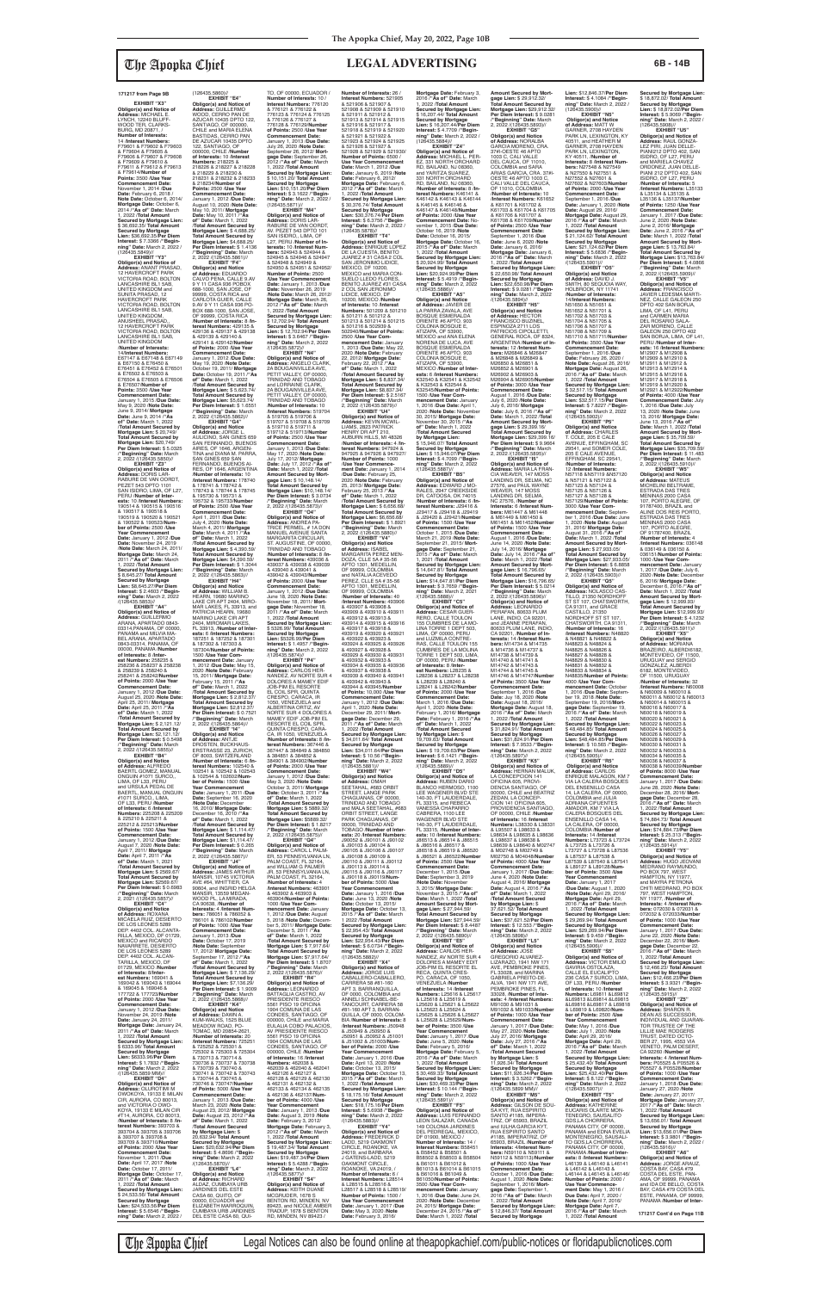**EXHIBIT "X3" Obligor(s) and Notice of Address:** MICHAEL E. LYNCH, 12240 BLUFF-WOOD TER, CLARKS-BURG, MD 20871, / **Number of Interests:** 14 /**Interest Numbers:** F79601 & F79602 & F79603 & F79604 & F79605 & F79606 & F79607 & F79608 & F79609 & F79610 & F79611 & F79612 & F79613 & F79614/**Number of Points:** 3500 /**Use Year Commencement Date:** November 1, 2014 /**Due Date:** February 6, 2018 / **Note Date:** October 6, 2014/ **Mortgage Date:** October 6, 2014 /**"As of" Date:** March 1, 2022 /**Total Amount Secured by Mortgage Lien:** \$ 36,692.35/ **Total Amount Secured by Mortgage Lien:** \$36,692.35/**Per Diem Interest:** \$ 7.3366 /**"Beginning" Date:** March 2, 2022 /

(126435.5849)// **EXHIBIT "Y3" Obligor(s) and Notice of Address:** ANANT PRASAD, 12 HAVERCROFT PARK VICTORIA ROAD, BOLTON LANCASHIRE BL1 5AB, UNITED KINGDOM and SUNITA PRASAD, 12 HAVERCROFT PARK VICTORIA ROAD, BOLTON LANCASHIRE BL1 5AB,<br>UNITED KINGDOM, SWITED NINGDOM,<br>ANUSHEEL PRASAD,,<br>12 HAVERCROFT PARK 12 HAVERCROFT PARK VICTORIA ROAD, BOLTON LANCASHIRE BL1 SAB, UNITED KINGDOM /**Number of Interests:** 14/**Interest Numbers:** E67147 & E67148 & E67149 & E67150 & E76450 & E76451 & E76452 & E76501 & E76502 & E76503 & E76504 & E76505 & E76506 & E76507/**Number of Points:** 3500 /**Use Year Commencement Date:** January 1, 2015 /**Due Date:** May 9, 2020 /**Note Date:** June 9, 2014/ **Mortgage Date:** June 9, 2014 /**"As of" Date:** March 1, 2022 /**Total Amount Secured by Mortgage Lien:** \$ 20,749/ **Total Amount Secured by Mortgage Lien:** \$20,749/ **Per Diem Interest:** \$ 5.0325 /**"Beginning" Date:** March 2, 2022 /(126435.5850)//

**tgage Lien: \$2,12 Per Diem Interest:** \$ 0.5498 /**"Beginning" Date:** March 2, 2022 /(126435.5855)//

**EXHIBIT "Z3" Obligor(s) and Notice of Address:** DORIS LAR-RABURE DE VAN OORDT, PEZET 543 DPTO 1101 SAN ISIDRO, LIMA, OF L27, PERU /**Number of Interests:** 10 /**Interest Numbers:** 190514 & 190515 & 190516 & 190517 & 190518 & 190519 & 190520 & 190521 & 190522 & 190523/**Number of Points:** 2500 /**Use Year Commencement Date:** January 1, 2012 /**Due Date:** November 24, 2019 /**Note Date:** March 24, 2011/ **Mortgage Date:** March 24, 2011 /**"As of" Date:** March 1, 2022 /**Total Amount Secured by Mortgage Lien:** \$ 8,645.27/ **Total Amount Secured by Mortgage Lien:** \$8,645.27/**Per Diem Interest:** \$ 2.4603 /**"Beginning" Date:** March 2, 2022

EXHIBIT "B4" **Obligor(s) and Notice of Address:** ALFREDO BAERTL GOMEZ, MANUAL ONGUIN #1071 SURCO,, LIMA, OF L33, PERU<br>and URSULA PEDAL DE<br>BAERTL, MANUAL ONGUIN<br>#1071 SURCO,, LIMA, OF L33, PERU /**Number of Interests:** 6 /**Interest Numbers:** 225208 & 225209 & 225210 & 225211 & 225212 & 225213/**Number of Points:** 1500 /**Use Year Commencement Date:** January 1, 2012 /**Due Date:** August 7, 2020 /**Note Date:** April 7, 2011/ **Mortgage Date:** April 7, 2011 /**"As of" Date:** March 1, 2021 /**Total Amount Secured by Mortgage Lien:** \$ 2569.67/ **Total Amount Secured by Mortgage Lien: \$2569.67/<br><b>Per Diem Interest: \$** 0.6983<br>/**"Beginning" Date:** March<br>2, 2021 /(126435.5857)// **EXHIBIT "C4" Obligor(s) and Notice<br><b>of Address:** ROXANA<br>MICAELA RUIZ, DESIERTO<br>DE LOS LEONES 5289 DEP. 4402 COL. ALCANTA-RILLA, MEXICO, DF 01729, MEXICO and RICARDO NAVARRETE, DESIERTO DE LOS LEONES 5289 DEP. 4402 COL. ALCAN-TARILLA, MEXICO, DF 01729, MEXICO /**Number of Interests:** 8/**Inter-est Numbers:** 169041 & 169042 & 169043 & 169044 & 169045 & 169046 & 177722 & 177723/**Number of Points:** 2000 /**Use Year Commencement Date:** January 1, 2012 /**Due Date:** November 24, 2019 /**Note Date:** January 24, 2011/ **Mortgage Date:** January 24, 2011 /**"As of" Date:** March 1, 2022 /**Total Amount Secured by Mortgage Lien:** \$ 6333.96/ **Total Amount Secured by Mortgage Lien:** \$6333.96/**Per Diem Interest:** \$ 1.7832 /**"Begin-ning" Date:** March 2, 2022 /(126435.5859 MM)// **EXHIBIT "D4" Obligor(s) and Notice of Address:** OLUROTIMI M<br>OWOKOYA, 19133 E MILAN<br>CIR, AURORA, CO 80013, and VICTORIA O OWO-KOYA, 19133 E MILAN CIR #T14, AURORA, CO 80013, /**Number of Interests:** 8 /**Interest Numbers:** 393703 & 393704 & 393705 & 393706 & 393707 & 393708 & 393709 & 393710/**Number of Points:** 2000 /**Use Year Commencement Date:**

/(126435.5853)// **EXHIBIT "A4" Obligor(s) and Notice of Address:** GUILLERMO ARANA, APARTADO 0843- 03314,PANAMA, OF 00000, PANAMA and MILVIA MA-BEL ARANA, APARTADO 0843-03314, PANAMA, OF 00000, PANAMA /**Number of Interests:** 8 /**Inter-est Numbers:** 258235 & 258236 & 258237 & 258238 & 258239 & 258240 & 258241 & 258242/**Number of Points:** 2000 /**Use Year Commencement Date:** January 1, 2012 /**Due Date:** August 25, 2020 /**Note Date:** April 25, 2011/ **Mortgage Date:** April 25, 2011 /**"As of" Date:** March 1, 2022 /**Total Amount Secured by Mortgage Lien:** \$ 2,121.12/ **Total Amount Secured by** 

(126435.5860)//<br>**EXHIBIT "E4" EXHIBIT "E4"<br>
<b>Obligor(s) and Notice of**<br> **Address:** GUILLERMO<br>
WOOD, CERRO PAN DE<br>
AZUCAR 10435 DPTO 122,<br>
SANTIAGO, OF 000000, CHILE and MARIA ELENA BASTIDAS, CERRO PAN DE AZUCAR 10435 DPTO 122, SANTIAGO, OF 000000, CHILE /**Number of Interests:** 10 /**Interest Numbers:** 218225 & 218226 & 218227 & 218228 & 218229 & 218230 & 218231 & 218232 & 218233 & 218234/**Number of Points:** 2500 /**Use Year Commencement Date:** January 1, 2012 /**Due Date:** August 10, 2020 /**Note Date:** May 10, 2011/ **Mortgage Date:** May 10, 2011 /**"As of" Date:** March 1, 2022 /**Total Amount Secured by Mortgage Lien:** \$ 4,688.25/ **Total Amount Secured by Mortgage Lien:** \$4,688.25/ **Per Diem Interest:** \$ 1.4136 /**"Beginning" Date:** March 2, 2022 /(126435.5861)// **EXHIBIT "F4" Obligor(s) and Notice<br><b>of Address:** EDUARDO<br>CALVO PENA, CALLE 9.AV<br>9 Y 11 CASA 936 POBOX 688-1000, SAN JOSE, OF 99999, COSTA RICA and CARLOTA GUIER, CALLE 9.AV 9 Y 11 CASA 936 PO-BOX 688-1000, SAN JOSE, OF 99999, COSTA RICA

November 1, 2011 /**Due Date:** April 17, 2017 /**Note Date:** October 17, 2011/

1, 2022 /**Total Amount** 

**Secured by Mortgage** 

**The Apopka Chief** Legal Notices can also be found online at theapopkachief.com/public-notices or floridapublicnotices.com

/**Number of Interests:** 8 /**Interest Numbers:** 429135 & 429136 & 429137 & 429138 & 429139 & 429140 & 429141 & 429142/**Number of Points:** 2000 /**Use Year Commencement Date:** January 1, 2012 /**Due Date:** May 19, 2020 /**Note Date:** October 19, 2011/ **Mortgage Date:** October 19, 2011 /**"As of" Date:** March 1, 2022 /**Total Amount Secured by Mortgage Lien:** \$ 5,623.74/ **Total Amount Secured by Mortgage Lien:** \$5,623.74/ **Per Diem Interest:** \$ 1.6551 /**"Beginning" Date:** March 2, 2022 /(126435.5862)// **EXHIBIT "G4" Obligor(s) and Notice<br><b>of Address:** JORGE L.<br>AULICINO, SAN GINES 659<br>SAN FERNANDO, BUENOS AIRES, OF 1646, ARGEN-TINA and DIANA M. PARRA, SAN GINES 659 SAN FERNANDO, BUENOS AI-RES, OF 1646, ARGENTINA /**Number of Interests:** 10 /**Interest Numbers:** 178740 & 178741 & 178742 & 178743 & 178744 & 178745

& 195730 & 195731 & 195732 & 195733/**Number of Points:** 2500 /**Use Year Commencement Date:** April 1, 2011 /**Due Date:** July 4, 2020 /**Note Date:** March 4, 2011/ **Mortgage Date:** March 4, 2011 /**"As of" Date:** March 1, 2022 /**Total Amount Secured by Mortgage Lien:** \$ 4,390.59/ **Total Amount Secured by Mortgage Lien:** \$4,390.59/ **Per Diem Interest:** \$ 1.3044 /**"Beginning" Date:** March 2, 2022 /(126435.5863)// **EXHIBIT "H4" Obligor(s) and Notice<br><b>of Address:** WILLIAM B.<br>HEARN, 19680 MARINO<br>LAKE CIR APT 2404, MIRO-MAR LAKES, FL 33913, and PATRICIA HEARN, 19680

**Mortgage Date:** October 17, 2011 /**"As of" Date:** March **Secured by Mortgage Lien:** \$ 24,533.56/ **Total Amount Lien:** \$24,533.56/**Per Diem Interest:** \$ 5.6546 /**"Begin-ning" Date:** March 2, 2022 / **Obligor(s) and Notice of Address:** ANTJE DROSTEN, BUCKHAUS ERSTRASSE 23, ZURICH, OF 8003, SWITZERLAND /**Number of Interests:** 6 /**Interest Numbers:** 102540 & 102541 & 102542 & 102543 & 102544 & 102602/**Num-ber of Points:** 1500 /**Use Year Commencement Date:** January 1, 2011 /**Due Date:** September 16, 2020 /**Note Date:** December 16, 2010/ **Mortgage Date:** December 16, 2010 /**"As of" Date:** March 1, 2022 /**Total Amount Secured by Mortgage Lien:** \$ 1,114.47/ **Total Amount Secured by Mortgage Lien: \$1,114.47/<br><b>Per Diem Interest: \$** 0.265<br>/**"Beginning" Date:** March<br>2, 2022 /(126435.5867)// **EXHIBIT "J4" Obligor(s) and Notice of Address:** JAMES ARTHUR<br>MANSIR, 10745 VICTORIA<br>AVE #64, WHITTIER, CA 90604, and INGRID HELGA MANSIR, 13559 MEGAN-WOOD PL, LA MIRADA, CA 90638, /**Number of Interests:** 4 /**Interest Num-bers:** 786051 & 786052 & 786101 & 786102/**Number of Points:** 1000 /**Use Year Commencement Date:** January 1, 2013 /**Due Date:** October 17, 2019 /**Note Date:** September 17, 2012/ **Mortgage Date:** September 17, 2012 /**"As**  of" Date: March 1, 2022<br>Mortgage Lien: \$ 7,136.29/<br>Mortgage Lien: \$ 7,136.29/<br>Total Amount Secured by<br>Mortgage Lien: \$7,136.29/<br>Per Diem Interest: \$ 1.9009<br>/"Beginning" Date: March<br>2, 2022 /(126435.5868)// **EXHIBIT "K4" Obligor(s) and Notice of Address:** DAWN A. KUM-WALKS, 1525 BLUE MEADOW ROAD, PO-<br>TOMAC, MD 20854-2621 TOMAC, MD 20854-2621, /**Number of Interests:** 20 /**Interest Numbers:** 725251 & 725252 & 725301 & 725302 & 725303 & 725304 & 730713 & 730714 & 730736 & 730737 & 730738 & 730739 & 730740 & 730741 & 730742 & 730743 & 730744 & 730745 & 730746 & 730747/**Number of Points:** 5000 /**Use Year Commencement Date:** January 1, 2013 /**Due Date:** March 23, 2020 /**Note Date:** August 23, 2012/ **Mortgage Date:** August 23, 2012 /**"As of" Date:** March 1, 2022 /**Total Amount Secured by Mortgage Lien:** \$ 20,632.94/ **Total Amount Secured by Mortgage Lien:** \$20,632.94/**Per Diem Interest:** \$ 4.8696 /**"Beginning" Date:** March 2, 2022 /(126435.5870)// **EXHIBIT "L4" Obligor(s) and Notice of Address:** RICHARD ALDAZ, CUMBAYA URB JARDINES DEL ESTE CASA 60, QUITO, OF 00000, ECUADOR and ELIZABETH MARROQUIN, CUMBAYA URB JARDINES DEL ESTE CASA 60, QUI-

MARINO LAKE CIR APT<br>2404, MIROMAR LAKES,<br>FL 33913, /**Number of Interests:** 6 /**Interest Numbers:** 187251 & 187252 & 187301 & 187302 & 187303 & 187304/**Number of Points:** 1500 /**Use Year Com-mencement Date:** January 1, 2012 /**Due Date:** May 15, 2020 /**Note Date:** February 15, 2011/ **Mortgage Date:** February 15, 2011 /**"As of" Date:** March 1, 2022 /**Total Amount Secured by Mortgage Lien:** \$ 2,812.37/ **Total Amount Secured by Mortgage Lien:** \$2,812.37/ **Per Diem Interest:** \$ 0.7521 /**"Beginning" Date:** March 2, 2022 /(126435.5864)// **EXHIBIT "I4" gage Date:** November 18, 2011 /**"As of" Date:** March 1, 2022 /**Total Amount Secured by Mortgage Lien:** \$ 5326.99/ **Total Amount Secured by Mortgage Lien:** \$5326.99/**Per Diem Interest:** \$ 1.4957 /**"Beginning" Date:** March 2, 2022 /(126435.5874)// **EXHIBIT "P4" Obligor(s) and Notice of Address:** CARLOS HER-NANDEZ, AV NORTE SUR 4 DOLORES A MAMEY EDIF JOB-PIM EL RESORTE EL COIL SPR, QUINTA CRESPO, CARACA, IR 1050, VENEZUELA and ALBÉRTINA ORTIZ, AV<br>NORTE SUR 4 DOLORES A NORTE SUR 4 DOLORES A MAMEY EDIF JOB-PIM EL RESORTE EL COIL SPR, QUINTA CRESPO, CARA-CA, IR 1050, VENEZUELA /**Number of Interests:** 8 /**Interest Numbers:** 367446 & 367447 & 384849 & 384850 & 384851 & 384852 & 384901 & 384902/**Number of Points:** 2000 /**Use Year Commencement Date:** January 1, 2012 /**Due Date:** May 3, 2020 /**Note Date:** October 3, 2011/ **Mortgage Date:** October 3, 2011 /**"As of" Date:** March 1, 2022 /**Total Amount Secured by Mortgage Lien:** \$ 5889.32/ **Total Amount Secured by Mortgage Lien:** \$5889.32/ **Per Diem Interest:** \$ 1.8217 /**"Beginning" Date:** March 2, 2022 /(126435.5875)// **EXHIBIT "Q4" Obligor(s) and Notice of Address:** CAROL L PALM-ER, 53 PENNSYLVANIA LN, PALM COAST, FL 32164, and WILLIAM G PALMER JR, 53 PENNSYLVANIA LN, PALM COAST, FL 32164, /**Number of Interests:** 4 /Interest Numbers: 46390 & 463902 & 463903 & 463904/**Number of Points:** 1000 /**Use Year Commencement Date:** January 1, 2012 /**Due Date:** August 5, 2018 /**Note Date:** December 5, 2011/ **Mortgage Date:** December 5, 2011 /**"As of" Date:** March 1, 2022 /**Total Amount Secured by Mortgage Lien:** \$ 7,917.64/ **Total Amount Secured by Mortgage Lien:** \$7,917.64/ **Per Diem Interest:** \$ 1.8707 /**"Beginning" Date:** March 2, 2022 /(126435.5876)// **EXHIBIT "R4" Obligor(s) and Notice of Address:** LEONARDO BATTAGLIA CASTRO, AV PRESIDENTE RIESCO 5561 PISO 19 OFICINA 1904 COMUNA DE LAS CONDES, SANTIAGO, OF 000000, CHILE and MARIA EULALIA COBO PALACIOS, AV PRESIDENTE RIESCO 5561 PISO 19 OFICINA 1904 COMUNA DE LAS CONDES, SANTIAGO, OF 000000, CHILE /**Number of Interests:** 16 /**Interest Numbers:** 462038 &<br>462039 & 462040 & 462041<br>& 462126 & 462127 & 462128 & 462129 & 462130 & 462131 & 462132 & 462133 & 462134 & 462135 & 462136 & 462137/**Number of Points:** 4000 /**Use Year Commencement Date:** January 1, 2013 /**Due Date:** August 3, 2019 /**Note Date:** February 3, 2012/ **Mortgage Date:** February 3, 2012 /**"As of" Date:** March 1, 2022 /**Total Amount Secured by Mortgage Lien:** \$ 19,487.34/ **Total Amount Secured by Mortgage Lien:** \$19,487.34/**Per Diem Interest:** \$ 5.4288 /**"Begin-ning" Date:** March 2, 2022 /(126435.5877)// **EXHIBIT "S4" Obligor(s) and Notice of Address:** KEITH DUANE MCGRUDER, 1678 S BENTON RD, MINDEN, NV 89423, and NICOLE AMBER TRADUP, 1678 S BENTON RD, MINDEN, NV 89423 /

TO, OF 00000, ECUADOR / **Number of Interests:** 10 / **Interest Numbers:** 776120 & 776121 & 776122 & 776123 & 776124 & 776125 & 776126 & 776127 & 776128 & 776129/**Number of Points:** 2500 /**Use Year Commencement Date:** January 1, 2013 /**Due Date:** July 26, 2020 /**Note Date:** September 26, 2012/ **Mort-gage Date:** September 26, 2012 /**"As of" Date:** March 1, 2022 /**Total Amount Secured by Mortgage Lien:** \$ 10,151.20/ **Total Amount Secured by Mortgage Lien:** \$10,151.20/**Per Diem Interest:** \$ 3.1622 /**"Begin-ning" Date:** March 2, 2022 / (126435.5871)// **EXHIBIT "M4" Obligor(s) and Notice of Address:** DORIS LAR-RABURE DE VAN OORDT, AV. PEZET 543 DPTO 101 SAN ISIDRO,, LIMA, OF L27, PERU /**Number of In-terests:** 10 /**Interest Num-bers:** 524943 & 524944 & 524945 & 524946 & 524947 & 524948 & 524949 & 524950 & 524951 & 524952/ **Number of Points:** 2500 /**Use Year Commencement Date:** January 1, 2013 /**Due Date:** November 26, 2019 /**Note Date:** March 26, 2012/ **Mortgage Date:** March 26, 2012 /**"As of" Date:** March 1, 2022 /**Total Amount Secured by Mortgage Lien:** \$ 12,702.94/ **Total Amount Secured by Mortgage Lien:** \$ 12,702.94/**Per Diem Interest:** \$ 3.6467 /**"Begin-ning" Date:** March 2, 2022 /(126435.5872)//<br>**EXHIBIT "N4" Number of Interests:** 26 / **Interest Numbers:** 521905 & 521906 & 521907 & 521908 & 521909 & 521910 & 521911 & 521912 & 521913 & 521914 & 521915 & 521916 & 521917 & 521918 & 521919 & 521920 & 521921 & 521922 & 521923 & 521924 & 521925 & 521926 & 521927 & 521928 & 521929 & 521930/ **Number of Points:** 6500 / **Use Year Commencement Date:** March 1, 2012 /**Due Date:** Janaury 6, 2019 /**Note Date:** February 6, 2012/ **Mortgage Date:** February 6, 2012 /**"As of" Date:** March 1, 2022 /**Total Amount Secured by Mortgage Lien:** \$ 30,376.74/ **Total Amount Secured by Mortgage Lien:** \$30,376.74/**Per Diem Interest:** \$ 6.3756 /**"Beginning" Date:** March 2, 2022 / (126435.5878)// **EXHIBIT "T4"<br>
<b>Obligor(s) and Notice of**<br> **Address:** ENRIQUE LOPEZ<br>
DE LA CUESTA, BENITO<br>
JUAREZ # 31 CASA 2 COL<br>
SAN JERONIMO LIDICE, MEXICO, DF 10200,<br>MEXICO and MARIA CON-<br>SUELO LLEDO FLORES,<br>BENITO JUAREZ #31 CASA 2 COL SAN JERONIMO LIDICE, MEXICO, DF 10200, MEXICO /**Number of Interests:** 10 /**Interest Numbers:** 501209 & 501210 & 501211 & 501212 & 501213 & 501214 & 501215 & 501216 & 502939 & 502940/**Number of Points:** 2500 /**Use Year Com-mencement Date:** January 1, 2013 /**Due Date:** May 22, 2020 /**Note Date:** February 22, 2012/ **Mortgage Date:** February 22, 2012 /**"As of" Date:** March 1, 2022 /**Total Amount Secured by Mortgage Lien:** \$ 8,837.34/

> **EXHIBIT "I5" Obligor(s) and Notice of Address:** MARIA LA FRAN-CIA WEAVER, 147 MOSS LANDING DR, SELMA, NC 27576, and PAUL WAYNE WEAVER, 147 MOSS LANDING DR, SELMA, NC 27576, /**Number of Interests:** 6 /**Interest Numbers:** M61447 & M61448 & M61449 & M61450 & M61451 & M61452/**Number of Points:** 1500 /**Use Year Commencement Date:** August 1, 2016 /**Due Date:** June 14, 2020 /Note Date:<br>July 14, 2016 /Mortgage<br>Date: July 14, 2016 /"As of"<br>Date: March 1, 2022 /Total<br>Amount Secured by Mort-<br>gage Lien: \$ 16,796.65/<br>Total Amount Secured by<br>Mortgage Lien: \$16,796.65/<br>Per Diem Interest /**"Beginning" Date:** March 2, 2022 /(126435.5896)// **Obligor(s) and Notice of Address:** LEONARDO PERAFAN, 80633 PLUM LANE, INDIO, CA 92201,<br>and JEANNE PERAFAN,<br>80633 PLUM LANE, INDIO,

**EXHIBIT "N4" Obligor(s) and Notice of Address:** ANGELO CLARK, 2A BOUGAINVILLEA AVE, PETIT VALLEY, OF 00000, TRINIDAD AND TOBAGO and LORRAINE CLARK,<br>2A BOUGAINVILLEA AVE, PETIT VALLEY, OF 00000, TRINIDAD AND TOBAGO /**Number of Interests:** 10 /**Interest Numbers:** 519704 & 519705 & 519706 & 519707 & 519708 & 519709 & 519710 & 519711 & 519712 & 519713/**Number of Points:** 2500 /**Use Year Commencement Date:** January 1, 2013 /**Due Date:** May 17, 2020 /**Note Date:** July 17, 2012/ **Mortgage Date:** July 17, 2012 /**"As of" Date:** March 1, 2022 /**Total Total Amount Secured by Mortgage Lien:** \$8,837.34/ **Per Diem Interest:** \$ 2.5167 /**"Beginning" Date:** March 2, 2022 /(126435.5879)// **EXHIBIT "U4" Obligor(s) and Notice of Address:** KEVIN MCWIL-LIAMS, 2823 PATRICK HENRY DR APT 210, AUBURN HILLS, MI 48326 /**Number of Interests:** 4 /**Interest Numbers:** 947924 & 947925 & 947926 & 947927/

**Amount Secured by Mortgage Lien:** \$ 10,148.14/ **Total Amount Secured by Mortgage Lien: \$10,148.14/<br><b>Per Diem Interest: \$** 3.0734<br>/**"Beginning" Date:** March<br>2, 2022 /(126435.5873)// **EXHIBIT "O4"<br><b>Obligor(s) and Notice of**<br>**Address:** ANDREA PA-<br>TRICE PERMEL, # 1A DON<br>MANUEL AVENUE SANTA<br>MARGARITA CIRCULAR, ST. AUGUSTINE, OF 00000, TRINIDAD AND TOBAGO /**Number of Interests:** 8 /**In-Number of Points:** 1000 /**Use Year Commence-ment Date:** January 1, 2014 /**Due Date:** February 25, 2020 /**Note Date:** February 25, 2013/ **Mortgage Date:** February 25, 2013 /**"As of" Date:** March 1, 2022 /**Total Amount Secured by Mortgage Lien:** \$ 6,656.68/ **Total Amount Secured by Mortgage Lien:** \$6,656.68/ **Per Diem Interest:** \$ 1.8921 /**"Beginning" Date:** March 2, 2022 /(126435.5880)// **EXHIBIT "V4" Obligor(s) and Notice of Address:** ISABEL MARGARITA PEREZ MEN-DOZA, CLLE 5A # 35-56 APTO 1301, MEDELLIN,

**terest Numbers:** 439036 & 439037 & 439038 & 439039 & 439040 & 439041 & 439042 & 439043/**Number of Points:** 2000 /**Use Year Commencement Date:** January 1, 2012 /**Due Date:** June 18, 2020 /**Note Date:** November 18, 2011/ **Mort-**OF 99999, COLOMBIA and NATALIA ACEVEDO PEREZ, CLLE 5A # 35-56 APTO 1301, MEDELLIN, OF 99999, COLOMBIA /**Number of Interests:** 40 /**Interest Numbers:** 493906 & 493907 & 493908 & 493909 & 493910 & 493911 & 493912 & 493913 & 493914 & 493915 & 493916 & 493917 & 493918 & 493919 & 493920 & 493921 & 493922 & 493923 & 493924 & 493925 & 493926 & 493927 & 493928 & 493929 & 493930 & 493931 & 493932 & 493933 & 493934 & 493935 & 493936 & 493937 & 493938 & 493939 & 493940 & 493941 & 493942 & 493943 & 493944 & 493945/**Number of Points:** 10,000 /**Use Year Commencement Date:** January 1, 2012 /**Due Date:** April 1, 2020 /**Note Date:** December 29, 2011/ **Mort-gage Date:** December 29, 2011 /**"As of" Date:** March

N51702 & N51703 & N51704 & N51705 & N51706 & N51707 & N51708 & N51709 & N51710 & N51711/**Number of Points:** 3500 /**Use Year Commencement Date:** September 1, 2016 /**Due Date:** February 26, 2020 / **Note Date:** August 26, 2016/ **Mortgage Date:** August 26, 2016 /**"As of" Date:** March 1, 2022 /**Total Amount Secured by Mortgage Lien:** \$ 32,517.15/ **Total Amount Secured by Mortgage Lien:** \$32,517.15/**Per Diem Interest:** \$ 7.8227 /**"Begin-ning" Date:** March 2, 2022 /(126435.5902)// **EXHIBIT "P5" Obligor(s) and Notice<br><b>of Address:** CHARLES<br>T. COLE, 205 E CALE<br>AVENUE, EFFINGHAM, SC 29541, and SOMER COLE, 205 E CALE AVENUE, EFFINGHAM, SC 29541,<br>**/Number of Interests:**<br>12 /**Interest Numbers:**<br>N57118 &N57119 &N57120 & N57121 & N57122 & N57123 & N57124 & N57125 & N57126 & N57127 & N57128 & N57129/**Number of Points:** 3000 /**Use Year Commencement Date:** Septem-ber 1, 2016 /**Due Date:** June 1, 2020 /**Note Date:** August 31, 2016/ **Mortgage Date:** August 31, 2016 /**"As of" Date:** March 1, 2022 /**Total Amount Secured by Mortgage Lien:** \$ 27,933.05/ **Total Amount Secured by Mortgage Lien:** \$27,933.05/ **Per Diem Interest:** \$ 6.8858 /**"Beginning" Date:** March 2, 2022 /(126435.5903)// **EXHIBIT "Q5" Obligor(s) and Notice of<br><b>Address:** NOLASCO CAS-<br>TILLO, 21350 NORDHOFF<br>ST ST 107, CHATSWORTH,

1, 2022 /**Total Amount Secured by Mortgage Lien:** \$ 34,011.64/ **Total Amount Secured by Mortgage Lien:** \$34,011.64/**Per Diem Interest:** \$ 10.56 /**"Beginning" Date:** March 2, 2022 /(126435.5881)// **EXHIBIT "W4" Obligor(s) and Notice<br><b>of Address:** OMAH<br>SEETAHAL, #683 ORBIT<br>STREET, LANGE PARK CHAGUANAS, OF 00000, TRINIDAD AND TOBAGO and MALA SEETAHAL, #683 ORBIT STREET, LANGE PARK CHAGUANAS, OF 00000, TRINIDAD AND TOBAGO /**Number of Interests:** 20 /**Interest Numbers:** J90052 & J90101 & J90102 & J90103 & J90104 & J90105 & J90106 & J90107 & J90108 & J90109 & J90110 & J90111 & J90112 & J90113 & J90114 & J90115 & J90116 & J90117 & J90118 & J90119/**Num-ber of Points:** 5000 /**Use Year Commencement Date:** Janaury 1, 2016 /**Due Date:** June 13, 2020 /**Note Date:** October 13, 2015/ **Mortgage Date:** October 13, 2015 /**"As of" Date:** March 1 2022 /**Total Amount Secured by Mortgage Lien:** \$ 22,954.43/ **Total Amount Secured by Mortgage Lien:** \$22,954.43/**Per Diem Interest:** \$ 6.0734 /**"Begin-ning" Date:** March 2, 2022 /(126435.5882)// **EXHIBIT "X4" Obligor(s) and Notice of Address:** JORGE LUIS CABALLERO-CABALLERO, CARRERA 58 #81-160 APT 3, BARRANQUILLA, OF 0000, COLOMBIA and ANNELI SCHNABEL-BE-TANCOURT, CARRERA 58 #81-160 APT 3, BARRAN-QUILLA, OF 0000, COLOM-BIA /**Number of Interests:** 8 /**Interest Numbers:** J50948 & J50949 & J50950 & J50951 & J50952 & J51001 & J51002 & J51003/**Number of Points:** 2000 /**Use Year Commencement Date:** January 1, 2016 /**Due Date:** April 13, 2020 /**Note Date:** October 13, 2015/ **Mortgage Date:** October 13, 2015 /**"As of" Date:** March 1, 2022 /**Total Amount Secured by Mortgage Lien:** \$ 18,175.16/ **Total Amount Secured by Mortgage Lien:** \$18,175.16/**Per Diem Interest:** \$ 5.6938 /**"Beginning" Date:** March 2, 2022 /(126435.5883)// **EXHIBIT "Y4" Obligor(s) and Notice of Address:** FREDERICK D LADD, 5219 OAKMONT CIRCLE, ROANOKE, VA 24019, and BARBARA J GATENS-LADD, 5219 OAKMONT CIRCLE, ROANOKE, VA 24019, / **Number of Interests: 6 Interest Numbers:** L28514 & L28515 & L28516 & L28517 & L28518 & L28519/ **Number of Points:** 1500 / **Use Year Commencement Date:** January 1, 2017 /**Due Date:** May 3, 2020 /**Note Date:** February 3, 2016/

**Mortgage Date:** February 3, 2016 /**"As of" Date:** March 1, 2022 /**Total Amount Secured by Mortgage Lien:** \$ 16,207.44/ **Total Amount Secured by Mortgage Lien:** \$ 16,207.44/**Per Diem Interest:** \$ 4.7709 /**"Begin-ning" Date:** March 2, 2022 / (126435.5884)// **EXHIBIT "Z4" Obligor(s) and Notice of Address:** MICHAEL L. PER-EZ, 331 NORTH ORCHARD RD, BAILAND, NJ 08360, and YARITZA SUAREZ,<br>331 NORTH ORCHARD<br>RD, BAILAND, NJ 08360, /**Number of Interests:** 8 /**Interest Numbers:** K46141 & K46142 & K46143 & K46144 & K46145 & K46146 & K46147 & K46148/**Number of Points:** 2000 /**Use Year Commencement Date:** November 1, 2015 /**Due Date:** October 16, 2019 /**Note Date:** October 16, 2015/ **Mortgage Date:** October 16, 2015 /**"As of" Date:** March 1, 2022 /**Total Amount Secured by Mortgage Lien:** \$ 20,924.99/ **Total Amount Secured by Mortgage Lien:** \$20,924.99/**Per Diem Interest:** \$ 5.4919 /**"Begin-ning" Date:** March 2, 2022 /(126435.5886)// **EXHIBIT "A5" Obligor(s) and Notice<br><b>of Address:** JAVIER DE<br>LA PARRA ZAVALA, AVE<br>BOSQUE ESMERALDA ORIENTE #6 APTO. 903 COLONIA BOSQUE E, ATIZAPA, OF 53900,<br>MEXICO and ANA ELENA<br>NORENA DE LUCA, AVE<br>BOSQUE ESMERALDA ORIENTE #6 APTO. 903 COLONIA BOSQUE E, ATIZAPA, OF 53900, MEXICO /**Number of Inter-ests:** 6 /**Interest Numbers:** K32540 & K32541 & K32542 & K32543 & K32544 & K32545/**Number of Points:** 1500 /**Use Year Commencement Date:** January 1, 2016 /**Due Date:** April 1, 2020 /Note Date: Novembe 30, 2015/ **Mortgage Date:** November 30, 2015 /**"As of" Date:** March 1, 2022<br>/**Total Amount Secured<br>by Mortgage Lien:<br>\$ 15,946.07/ <b>Total Amount Secured by Mortgage Lien:** \$ 15,946.07/**Per Diem Interest:** \$ 4.7099 /**"Begin-ning" Date:** March 2, 2022 /(126435.5887)// **EXHIBIT "B5" Obligor(s) and Notice of Address:** EDWARD J MO-RALES, 2947 CREEKSIDE DR, CATOOSA, OK 74015 /**Number of Interests:** 6 /**Interest Numbers:** J29416 & J29417 & J29418 & J29419 & J29420 & J29421/**Number of Points:** 1500 /**Use Year Commencement Date:** October 1, 2015 /**Due Date:** March 21, 2019 /**Note Date:** September 21, 2015/ **Mort-<br>gage Date:** September 21,<br>2015 /**"As of" Date:** March<br>1, 2021 /**Total Amount<br>Secured by Mortgage Lien:<br>\$ 14,647.81/ Total Amount Secured by Mortgage Lien:** \$14,647.81/**Per Diem Interest:** \$ 3.7659 /**"Begin-ning" Date:** March 2, 2021 /(126435.5888)// **EXHIBIT "C5" Obligor(s) and Notice of Address:** CESAR GUER-RERO, CALLE TOULON 155 CUMBRES DE LA MO-LINA TORRE 1 DEPT 503, LIMA, OF 00000, PERU and LUZMILA CONTRE-RAS, CALLE TOULON 155 CUMBRES DE LA MOLINA TORRE 1 DEPT 503, LIMA, OF 00000, PERU /**Number of Interests:** 8 /**Interest Numbers:** L28235 & L28236 & L28237 & L28238 & L28239 & L28240 & L28241 & L28242/**Number of Points:** 2000 /**Use Year Commencement Date:** March 1, 2016 /**Due Date:** April 1, 2020 /**Note Date:** February 1, 2016/ **Mortgage Date:** February 1, 2016 /**"As of" Date:** March 1, 2022 /**Total Amount Secured by Mortgage Lien:** \$ 19,709.63/ **Total Amount Secured by Mortgage Lien:** \$ 19,709.63/**Per Diem Interest:** \$ 6.1421 /**"Beginning" Date:** March 2, 2022 /(126435.5889)// **EXHIBIT "D5" Obligor(s) and Notice of Address:** RUBEN DARIO BLANCO HERMOSO, 1100 LEE WAGENER BLVD STE 140-30, FT LAUDERDALE, FL 33315, and REBECA VANESSA CHAPARRO<br>CABRERA, 1100 LEE<br>WAGENER BLVD STE<br>140-30, FT LAUDERDALE, FL 33315, /**Number of Inter ests:** 10 /**Interest Numbers:** J86513 & J86514 & J86515 & J86516 & J86517 & J86518 & J86519 & J86520 & J86521 & J86522/**Number of Points:** 2500 /**Use Year Commencement Date:** December 1, 2015 /**Due Date:** September 3, 2019 /**Note Date:** November 3, 2015/ **Mortgage Date:** November 3, 2015 /**"As of" Date:** March 1, 2022 /**Total Amount Secured by Mort-gage Lien:** \$ 27,944.59/ **Total Amount Secured by Mortgage Lien:** \$27,944.59/ **Per Diem Interest:** \$ 8.4487 /**"Beginning" Date:** March 2, 2022 /(126435.5890)// **EXHIBIT "E5" Obligor(s) and Notice of Address:** CARLOS HER-NANDEZ, AV NORTE SUR 4 DOLORES A MAMEY EDIT JOB-PIM EL RESORTE EL RECA, QUINTA CRES-PO, CARACA, OF 1050, VENEZUELA /**Number of Interests:** 14 /**Interest Numbers:** L25616 & L25617 & L25618 & L25619 & L25620 & L25621 & L25622 & L25623 & L25624 & L25625 & L25626 & L25627 & L25628 & L25629/**Number of Points:** 3500 /**Use Year Commencement Date:** January 1, 2017 /**Due Date:** June 5, 2020 /**Note Date:** February 5, 2016/ **Mortgage Date:** February 5, 2016 /**"As of" Date:** March 1, 2022 /**Total Amount Secured by Mortgage Lien:** \$ 30,469.33/ **Total Amount Secured by Mortgage Lien:** \$30,469.33/**Per Diem Interest:** \$ 10.144 /**"Beginning" Date:** March 2, 2022 /(126435.5891)// **EXHIBIT "F5" Obligor(s) and Notice of Address:** LUIS FERNANDO LEON SALAZAR, CANADA 149 COLONIA JARDINES DEL PEDREGAL, MEXICO, DF 01900, MEXICO / **Number of Interests:** 14 / **Interest Numbers:** B58451 & B58452 & B58501 & B58502 & B58503 & B58504 & B61011 & B61012 & B61013 & B61014 & B61015 & B61016 & B61049 & B61050/**Number of Points:** 3500 /**Use Year Commencement Date:** January 1, 2016 /**Due Date:** June 24, 2020 /**Note Date:** December

**Amount Secured by Mortgage Lien:** \$ 29,912.32/ **Total Amount Secured by Mortgage Lien: \$29,912.32/<br><b>Per Diem Interest: \$** 9.0281<br>/**"Beginning" Date:** March<br>2, 2022 /(126435.5893)// **EXHIBIT "G5"<br>
<b>Obligor(s) and Notice**<br> **of Address:** NORALBA<br>
GARCIA MORENO, CRA.<br>
37#I-OESTE 46 APTO<br>
1003 C, CALI VALLE DEL CAUCA, OF 11010, COLOMBIA and SARA ARIAS GARCIA, CRA. 37#l-OESTE 46 APTO 1003 C, CALI VALLE DEL CAUCA, OF 11010, COLOMBIA /**Number of Interests:** 10 /**Interest Numbers:** K61652 & K61701 & K61702 & K61703 & K61704 & K61705 & K61706 & K61707 & K61708 & K61709/**Number of Points:** 2500 /**Use Year Commencement Date:** September 1, 2016 /**Due Date:** June 6, 2020 /**Note Date:** January 6, 2016/ **Mortgage Date:** January 6, 2016 /**"As of" Date:** March 1, 2022 /**Total Amount Secured by Mortgage Lien:** \$ 22,650.98/ **Total Amount Secured by Mortgage Lien:** \$22,650.98/**Per Diem Interest:** \$ 9.0281 /**"Begin-ning" Date:** March 2, 2022 /(126435.5894)// **EXHIBIT "H5" Obligor(s) and Notice of Address:** HECTOR FRANCISCO BUZINEL, ESPINOZA 2711 LOS<br>PATRICIOS CIPOLLETTI PATRICIOS CIPOLLETTI, GENERAL ROCA, OF 8324, ARGENTINA /**Number of In-terests:** 12 /**Interest Num-**

**bers:** M26846 & M26847 & M26848 & M26849 & M26850 & M26851 & M26852 & M26901 & M26902 & M26903 & M26904 & M26905/**Number of Points:** 3000 /**Use Year Commencement Date:** August 1, 2016 /**Due Date:** July 6, 2020 /**Note Date:** July 6, 2016/ **Mortgage Date:** July 6, 2016 /**"As of" Date:** March 1, 2022 /**Total Amount Secured by Mortgage Lien:** \$ 29,399.16/ **Total Amount Secured by Mortgage Lien:** \$29,399.16/ **Per Diem Interest:** \$ 9.9664 /**"Beginning" Date:** March 2, 2022 /(126435.5895)//

24, 2015/ **Mortgage Date:** December 24, 2015 /**"As of" Date:** March 1, 2022 /**Total**  CA 92201, /**Number of Interests:** 14 /**Interest Numbers:** M14734 & M14735 & M14736 & M14737 & M14738 & M14739 & M14740 & M14741 & M14742 & M14743 & M14744 & M14745 & M14746 & M14747/**Number of Points:** 3500 /**Use Year Commencement Date:** September 1, 2016 /**Due Date:** Juy 18, 2020 /**Note Date:** August 18, 2016/ **Mortgage Date:** August 18, 2016 /**"As of" Date:** March 1, 2022 /**Total Amount Secured by Mortgage Lien:** \$ 31,824.91/ **Total Amount Secured by Mortgage Lien:** \$31,824.91/**Per Diem Interest:** \$ 7.9533 /**"Begin-ning" Date:** March 2, 2022 /(126435.5897)// **EXHIBIT "K5" Obligor(s) and Notice of Address:** HERNAN MALUK, LA CONCEPCION 141 OFICINA 605, PROVI-DENCIA SANTIAGO, OF 00000, CHILE and BEATRIZ ZEDAN, LA CONCEP-CION 141 OFICINA 605, PROVIDENCIA SANTIAGO, OF 00000, CHILE /**Number of Interests:** 16 /**Interest Numbers:** L38330 & L38331 & L95507 & L98633 & L98634 & L98635 & L98636 & L98637 & L98638 & L98639 & L98640 & M02747 & M02748 & M02749 & M02750 & M04048/**Number of Points:** 4000 /**Use Year Commencement Date:** January 1, 2017 /**Due Date:** June 4, 2020 /**Note Date:** August 4, 2016/ **Mortgage Date:** August 4, 2016 /**"As of" Date:** March 1, 2022 /**Total Amount Secured by Mortgage Lien:** \$ 37,621.52/ **Total Amount Secured by Mortgage Lien:** \$37,621.52/**Per Diem Interest:** \$ 12.553 /**"Begin-ning" Date:** March 2, 2022 /(126435.5898)// **EXHIBIT "L5" Obligor(s) and Notice of Address:** JOSE GREGORIO ALVAREZ-LIZARAZO, 1941 NW 171 AVE, PEMBROKE PINES, FL 33028, and MARINA GABRIELA PREITO-DE-ALVA, 1941 NW 171 AVE, PEMBROKE PINES, FL 33028, /**Number of Interests:** 4 /**Interest Numbers:** M91030 & M91031 & M91032 & M91033/**Number of Points:** 1000 /**Use Year Commencement Date:** January 1, 2017 /**Due Date:** May 27, 2020 /**Note Date:** July 27, 2016/ **Mortgage Date:** July 27, 2016 /**"As of" Date:** March 1, 2022 /**Total Amount Secured by Mortgage Lien:** \$ 11,926.34/ **Total Amount Secured by Mortgage Lien:** \$11,926.34/**Per Diem Interest:** \$ 3.5262 /**"Beginning" Date:** March 2, 2022 /(126435.5899 MM)// **EXHIBIT "M5" Obligor(s) and Notice of Address:** GILSON DE SOU-SA KYT, RUA ESPIRITO SANTO #1185, IMPERA-TRIZ, OF 65903, BRAZIL and IULHA GARCIA KYT,<br>RUA ESPIRITO SANTO<br>#1185, IMPERATRIZ, OF 65903, BRAZIL /**Number of Interests:** 4/**Interest Num-bers:** N59110 & N59111 & N59112 & N59113)/**Number of Points:** 1000 /**Use Year Commencement Date:** October 1, 2016 /**Due Date:** August 1, 2020 /**Note Date:** September 1, 2016/ **Mortgage Date:** September 1, 2016 /**"As of" Date:** March 1, 2022 /**Total Amount Secured by Mortgage Lien:** \$ 12,846.37/ **Total Amount** 

**Secured by Mortgage** 

**Lien:** \$12,846.37/**Per Diem Interest:** \$ 4.1084 /**"Begin-ning" Date:** March 2, 2022 / (126435.5900)// **EXHIBIT "N5" Obligor(s) and Notice of Address:** MATT W GARNER, 2708 HAYDEN<br>PARK LN, LEXINGTON, KY 40511, and HEATHER M GARNER, 2708 HAYDEN PARK LN, LEXINGTON, KY 40511, /**Number of Interests:** 8 /**Interest Num-bers:** N27548 & N27549 & N27550 & N27551 & N27552 & N27601 & N27602 & N27603/**Number of Points:** 2000 /**Use Year Commencement Date:** September 1, 2016 /**Due Date:** January 1, 2020 /**Note Date:** August 29, 2016/ **Mortgage Date:** August 29, 2016 /**"As of" Date:** March 1, 2022 /**Total Amount Secured by Mortgage Lien:** \$ 21,124.62/ **Total Amount Secured by Mortgage Lien:** \$21,124.62/**Per Diem Interest:** \$ 5.6836 /**"Beginning" Date:** March 2, 2022 /(126435.5901)// **EXHIBIT "O5" Obligor(s) and Notice of Address:** DAVID J. SMITH, 80 SEQUOIA WAY, HOLBROOK, NY 11741 /**Number of Interests:** 14/**Interest Numbers:** N51650 & N51651 & N51652 & N51701 &

**Mortgage Date:** April 7, 2016 /**"As of" Date:** March 1, 2022 /**Total Amount** 

CA 91311, and GRACE CASTILLO, 21350 NORDHOFF ST ST 107, CHATSWORTH, CA 91311, /**Number of Interests:** 16 /**Interest Numbers:** N48820 & N48821 & N48822 & N48823 & N48824 &<br>N48825 & N48826 & N48825 & N48826 & N48827 & N48828 & N48829 & N48830 & N48831 & N48832 & N48833 & N48834 & N48835/**Number of Points:** 4000 /**Use Year Com-mencement Date:** October 1, 2016 /**Due Date:** September 19, 2018 /**Note Date:** September 19, 2016/**Mortgage Date:** September 19, 2016 /**"As of" Date:** March 1, 2022 /**Total Amount Secured by Mortgage Lien:** \$ 48,484.85/ **Total Amount Secured by Mortgage Lien:** \$48,484.85/**Per Diem Interest:** \$ 10.565 /**"Begin-ning" Date:** March 2, 2022 /(126435.5905)// **EXHIBIT "R5" Obligor(s) and Notice of Address:** CARLOS ENRIQUE MALAGON, KM 7 VIA LA CALERA BOSQUES DEL ENSENILLO CASA 14, LA CALERA, OF 00000, COLOMBIA and JULIA ADRIANA CIFUENTES AMADOR, KM 7 VIA LA CALERA BOSQUES DEL ENSENILLO CASA 14, LA CALERA, OF 00000, COLOMBIA /**Number of Interests: 14 /Interest<br><b>Numbers:** L73723 & L73724<br>& L73725 & L73726 &<br>L73727 & L73728 & L87536 & L87537 & L87538 & L87539 & L87540 & L87541 & L89127 & L89128/**Number of Points:** 3500 /**Use Year Commencement Date:** January 1, 2017 /**Due Date:** August 1, 2020 /**Note Date:** April 29, 2016/ **Mortgage Date:** April 29, 2016 /**"As of" Date:** March 1, 2022 /**Total Amount Secured by Mortgage Lien:** \$ 29,269.94/ **Total Amount Secured by Mortgage Lien:** \$29,269.94/**Per Diem Interest:** \$ 9.459 /**"Begin-ning" Date:** March 2, 2022 /(126435.5906)// **EXHIBIT "S5" Obligor(s) and Notice of Address:** VICTOR EMILIO GAVIRIA OSTOLAZA, CALLE EL EUCALIPTO 236 CASA 7 SURCO, LIMA, OF L33, PERU /**Number of Interests:** 10 /**Interest Numbers:** L69811 &L69812 &L69813 &L69814 &L69815 &L69816 &L69817 & L69818 & L69819 & L69820/**Number of Points:** 2500 /**Use Year Commencement Date:** May 1, 2016 /**Due Date:** July 1, 2020 /**Note Date:** April 29, 2016/ **Mortgage Date:** April 29, 2016 /**"As of" Date:** March 1, 2022 /**Total Amount Secured by Mortgage Lien:** \$ 25,432.40/ **Total Amount Secured by Mortgage Lien:** \$25,432.40/**Per Diem Interest:** \$ 8.122 /**"Beginning" Date:** March 2, 2022 /(126435.5907)// **EXHIBIT "T5" Obligor(s) and Notice of Address:** KATHERINE EUCARIS OLARTE MON-TENEGRO, SAUSALITO GDS,LA CHORRERA, PANAMA CITY, OF 00000 PANAMA and EDNA EVELIA MONTENEGRO, SAUSALI-TO GDS,LA CHORRERA, PANAMA CITY, OF 00000, **PANAMA /Number of Inter-**<br>ests: 8 /Interest Numbers **ests:** 8 /**Interest Numbers:**<br>L46139 & L46140 & L46141<br>& L46142 & L46143 &<br>L46144 & L46145 & L46146/ **Number of Points:** 2000 / **Use Year Commencement Date:** May 1, 2016 / (126435.5916)//

**Secured by Mortgage Lien:** \$ 18,872.02/ **Total Amount Secured by Mortgage Lien:** \$ 18,872.02/**Per Diem Interest:** \$ 5.9069 /**"Begin-ning" Date:** March 2, 2022 / //126435.5908)<br>**EXHIBIT "U5**" **EXHIBIT "U5" Obligor(s) and Notice of Address:** RAUL GONZA-LEZ PIRI, JUAN DELLE-PIANI212 DPTO 402, SAN ISIDRO, OF L27, PERU and MARIELA CHAVEZ ORDONEZ, JUAN DELLE-PIANI 212 DPTO 402, SAN ISIDRO, OF L27, PERU /**Number of Interests:** 5 /**Interest Numbers:** L35133 & L35134 & L35135 & L35136 & L35137/**Number of Points:** 1250 /**Use Year Commencement Date:** January 1, 2017 /**Due Date:** June 2, 2020 /**Note Date:** June 2, 2016/ **Mortgage Date:** June 2, 2016 /**"As of" Date:** March 1, 2022 /**Total Amount Secured by Mort-gage Lien:** \$ 13,763.84/ **Total Amount Secured by Mortgage Lien:** \$13,763.84/ **Per Diem Interest:** \$ 4.0866 /**"Beginning" Date:** March 2, 2022 /(126435.5909)// **EXHIBIT "V5" Obligor(s) and Notice of Address:** FRANCISCO JAVIER LEDESMA MARTI-NEZ, CALLE GALEON 250 DPTO 402 SAN BORJA, LIMA, OF L41, PERU and CARMEN MARIA DEL ROSARIO SALA-ZAR MORENO, CALLE GALEON 250 DPTO 402 SAN BORJA, LIMA, OF L41, PERU /**Number of Inter-ests:** 16 /**Interest Numbers:** M12907 & M12908 & M12909 & M12910 & M12911 & M12912 & M12913 & M12914 & M12915 & M12916 & M12917 & M12918 & M12919 & M12920 & M12921 & M12922/**Number of Points:** 4000 /**Use Year Commencement Date:** July 1, 2016 /**Due Date:** July 13, 2020 /**Note Date:** June 13, 2016/ **Mortgage Date:** June 13, 2016 /**"As of" Date:** March 1, 2022 /**Total Amount Secured by Mort-gage Lien:** \$ 35,709.59/ **Total Amount Secured by Mortgage Lien:** \$35,709.59/ **Per Diem Interest:** \$ 11.483 /**"Beginning" Date:** March 2, 2022 /(126435.5910)// **EXHIBIT "W5" Obligor(s) and Notice of Address:** MATEUS<br>MICHELINI BELTRAME, ESTRADA DAS TRES MENINAS 2000 CASA 107, PORTO ALEGRE, OF 91787400, BRAZIL and ALINE DOS REIS PORTO, ESTRADA DAS TRES MENINAS 2000 CASA 107, PORTO ALEGRE, OF 91787400, BRAZIL /**Number of Interests:** 4 /**Interest Numbers:** 036148 & 036149 & 036150 & 036151/**Number of Points:** 1000 /**Use Year Com-mencement Date:** January 1, 2017 /**Due Date:** July 6, 2020 /**Note Date:** December 6, 2016/ **Mortgage Date:** December 6, 2016 /**"As of" Date:** March 1, 2022 /**Total Amount Secured by Mortgage Lien:** \$ 12,999.93/ **Total Amount Secured by Mortgage Lien:** \$12,999.93/ **Per Diem Interest:** \$ 4.1232 /**"Beginning" Date:** March 2, 2022 /(126435.5911)// **EXHIBIT "X5"**

**Due Date:** April 7, 2020 / **Note Date:** April 7, 2016/ **Obligor(s) and Notice of Address:** MORIANA BRAZEIRO, ALBERDI6182,<br>MONTEVIDEO, OF 11500,<br>URUGUAY and SERGIO<br>GONZALEZ, ALBERDI 6182, MONTEVIDEO, OF 11500, URUGUAY /**Number of Interests:** 32 /**Interest Numbers:** N60008 & N60009 & N60010 & N60011 & N60012 & N60013 & N60014 & N60015 & N60016 & N60017 & N60018 & N60019 & N60020 & N60021 & N60022 & N60023 & N60024 & N60025 & N60026 & N60027 & N60028 & N60029 & N60030 & N60031 & N60032 & N60033 & N60034 & N60035 & N60036 & N60037 & N60038 & N60039/**Numbe of Points:** 8000 /**Use Year Commencement Date:** January 1, 2017 /**Due Date:** June 28, 2020 /**Note Date:** December 28, 2016/ **Mortgage Date:** December 28, 2016 /**"As of" Date:** March 1, 2022 /**Total Amount Secured by Mortgage Lien:** \$ 74,884.73/ **Total Amount Secured by Mortgage Lien:** \$74,884.73/**Per Diem Interest:** \$ 25.313 /**"Beginning" Date:** March 2, 2022 /(126435.5914)// **EXHIBIT "Y5" Obligor(s) and Notice of Address:** HUGO JEOVANI MEDRANO RAYMUNDO, PO BOX 797, WEST HAMPTON, NY 11977, and MAYRA PETRONA CHITI MEDRANO, PO BOX 797, WEST HAMPTON, NY 11977, /**Number of Interests:** 4 /**Interest Num-bers:** 072030 & 072031 & 072032 & 072033/**Number of Points:** 1000 /**Use Year Commencement Date:** January 1, 2017 /**Due Date:** June 22, 2020 /**Note Date:** December 22, 2016/ **Mort-gage Date:** December 22, 2016 /**"As of" Date:** March 1, 2022 /**Total Amount Secured by Mortgage Lien:** \$ 12,466.23/ **Total Amount Secured by Mortgage Lien:** \$12,466.23/**Per Diem Interest:** \$ 3.9321 /**"Beginning" Date:** March 2, 2022 /(126435.5915)// **EXHIBIT "Z5" Obligor(s) and Notice of Address:** SHARON R. DEAN AS SUCCESSOR INDIVIDUAL AND GUARAN-TOR TRUSTEE OF THE LILLIE MAE RODGERS TRUST, DATED OCTO-BER 27, 1995, 4553 VIA VENETO, PALM DESERT, CA 92260 /**Number of Interests:** 4 /**Interest Numbers:** P05525 & P05526 & P05527 & P05528/**Number of Points:** 1000 /**Use Year Commencement Date:** January 1, 2018 /**Due Date:** January 27, 2020 /**Note Date:** January 27, 2017/ **Mortgage Date:** January 27, 2017 /**"As of" Date:** March 1, 2022 /**Total Amount Secured by Mortgage Lien:** \$ 13,656.01/ **Total Amount Secured by Mortgage Lien:** \$13,656.01/**Per Diem Interest:** \$ 3.9801 /**"Beginning" Date:** March 2, 2022 / **EXHIBIT "A6" Obligor(s) and Notice of<br><b>Address:** JORGE ARAUZ,<br>COSTA BAY, CASA #79<br>COSTA DEL ESTE, PAN-AMA, OF 99999, PANAMA<br>and IDA DE BELLO, COSTA BAY, CASA #79 COSTA DEL ESTE, PANAMA, OF 99999, PANAMA /**Number of Inter-**

### **171217 from Page 9B**

**171217 Cont'd on Page 11B**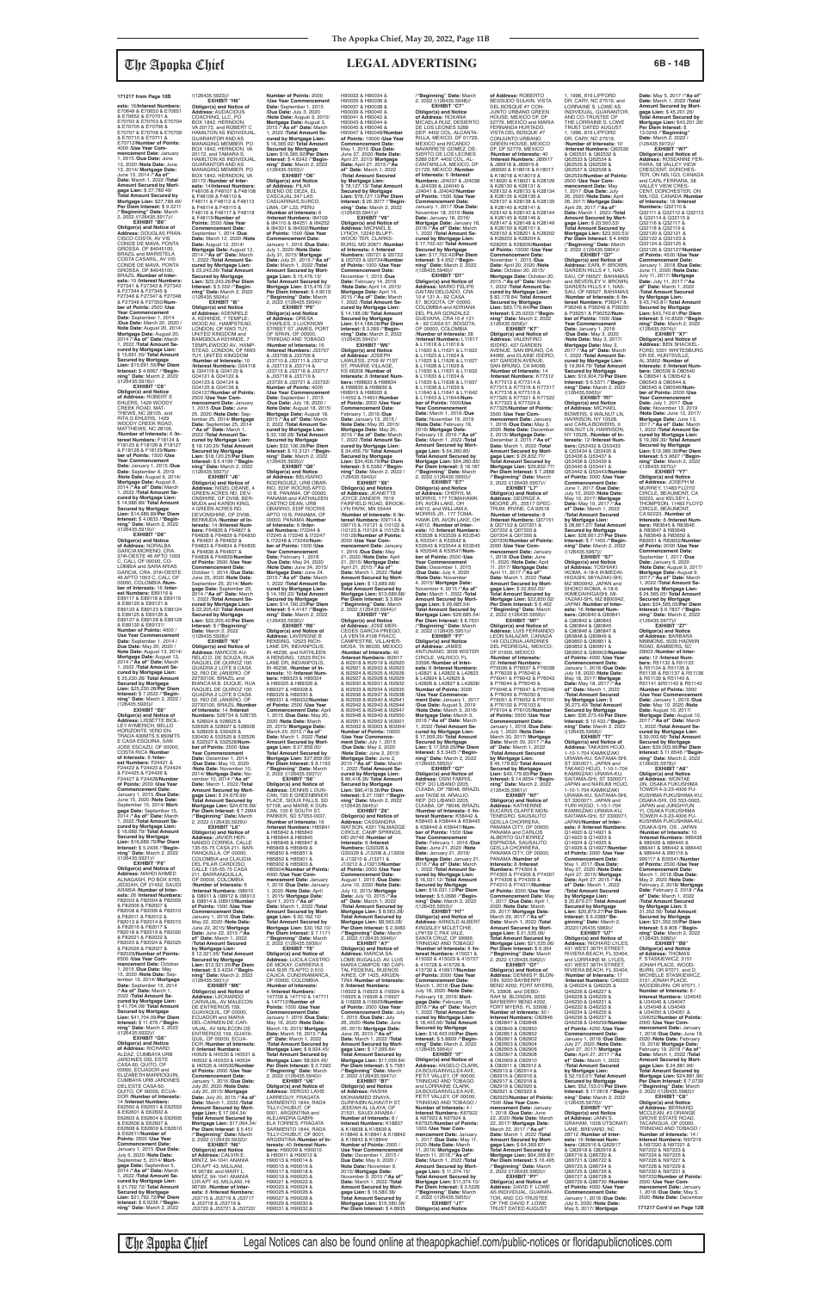**ests:** 16/**Interest Numbers:** E70649 & E70650 & E70651 & E70652 & E70701 & E70702 & E70703 & E70704 & E70705 & E70706 & E70707 & E70708 & E70709 & E70710 & E70711 & E70712/**Number of Points:** 4000 /**Use Year Com-mencement Date:** January 1, 2015 /**Due Date:** June 13, 2020 /**Note Date:** June 13, 2014/ **Mortgage Date:** June 13, 2014 /**"As of" Date:** March 1, 2022 /**Total Amount Secured by Mort-gage Lien:** \$ 27,789.49/ **Total Amount Secured by Mortgage Lien:** \$27,789.49/ **Per Diem Interest:** \$ 9.2211 /**"Beginning" Date:** March 2, 2022 /(126435.5917)//

EXHIBIT "B6" **Obligor(s) and Notice of Address:** DOUGLAS FRAN-CISCO COSTA, AV VIS CONDE DE MAVA, PONTA GROSSA, OF 84045100, BRAZIL and MARISTELA COSTA CASARIL, AV VIS CONDE DE MAVA, PONTA GROSSA, OF 84045100, BRAZIL /**Number of Inter-ests:** 10 /**Interest Numbers:** F27341 & F27342 & F27343 & F27344 & F27345 & F27346 & F27347 & F27348 & F27349 & F27350/**Num-ber of Points:** 2500 /**Use Year Commencement Date:** September 1, 2014 /**Due Date:** March 20, 2020 / **Note Date:** August 20, 2014/ **Mortgage Date:** August 20, 2014 /**"As of" Date:** March 1, 2022 /**Total Amount Secured by Mortgage Lien:** \$ 15,691.55/ **Total Amount Secured by Mortgage Lien:** \$15,691.55/**Per Diem Interest:** \$ 4.6067 /**"Begin-ning" Date:** March 2, 2022 /(126435.5918)// **EXHIBIT "C6"**

**Obligor(s) and Notice<br><b>of Address:** NORALBA<br>GARCIA MORENO, CRA.<br>37#I-OESTE 46 APTO 1003 C, CALI, OF 00000, CO-<br>LOMBIA and SARA ARIAS LOMBIA and SARA ARIAS<br>GARCIA, CRA. 37#I-OESTE<br>46 APTO 1003 C, CALI, OF<br>00000, COLOMBIA /**Number of Interests:** 16 /**Interest Numbers:** E89116 & E89117 & E89118 & E89119 & E89120 & E89121 & E89122 & E89123 & E89124 & E89125 & E89126 & E89127 & E89128 & E89129 & E89130 & E89131/<br>Number of Points: 4000 / **Number of Points:** 4000 / **Use Year Commencement Date:** September 1, 2014 / **Due Date:** May 20, 2020 / **Note Date:** August 13, 2014/ **Mortgage Date:** August 13, 2014 /**"As of" Date:** March 1, 2022 /**Total Amount Secured by Mortgage Lien:** \$ 25,230.28/ **Total Amount Secured by Mortgage Lien:** \$25,230.28/**Per Diem Interest:** \$ 7.2522 /**"Begin-ning" Date:** March 2, 2022 /

**Obligor(s) and Notice of Address:** ROBERT E<br>EHLERS, 1429 WOODY<br>CREEK ROAD, MAT-THEWS, NC 28105, and RITA G EHLERS, 1429 WOODY CREEK ROAD, MATTHEWS, NC 28105, /**Number of Interests:** 6 /**In-terest Numbers:** F18124 & F18125 & F18126 & F18127 & F18128 & F18129/**Num-ber of Points:** 1500 /**Use Year Commencement Date:** January 1, 2015 /**Due Date:** September 6, 2019 /**Note Date:** August 6, 2014/ **Mortgage Date:** August 6, 2014 /**"As of" Date:** March 1, 2022 /**Total Amount Secured by Mortgage Lien:** \$ 14,986.89/ **Total Amount Secured by Mortgage Lien:** \$14,986.89/**Per Diem Interest:** \$ 4.0633 /**"Beginning" Date:** March 2, 2022 /(126435.5919)// **EXHIBIT "D6"**

(126435.5920)// **EXHIBIT "E6" Obligor(s) and Notice of Address:** LISSETTE BIOL-LEY AYMERICH, BELLO HORIZONTE 1ERO EN-TRADA 400MTS S 850MTS E CASA ESQUINA, SAN JOSE ESCAZU, OF 00000, COSTA RICA /**Number of Interests:** 8 /**Inter-est Numbers:** F24421 & F24422 & F24423 & F24424 & F24425 & F24426 & F24427 & F24428/**Number of Points: 2000 /Use Year**<br> **Commencement Date: Commencement Date:** January 1, 2015 /**Due Date:** June 15, 2020 /**Note Date:** September 15, 2014/ **Mortgage Date:** September 15, 2014 /**"As of" Date:** March 1, 2022 /**Total Amount Se-cured by Mortgage Lien:** \$ 16,689.79/ **Total Amount Secured by Mortgage Lien:** \$16,689.79/**Per Diem Interest:** \$ 5.2436 /**"Begin-ning" Date:** March 2, 2022 /(126435.5921)// **EXHIBIT "F6" Obligor(s) and Notice of Address:** MAHDI AHMED ALNAGASH, PO BOX 6765 JEDDAH, OF 21452, SAUDI ARABIA /**Number of Interests:** 26 /**Interest Numbers:** F82003 & F82004 & F82005 & F82006 & F82007 & F82008 & F82009 & F82010 & F82011 & F82012 & F82013 & F82014 & F82015 & F82016 & F82017 & F82018 & F82019 & F82020 & F82021 & F82022 & F82023 & F82024 & F82025 & F82026 & F82027 & F82028/**Number of Points:** 6500 /**Use Year Com-mencement Date:** October 1, 2015 /**Due Date:** May 15, 2020 /**Note Date:** Sep-tember 15, 2014/ **Mortgage Date:** September 15, 2014 /**"As of" Date:** March 1, 2022 /**Total Amount Secured by Mortgage Lien:** \$ 41,704.09/ **Total Amount Secured by Mortgage Lien:** \$41,704.09/**Per Diem Interest:** \$ 11.676 /**"Begin-ning" Date:** March 2, 2022 /(126435.5922)// **EXHIBIT "G6" Obligor(s) and Notice of Address:** RICHARD ALDAZ, CUMBAYA URB JARDINES DEL ESTE CASA 60, QUITO, OF 00000, ECUADOR and ELIZABETH MARROQUIN, CUMBAYA URB JARDINES DEL ESTE CASA 60, QUITO, OF 00000, ECUA-DOR /**Number of Interests:** 14 /**Interest Numbers:** E62550 & E62551 & E62552 & E62601 & E62602 & E62603 & E62604 & E62605 & E62606 & E62607 & E62608 & E62609 & E62610 & E62611/**Number of Points:** 3500 /**Use Year Commencement Date:** January 1, 2015 /**Due Date:** July 5, 2020 /**Note Date:** September 5, 2014/ **Mortgage Date:** September 5, 2014 /**"As of" Date:** March 1, 2022 /**Total Amount Secured by Mortgage Lien:** \$ 21,792.72/ **Total Amount Secured by Mortgage Lien:** \$21,792.72/**Per Diem Interest:** \$ 6.9236 /**"Begin-ning" Date:** March 2, 2022

**of Address:** ADENRELE<br>A. KEHINDE, 7 TEMPLE-<br>WOOD AV., HAMPSTEAD, LONDON, OF NW3 7UY,<br>UNITED KINGDOM and UNITED KINGDOM and BAMGBOLA KEHINDE, 7 TEMPLEWOOD AV., HAMP-STEAD, LONDON, OF NW3 7UY, UNITED KINGDOM /**Number of Interests:** 10 /**Interest Numbers:** G04118 & G04119 & G04120 & G04125 & G04126 &<br>G04127/**Number of Points:**<br>2500 /**Use Year Com-**<br>mencement Date: January<br>1, 2015 /Due Date: June<br>25, 2020 /**Note Date:** September 25, 2014/ **Mortgage Date:** September 25, 2014 /**"As of" Date:** March 1, 2022 /**Total Amount Se-cured by Mortgage Lien:** \$ 18,120.25/ **Total Amount Secured by Mortgage Lien:** \$18,120.25/**Per Diem Interest:** \$ 5.4199 /**"Beginning" Date:** March 2, 2022 **EXHIBIT "P6" Obligor(s) and Notice of Address:** ORESA CHARLES, 2 LUCKNOW STREET ST JAMES, PORT OF SPAIN, OF 00000, TRINIDAD AND TOBAGO /**Number of Interests:** 16 /**Interest Numbers:** J33707 & J33708 & J33709 & J33710 & J33711 & J33712 & J33713 & J33714 & J33715 & J33716 & J33717 & J33718 & J33719 & J33720 & J33721 & J33722/ Number of Points: 4000<br>
/Use Year Commencement<br>
Date: September 1, 2015<br>
/Due Date: July 18, 2020 /<br>
Note Date: August 18, 2015/<br>
Mortgage Date: August 18,<br>
2015 /"As of" Date: March 2, 2022 /**Total Amount Secured by Mortgage Lien:** \$ 32,106.28/ **Total Amount Secured by Mortgage Lien:** \$32,106.28/**Per Diem Interest:** \$ 10.3121 /**"Beginning" Date:** March 2, 2022 /(126435.5935)// **EXHIBIT "Q6"**

/(126435.5924)// **EXHIBIT "I6" Obligor(s) and Notice** 

G04121 & G04122 & G04123 & G04124 &

/(126435.5923)// **EXHIBIT "H6" Obligor(s) and Notice of Address:** AUDACIOUS COACHING, LLC, PO<br>BOX 1842, HERNDON, VA 20172, and ROBERT C HAMILTON AS INDIVIDUAL, GUARANTOR AND AS MANAGING MEMBER, PO<br>BOX 1842, HERNDON, VA<br>20172, and TAMARA S.<br>HAMILTON AS INDIVIDUAL, GUARANTOR AND AS MANAGING MEMBER, PO BOX 1842, HERNDON, VA 20172 /**Number of Inter-ests:** 14/**Interest Numbers:** F48106 & F48107 & F48108 & F48109 & F48110 & F48111 & F48112 & F48113 & F48114 & F48115 & **Number of Points:** 2000 */Use Year Commencement* **Date:** September 1, 2015<br>/**Due Date:** July 3, 2020<br>/**Note Date:** August 3, 2015/ **Mortgage Date:** August 3, 2015 /**"As of" Date:** March 1, 2022 /**Total Amount Secured by Mortgage Lien:** \$ 16,365.92/ **Total Amount Secured by Mortgage Lien:** \$16,365.92/**Per Diem Interest:** \$ 4.6242 /**"Beginning" Date:** March 2, 2022 /(126435.5933)// **EXHIBIT "O6" Obligor(s) and Notice of Address:** PILAR BUENO DE DEZA, EL

> LYNCH, 12240 BLUFF-<br>WOOD TEB-CLABKS-WOOD TER, CLARKS-BURG, MD 20871 /**Number of Interests:** 4 /**Interest Numbers:** I20721 & I20722 & I20723 & I20724/**Number of Points:** 1000 /**Use Year Commencement Date:** November 1, 2015 /**Due Date:** February 14, 2018 /**Note Date:** April 14, 2015/ Mortgage Date: April 14,<br>2015 /"As of" Date: March<br>1, 2022 /Total Amount Se-<br>cured by Mortgage Lien:<br>\$ 14,188.08/Total Amount<br>Secured by Mortgage<br>Lien: \$14,188.08/Per Diem **Interest:** \$ 3.289 /**"Begin-ning" Date:** March 2, 2022 /(126435.5942)// **EXHIBIT "W6" Obligor(s) and Notice of Address:** JOSEPH LAWLESS, 2709 W 71ST<br>ST, PRAIRIE VILLAGE,<br>KS 66208 /**Number of Interests:** 8 /**Interest Num-bers:** H98833 & H98834 & H98835 & H98836 & H98919 & H98920 & I14552 & I14601/**Number**

F48116 & F48117 & F48118 & F48119/**Number of Points:** 3500 /**Use Year Commencement Date:** September 1, 2014 /**Due Date:** March 12, 2020 /**Note Date:** August 12, 2014/ **Mortgage Date:** August 12, 2014 /**"As of" Date:** March 1, 2022 /**Total Amount Secured by Mortgage Lien:** \$ 23,243.26/ **Total Amount Secured by Mortgage Lien:** \$23,243.26/**Per Diem Interest:** \$ 5.552 /**"Beginning" Date:** March 2, 2022 CASCAJAL 247 LAS CASUARINAS,SURCO, LIMA, OF L33, PERU /**Number of Interests:** 6 /**Interest Numbers:** I84109 & I84110 & I84251 & I84252 & I84301 & I84302/**Number of Points:** 1500 /**Use Year Commencement Date:** January 1, 2016 /**Due Date:** July 1, 2020 /**Note Date:** July 31, 2015/ **Mortgage Date:** July 31, 2015 /**"As of" Date:** March 1, 2022 /**Total Amount Secured by Mort-gage Lien:** \$ 15,476.13/ **Total Amount Secured by Mortgage Lien:** \$15,476.13/ **Per Diem Interest:** \$ 4.9019 /**"Beginning" Date:** March 2, 2022 /(126435.5934)//

> **EXHIBIT "X6"<br><b>Obligor(s) and Notice**<br>**of Address**: JEANETTE<br>JOYCE ZANDER, 7619<br>FAIRFIELD ROAD, BROOK-<br>LYN PARK, MN 55444 /**Number of Interests:** 8 /**Interest Numbers:** I09714 &<br>I09715 & I10121 & I10122 &<br>I10123 & I10124 & I10125 & I10126/**Number of Points:** 2000 /**Use Year Commencement Date:** January 1, 2016 /**Due Date:** May 21, 2020 /**Note Date:** April 21, 2015/ **Mortgage Date:** April 21, 2015 /**"As of" Date:** March 1, 2022 /**Total Amount Secured by Mort-gage Lien:** \$ 13,689.68/ **Total Amount Secured by Mortgage Lien:** \$13,689.68/ **Per Diem Interest:** \$ 3.804 /**"Beginning" Date:** March 2, 2022 /(126435.5944)//

/(126435.5927)// **EXHIBIT "J6" Obligor(s) and Notice of Address:** NIGEL DEANE, 4 GREEN ACRES RD, DEV-ONSHIRE, OF DV08, BER-MUDA and KAREN KING, 4 GREEN ACRES RD,<br>DEVONSHIRE, OF DV08, BERMUDA /**Number of In-terests:** 14 /**Interest Numbers:** F64826 & F64827 & F64828 & F64829 & F64830 & F64831 & F64832 & F64833 & F64834 & F64835 & F64836 & F64837 & F64838 & F64839/**Number of Points:** 3500 /**Use Year Commencement Date:** October 1, 2014 /**Due Date:** June 25, 2020 /**Note Date:** September 25, 2014/ **Mort-gage Date:** September 25, 2014 /**"As of" Date:** March 1, 2022 /**Total Amount Se-cured by Mortgage Lien:** \$ 22,205.42/ **Total Amount Secured by Mortgage Lien:** \$22,205.42/**Per Diem<br><b>Interest:** \$ /**"Beginning"<br><b>Date:** March 2, 2022<br>/(126435.5928)// **Obligor(s) and Notice of Address:** BELISARIO RODRIGUEZ, URB OBAR-RIO, EDIF RÓCRIS APTO<br>10 B. PANAMA, OF 00000. 10 B, PANAMA, OF 00000,<br>PANAMA and KATHALEEN<br>CASTRO DEAN, URB<br>OBARRIO, EDIF ROCRIS APTO 10 B, PANAMA, OF 00000, PANAMA /**Number of Interests:** 6 /**Inter-est Numbers:** I72244 & I72245 & I72246 & I72247 & I72248 & I72249/**Number of Points:** 1500 /**Use Year Commencement Date:** February 1, 2016 /**Due Date:** May 24, 2020 /**Note Date:** June 24, 2015/ **Mortgage Date:** June 24, 2015 /**"As of" Date:** March 1, 2022 /**Total Amount Se-cured by Mortgage Lien:** \$ 14,160.23/ **Total Amount Secured by Mortgage Lien:** \$14,160.23/**Per Diem Interest:** \$ 4.4147 /**"Beginning" Date:** March 2, 2022 /(126435.5936)// **EXHIBIT "R6"**

/**"Beginning" Date:** March 2, 2022 /(126435.5948)// **EXHIBIT "C7" Obligor(s) and Notice of Address:** ROXANA<br>MICAELA RUIZ, DESIERTO<br>DE LOS LEONES 5289 DEP. 4402 COL. ALCANTA-RILLA, MEXICO, DF 01729, MEXICO and RICARDO<br>NAVARRETE GOMEZ, DE-<br>SIERTO DE LOS LEONES 5289 DEP. 4402 COL. AL-CANTARILLA, MEXICO, DF 01729, MEXICO /**Number of Interests:** 6 /**Interest<br><b>Numbers:** J24037 & J24038<br>& J24039 & J24040 &<br>J24041 & J24042/**Number of Points:** 1500 /**Use Year Commencement Date:** January 1, 2017 /**Due Date:** November 18, 2019 /**Note Date:** January 18, 2016/ **Mortgage Date:** January 18, 2016 /**"As of" Date:** March 1, 2022 /Total Amount Se-<br>cured by Mortgage Lien:<br>\$ 17,702.42/ Total Amount<br>Secured by Mortgage<br>Lien: \$17,702.42/Per Diem<br>ninerst: \$ 4.952 /"Begin-<br>ning" Date: March 2, 2022<br>((126435.5949)// **EXHIBIT "D7" Obligor(s) and Notice of Address:** MARIO FELIPE GAITAN DELGADO, CRA 10 # 131 A - 92 CASA 57, BOGOTA, OF 00000,<br>COLOMBIA and ADRIANA<br>DEL PILAR GONZALEZ<br>GUEVARA, CRA 10 # 131 A - 92 CASA 57, BOGOTA, OF 00000, COLOMBIA /**Number of Interests:** 28 /**Interest Numbers:** L11617 & L11618 & L11619 & L11620 & L11621 & L11622 & L11623 & L11624 &<br>L11625 & L11626 & L11627 L11625 & L11626 & L11627<br>& L11628 & L11629 &<br>L11630 & L11631 & L11632<br>& L11633 & L11634 &<br>L11635 & L11636 & L11637 & L11638 & L11639 & L11640 & L11641 & L11642 & L11643 & L11644/**Number of Points:** 7000/**Use Year Commencement Date:** March 1, 2016 /**Due**  Date: November 19, 2019<br>**Note Date:** February 19 /**Note Date:** February 19, 2016/ **Mortgage Date:** February 19, 2016 /**"As of" Date:** March 1, 2022 /**Total Amount Secured by Mortgage Lien:** \$ 64,260.85/ **Total Amount Secured by Mortgage Lien:** \$64,260.85/ **Per Diem Interest:** \$ 18.187 /**"Beginning" Date:** March 2, 2022 /(126435.5950)//<br>"EXHIBIT "E7 **EXHIBIT "E7"<br><b>Obligor(s) and Notice**<br>**of Address:** CHERYL M.<br>MORRIS, 177 TOMAHAWK<br>DR, AVON LAKE, OH<br>44012, and WILLIAM A. MORRIS JR., 177 TOMA-HAWK DR, AVON LAKE, OH 44012, /**Number of Inter-ests:** 10 /**Interest Numbers:** K53538 & K53539 & K53540 & K53541 & K53542 & K53543 & K53544 & K53545 & K53546 & K53547/**Number of Points:** 2500 /**Use Year Commencement Date:** December 1, 2015 /**Due Date:** July 4, 2020 Mote Date: November<br>4, 2015/Mortgage Date:<br>November 4, 2015 /"As of"<br>Date: March 1, 2022 /Total<br>Amount Secured by Mort-<br>Amount Secured by Mortgage Lien: \$29,685.54/<br>Mortgage Lien: \$29,685.54/<br>Per Diem Interest: \$ 8.7631<br>"B **Obligor(s) and Notice of Address:** JAMES ANTUNANO, 3039 WISTER CIRCLE, VALRICO, FL 33596 /**Number of Inter-ests:** 8 /**Interest Numbers:** L42821 & L42822 & L42823 & L42824 & L42825 &<br>L42826 & L42827 & L42828/

**EXHIBIT "K6" Obligor(s) and Notice of Address:** MARCOS AU-RELIO D. DE SOUZA, RUA RAQUEL DE QUIROZ 100 QUADRA 2 LOTE 9 CASA 52, RIO DE JANIERO, OF 22793100, BRAZIL and BIANCA M.B. DUQUE, RUA RAQUEL DE QUIROZ 100 QUADRA 2 LOTE 9 CASA 52, RIO DE JANIERO, OF 22793100, BRAZIL /**Numbe of Interests:** 14 /**Interest Numbers:** 528734 & 528735 & 528924 & 528925 & 528926 & 528927 & 528928 & 528929 & 530429 & 530430 & 532525 & 532526 & 532527 & 532528/**Number of Points:** 3500 /**Use Year Commencement Date:** December 1, 2014 /**Due Date:** May 10, 2020 /**Note Date:** November 10, 2014/ **Mortgage Date:** No-vember 10, 2014 /**"As of" Date:** March 1, 2022 /**Total Amount Secured by Mort-gage Lien:** \$ 24,676.99/ **Total Amount Secured by Mortgage Lien:** \$24,676.99/ **Per Diem Interest:** \$ 7.2994 /**"Beginning" Date:** March 2, 2022 /(126435.5929)// **EXHIBIT "L6" Obligor(s) and Notice of Address:** JAVIER HER-NANDO CORREA, CALLE 135-55-75 CASA 211, BAR-RANQUILLA, OF 00000, COLOMBIA and CLAUDIA DEL PILAR CARDOSO, CALLE 135-55-75 CASA<br>211. BARRANQUILLA. 211, BARRANQUILLA, OF 00000, COLOMBIA /**Number of Interests:** 6 /**Interest Numbers:** I38910 & I38911 & I38912 & I38913 & I38914 & I38915/**Number of Points:** 1500 /**Use Year Commencement Date:** January 1, 2016 /**Due Date:** May 22, 2020 /**Note Date:** June 22, 2015/ **Mortgage Date:** June 22, 2015 /**"As of" Date:** March 1, 2022 /**Total Amount Secured by Mortgage Lien:** \$ 12,321.95/ **Total Amount Secured by Mortgage Lien:** \$12,321.95/**Per Diem Interest:** \$ 3.4234 /**"Beginning" Date:** March 2, 2022 /(126435.5931)// **EXHIBIT "M6" Obligor(s) and Notice of Address:** LEONARDO CARVAJAL, AV MALECON DE ENTRERIOS 159, GUAYAQUIL, OF 00000, ECUADOR and MARIA DEL-CARMEN-DE-CAR-VAJAL, AV MALECON DE<br>ENTRERIOS 159, GUAYA-QUIL, OF 00000, ECUA-DOR /**Number of Interests:** 8 /**Interest Numbers:** I40529 & I40530 & I40531 & I40532 & I40533 & I40534 & I40535 & I40536/**Number of Points:** 2000 /**Use Year Commencement Date:** January 1, 2016 /**Due Date:** July 20, 2020 /**Note Date:** July 20, 2015/ **Mortgage Date:** July 20, 2015 /**"As of" Date:** March 1, 2022 /**Total Amount Secured by Mort-gage Lien:** \$ 17,064.34/ **Total Amount Secured by Mortgage Lien:** \$17,064.34/ **Per Diem Interest:** \$ 5.451 /**"Beginning" Date:** March 2, 2022 /(126435.5932)// **EXHIBIT "N6" Obligor(s) and Notice of Address:** CALVIN E.<br>MINTZ, 94-1041 ANANIA<br>CIR APT 43, MILILANI, HI 96789, and MARY L. MINTZ, 94-1041 ANANIA CIR APT 43, MILILANI, HI 96789, /**Number of Inter-ests:** 8 /**Interest Numbers:** J53715 & J53716 & J53717 & J53718 & J53719 & J53720 & J53721 & J53722/ RENSING, 12523 RICH-IN 46236, /**Number of Inbers:** H89323 & H89324 & H89325 & H89326 & H89327 & H89328 & **Obligor(s) and Notice of**  /**Number of Interests:** 16 & H85842 & H85843 & H85844 & H85845 & H85846 & H85847 & H85848 & H85849 & H85850 & H85851 & H85852 & H85901 & H85902 & H85903 & OF 00000, COLOMBIA /**Number of Interests:** 4 /**Interest Numbers: Points:** 1000 /**Use Year**  2, 2022 /(126435.5940)// **EXHIBIT "U6"** TILLY-CHUBUT, OF 9001, ARGENTINA and ALEJANDRA GABRI-TILLY-CHUBUT, OF 9001 **bers:** H90009 & H90010 & H90011 & H90012 & H90013 & H90014 & H90015 & H90016 & H90017 & H90018 & H90019 & H90020 & H90021 & H90022 & H90023 & H90024 & H90025 & H90026 & H90027 & H90028 &

H90033 & H90034 &

H90035 & H90036 & H90037 & H90038 & H90039 & H90040 & H90041 & H90042 & H90043 & H90044 & H90045 & H90046 & H90047 & H90048/**Number of Points:** 10000 /**Use Year Commencement Date:** May 1, 2015 /**Due Date:** June 27, 2020 /**Note Date:** April 27, 2015/ **Mortgage Date:** April 27, 2015 /**"As of" Date:** March 1, 2022 /**Total Amount Secured by Mortgage Lien:** \$ 78,127.13/ **Total Amount Secured by Mortgage Lien:** \$78,127.13/**Per Diem Interest:** \$ 26.3077 /**"Begin-ning" Date:** March 2, 2022 /(126435.5941)// **EXHIBIT "V6" Obligor(s) and Notice of Address:** MICHAEL E.

1, 1996, 616 LIPFORD<br>DR, CARY, NC 27519, and LORRAINE S. LOWE AS INDIVIDUAL, GUARANTOR, AND CO-TRUSTEE OF THE LORRAINE S. LOWE TRUST DATED AUGUST 1, 1996, 616 LIPFORD DR, CARY, NC 27519, /**Number of Interests:** 10 /**Interest Numbers:** Q62530 & Q62531 & Q62532 & Q62533 & Q62534 & Q62535 & Q62536 & Q62537 & Q62538 & Q62539/**Number of Points:** 2500 /**Use Year Commencement Date:** May 1, 2017 /**Due Date:** July 26, 2020 /**Note Date:** April 26, 2017/ **Mortgage Date:** April 26, 2017 /**"As of" Date:** March 1, 2022 /**Total Amount Secured by Mort-gage Lien:** \$ 23,500.53/ **Total Amount Secured by Mortgage Lien:** \$23,500.53/ **Per Diem Interest:** \$ 4.9469 /**"Beginning" Date:** March 2, 2022 /(126435.5964)// **EXHIBIT "Q7" Obligor(s) and Notice of<br><b>Address:** EARL P. BROWN,<br>GARDEN HILLS # 1, NAS-<br>SAU, OF N9527, BAHAMAS and BEVERLEY V. BROWN, GARDEN HILLS # 1, NAS-SAU, OF N9527, BAHAMAS /**Number of Interests:** 6 /**In-terest Numbers:** P36247 & P36248 & P36249 & P36250 & P36251 & P36252/**Num-ber of Points:** 1500 /**Use Year Commencement Date:** January 1, 2018 /**Due Date:** May 3, 2020 /**Note Date:** May 3, 2017/ **Mortgage Date:** May 3, 2017 /**"As of" Date:** March 1, 2022 /**Total Amount Secured by Mortgage Lien:** \$ 19,904.79/ **Total Amount Secured by Mortgage Lien:** \$19,904.79/**Per Diem Interest:** \$ 6.5371 /**"Beginning" Date:** March 2, 2022 /(126435.5965)// **EXHIBIT "R7" Obligor(s) and Notice of Address:** MICHAEL<br>BOWERS, 9 WALNUT LN, HARRISON, NY 10528, and CARLA BOWERS, 9 WALNUT LN, HARRISON, NY 10528, /**Number of In-terests:** 12 /**Interest Num-bers:** Q53432 & Q53433 & Q53434 & Q53435 & Q53436 & Q53437 & Q53438 & Q53439 & Q53440 & Q53441 & Q53442 & Q53443/**Number of Points:** 3000 /**Use Year Commencement Date:** June 1, 2017 /**Due Date:** July 10, 2020 /**Note Date:** May 10, 2017/ **Mortgage Date:** May 10, 2017 /**"As of" Date:** March 1, 2022 /**Total Amount Secured by Mortgage Lien:**

**Obligor(s) and Notice of Address:** LAVERGNE B LANE DR, INDIANPOLIS,<br>IN 46236, and KATHLEEN IN 46236, and KATHLEEN A RENSING, 12523 RICH-LANE DR, INDIANPOLIS, **terests:** 10 /**Interest Num-**H89329 & H89330 & H89331 & H89332/**Number of Points:** 2500 /**Use Year Commencement Date:** April 1, 2015 /**Due Date:** May 20, 2020 /**Note Date:** March 20, 2015/ **Mortgage Date:** March 20, 2015 /**"As of" Date:** March 1, 2022 /**Total Amount Secured by Mort-gage Lien:** \$ 27,859.00/ **Total Amount Secured by Mortgage Lien:** \$27,859.00/ **Per Diem Interest:** \$ 8.1193 /**"Beginning" Date:** March 2, 2022 /(126435.5937)// **EXHIBIT "S6" Address:** DENNIS L DUN-CAN, 720 E GREENBRIER PLACE, SIOUX FALLS, SD 57108, and MARIE K DUN-CAN, 100 E SOUTH ST, PARKER, SD 57053-0037, /**Interest Numbers: H8584** H85904/**Number of Points:** 4000 /**Use Year Com-mencement Date:** January 1, 2016 /**Due Date:** January 1, 2020 /**Note Date:** April 1, 2015/ **Mortgage Date:** April 1, 2015 /**"As of" Date:** March 1, 2022 /**Total Amount Secured by Mort-gage Lien:** \$ 30,162.10/ **Total Amount Secured by Mortgage Lien: \$30,162.10/<br><b>Per Diem Interest: \$** 7.1171<br>**/"Beginning" Dat**e: March<br>2, 2022 /(126435.5939)//<br>**EXHIBIT "T6" Obligor(s) and Notice of Address:** LUCILA CASTRO DE MCKAY, CARRERA 5 #4A SUR 79 APTO 2-510 CAJICA, CUNDINAMARCA, 147709 & 147710 & 147711 & 147712/**Number of Commencement Date:** January 1, 2016 /**Due Date:** May 16, 2020 /**Note Date:** March 16, 2015/ **Mortgage Date:** March 16, 2015 /**"As of" Date:** March 1, 2022 /**Total Amount Secured by Mortgage Lien:** \$ 8,924.45/ **Total Amount Secured by Mortgage Lien:** \$8,924.45/ **Per Diem Interest:** \$ 2.7383 /**"Beginning" Date:** March **Obligor(s) and Notice of Address:** SERGIO LAVIE LARREGUY, FRAGATA SARMIENTO 1844, RADA ELA TORRES, FRAGATA SARMIENTO 1844, RADA ARGENTINA /**Number of Interests:** 40 /**Interest Num-**H90029 & H90030 & H90031 & H90032 & **EXHIBIT "Y6" Obligor(s) and Notice of Address:** JOSE MER-CEDES GARCIA PRIEGO, LA VENTA #108 FRACC CAMPESTRE, VILLAHER-MOSA, TA 86035, MEXICO /**Number of Interests:** 40 /**Interest Numbers:** I62917 & I62918 & I62919 & I62920 & I62921 & I62922 & I62923 & I62924 & I62925 & I62926 & I62927 & I62928 & I62929 & I62930 & I62931 & I62932 & I62933 & I62934 & I62935 & I62936 & I62937 & I62938 & I62939 & I62940 & I62941 & I62942 & I62943 & I62944 & I62945 & I62946 & I62947 & I62948 & I62949 & I62950 162951 & 162952 & 163001 & I63002 & I63003 & I63004/ **nber of P** /**Use Year Commencement Date:** July 1, 2015<br>/**Due Date:** May 2, 2020<br>/**Note Date:** June 2, 2015/ **Mortgage Date:** June 2, 2015 /**"As of" Date:** March 1, 2022 /**Total Amount Secured by Mortgage Lien:** \$ 86,418.36/ **Total Amount Secured by Mortgage Lien:** \$86,418.36/**Per Diem Interest:** \$ 27.1587 /**"Beginning"** Date: March 2, 2022 /(126435.5945)// **EXHIBIT "Z6" Obligor(s) and Notice of<br><b>Address:** CASSANDRA<br>WATSON, 4331 TALMADGE CIRCLE, CAMP SPRINGS, MD 20746 /**Number of Interests:** 8 /**Interest Numbers:** G30328 & G30329 & J13208 & J13209 & J13210 & J13211 & J13212 & J13213/**Numbe of Points:** 2000 /**Use Year Commencement Date:** August 1, 2015 /**Due Date:** June 10, 2020 /**Note Date:** July 10, 2015/ **Mortgage Date:** July 10, 2015 /**"As of" Date:** March 1, 2022 /**Total Amount Secured by Mortgage Lien:** \$ 8,563.28/ **Total Amount Secured by Mortgage Lien:** \$8,563.28/ **Per Diem Interest:** \$ 2.3083 /**"Beginning" Date:** March 2, 2022 /(126435.5946)// **EXHIBIT "A7 Obligor(s) and Notice of Address:** MARCIA SA-LOME BUGALLO, AV. LUIS MARIA CAMPOS<sup>'</sup>180 CAPI-<br>TAL FEDERAL. BUENOS TAL FEDERAL, BUENOS AIRES, OF 1425, ARGEN-TINA /**Number of Interests:** 8 /**Interest Numbers:** I16922 & I16923 & I16924 & I16925 & I16926 & I16927 & I16928 & I16929/**Number of Points:** 2000 /**Use Year Commencement Date:** July 1, 2015 /**Due Date:** July 26, 2020 /**Note Date:** June 26, 2015/ **Mortgage Date:** June 26, 2015 /**"As of" Date:** March 1, 2022 /**Total Amount Secured by Mort-gage Lien:** \$ 17,099.84/ **Total Amount Secured by Mortgage Lien:** \$17,099.84/ **Per Diem Interest:** \$ 5.7581 /**"Beginning" Date:** March 2, 2022 /(126435.5947)// **EXHIBIT "B7" Obligor(s) and Notice of Address:** RASHA MOHAMMED ENAYA, GURFAIBN ALHAVITH ST, JEDDAH AL ULAYA, OF 21531, SAUDI ARABIA / **Number of Interests:** 8 / **Interest Numbers:** K18837 & K18838 & K18839 & K18840 & K18841 & K18842 & K18843 & K18844/ **Number of Points:** 2000 / **Use Year Commencement Date:** December 1, 2015 / **Due Date:** May 9, 2020 / **Note Date:** November 9, 2015/ **Mortgage Date:** November 9, 2015 /**"As of" Date:** March 1, 2022 /**Total Amount Secured by Mort-gage Lien:** \$ 16,580.38/ **Total Amount Secured by Mortgage Lien:** \$16,580.38/ **Per Diem Interest:** \$ 4.8935

**of Points:** 2000 /**Use Year Commencement Date:** Febraary 1, 2016 /**Due**  Date: January 13, 2015 /<br>Note Date: May 20, 2015/<br>Mortgage Date: May 20,<br>2015 /"As of" Date: March<br>1, 2022 /Total Amount Server<br>S 34,456.79/ Total Amount **Secured by Mortgage Lien:** \$34,456.79/**Per Diem Interest:** \$ 6.5382 /**"Begin-ning" Date:** March 2, 2022 / (126435.5943)//

**Date:** May 5, 2017 / "As of **Date:** March 1, 2022 /**Total Amount Secured by Mortgage Lien:** \$ 45,201.26/ **Total Amount Secured by Mortgage Lien:** \$45,201.26/ **Per Diem Interest:** \$ 13.0249 /**"Beginning" Date:** March 2, 2022 / (126435.5972) **EXHIBIT "W7" Obligor(s) and Notice of Address:** ROSEANNE FER-RARA, 58 VALLEY VIEW CRESCENT, DORCHES-TER, ON N0L1G3, CANADA and CARL FERRARA, 58 VALLEY VIEW CRES-CENT, DORCHESTER, ON N0L1G3, CANADA /**Number of Interests:** 18 /**Interest Numbers:** Q32110 &<br>Q32111 & Q32112 & Q32113<br>& Q32114 & Q32115 & Q32116 & Q32117 & Q32118 & Q32119 & Q32120 & Q32121 & Q32122 & Q32123 & Q32124 & Q32125 & Q32126 & Q32127/**Number of Points:** 4500 /**Use Year Commencement Date:** January 1, 2018 /**Due Date:** June 11, 2020 /**Note Date:** July 11, 2017/ **Mortgage Date:** July 11, 2017 /**"As of" Date:** March 1, 2022 /**Total Amount Secured by Mortgage Lien:** \$ 43,743.81/ **Total Amount Secured by Mortgage Lien:** \$43,743.81/**Per Diem Interest:** \$ 10.8529 /**"Beginning" Date:** March 2, 2022 /(126435.5974)// **EXHIBIT "X7"**

**EXHIBIT "A8"<br><b>Obligor(s) and Notice<br><b>of Address:** WONTAE<br>JIN, OSAKA FUKUSHIMA<br>TOWER 4-3-23-4006 FU-<br>KUSHIMA FUKUSHIMA-KU, OSAKA-SHI, OS 553-0003, JAPAN and JUNGHYUN YI, OSAKA FUKUSHIMA TOWER 4-3-23-4006 FU-KUSHIMA FUKUSHIMA-KU, OSAKA-SHI, OS , JAPAN /**Number of Interests:** 10 /**Interest Numbers:** 986438 & 986439 & 986440 & 986441 & 986442 & 986443 & 986444 & 990116 & 990117 & B35541/**Number of Points:** 2500 /**Use Year Commencement Date:** March 1, 2018 /**Due Date:** May 2, 2020 /**Note Date:** February 2, 2018/ **Mortgage Date:** February 2, 2018 /**"As of" Date:** March 1, 2022 /**Total Amount Secured by Mortgage Lien:** \$ 31,352.56/ **Total Amount Secured by Mortgage Lien:** \$31,352.56/**Per Diem Interest:** \$ 8.808 /**"Begin-ning" Date:** March 2, 2022 /(126435.5980)// **EXHIBIT "B8" Obligor(s) and Notice of Address:** THOMAS F. STASKIEWICZ, 315 JONAH PLACE, WOOD-BURN, OR 97071, and D. MICHELLE STASKIEWICZ, 3151 JONAH PLACE, WOODBURN, OR 97071, / **Number of Interests:** 8 / **Interest Numbers: U34045<br>& U34046 & U34047** & U34046 & U34047 & U34048 & U34049 & U34050 & U34051 & U34052/**Number of Points:** 2000 /**Use Year Commencement Date:** January 1, 2018 /**Due Date:** June 19, 2020 /**Note Date:** February 19, 2018/ **Mortgage Date:** February 19, 2018 /**"As of" Date:** March 1, 2022 /**Total Amount Secured by Mortgage Lien:** \$ 24,881.96/ **Total Amount Secured by Mortgage Lien:** \$24,881.96/ **Per Diem Interest:** \$ 7.0739 /**"Beginning" Date:** March 2, 2022 /(126435.5982)// **EXHIBIT "C8" Obligor(s) and Notice of Address:** BERNARD MCCLEAN, #3 ORANGE GROVE ESTATE ROAD, TACARIGUA, OF 00000, TRINIDAD AND TOBAGO / **Number of Interests:** 14 / **Interest Numbers:** N97219 & N97220 & N97221 & N97222 & N97223 & N97224 & N97225 & N97226 & N97227 & N97228 & N97229 & N97230 & N97231 & N97232/**Number of Points:** 3500 /**Use Year Commencement Date:** January 1, 2018 /**Due Date:** May 5, 2020 /**Note Date:** December **171217 Cont'd on Page 12B**

**The Apopka Chief** Legal Notices can also be found online at theapopkachief.com/public-notices or floridapublicnotices.com

**Mortgage Date:** March 3, 2016 /**"As of" Date:** March 1, 2022 /**Total Amount Secured by Mortgage Lien:** \$ 17,959.29/ **Total Amount Secured by Mortgage Lien:** \$ 17,959.29/**Per Diem Interest:** \$ 5.3425 /**"Begin-ning" Date:** March 2, 2022 /(126435.5952)// **EXHIBIT "G7" Obligor(s) and Notice of Address:** OSNI FABRIS,<br>REP. DO LIBANO 2205,<br>CUIABA, OF 78048, BRAZIL<br>and TAISE M. ARAUJO, REP. DO LIBANO 2205, CUIABA, OF 78048, BRAZIL /**Number of Interests:** 6 /**Interest Numbers:** K58442 & K58443 & K58444 & K58445 & K58446 & K58447/**Number of Points:** 1500 /**Use Year Commencement Date:** February 1, 2016 /**Due Date:** June 21, 2020 /**Note Date:** January 21, 2016/ **Mortgage Date:** January 21, 2016 /**"As of" Date:** March 1, 2022 /**Total Amount Secured by Mortgage Lien:** \$ 16,031.12/ **Total Amount Secured by Mortgage Lien:** \$16,031.12/**Per Diem Interest:** \$ 5.0686 /**"Begin-ning" Date:** March 2, 2022 /(126435.5953)// **EXHIBIT "H7" Obligor(s) and Notice of Address:** ARNOLD ALBERT KINGSLEY MCLETCHIE, LP#159 C PAX VALE, SANTA CRUZ, OF 99999,<br>TRINIDAD AND TOBAGO<br>/**Number of Interests:** 8 *I*In**terest Numbers:** 415021 & 415022 & 415023 & 415727 & 415728 & 415729 & 415730 & 416917/**Number of Points:** 2000 /**Use Year Commencement Date:** March 1, 2016 /**Due Date:** July 18, 2020 /**Note Date:** February 18, 2016/ **Mortgage Date:** February 18, 2016 /**"As of" Date:** March 1, 2022 /**Total Amount Secured by Mortgage Lien:** \$ 18,403.06/ **Total Amount Secured by Mortgage Lien:** \$18,403.06/**Per Diem Interest:** \$ 5.8809 /**"Begin-ning" Date:** March 2, 2022 /(126435.5954)// **EXHIBIT "I7" Obligor(s) and Notice of Address:** ANGELO CLARK, 2A BOUGAINVILLEA AVE,<br>PETIT VALLEY, OF 00000,<br>TRINIDAD AND TOBAGO and LORRAINE CLARK,<br>2A BOUGAINVILLEA AVE, PETIT VALLEY, OF 00000, TRINIDAD AND TOBAGO / **Number of Interests:** 4 / **Interest Numbers:** K67922 & K67923 & K67924 & K67925/**Number of Points:** 1000 /**Use Year Commencement Date:** January 1, 2017 /**Due Date:** May 11, 2020 /**Note Date:** March 11, 2016/ **Mortgage Date:** March 11, 2016 /**"As of" Date:** March 1, 2022 /**Total Amount Secured by Mort-gage Lien:** \$ 11,374.15/ **Total Amount Secured by Mortgage Lien:** \$11,374.15/ **Per Diem Interest:** \$ 3.5226 /**"Beginning" Date:** March 2, 2022 /(126435.5955)// **EXHIBIT "J7" Obligor(s) and Notice** 

L42826 & L42827 & L42828/ **Number of Points:** 2000 /**Use Year Commence-ment Date:** January 1, 2017 /**Due Date:** August 3, 2019 /**Note Date:** March 3, 2016/ **of Address:** ROBERTO<br>BESSUDO SULKIN, VISTA DEL BOSQUE #7 CON-<br>JUNTO URBANO GREEN JUNTO URBANO GREEN HOUSE, MEXICO DF, DF 52779, MEXICO and MARIA FERNANDA HURTADO, VISTA DEL BOSQUE #7 CONJUNTO URBANO<br>GREEN HOUSE, MEXICO DF, DF 52779, MEXICO /**Number of Interests:** 40 /**Interest Numbers:** J89917 & J89918 & J89919 & J89920 & K18016 & K18017 & K18018 & K18019 & K18020 & K18021 & K28129 & K28130 & K28131 & K28132 & K28133 & K28134 & K28135 & K28136 & K28137 & K28138 & K28139 & K28140 & K28141 & K28142 & K28143 & K28144 & K28145 & K28146 & K28147 & K28148 & K28149 & K28150 & K28151 & K28152 & K28201 & K28202 & K28203 & K28204 & K28205 & K28206/**Number of Points:** 10000 /**Use Year Commencement Date:** November 1, 2015 /**Due Date:** April 20, 2020 /**Note Date:** October 20, 2015/ **Mortgage Date:** October 20, 2015 /**"As of" Date:** March 1, 2022 /**Total Amount Secured by Mortgage Lien:** \$ 83,179.84/ **Total Amount Secured by Mortgage Lien:** \$83,179.84/**Per Diem Interest:** \$ 25.0233 /**"Begin-ning" Date:** March 2, 2022 /(126435.5956)// **EXHIBIT "K7" Obligor(s) and Notice of Address:** VALENTINO ISIDRO, 437 GARDEN<br>AVENUE, SAN BRUNO, CA 94066, and ELAINE ISIDRO, 437 GARDEN AVENUE, SAN BRUNO, CA 94066, /**Number of Interests:** 14 /**Interest Numbers:** K77312 & K77313 & K77314 & K77315 & K77316 & K77317 & K77318 & K77319 & K77320 & K77321 & K77322 & K77323 & K77324 & K77325/**Number of Points:** 3500 /**Use Year Commencement Date:** January 1, 2016 /**Due Date:** May 3, 2020 /**Note Date:** December 3, 2015/ **Mortgage Date:** December 3, 2015 /**"As of" Date:** March 1, 2022 /**Total Amount Secured by Mort-gage Lien:** \$ 29,832.77/ **Total Amount Secured by Mortgage Lien: \$29,832.77/<br><b>Per Diem Interest: \$** 7.2888<br>/**"Beginning" Date:** March<br>2, 2022 /(126435.5957)// **EXHIBIT "L7" Obligor(s) and Notice of Address:** GEORGE A. MOORE JR., 25517 SPEC-TRUM, IRVINE, CA 92618 /**Number of Interests:** 8 /**Interest Numbers:** Q07151 & Q07152 & Q07201 & Q07202 & Q07203 & Q07204 & Q07205 & Q07206/**Number of Points:** 2000 /**Use Year Commencement Date: January<br>1. 2018 /Due Date: June** 1, 2018 /**Due Date:** June 11, 2020 /**Note Date:** April 11, 2017/ **Mortgage Date:** April 11, 2017 /**"As of" Date:** March 1, 2022 /**Total Amount Secured by Mort-gage Lien:** \$ 22,850.02/ **Total Amount Secured by Mortgage Lien:** \$22,850.02/ **Per Diem Interest:** \$ 6.462 /**"Beginning" Date:** March 2, 2022 /(126435.5959)// **EXHIBIT "M7" Obligor(s) and Notice of Address:** LUIS FERNANDO LEON SALAZAR, CANADA 149 COLONIA JARDINES DEL PEDREGAL, MEXICO,<br>DF 01900, MEXICO /**Number of Interests:** 22 /**Interest Numbers:** P76036 & P76037 & P76038 & P76039 & P76040 & P76041 & P76042 & P76043 & P76044 & P76045 & P76046 & P76047 & P76048 & P76049 & P76050 & P76051 & P76052 & P76101 & P76102 & P76103 & P76104 & P76105/**Number of Points:** 5500 /**Use Year Commencement Date:** January 1, 2018 /**Due Date:** July 1, 2020 /**Note Date:** March 30, 2017/ **Mortgage Date:** March 30, 2017 /**"As of" Date:** March 1, 2022 /**Total Amount Secured by Mortgage Lien:** \$ 49,179.83/ **Total Amount Secured by Mortgage Lien:** \$49,179.83/**Per Diem Interest:** \$ 14.9654 /**"Beginning" Date:** March 2, 2022 /(126435.5961)// **EXHIBIT "N7" Obligor(s) and Notice of Address:** KATHERINE EUCARIS OLARTE MON-TENEGRO, SAUSALITO<br>GDS,LA CHORRERA,<br>PANAMA CITY, OF 00000, PANAMA and CARLOS ALBERTO GUTIERREZ<br>ESPINOSA, SAUSALITO ESPINOSA, SAUSALITO<br>GDS,LA CHORRERA,<br>PANAMA CITY, OF 00000,<br>PANAMA /**Number of Interests:** 8 /**Interest**<br>**Numbers:** P74304 &<br>P74305 & P74306 & P74307 & P74308 & P74309 & P74310 & P74311/**Number of Points:** 2000 /**Use Year Commencement Date:** May 1, 2017 /**Due Date:** April 1, 2020 /**Note Date:** March 29, 2017/ **Mortgage Date:** March 29, 2017 /**"As of" Date:** March 1, 2022 /**Total Amount Secured by Mort-gage Lien:** \$ 21,535.06/ **Total Amount Secured by Mortgage Lien:** \$21,535.06/ **Per Diem Interest:** \$ 6.394 /**"Beginning" Date:** March 2, 2022 /(126435.5962)// **EXHIBIT "O7" Obligor(s) and Notice of Address:** DENNIS P. BLON-DIN, 9230 BAYBERRY<br>BEND #202, FORT MYERS, FL 33908, and DEBO-RAH M. BLONDIN, 9230 BAYBERRY BEND #202, FORT MYERS, FL 33908 **Number of Interests:** 30 / **Interest Numbers:** O82846 & O82847 & O82848 & O82849 & O82850 & O82851 & O82852 & O82901 & O82902 & O82903 & O82904 & O82905 & O82906 & O82907 & O82908 & O82909 & O82910 & O82911 & O82912 & O82913 & O82914 & O82915 & O82916 & O82917 & O82918 & O82919 & O82920 & O82921 & O82922 & O82923/**Number of Points:** 7500 /**Use Year Commencement Date:** January 1, 2018 /**Due Date:** June 22, 2020 / Note Date: March<br>22, 2017/ Mortgage Date:<br>March 22, 2017 / "As of"<br>Date: March 1, 2022 / Total<br>Amount Secured by Mort-<br>gage Lien: \$ 64,369.87/<br>Total Amount Secured by **Mortgage Lien:** \$64,369.87/ **Per Diem Interest:** \$ 16.495 /**"Beginning" Date:** March 2, 2022 /(126435.5963)// **EXHIBIT "P7" Obligor(s) and Notice of Address:** DAVID F. LOWE AS INDIVIDUAL, GUARAN-TOR, AND CO-TRUSTEE OF THE DAVID F. LOWE TRUST DATED AUGUST

\$ 28,661.27/ **Total Amount Secured by Mortgage Lien:** \$28,661.27/**Per Diem Interest:** \$ 7.1455 /**"Beginning" Date:** March 2, 2022 /(126435.5967)// **EXHIBIT "S7" Obligor(s) and Notice of Address:** TOSHIAKI<br>IKOMA, 4-18-6 IKIMEDAI-HIGASHI, MIYAZAKI-SHI, MZ 8800942, JAPAN and<br>SHOKO IKOMA, 4-18-6 SHOKO IKOMA, 4-18-6<br>IKIMEDAIHIGASHI, MI-<br>YAZAKI-SHI, MZ 8800942,<br>JAPAN /**Number of Interests:** 16 /**Interest Numbers:** Q80840 & Q80841 & Q80842 & Q80843 & Q80844 & Q80845 & Q80846 & Q80847 & Q80848 & Q80849 & Q80850 & Q80851 & Q80852 & Q80901 & Q80902 & Q80903/**Number of Points:** 4000 /**Use Year Commencement Date:** January 1, 2018 /**Due Date:** July 18, 2020 /**Note Date:** May 18, 2017/ **Mortgage Date:** May 18, 2017 /**"As of" Date:** March 1, 2022 /**Total Amount Secured by Mortgage Lien:** \$ 36,273.49/ **Total Amount Secured by Mortgage Lien:** \$36,273.49/**Per Diem Interest:** \$ 10.433 /**"Begin-ning" Date:** March 2, 2022 EXHIBIT "T7" **EXHIBIT "T7" Obligor(s) and Notice of Address:** TAKASHI HOJO, 1-10-1-704 KAMIKIZAKI URAWA-KU, SAITAMA-SHI,<br>ST 3300071, JAPAN and TAKAKO HOJO, 1-10-1-704 KAMIKIZAKI URAWA-KU,<br>SAITAMA-SHI, ST 3300071,<br>JAPAN and NARUMI HOJO, 1-10-1-704 KAMIKIZAKI<br>URAWA-KU, SAITAMA-SHI, ST 3300071, JAPAN and YURI HOGO, 1-10-1-704 KAMIKIZAKI URAWA-KU, SAITAMA-SHI, ST 3300071 JAPAN/**Number of Inter-ests:** 8 /**Interest Numbers:** Q14920 & Q14921 & Q14922 & Q14923 & Q14924 & Q14925 & Q14926 & Q14927/**Number of Points:** 2000 /**Use Year Commencement Date:** May 1, 2017 /**Due Date:** May 27, 2020 /**Note Date:** April 27, 2015/ **Mortgage Date:** April 27, 2015 /**"As of" Date:** March 1, 2022 /**Total Amount Secured by Mortgage Lien:** \$ 20,879.27/ **Total Amount Secured by Mortgage Lien:** \$20,879.27/**Per Diem Interest:** \$ 6.2388/**"Be-ginning" Date:** March 2, 2022/(126435.5969)//<br> **Chigor(s) and Notice of<br>
<b>Address:** RICHARD LYLES,<br>
431 WEST 36TH STREET,<br>
RIVIERA BEACH, FL 33404, and LORRAINE M. LYLES 431 WEST 36TH STREET, RIVIERA BEACH, FL 33404, /**Number of Interests:** 17 /**Interest Numbers:** Q46223 & Q46224 & Q46225 & Q46226 & Q46227 & Q46228 & Q46229 & Q46230 & Q46231 & Q46232 & Q46233 & Q46234 & Q46235 & Q46236 & Q46237 & Q46238 & Q46239/**Number of Points:** 4250 /**Use Year Commencement Date:** January 1, 2018 /**Due Date:** July 27, 2020 /**Note Date:** April 27, 2017/ **Mortgage Date:** April 27, 2017 /**"As of" Date:** March 1, 2022 Total Amount Secured<br>Sy Mortgage Lien:<br>\$ 52,153.01/ Total Amount<br>Secured by Mortgage<br>Lien: \$52,153.01/Per Diem<br>Interest: \$ 17.0618 /"Begin-<br>ning" Date: Macroh 2, 2022<br>((126435.5970)// **EXHIBIT "V7" Obligor(s) and Notice of Address:** JANN S. GRAHAM, 1028 UTSONATI LANE, BREVARD, NO 28712 /**Number of Interests:** 16 /**Interest Numbers:** Q82916 & Q82917 & Q82918 & Q82919 & Q86719 & Q86720 & Q86721 & Q86722 & Q86723 & Q86724 & Q86725 & Q86726 & Q86727 & Q86728 & Q86729 & Q86730 /**Number of Points:** 4000 /**Use Year Commencement Date:** January 1, 2018 /**Due Date: Mortgage Date:** August 10, 2017 /**"As of" Date:** March 1, 2022 /**Total Amount Se-**

July 5, 2020 /**Note Date:** May 5, 2017/ **Mortgage** 

**Obligor(s) and Notice of Address:** BEN SHACKEL-FORD, 5301 WHITESBURG DR SE, HUNTSVILLE,<br>AL 35802 / Number of AL 35802 /**Number of Interests:** 8 /**Interest Num-bers:** O80539 & O80540 & O80541 & O80542 & O80543 & O80544 & O80545 & O80546/**Number of Points:** 2000 /**Use Year Commencement Date:** July 1, 2017 /**Due Date:** November 13, 2019 **Date: November 13, 2019<br><b>Note Date:** June 13, 2017/ **Mortgage Date:** June 13, 2017 /**"As of" Date:** March 1, 2022 /**Total Amount Se-cured by Mortgage Lien:** \$ 19,389.39/ **Total Amount Secured by Mortgage Lien:** \$19,389.39/**Per Diem Interest:** \$ 5.9697 /**"Beginning" Date:** March 2, 2022 /(126435.5975)// **EXHIBIT "Y7" Obligor(s) and Notice of Address:** JOSEPH M. MURREY, 11483 FLOYD

CIRCLE, BEAUMONT, CA 92223, and KELSEY L. THOMPSON, 11483 FLOYD CIRCLE, BEAUMONT, CA 92223, /**Number of Interests:** 8 /**Interest Numbers:** R83645 & R83646 & R83647 & R83648 & R83649 & R83650 & R83651 & R83652/Numbe **of Points:** 2000 /**Use Year Commencement Date:** September 1, 2017 /**Due**<br> *Date: January 9, 2020***<br>
/<b>Note Date:** August 9,<br> **Mortgage Date:** August 9,<br>
2017 /"**As of" Date:** March<br>1, 2022 /**Total Amount Secured by Mortgage Lien:** \$ 24,565.05/ **Total Amount Secured by Mortgage Lien:** \$24,565.05/**Per Diem Interest:** \$ 6.7837 /**"Begin-ning" Date:** March 2, 2022 /(126435.5977)// **EXHIBIT "Z7" Obligor(s) and Notice of Address:** BARBARA NIMMONS, 5030 HADWIN ROAD, BAMBERG, SC 29003 /**Number of Inter-ests:** 12 /**Interest Num-bers:** R51132 & R51133 & R51134 & R51135 & R51136 & R51137 & R51138 & R51139 & R51140 & R51141 &R51142 & R51143 /**Number of Points:** 3000 /**Use Year Commencement Date:** January 1, 2019 /**Due Date:** May 10, 2020 /**Note Date:** August 10, 2017/

**cured by Mortgage Lien:** \$ 39,003.66/ **Total Amount Secured by Mortgage Lien:** \$39,003.66/**Per Diem Interest:** \$ 11.6546 /**"Begin-ning" Date:** March 2, 2022 /(126435.5978)//

### **171217 from Page 10B**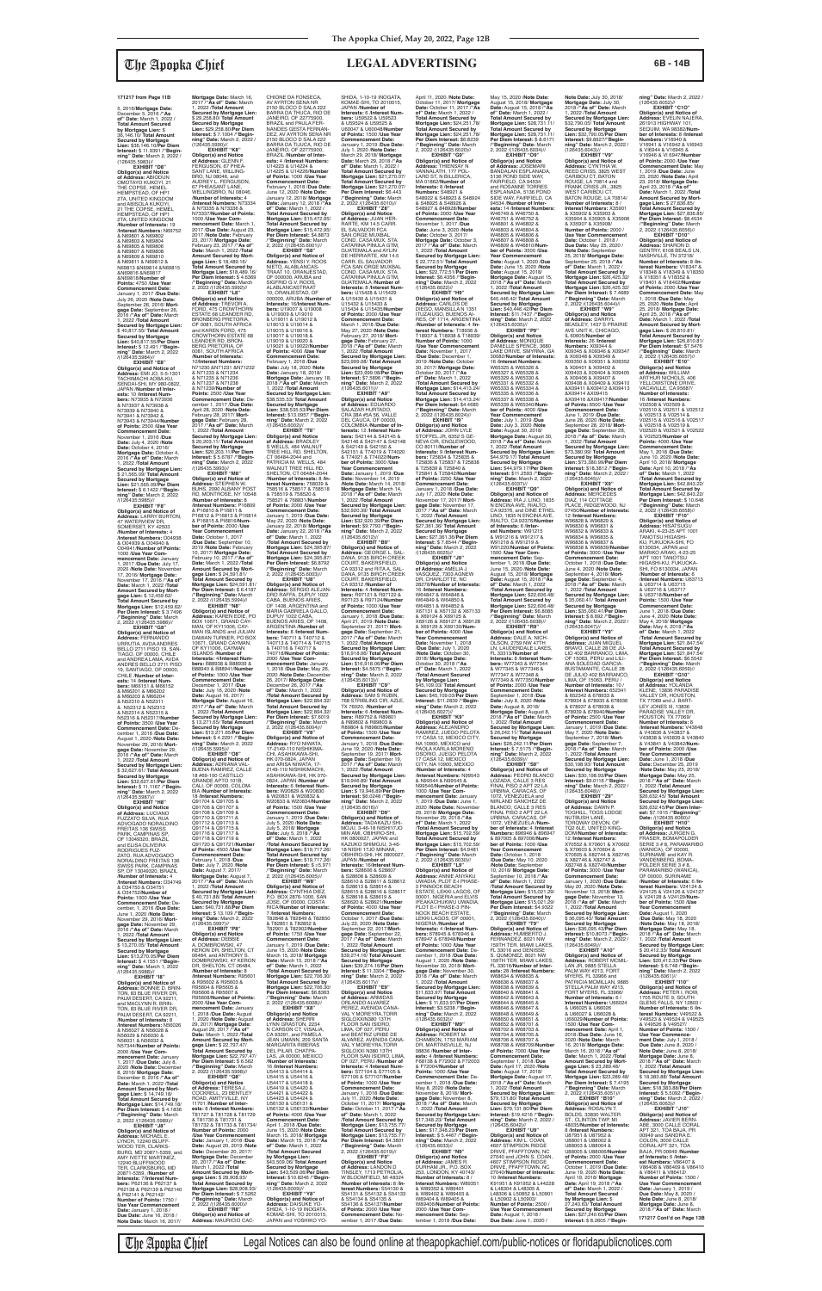5, 2016/**Mortgage Date:** December 5, 2016 /**"As of" Date:** March 1, 2022 / **Total Amount Secured by Mortgage Lien:** \$ 36,146.10/ **Total Amount Secured by Mortgage Lien:** \$36,146.10/**Per Diem Interest:** \$ 11.9391 /**"Begin-ning" Date:** March 2, 2022 / (126435.5983)// **EXHIBIT "D8"**

**Obligor(s) and Notice of Address:** ABIODUN OMOTAYO KUKOYI, 21 THE COPSE, HEMEL HEMPSTEAD, OF HP1 2TA, UNITED KINGDOM and ABISOLA KUKOYI, 21 THE COPSE, HEMEL HEMPSTEAD, OF HP1 2TA, UNITED KINGDOM /**Number of Interests:** 19 /**Interest Numbers:** N69752 & N69801 & N69802 & N69803 & N69804 & N69805 & N69806 & N69807 & N69808 & N69809 & N69810 & N69811 & N69812 & N69813 &N69814 &N69815 &N69816 &N69817 &N69818/**Number of Points:** 4750 /**Use Year Commencement Date:** January 1, 2017 /**Due Date:** July 26, 2020 /**Note Date:** September 26, 2016/ **Mort-<br>gage Date:** September 26,<br>2016 /**"As of" Date:** March<br>1, 2022 /**Total Amount<br>Secured by Mortgage Lien:<br>\$ 40,817.55/ Total Amount Secured by Mortgage Lien:** \$40,817.55/**Per Diem Interest:** \$ 12.491 /**"Begin-ning" Date:** March 2, 2022 /(126435.5984)// **EXHIBIT "E8"**

**Obligor(s) and Notice of Address:** EMI JO, 5-5-1301<br>TACHIMACHI AOBA-KU,<br>SENDAI-SHI, MY 980-0822, JAPAN /**Number of Interests:** 10 /**Interest Numbers:** N73935 & N73936 & N73937 & N73938 & N73939 & N73940 & N73941 & N73942 & N73943 & N73944/**Number of Points:** 2500 /**Use Year Commencement Date:** November 1, 2016 /**Due Date:** July 4, 2020 /**Note Date:** October 4, 2016/ **Mortgage Date:** October 4, 2016 /**"As of" Date:** March 1, 2022 /**Total Amount Secured by Mortgage Lien:** \$ 21,565.09/ **Total Amount Secured by Mortgage Lien:** \$21,565.09/**Per Diem Interest:** \$ 6.1422 /**"Beginning" Date:** March 2, 2022 /(126435.5985)//

**EXHIBIT "F8" Obligor(s) and Notice of Address:** LARRY BURTON, 47 WATERVIEW DR, SOMERSET, KY 42503 /**Number of Interests:** 4 /**Interest Numbers:** O04938 & O04939 & O04940 & O04941/**Number of Points:** 1000 /**Use Year Commencement Date:** January 1, 2017 /**Due Date:** July 17, 2020 /**Note Date:** November 17, 2016/ **Mortgage Date:** November 17, 2016 /**"As of" Date:** March 1, 2022 /**Total Amount Secured by Mort-gage Lien:** \$ 12,459.62/ **Total Amount Secured by Mortgage Lien:** \$12,459.62/ **Per Diem Interest:** \$ 3.7496 /**"Beginning" Date:** March 2, 2022 /(126435.5986)//

**Mortgage Date: March 16,<br>2017 /"As of" Date: March<br>1, 2022 /<b>Total Amount**<br>Secured by Mortgage Lien:<br>\$ 29,258.80/ Total Amount **Secured by Mortgage Lien:** \$29,258.80/**Per Diem Interest:** \$ 7.1004 /**"Begin-ning" Date:** March 2, 2022 / (126435.5990)// **EXHIBIT "K8"<br>
<b>Obligor(s) and Notice**<br> **of Address:** GLENN F.<br>
FERGUSON, 67 PHEA-<br>
SANT LANE, WILLING-<br>BRO, NJ 08046, and AUDREY L. FERGUSON, 67 PHEASANT LANE,<br>WELLINGBRO, NJ 08046, /**Number of Interests:** 4 /**Interest Numbers:** N73334 & N73335 & N73336 & N73337/**Number of Points:** 1000 /**Use Year Commencement Date:** March 1, 2017 /**Due Date:** August 23, 2017 /**Note Date:** February 23, 2017/ **Mortgage Date:** February 23, 2017 /**"As of" Date:** March 1, 2022 /**Total Amount Secured by Mort-gage Lien:** \$ 18,489.16/ **Total Amount Secured by Mortgage Lien:** \$18,489.16/ **Per Diem Interest:** \$ 4.6369 /**"Beginning" Date:** March 2, 2022 /(126435.5992)// **EXHIBIT "L8" Obligor(s) and Notice of Address:** TREVOR A. FORD, 475 CROWTHORN ESTATE 68 LEANDER RD,<br>BRONBERG PRETORIA, OF 0081, SOUTH AFRICA and KAREN FORD, 475 CROWTHORN ESTATE 68 LEANDER RD, BRON-BERG PRETORIA, OF 0081, SOUTH AFRICA /**Number of Interests:** 10/**Interest Numbers:** N71230 &N71231 &N71232 & N71233 & N71234 & N71235 & N71236<br>& N71237 & N71238 & N71237 & N71238 & N71239/**Number of Points:** 2500 /**Use Year Commencement Date:** De-cember 1, 2017 /**Due Date:**

**EXHIBIT "G8" Obligor(s) and Notice of Address:** FERNANDO URRUTIA, AVDA ANDRES BELLO 2711 PISO 19, SAN-TIAGO, OF 00000, CHILE<br>TIAGO, OF 00000, CHILE<br>and ANDREA I AMA\_AVDA and ANDREA LAMA, AVDA<br>ANDRES BELLO 2711 PISO<br>19, SANTIAGO, OF 00000,<br>CHILE /**Number of Interests:** 14 /**Interest Numbers:** M66151 & M66152 & M66201 & M66202 & M66203 & M66204 & N52310 & N52311 & N52312 & N52313 & N52314 & N52315 & N52316 & N52317/**Number of Points:** 3500 /**Use Year Commencement Date:** De-2016 /**Due Da** August 1, 2020 /**Note Date:** November 29, 2016/ **Mortgage Date:** November 29, 2016 /**"As of" Date:** March 1, 2022 /**Total Amount Secured by Mortgage Lien:** \$ 32,627.61/ **Total Amount Secured by Mortgage Lien:** \$32,627.61/**Per Diem Interest:** \$ 11.1167 /**"Begin-ning" Date:** March 2, 2022 /(126435.5987)// **EXHIBIT "H8" Obligor(s) and Notice of Address:** LUCIANO FUZZATO SILVA, RUA ADVOGADO NORALDINO FREITAS 136 SWISS PARK, CAMPINAS SP, OF 13049320, BRAZIL and ELISA OLIVEIRA RODRIGUES FUZ-ZATO, RUA ADVOGADO NORALDINO FREITAS 136 SWISS PARK, CAMPINAS SP, OF 13049320, BRAZIL /**Number of Interests:** 4 /**Interest Numbers:** O34749 & O34750 & O34751 & O34752/**Number of Points:** 1000 /**Use Year Commencement Date:** December, 1, 2016 /**Due Date:** June 1, 2020 /**Note Date:** November 29, 2016/ **Mortgage Date:** November 29, 2016 /**"As of" Date:** March 1, 2022 /**Total Amount Secured by Mortgage Lien:** \$ 13,270.05/ **Total Amount Secured by Mortgage Lien:** \$13,270.05/**Per Diem Interest:** \$ 4.1551 /**"Beginning" Date:** March 1, 2022 /(126435.5988)// **EXHIBIT "I8" Obligor(s) and Notice of Address:** BONNIE D. BRIN-TON, 83 BLUE RIVER DR, PALM DESERT, CA 92211, and MACLYNN R. BRIN-TON, 83 BLUE RIVER DR, PALM DESERT, CA 92211, /**Number of Interests:** 8 /**Interest Numbers:** N56026 & N56027 & N56028 & N56029 & N56030 & N56031 & N56032 & N57344/**Number of Points:** 2000 /**Use Year Commencement Date:** January 1, 2017 /**Due Date:** July 8, 2020 /**Note Date:** December 8, 2016/ **Mortgage Date:** December 8, 2016 /**"As of" Date:** March 1, 2022 /**Total Amount Secured by Mortgage Lien:** \$ 14,749.18/ **Total Amount Secured by Mortgage Lien:** \$14,749.18/ **Per Diem Interest:** \$ 4.1836 /**"Beginning" Date:** March 2, 2022 /(126435.5989)// **EXHIBIT "J8" Obligor(s) and Notice of Address:** MICHAEL E. LYNCH, 12240 BLUFF-WOOD TER, CLARKS-BURG, MD 20871-5359, and AMY IVETTE MARTINEZ, 12240 BLUFFWOOD TER, CLARKSBURG, MD 20871-5359, /**Number of Interests:** 7/**Interest Numbers:** P62136 & P62137 & P62138 & P62139 & P62140 & P62141 & P62142/ **Number of Points:** 1750 / **Use Year Commencement** 

**Date:** January 1, 2018 / **Due Date:** June 16, 2018 / **Note Date:** March 16, 2017/

The Apopka Chief Legal Notices can also be found online at theapopkachief.com/public-notices or floridapublicnotices.com

April 28, 2020 /**Note Date:** February 28, 2017/ **Mort-gage Date:** February 28, 2017 /**"As of" Date:** March 1, 2022 /**Total Amount Secured by Mortgage Lien:** \$ 20,203.11/ **Total Amount Secured by Mortgage Lien:** \$20,203.11/**Per Diem Interest:** \$ 5.6787 /**"Begin-ning" Date:** March 2, 2022 /(126435.5993)// **EXHIBIT "M8" Obligor(s) and Notice of<br><b>Address:** STEPHEN W.<br>BUHS, 2090 ALBANY POST<br>RD, MONTROSE, NY 10548 /**Number of Interests:** 8 /**Interest Numbers:** P16809 & P16810 & P16811 & P16812 & P16813 & P16814 & P16815 & PI6816/**Num-ber of Points:** 2000 /**Use Year Commencement Date:** October 1, 2017 /**Due Date:** September 10, 2019 /**Note Date:** February 10, 2017/ **Mortgage Date:** February 10, 2017 /**"As of" Date:** March 1, 2022 /**Total Amount Secured by Mort-gage Lien:** \$ 24,591.81/ **Total Amount Secured by Mortgage Lien:** \$24,591.81/ **Per Diem Interest:** \$ 6.4187 /**"Beginning" Date:** March 2, 2022 /(126435.5994)// **EXHIBIT "N8" Obligor(s) and Notice of Address:** KAREN EDIE, PO BOX 10671, GRAND CAY-

CHIONE DA FONSECA,<br>AV AYRTON SENA NR<br>2150 BLOCO D SALA 222<br>BARRA DA THUCA, RIO DE<br>JANEIRO, OF 22775900, BRAZIL and PAULA FER-NANDES GESTA FERNAN-DEZ, AV AYRTON SENA NF 2150 BLOCO D SALA 222 BARRA DA TIJUCA, RIO DE JANEIRO, OF 22775900, BRAZIL /**Number of Inter-ests:** 4 /**Interest Numbers:** U14223 & U14224 & U14225 & U14226/**Number of Points:** 1000 /**Use Year Commencement Date:** February 1, 2018 /**Due Date:** June 12, 2020 /**Note Date:** January 12, 2018/ **Mortgage Date:** January 12, 2018 /**"As of" Date:** March 1, 2022 / Total Amount Secured by<br>Mortgage Lien: \$15,472.95/<br>Total Amount Secured by<br>Mortgage Lien: \$15,472.95/<br>Per Diem Interest: \$4.8873<br>/"Beginning" Date: March<br>2, 2022 /(126435.6001)// **EXHIBIT "S8" Obligor(s) and Notice of Address:** YENSI Y. ROOS NIETO, ALABLANCAS-TRAAT 10, ORANJESTAD, OF 000000, ARUBA and SIGFRID G.V. ROOS,<br>ALABLANCASTRAAT ALABLANCASTRAAT 10, ORANJESTAD, OF 000000, ARUBA /**Number of Interests:** 16/**Interest Numbers:** U19007 & U19008 & U19009 & U19010 & U19011 & U19012 & U19013 & U19014 & U19015 & U19016 & U19017 & U19018 & U19019 & U19020 & U19021 & U19022/**Number of Points:** 4000 /**Use Year Commencement Date:** February 1, 2018 /**Due Date:** July 18, 2020 /**Note Date:** January 18, 2018/ **Mortgage Date:** January 18, 2018 /**"As of" Date:** March 1, 2022 /**Total Amount Secured by Mortgage Lien:** \$38,535.53/ **Total Amount Secured by Mortgage Lien:** \$38,535.53/**Per Diem Interest:** \$13.0957 /**"Begin-ning" Date:** March 2, 2022 /(126435.6002)// **EXHIBIT "T8" Obligor(s) and Notice<br><b>of Address:** BRADLEY<br>S WELLS, 484 WALNUT<br>TREE HILL RD, SHELTON, CT 06484-2044 and PATRICIA M. WELLS, 484 WALNUT TREE HILL RD,<br>SHELTON, CT 06484-2044<br>**/Number of Interest**s: 8 /**In-<br>terest Numbers:** 758039 &<br>758516 & 758517 & 758518<br>& 758519 & 758520 & 758521 & 768831/**Number of Points:** 2000 /**Use Year Commencement Date:** January 1, 2019 /**Due Date:** May 22, 2020 /**Note Date:** January 22, 2018/ **Mortgage Date:** January 22, 2018 /**"As of" Date:** March 1, 2022 /**Total Amount Secured by Mortgage Lien:** \$24,395.87/ **Total Amount Secured by Mortgage Lien:** \$24,395.87/ **Per Diem Interest:** \$6.8792 /**"Beginning" Date:** March 2, 2022 /(126435.6003)// **EXHIBIT "U8" Obligor(s) and Notice of Address:** SERGIO ALEJAN-DRO RAFFA, DUPUY 1022 SHIDA, 1-10-19 INOGATA,<br>KOMAE-SHI, TO 2010015,<br>JAPAN /**Number of**<br><mark>Interests:</mark> 6 /<mark>Interest Num-</mark> **bers:** U59522 & U59523 & U59524 & U59525 & U60047 & U60048/**Number of Points:** 1500 /**Use Year Commencement Date:** January 1, 2019 /**Due Date:** July 1, 2020 /**Note Date:** March 29, 2018/ **Mortgage Date:** March 29, 2018 /**"As of" Date:** March 1, 2022 / **Total Amount Secured by Mortgage Lien:** \$21,270.07/ **Total Amount Secured by Mortgage Lien:** \$21,270.07/ **Per Diem Interest:** \$6.443 /**"Beginning" Date:** March 2, 2022 /(126435.6010)// **EXHIBIT "Z8" Obligor(s) and Notice<br><b>of Address:** JUAN HER-<br>RARTE, KM 14.5 CARR.<br>EL SALVADOR FCA SAN ORGE MUXBAL<br>COND. CASA MUX, STA. CATARINA PINULA GTM,<br>GUATEMALA and AYLIN<br>DE HERRARTE, KM 14.5<br>CARR. EL SALVADOR<br>FCA SAN ORGE MUXBAL<br>COND. CASA MUX, STA. CATARINA PINULA GTM, GUATEMALA /**Number of Interests:** 8 /**Interest Numbers:** U15428 & U15429 & U15430 & U15431 & U15432 & U15433 & U15434 & U15435/**Numbe of Points:** 2000 /**Use Year Commencement Date:** March 1, 2018 /**Due Date:** May 27, 2020 /**Note Date:** February 27, 2018/ **Mortgage Date:** February 27, 2018 /**"As of" Date:** March 1, 2022 /**Total Amount Secured by Mortgage Lien:** \$23,999.08/ **Total Amount Secured by Mortgage Lien:** \$23,999.08/**Per Diem Interest:** \$7.5896 /**"Begin-<br><b>ning" Date:** March 2, 2022<br>/(126435.6011)// **EXHIBIT "A9" Obligor(s) and Notice of Address:** EDUARDO SALAZAR HURTADO,<br>CRA 38A #5A 56, VALLE CRA 38A #5A 56, VALLE DEL CAUCA, OF 00000, COLOMBIA /**Number of In-terests:** 12 /**Interest Numbers:** S42144 & S42145 & S42146 & S42147 & S42148 & S42149 & S42150 & S42151 & T74019 & T74020 & T74021 & T74022/**Num-ber of Points:** 3000 /**Use Year Commencement Date:** January 1, 2019 /**Due Date:** November 14, 2019 /**Note Date:** March 14, 2018/ **Mortgage Date:** March 14, 2018 /**"As of" Date:** March 1, 2022 /**Total Amount Secured by Mortgage Lien:** \$32,920.39/ **Total Amount Secured by Mortgage Lien:** \$32,920.39/**Per Diem Interest:** \$9.7793 /**"Beginning" Date:** March 2, 2022 /(126435.6012)//<br>**FXHIBIT** "B9" **EXHIBIT "B9" Obligor(s) and Notice of Address:** GEORGE L. SAL-DANA, 9135 BIRCH CREEK COURT, BAKERSFIELD, CA 93312 and RITA A. SAL-DANA, 9135 BIRCH CREEK COURT, BAKERSFIELD, CA 93312 /**Number of Interests:** 4 /**Interest Numbers:** R97121 & R97122 &

**Secured by Mortgage Lien:** \$13,271.65/**Per Diem Interest:** \$ 4.2291 /**"Beginning" Date:** March 2, 2022 /(126435.5995)// **EXHIBIT "O8" Obligor(s) and Notice of Address:** ADRIANA VAL-BUENA RAMIREZ, CALLE 18 #69-100 CASTILLO GRANDE APTO 101B, CALI, OF 00000, COLOM-BIA /**Number of Interests:** 18 /**Interest Numbers:** Q91704 & Q91705 & Q91706 & Q91707 & Q91708 & Q91709 & Q91710 & Q91711 & Q91712 & Q91713 & Q91714 & Q91715 & Q91716 & Q91717 & Q91718 & Q91719 & Q91720 & Q91721/**Number of Points:** 4500 /**Use Year Commencement Date:** February 1, 2018 /**Due Date:** July 7, 2020 /**Note Date:** August 7, 2017/ **Mortgage Date:** August 7, 2017 /**"As of" Date:** March 1, 2022 /**Total Amount Secured by Mortgage Lien:** \$ 40,731.88/ **Total Amount Secured by Mortgage Lien:** \$40,731.88/**Per Diem Interest:** \$ 13.109 /**"Begin-ning" Date:** March 2, 2022 /(126435.5997)// **EXHIBIT "P8" Obligor(s) and Notice of Address:** DEBBIE A. DOMBROWSKI, 47 KERON DR, SHELTON, CT 06484, and ANTHONY S. DOMBROWSKI, 47 KERON DR, SHELTON, CT 06484, /**Number of Interests:** 8 /**Interest Numbers:** R95601 & R95602 & R95603 & R95604 & R95605 & R95606 & R95607 R95608/**Number of Points:** 2000 /**Use Year Commencement Date:** January 2018 /**Due Date:** August<br>2020 /**Note Date:** August 1, 2020 /**Note Date:** August 29, 2017/ **Mortgage Date:** August 29, 2017 /**"As of" Date:** March 1, 2022 /**Total Amount Secured by Mortgage Lien:** \$ 22,797.47/ **Total Amount Secured by**  Mortgage Lien: \$22,797 **Per Diem Interest:** \$ 6.562 /**"Beginning" Date:** March 2, 2022 /(126435.5998)// **EXHIBIT "Q8" Obligor(s) and Notice of Address:** TERESA J. COCKRELL, 23 BENTLEY ROAD, AMITYVILLE, NY 11701 /**Number of Inter-ests:** 8 /**Interest Numbers:** T81727 & T81728 & T81729 & T81730 & T81731 & T81732 & T81733 & T81734/ **Number of Points:** 2000 /**Use Year Commencement Date:** January 1, 2018 /**Due Date:** August 20, 2019 /**Note Date:** December 20, 2017/ **Mortgage Date:** December 20, 2017 /**"As of" Date:** March 1, 2022 /**Total Amount Secured by Mort-gage Lien:** \$ 28,908.93/ **Total Amount Secured by Mortgage Lien:** \$28,908.93/ **Per Diem Interest:** \$ 7.5262 /**"Beginning" Date:** March 2, 2022 /(126435.6000)// **EXHIBIT "R8" Obligor(s) and Notice of Address:** MAURICIO CAC-

MAN, OF KY11006, CAY-MAN ISLANDS and JULIAN DAMIAN TURNER, PO BOX 10671, GRAND CAYMAN,<br>OF KY11006, CAYMAN<br>ISLANDS /**Number of Interests:** 4/**Interest Numbers:** B88938 & B88939 &<br>B88940 & B88941/**Numbe** B88940 & B88941/**Number of Points:** 1000 /**Use Year Commencement Date:** December 1, 2017 /**Due Date:** July 16, 2020 /**Note Date:** August 16, 2017/ **Mortgage Date:** August 16, 2017 /**"As of" Date:** March 1, 2022 /**Total Amount Secured by Mortgage Lien:** \$ 13,271.65/ **Total Amount**  ARGENTINA /**Number of Interests:** 8 /**Interest Num-bers:** T40711 & T40712 & T40713 & T40714 & T40715 & T40716 & T40717 & T40718/**Number of Points:** 2000 /**Use Year Com-mencement Date:** January 1, 2018 /**Due Date:** May 26, 2020 /**Note Date:** December 26, 2017/ **Mortgage Date:** December 26, 2017 /**"As of" Date:** March 1, 2022 /**Total Amount Secured by Mortgage Lien:** \$22,894.32/ **Total Amount Secured by Mortgage Lien:** \$22,894.32/ **Per Diem Interest:** \$7.6019 /**"Beginning" Date:** March 2, 2022 /(126435.6004)// **EXHIBIT "V8" Obligor(s) and Notice of Address:** RYO NIWATA, 17-2149-110 NISHIKIMA-CHI, ASAHIKAWA-SHI, HK 070-0824, JAPAN<br>and ARISA NIWATA, 17-2149-110 NISHIKIMA ASAHIKAWA-SHI, HK 070- 0824, JAPAN /**Number of Interests:** 6 /**Interest Numbers:** W20829 & W20830 & W20831 & W20832 & W20833 & W20834/**Number of Points:** 1500 /**Use Year Commencement Date:** January 1, 2019 /**Due Date:** July 5, 2020 /**Note Date:** July 5, 2018/ **Mortgage Date:** July 5, 2018 /**"As of" Date:** March 1, 2022 /**Total Amount Secured by Mortgage Lien:** \$19,717.26/ **Total Amount Secured by Mortgage Lien:** \$19,717.26/ **Per Diem Interest:** \$ =5.971 /**"Beginning" Date:** March 2, 2022 /(126435.6005)// **EXHIBIT "W8" Obligor(s) and Notice of Address:** CYNTHIA DIEZ, P.O. BOX 2876-1000, SAN JOSE, OF 00000, COSTA RICA/**Number of Interests:** 7 /**Interest Numbers:** T82848 & T82849 & T82850 & T82851 & T82852 & T82901 & T82902/**Number of Points:** 1750 /**Use Year Commencement Date:** January 1, 2019 /**Due Date:** June 15, 2020 /**Note Date:** March 15, 2018/ **Mortgage Date:** March 15, 2018 /**"As of" Date:** March 1, 2022 /**Total Amount Secured by Mortgage Lien:** \$22,706.30/ **Total Amount Secured by Mortgage Lien:** \$22,706.30/ **Per Diem Interest:** \$6.8363 /**"Beginning" Date:** March 2, 2022 /(126435.6008)// **EXHIBIT "X8" Obligor(s) and Notice of Address:** SHERRI LYNN GRASTON, 2234 N CARSON CT, VISALIA, CA 93291, and PAMELA JEAN UMANN, 209 SANTA MARGARITA RIBERAS DEL PILAR, CHATPA LAS, JA 00000, MEXICO /**Number of Interests:** 16 /**Interest Numbers:** U54413 & U54414 & U54415 & U54416 & U54417 & U54418 & U54419 & U54420 & U54421 & U54422 & U54423 & U54424 & U56130 & U56131 & U56132 & U56133/**Number of Points:** 4000 /**Use Year Commencement Date:** April 1, 2018 /**Due Date:** June 15, 2020 /**Note Date:** March 15, 2018/ **Mortgage Date:** March 15, 2018 /**"As of" Date:** March 1, 2022 /**Total Amount Secured by Mortgage Lien:** \$43,509.06/ **Total Amount Secured by Mortgage Lien:** \$43,509.06/**Per Diem Interest:** \$10.8246 /**"Beginning" Date:** March 2, 2022 /(126435.6009)// **EXHIBIT "Y8" Obligor(s) and Notice of Address:** DAISUKE YO-SHIDA, 1-10-19 INOGATA,<br>KOMAE-SHI, TO 2010015,<br>JAPAN and YOSHIKO YO-January 1, 2018 /**Due Date:** April 21, 2019 /**Note Date:** September 21, 2017/ **Mortgage Date:** September 21, 2017 /**"As of" Date:** March 1, 2022 /**Total Amount Secured by Mortgage Lien:** \$16,918.06/ **Total Amount Secured by Mortgage Lien:** \$16,918.06/**Per Diem Interest:** \$4.5675 /**"Begin-ning" Date:** March 2, 2022 /(126435.6013)// **EXHIBIT "C9" Obligor(s) and Notice of<br><b>Address:** SAM S RUBIN,<br>768 STRIBLING CIR, AZLE, TX 76020, /**Number of Interests:** 6 /**Interest Numbers:** R89752 & R89801 & R89802 & R89803 & R89804 & R89805/**Numb of Points:** 1500 /**Use Year Commencement Date:** January 1, 2018 /**Due Date:** June 19, 2020 /**Note Date:** September 19, 2017/ **Mortgage Date:** September 19, 2017 /**"As of" Date:** March 1, 2022 /**Total Amount Secured by Mortgage Lien:** \$19,946.89/ **Total Amount Secured by Mortgage Lien:** \$ 19,946.89/**Per Diem Interest:** \$6.0248 /**"Beginning" Date:** March 2, 2022 /(126435.6016)// **EXHIBIT "D9" Obligor(s) and Notice of Address:** TADAKAZU SHI-MOJU, 3-46-18 NISHI17JO MIN AMI, OBIHIRO-SHI, HK 0800027, JAPAN and KAZUKO SHIMOJU, 3-46- 18 NISHI 17JO MINAMI, OBIHIRO-SHI, HK 0800027, JAPAN /**Number of Interests:** 16/**Interest Numbers:** S28606 & S28607 & S28608 & S28609 & S28610 & S28611 & S28612 & S28613 & S28614 & S28615 & S28616 & S28617 & S28618 & S28619 & S28620 & S28621/**Number of Points:** 4000 /**Use Year Commencement Date:**<br>October 1, 2017 / Due Date October 1, 2017 /**Due Date:** July 22, 2020 /**Note Date:** September 22, 2017/**Mortgage Date:** September 22, 2017 /**"As of" Date:** March 1, 2022 /**Total Amount Secured by Mortgage Lien:** \$39,274.16/ **Total Amount Secured by Mortgage Lien:** \$39,274.16/**Per Diem Interest:** \$ 11.3304 /**"Beginning"** Date: March 2, 2022 /(126435.6017)//<br>**FXHIBIT "F9" EXHIBIT "E9" Obligor(s) and Notice of Address:** ARMIDAS ORLANDO ALVAREZ PEREZ, AVENIDA CANA-VAL Y MOREYRA,TORR<br>SIGLOXXIN380 13TH SIGLOXXIN380 13TH FLOOR SAN ISIDRO, LIMA, OF 027, PERU and BEATRIZ URIBE DE ALVAREZ, AVENIDA CANA-<br>VAL Y MOREYRA,TORR<br>SIGLOXXI N380 13TH<br>FLOOR SAN ISIDRO, LIMA,<br>OF 027, PERU /**Number of**<br>**Interests**: 4 /**Interest Numbers:** S77104 & S77105 & S77106 & S77107/**Number of Points:** 1000 /**Use Year Commencement Date:** January 1, 2018 /**Due Date:** July 11, 2020 /**Note Date:** October 11, 2017/ **Mortgage Date:** October 11, 2017 /**"As of" Date:** March 1, 2022 /**Total Amount Secured by Mortgage Lien:** \$13,755.77/ **Total Amount Secured by Mortgage Lien:** \$13,755.77/ **Per Diem Interest:** \$4.3801 /**"Beginning" Date:** March 2, 2022 /(126435.6019)// **EXHIBIT "F9" Obligor(s) and Notice of Address:** LANDON D TINSLEY, 1713 PETROLIA, W BLOOMFIELD, MI 48324 /**Number of Interests:** 8 /**Interest Numbers:** S54130 & S54131 & S54132 & S54133 & S54134 & S54135 & S54136 & S54137/**Number of Points:** 2000 /**Use Year Commencement Date:** No-vember 1, 2017 /**Due Date:**

CABA, BUENOS ARIES, OF 1408, ARGENTINA and MARIA GABRIELA GALLO, DUPUY 1022 CABA, BUENOS ARIES, OF 1408, R97123 & R97124/**Number of Points:** 1000 /**Use Year Commencement Date:**

(126435.6047)//<br>**Obligor(s) and Notice of<br><b>Address:** JUAN MIGUEL<br>BRAVO, CALLE 28 DE JU-<br>LIO 402 BARRANCO, LIMA, OF 15063, PERU and LILI-ANA SOLEDAD GARCIA-BUSTAMANTE, CALLE 28 DE JULIO 402 BARRANCO, LIMA, OF 15063, PERU / **Number of Interests:** 10 / **Interest Numbers:** 652341 & 652342 & 678933 & 678934 & 678935 & 678936 & 678937 & 678938 &

April 11, 2020 /**Note Date:** October 11, 2017/ **Mortgage Date:** October 11, 2017 /**"As of" Date:** March 1, 2022 / **Total Amount Secured by Mortgage Lien:** \$24,251.78/ **Total Amount Secured by Mortgage Lien: \$24,251.78/<br><b>Per Diem Interest: \$**6.8239<br>/**"Beginning" Date:** March<br>2, 2022 /(126435.6020)// **EXHIBIT "G9" Obligor(s) and Notice of Address:** THIENSAY N VANNALATH, 177 POL-LARD ST, N BILLERICA, MA 01862/**Number of Interests:** 8 /**Interest Numbers:** S48921 & S48922 & S48923 & S48924 & S48925 & S48926 & S48927 & 848928/**Number of Points:** 2000 /**Use Year Commencement Date:** November 1, 2017 /**Due Date:** June 3, 2020 /**Note Date:** October 3, 2017/ **Mortgage Date:** October 3, 2017 /**"As of" Date:** March 1, 2022 /**Total Amount Secured by Mortgage Lien:** \$ 22,772.51/ **Total Amount Secured by Mortgage Lien:** \$22,772.51/**Per Diem Interest:** \$6.4356 /**"Begin-ning" Date:** March 2, 2022 /(126435.6022)// **EXHIBIT "H9" Obligor(s) and Notice of Address:** CARLOS DE DIEGO, MANSILLA N 1351 ITUZAIUGO, BUENOS AI-RES, OF 1714, ARGENTINA /**Number of Interests:** 4 /**Interest Numbers:** T18936 & T18937 & T18938 & T18939/ **Number of Points:** 1000 **/Use Year Commencement**<br>Date: November 1, 2017 **Date:** November 1, 2017 /**Due Date:** December 1, 2019 /**Note Date:** October 30, 2017/ **Mortgage Date:** October 30, 2017 /**"As of" Date:** March 1, 2022 /**Total Amount Secured by Mortgage Lien:** \$14,413.24/ **Total Amount Secured by Mortgage Lien:** \$14,413.24/ **Per Diem Interest:** \$4.4685 /**"Beginning" Date:** March 2, 2022 /(126435.6024)// **EXHIBIT "I9" Obligor(s) and Notice of Address:** JOHN LYLE STOFFEL JR, 6352 S GE-NEVA CIR, ENGLEWOOD, CO 80111/**Number of Interests:** 9 /**Interest Numbers:** T25834 & T25835 & T25836 & T25837 & T25838 & T25839 & T25840 & T25841 & T25842/**Number of Points:** 2250 /**Use Year Commencement Date:** January 1, 2018 /**Due Date:** July 17, 2020 /**Note Date:** November 17, 2017/ **Mortgage Date:** November 17, 2017 /**"As of" Date:** March 1, 2022 /**Total Amount Secured by Mortgage Lien:** \$27,361.36/ **Total Amount Secured by Mortgage Lien:** \$27,361.36/**Per Diem Interest:** \$ 7.8544 /**"Begin-ning" Date:** March 2, 2022 /(126435.6025)// **EXHIBIT "J9" Obligor(s) and Notice of Address:** AMELIA J<br>VASQUEZ, 7303 AGNEW<br>DR, CHARLOTTE, NC 28278/**Number of Interests:** 16 /**Interest Numbers:** W64847 & W64848 & W64849 & W64850 & W64851 & W64852 & X67131 & X67132 & X67133 & X69124 & X69125 & X69126 & X69127 & X69128 & X69129 & X69130/**Number of Points:** 4000 /**Use Year Commencement Date:** November 1, 2018 /**Due Date:** July 1, 2020 /**Note Date:** October 30, 2018/ **Mortgage Date:** October 30, 2018 /**"As of" Date:** March 1, 2022 /**Total Amount Secured by Mortgage Lien:** \$45,109.03/ **Total Amount Secured by Mortgage Lien:** \$45,109.03/**Per Diem Interest:** \$11.2839 /**"Begin-ning" Date:** March 2, 2022 /(126435.6027)// **EXHIBIT "K9" Obligor(s) and Notice of Address:** ALEJANDRO RAMIREZ, JUEGO PELOTA 17 CASA 12, MEXICO CITY, NA 10900, MEXICO and PAOLA KARLA MORENO OSORIO, JUEGO PELOTA 17 CASA 12, MEXICO CITY, NA 10900, MEXICO /**Number of Interests:** 4 /**Interest Numbers:** N99543 & N99544 & N99545 & N99546/**Number of Points:** 1000 /**Use Year Com-**<br>mencement Date: January **mencement Date:** January 1, 2019 /**Due Date:** June 1, 2020 /Note Date: Novembe 29, 2018/ **Mortgage Date:** November 29, 2018 /**"As of" Date:** March 1, 2022 /**Total Amount Secured by Mortgage Lien:** \$15,702.59/ **Total Amount Secured by Mortgage Lien:** \$15,702.59/ **Per Diem Interest:** \$4.9481 /**"Beginning" Date:** March 2, 2022 /(126435.6030)// **EXHIBIT "L9 Obligor(s) and Notice of Address:** ANNIE ANYAKU UWADIA, PLOT E-l PHASE-3 PINNOCK BEACH ESTATE, LEKKI LAGOS, OF 00001, NIGERIA and ELVIS IFEAKACHUKWU UWADIA, PLOT E-l PHASE-3 PIN-NOCK BEACH ESTATE, LEKKI LAGOS, OF 00001, NIGERIA /**Number of Interests:** 4 /**Interest Numbers:** 678945 & 678946 & 678947 & 678948/**Number of Points:** 1000 /**Use Year Commencement Date:** De-cember 1, 2018 /**Due Date:** August 1, 2020 /**Note Date:** November 30, 2018/ **Mort-gage Date:** November 30, 2018 /**"As of" Date:** March 1, 2022 /**Total Amount Secured by Mortgage Lien:** \$11,633.97/ **Total Amount Secured by Mortgage Lien:** \$ 11,633.97/**Per Diem Interest:** \$3.5238 /**"Beginning" Date:** March 2, 2022 /(126435.6032)// **EXHIBIT "M9" Obligor(s) and Notice of Address:** ROBERT M. CHAMBON, 1753 MARIAM DR, MARTINSVILLE, NJ 08836 /**Number of Inter**ests: 4 /**Interest Numb** F68138 & F72002 & F72003 & F72004/**Number of Points:** 1000 /**Use Year Commencement Date:** De-cember 1, 2018 /**Due Date:** May 8, 2020 /**Note Date:** November 8, 2018/ **Mort-gage Date:** November 8, 2018 /**"As of" Date:** March 1, 2022 /**Total Amount Secured by Mortgage Lien:** \$17,348.23/ **Total Amount Secured by Mortgage Lien:** \$17,348.23/**Per Diem Interest:** \$ 5.4467 /**"Beginning" Date:** March 2, 2022 /(126435.6033)// **EXHIBIT "N9" Obligor(s) and Notice of Address:** JAMES R. DURHAM JR., P.O. BOX 253, LONDON, KY 40743/ **Number of Interests:** 8 / **Interest Numbers: W8935** & W89352 & W89401 & W89402 & W89403 & W89404 & W89405 & W89406/**Number of Points:** 2000 /**Use Year Commencement Date:** Sep-tember 1, 2018 /**Due Date: Date:** August 1, 2018 / **Due Date:** June 1, 2020 /

May 15, 2020 /**Note Date:** August 15, 2018/ **Mortgage Date:** August 15, 2018 /**"As of" Date:** March 1, 2022 / **Total Amount Secured by Mortgage Lien:** \$28,731.11/ **Total Amount Secured by Mortgage Lien: \$28,731.11/<br><b>Per Diem Interest: \$** 8.6171<br>/**"Beginning" Date:** March<br>2, 2022 /(126435.6034)// **EXHIBIT "O9"<br><b>Obligor(s) and Notice**<br>**61 Address:** JOSEMARI<br>BANDALAN ESPLANADA,<br>5136 POND SIDE WAY,<br>FAIRFIELD, CA 94534 and ROSANNE TORRES ESPLANADA, 5136 POND SIDE WAY, FAIRFIELD, CA 94534 /**Number of Inter-ests:** 14 /**Interest Numbers:** W46749 & W46750 & W46751 & W46752 & W46801 & W46802 & W46803 & W46804 & W46805 & W46806 & W46807 & W46808 & W46809 & W46810/**Number of Points:** 3500 /**Use Year Commencement Date:** August 1, 2020 /**Due Date:** June 15, 2020 /**Note Date:** August 15, 2018/ **Mortgage Date:** August 15, 2018 /**"As of" Date:** March 1, 2022 /**Total Amount Secured by Mortgage Lien:** \$40,446.42/ **Total Amount Secured by Mortgage Lien:** \$40,446.42/**Per Diem Interest:** \$11.7437 /**"Begin-<br><b>ning" Date:** March 2, 2022<br>/(126435.6035)// **EXHIBIT "P9" Obligor(s) and Notice of Address:** MONIQUE DANIELLE SPENCE, 3680<br>LAKE DRIVE. SMYRNA. GA LAKE DRIVE, SMYRNA, GA 30082/**Number of Interests:** 16 /**Interest Numbers:** W65325 & W65326 &

W65327 & W65328 & W65329 & W65330 & W65331 & W65332 & W65333 & W65334 & W65335 & W65336 & W65337 & W65338 & W65339 & W65340/**Number of Points:** 4000 /**Use Year Commencement Date:** July 1, 2019 /**Due Date:** July 3, 2020 /**Note Date:** August 30, 2018/ **Mortgage Date:** August 30, 2018 /**"As of" Date:** March 1, 2022 /**Total Amount Secured by Mortgage Lien:** \$44,979.17/ **Total Amount Secured by Mortgage**  Lien: \$44,979.17/Per Diem<br>Interest: \$11.2593 / "Begin-<br>Ining" Date: March 2, 2022<br>/(126435.6037)//<br>2022/126435.6037)//<br>Obligor(s) and Notice of<br>Address: IRAJ. LINO, 1835<br>CA 92376, and DINE ETHEL<br>LINO, 1835 N ENCINA AVE,<br>RI **est Numbers:** W91215 & W91216 & W91217 & W91218 & W91219 & W91220/**Number of Points:** 1500 /**Use Year Com-mencement Date:** Sep-tember 1, 2018 /**Due Date:** June 15, 2020 /**Note Date:** August 15, 2018/ **Mortgage Date:** August 15, 2018 /**"As of" Date:** March 1, 2022 /**Total Amount Secured by**  Mortgage Lien: \$22,606.48/<br>**Total Amount Secured by<br><b>Mortgage Lien: \$22,606.48/<br><b>Per Diem Interest:** \$6.8085<br>/**"Beginning" Date:** March<br>2, 2022 /(126435.6038)// **EXHIBIT "R9" Obligor(s) and Notice of Address:** DALE A. NICH-OLSON, 2759 NW 47TH LN, LAUDERDALE LAKES, FL 33313/**Number of Interests:** 8 /**Interest Numbers:** W77343 & W77344 & W77345 & W77346 & W77347 & W77348 & W77349 & W77350/**Number of Points:** 2000 /**Use Year Commencement Date:** September 1, 2018 /**Due Date:** July 8, 2020 /**Note Date:** August 8, 2018/ **Mortgage Date:** August 8, 2018 /**"As of" Date:** March 1, 2022 /**Total Amount Secured by Mortgage Lien:** \$ 26,242.11/ **Total Amount Secured by Mortgage Lien:** \$26,242.11/**Per Diem Interest:** \$ 7.5175 /**"Beginning" Date:** March 2, 2022 /(126435.6039)// **EXHIBIT "S9" Obligor(s) and Notice of Address:** PEDRO BLANCO LOZADA, CALLE 3 RES FINAL PISO 2 APT 22 LA<br>URBINA, CARACAS, OF<br>1072, VENEZUELA and<br>NIRLAND SANCHEZ DE<br>BLANCO, CALLE 3 RES<br>FINAL PISO 2 APT 22 LA URBINA, CARACAS, OF 1072, VENEZUELA /**Num-ber of Interests:** 4 /**Interest Numbers:** 896946 & 896947 & 897005 & 897006/**Number of Points:** 1000 /**Use Year Commencement Date:** October 1, 2018 /**Due Date:** May 10, 2020 /**Note Date:** September 10, 2018/ **Mortgage Date:** September 10, 2018 /**"As of" Date:** March 1, 2022 /**Total Amount Secured by Mortgage Lien:** \$15,021.29/ **Total Amount Secured by Mortgage Lien:** \$15,021.29/ **Per Diem Interest:** \$4.9322 /**"Beginning" Date:** March 2, 2022 /(126435.6040)// **EXHIBIT "T9" Obligor(s) and Notice of Address:** HUMBERTO J. FERNANDEZ, 8021 NW 159TH TER, MIAMI LAKES, FL 33016 and DENISSE<br>S. QUMONEZ, 8021 NW S. QUMONEZ, 8021 NW<br>159TH TER, MIAMI LAKES, FL 33016/**Number of Inter ests:** 28 /**Interest Numbers:** W68634 & W68635 & W68636 & W68637 & W68638 & W68639 & W68640 & W68641 & W68642 & W68643 & W68644 & W68645 & W68646 & W68647 & W68648 & W68649 & W68650 & W68651 & W68652 & W68701 & W68702 & W68703 & W68704 & W68705 & W68706 & W68707 & W68708 & W68709/Nu W68708 & W68709/**Number of Points:** 7000 /**Use Year Commencement Date:** September 1, 2018 /**Due Date:** April 17, 2020 /**Note Date:** August 17, 2018/ **Mortgage Date:** August 17, 2018 /**"As of" Date:** March 1, 2022 /**Total Amount Secured by Mortgage Lien:** \$79,131.80/ **Total Amount Secured by Mortgage Lien:** \$79,131.80/**Per Diem Interest:** \$19.4216 /**"Begin-ning" Date:** March 2, 2022 / (126435.6042)// **EXHIBIT "U9" Obligor(s) and Notice of Address:** KIM L. COAN, 4607 STIMPSON RIDGE DRIVE, PFAFFTOWN, NO 27040 and JOHN S. COAN,<br>4607 STIMPSON RIDGE DRIVE, PFAFFTOWN, NC 27040/**Number of Interests:** 10 /**Interest Numbers:**<br>K91951 & K91952 & L44228<br>& L48304 & L48305 &<br>L48306 & L50852 & L50901 & L50902 & L50903/ **Number of Points:** 2500 / **Use Year Commencement** 

**Note Date:** July 30, 2018/ **Mortgage Date:** July 30, 2018 /**"As of" Date:** March 1, 2022 /**Total Amount Secured by Mortgage Lien:** \$32,790.05/ **Total Amount Secured by Mortgage Lien:** \$32,790.05/**Per Diem Interest:** \$9.8927/**"Begin-ning" Date:** March 2, 2022 / (126435.6043)// **EXHIBIT "V9" Obligor(s) and Notice of<br><b>Address:** CYNTHIA W.<br>REED CRISS, 3825 WEST<br>CARIBOU CT, BATON ROUGE, LA 70814 and FRANK CRISS JR., 3825 WEST CARIBOU CT, BATON ROUGE, LA 70814/ **Number of Interests:** 8 / **Interest Numbers:** X35901 & X35902 & X35903 & X35904 & X35905 & X35906 & X35907 & X35908/ **Number of Points:** 2000 / **Use Year Commencement Date:** October 1, 2018 / **Due Date:** May 25, 2020 / **Note Date:** September 25, 2018/ **Mortgage Date:** September 25, 2018 /**"As of" Date:** March 1, 2022 / **Total Amount Secured by Mortgage Lien: \$26,425.32/<br><b>Total Amount Secured by**<br>**Mortgage Lien: \$26,425.32/<br><b>Per Diem Interest: \$ 7.4689**<br>/**"Beginning" Date:** March<br>2, 2022 /(126435.6044)// **EXHIBIT "W9" Obligor(s) and Notice<br><b>of Address:** DARRYL<br>BEASLEY, 1437 S PRAIRIE<br>AVE UNIT K, CHICAGO, IL 60605/**Number of Interests:** 26 /**Interest Numbers:** X09344 & X09345 & X09346 & X09347 & X09348 & X09349 & X09350 & X09351 & X09352 & X09401 & X09402 & X09403 & X09404 & X09405 & X09406 & X09407 & X09408 & X09409 & X09410 &X09411 &X09412 &X09413 &X09414 &X09415 &X09416 &X09417/**Number**  of Points: 6500 /Use Year<br>Commencement Date:<br>June 1, 2019 /Due Date:<br>June 28, 2020 /Note Date:<br>September 28, 2018 /Mort-<br>gage Date: September 28,<br>2018 /"As of" Date: March 1, 2022 /**Total Amount Secured by Mortgage Lien:** \$73,380.99/ **Total Amount** 

678939 & 678940/**Number of Points:** 2500 /**Use Year Commencement Date:** January 1, 2019 /**Due Date:**

May 7, 2020 /**Note Date:** September 7, 2018/ **Mortgage Date:** September 7, 2018 /**"As of" Date:** March 1, 2022 /**Total Amount Secured by Mortgage Lien:** \$30,198.93/ **Total Amount Secured by Mortgage Lien:** \$30,198.93/**Per Diem Interest:** \$9.0116 /**"Beginning" Date:** March 2, 2022 / (126435.6048)// **EXHIBIT "Z9" Obligor(s) and Notice of Address:** DAWN P.<br>TOGHILL, TOGS LODGE NUTBUSH LANE TORQWAY DEVON, OF TQ2 6LE, UNITED KING-DOM/**Number of Interests:** 12 /**Interest Numbers:** X70552 & X70601 & X70602 & X70603 & X70604 & X70605 & X82744 & X82745 & X82746 & X82747 & X82748 & X82749/**Number of Points:** 3000 /**Use Year Commencement Date:** January 1, 2020 /**Due Date:** May 20, 2020 /**Note Date:** November 13, 2018/ **Mortgage Date:** November 13, 2018 /**"As of" Date:** March 1, 2022 /**Total Amount Secured by Mortgage Lien:** \$ 36,095.43/ **Total Amount Secured by Mortgage Lien:** \$36,095.43/**Per Diem Interest:** \$10.8073 /**"Begin-ning" Date:** March 2, 2022 /  $(12\bar{6}435.6049)$ //<br>EXHIBIT "A10" **EXHIBIT "A10" Obligor(s) and Notice of Address:** ROBERT MCMIL-LAN JR, 9885 STELLA PALM WAY #213, FORT MYERS, FL 33966 and PATRICIA MCMILLAN, 9885 STELLA PALM WAY #213 FORT MYERS, FL 33966/ **Number of Interests:** 6 / **Interest Numbers:** U66024 & U66025 & U66026 & U66027 & U66028 & U66029/**Number of Points:** 1500 /**Use Year Commencement Date:** April 1, 2018 /**Due Date:** June 16, 2020 /**Note Date:** March 16, 2018/ **Mortgage Date:** March 16, 2018 /**"As of" Date:** March 1, 2022 /**Total Amount Secured by Mort-gage Lien:** \$ 23,289.48/ **Total Amount Secured by Mortgage Lien:** \$23,289.48/ **Per Diem Interest:** \$ 7.4195 /**"Beginning" Date:** March 2, 2022 /(126435.6051)// **EXHIBIT "B10" Obligor(s) and Notice of Address:** ROSALYN T. BOLDS, 33830 WALTER ST., CLINTON TWP, MI 48035/**Number of Interests:** 8 /**Interest Numbers:** U87951 & U87952 & U88001 & U88002 & U88003 & U88004 & U88005 & U88006/**Number of Points:** 2000 /**Use Year Commencement Date:** October 1, 2019 /**Due Date:** June 19, 2020 /**Note Date:** April 19, 2018/ **Mortgage Date:** April 19, 2018 /**"As of" Date:** March 1, 2022 / **Total Amount Secured by Mortgage Lien:** \$ 27,240.63/ **Total Amount Secured by Mortgage Lien:** \$27,240.63/**Per Diem Interest:** \$ 8.2605 /**"Begin-**

**Secured by Mortgage Lien:** \$73,380.99/**Per Diem Interest:** \$18.3812 /**"Begin-ning" Date:** March 2, 2022 / (126435.6045)// **EXHIBIT "X9" Obligor(s) and Notice of Address:** MERCEDES DIAZ, 114 COTTAGE PLACE, RIDGEWOOD, NJ 07450/**Number of Interests:** 12 /**Interest Numbers:** W96828 & W96829 & W96830 & W96831 & W96832 & W96833 & W96834 & W96835 & W96836 & W96837 & W96838 & W96839/**Nu of Points:** 3000 /**Use Year Commencement Date:** October 1, 2018 /**Due Date:** June 4, 2020 /**Note Date:** September 4, 2018/ **Mortgage Date:** September 4, 2018 /**"As of" Date:** March 1, 2022 /**Total Amount Secured by Mortgage Lien:** \$ 35,060.41/ **Total Amount Secured by Mortgage Lien:** \$35,060.41/**Per Diem Interest:** \$ 8.692 /**"Begin-ning" Date:** March 2, 2022 / V02508 & V02509 & TANOTSU HIGASHI-

**ning" Date:** March 2, 2022 / (126435.6052)// **EXHIBIT "C1O" Obligor(s) and Notice of Address:** EVELIN NAJERA, 261913 HIGHWAY 101, SEQUIM, WA 98382/**Number of Interests:** 8 /**Interes Numbers:** V16940 & V16941 & V16942 & VI6943 & VI6944 & V16945 &<br>V16946 & VI 6947/**Numbe**l V16946 & VI 6947/Number<br>of Points: 2000 /Use Year<br>Commencement Date: May<br>1, 2019 /Due Date: June<br>23, 2020 /Note Date: April<br>23, 2018/Mortgage Date:<br>April 23, 2018 /Vacar Date: April<br>Date: March 1, 2022 /Total **Amount Secured by Mortgage Lien:** \$ 27,836.85/ **Total Amount Secured by Mortgage Lien:** \$27,836.85/ **Per Diem Interest:** \$8.4534 /**"Beginning" Date:** March 2, 2022 /(126435.6056)// **EXHIBIT "D10" Obligor(s) and Notice of Address:** SHARON D.

GENTRY, 6108 BEALS LN, NASHVILLE, TN 37218/ **Number of Interests:** 8 /**Interest Numbers:** V18347 & V18348 & V18349 & V18350 & V18351 & V18352 & V18401 & V18402/**Number of Points:** 2000 /**Use Year Commencement Date:** May 1, 2018 /**Due Date:** May 25, 2020 /**Note Date:** April 25, 2018/ **Mortgage Date:** April 25, 2018 /**"As of" Date:** March 1, 2022 /**Total Amount Secured by Mortgage Lien:** \$ 26,810.81/ **Total Amount Secured by Mortgage Lien:** \$26,810.81/ **Per Diem Interest:** \$7.5476 /**"Beginning" Date:** March 2, 2022 /(126435.6057)// **EXHIBIT "E10" Obligor(s) and Notice of Address:** WILLIAM ARTHUR NICHOLS, 406 YELLOWSTONE DRIVE, VACAVILLE, CA 95687/ **Number of Interests:** 16 /**Interest Numbers:** V02510 & V02511 & V02512 & V02513 & V02514 & V02515 & V02516 & V02517 & V02518 & V02519 & V02520 & V02521 & V02522 & V02523/**Number of Points:** 4000 /**Use Year Commencement Date:** May 1, 2018 /**Due Date:** June 10, 2020 /**Note Date:** April 10, 2018/ **Mortgage Date:** April 10, 2018 /**"As of" Date:** March 1, 2022 /**Total Amount Secured by Mortgage Lien:** \$42,843.22/ **Total Amount Secured by Mortgage Lien:** \$42,843.22/ **Per Diem Interest:** \$ 10.646 /**"Beginning" Date:** March 2, 2022 /(126435.6058)// **EXHIBIT "F10" Obligor(s) and Notice of Address:** HISATSUGU ARAKI, 4-23-25 APT 1001

KU, FUKUOKA-SHI, FO 8130034, JAPAN and MARIKO ARAKI, 4-23-25 APT 1001 TANOTSU HIGASHI-KU, FUKUOKA-SHI, FO 8130034, JAPAN /**Number of Interests:** 6 /**Interest Numbers:** U63713 & U63714 & U63715 & U63716 & U63717 & U63718/**Number of Points:** 1500 /**Use Year Commencement Date:** June 1, 2018 /**Due Date:** June 4, 2020 / Note Date:<br>May 4, 2018/ Mortgge<br>Date: May 4, 2018 / "As<br>Of" Date: March 1, 2022<br>Total Amount Secured by<br>Mortgage Lien: \$21,847.54/<br>Total Amount Secured by<br>Mortgage Lien: \$21,847.54/<br>Mer Diem Interest: \$6.554 /**"Beginning" Date:** March 2, 2022 /(126435.6059)//

**EXHIBIT "G10" Obligor(s) and Notice of Address:** YOLANDA KLENE, 13836 PARADISE VALLEY DR, HOUSTON,<br>TX 77069 and J. BART-<br>LEY JONES III, 13836 PARADISE VALLEY DR, HOUSTON, TX 77069/ **Number of Interests:** 8 /**Interest Numbers:** V43648 & V43836 & V43837 & V43838 & V43839 & V43840 & V43841 & V43842/**Number of Points:** 2000 /**Use Year Commencement Date:** June 1, 2018 /**Due Date:** December 25, 2019 /**Note Date:** May 25, 2018/ **Mortgage Date:** May 25, 2018 /**"As of" Date:** March 1, 2022 /**Total Amount Secured by Mortgage Lien:** \$26,632.45/ **Total Amount Secured by Mortgage Lien:** \$26,632.45/**Per Diem Inter-est:** \$7.1915 /**"Beginning" Date:** /(126435.6060)// **EXHIBIT "H10" Obligor(s) and Notice of Address:** JURGEN G. FRASER, BOMAPOLDER SERIE 3 # 8, PARAMARIBO (WANICA), OF 00000, SURINAME and KAY R.<br>VANDENBERG, BOMA-<br>POLDER SERIE 3 # 8,<br>PARAMARIBO (WANICA), OF 00000, SURINAME /**Number of Interests:** 6 /**Interest Numbers:** V24124 & V24125 & V24126 & V24127 & V24128 & V24129/**Number of Points:** 1500 /**Use Year Commencement Date:** August 1, 2020 /**Due Date:** May 18, 2020 /**Note Date:** May 18, 2018/ **Mortgage Date:** May 18, 2018 /**"As of" Date:** March 1, 2022 /**Total Amount Secured by Mortgage Lien:** \$ 20,412.33/ **Total Amount Secured by Mortgage Lien:** \$20,412.33/**Per Diem Interest:** \$ 6.748 /**"Begin-ning" Date:** March 2, 2022 /(126435.6061)// **EXHIBIT "I10" Obligor(s) and Notice of Address:** PETER I. ROW, 1705 ROUTE 9, SOUTH GLENS FALLS, NY 12803 / **Number of Interests:** 6 /**Interest Numbers:** V49522 & V49523 & V49524 & V49525 & V49526 & V49527/ **Number of Points:** 1500 / **Use Year Commencement Date:** July 1, 2018 / **Due Date:** June 8, 2020 / **Note Date:** June 8, 2018/ **Mortgage Date:** June 8, 2018 /**"As of" Date:** March 1, 2022 /**Total Amount Secured by Mortgage Lien:** \$ 18,383.88/ **Total Amount Secured by Mortgage Lien:** \$18,383.88/**Per Diem Interest:** \$ 5.5092 /**"Begin-ning" Date:** March 2, 2022 / (126435.6063)// **EXHIBIT "J10" Obligor(s) and Notice of Address:** JAVIER BERN-ABE, 3000 CALLE CORAL APT 321, TOA BAJA, PR 00949 and SANDRA E. COLON, 3000 CALLE CORAL APT 321, TOA BAJA, PR 00949 /**Num of Interests:** 6 /**Inter-est Numbers:** V86407 & V86408 & V86409 & V86410 & V86411 & V86412/ **Number of Points:** 1500 / **Use Year Commencement Date:** January 1, 2019 / **Due Date:** May 8, 2020 / **Note Date:** June 8, 2018/ **Mortgage Date:** June 8, 2018 /**"As of" Date:** March

**171217 Cont'd on Page 13B**

**<sup>171217</sup> from Page 11B**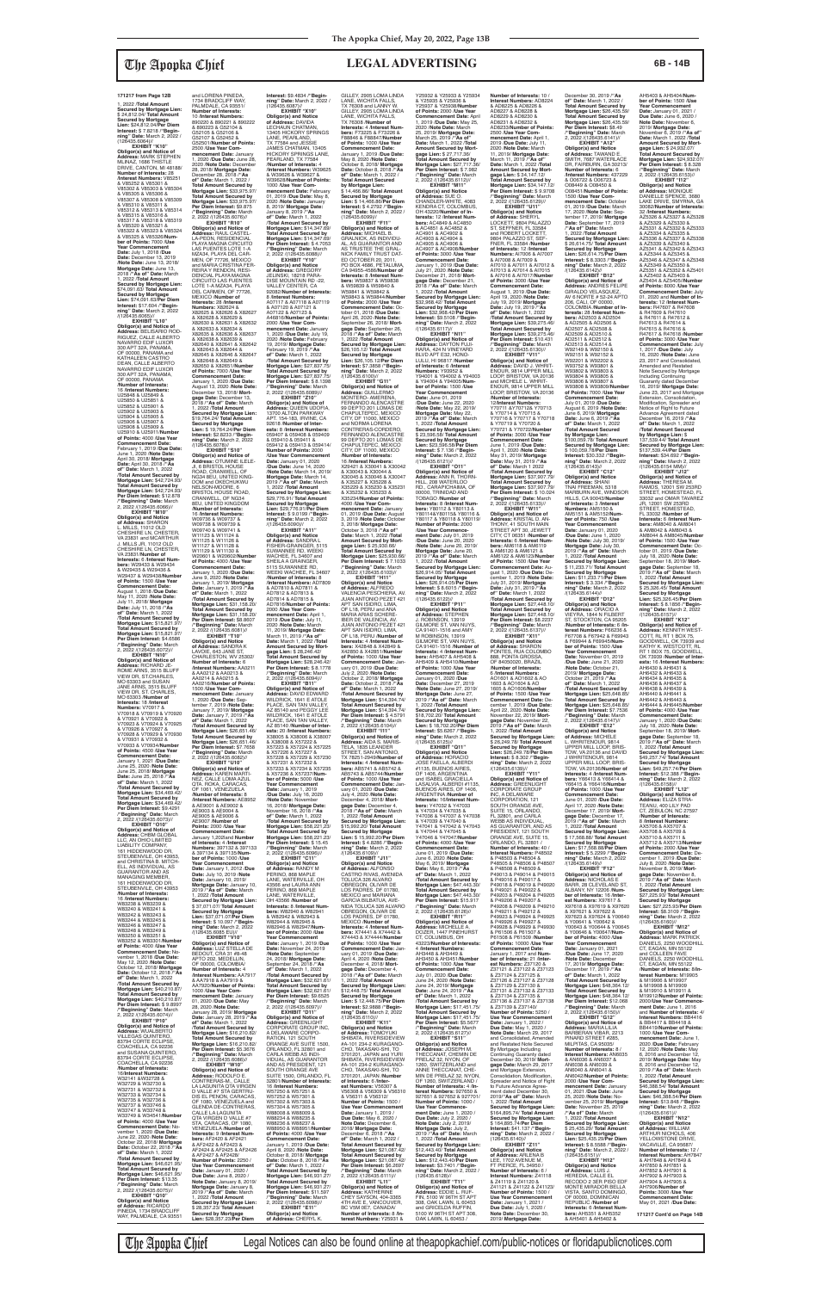1, 2022 /**Total Amount Secured by Mortgage Lien:** \$ 24,812.04/ **Total Amount Secured by Mortgage Lien:** \$24,812.04/**Per Diem Interest:** \$ 7.8218 /**"Beginning" Date:** March 2, 2022 /<br>(126435.6064)//

## The Apopka Chief **LEGAL ADVERTISING 6B - 14B**

16 /**Interest Numbers:** U25848 & U25849 & U25850 & U25851 & U25852 & U25901 & U25902 & U25903 & U25904 & U25905 & U25906 & U25907 & U25908 & U25909 & U25910 & U25911/**Number of Points:** 4000 /**Use Year Commencement Date:** February 1, 2019 /**Due Date:** June 1, 2020 /**Note Date:** April 30, 2018/ **Mortgage Date:** April 30, 2018 /**"As of" Date:** March 1, 2022 /**Total Amount Secured by Mortgage Lien: \$42,724.93/<br><b>Mortgage Lien: \$42,724.93/<br><b>Mortgage Lien: \$42,724.93/**<br>**Per Diem Interest: \$12.878**<br>/**/"Beginning" Date:** March<br>2, 2022 /(126435.6066)//

(126435.6064)// **EXHIBIT "K10" Obligor(s) and Notice of Address:** MARK STEPHEN MLINAZ, 1686 THISTLE DRIVE, CANTON, MI 48188/ **Number of Interests:** 28 /**Interest Numbers:** V85251 & V85252 & V85301 & V85302 & V85303 & V85304 & V85305 & V85306 & V85307 & V85308 & V85309 & V85310 & V85311 & V85312 & V85313 & V85314 & V85315 & V85316 & V85317 & V85318 & V85319 & V85320 & V85321 & V85322 & V85323 & V85324 & V85325 & V85326/**Number of Points:** 7000 /**Use Year Commencement Date:** July 1, 2018 /**Due**  Date: December 13, 2019<br>/Note Date: June 13, 2018/<br>Mortgage Date: June 13,<br>2018 /"As of" Date: March<br>1, 2022 /Total Amount<br>Secured by Mortgage Lien:<br>\$74,091.63/ Total Amount **Secured by Mortgage Lien:** \$74,091.63/**Per Diem Interest:** \$17.604 /**"Begin-ning" Date:** March 2, 2022 /(126435.6065)// **EXHIBIT "L10" Obligor(s) and Notice of Address:** BELISARIO ROD-<br>RIGUEZ, CALLE ALBERTO<br>NAVARRO EDIF LUXOR<br>300 APT 32A, PANAMA, OF 00000, PANAMA and KATHALEEN CASTRO<br>DEAN, CALLE ALBERTO NAVARRO EDIF LUXOR 300 APT 32A, PANAMA, OF 00000, PANAMA /**Number of Interests:**

**EXHIBIT "M10" Obligor(s) and Notice of Address:** SHARON L. MILLS, 11012 OLD CHESHIRE LN, CHESTER, VA 23831 and MCARTHUR J. MILLS JR, 11012 OLD CHESHIRE LN, CHESTER, VA 23831/**Number of Interests:** 6 /**Interest Numbers:** W29433 & W29434 & W29435 & W29436 & W29437 & W29438/**Number of Points:** 1500 /**Use Year Commencement Date:** August 1, 2018 /**Due Date:** May 11, 2020 /**Note Date:** July 11, 2018/ **Mortgage Date:** July 11, 2018 /**"As of" Date:** March 1, 2022 /**Total Amount Secured by Mortgage Lien:** \$15,821.97/ **Total Amount Secured by Mortgage Lien:** \$15,821.97/ **Per Diem Interest:** \$4.6586 /**"Beginning" Date:** March 2, 2022 /(126435.6072)// **EXHIBIT "N10"**

and LORENA PINEDA,<br>1734 BRADCLIFF WAY, PALMDALE, CA 93551/ **Number of Interests:** 10 /**Interest Numbers:** 890220 & 890221 & 890222 & 890223 & G52104 & G52105 & G52106 & G52107 & G52452 &

**Obligor(s) and Notice of Address:** RICHARD JE-ROME ARNS, 3515 BLUFF VIEW DR, ST.CHARLES, MO 63303 and SUSAN JANE ARNS, 3515 BLUFF VIEW DR, ST. CHARLES, MO 63303 /**Number of Interests:** 18 /**Interest Numbers:** V70917 & V70918 & V70919 & V70920

& V70921 & V70922 & V70923 & V70924 & V70925 & V70926 & V70927 & V70928 & V70929 & V70930 & V70931 & V70932 & V70933 & V70934/**Number of Points:** 4500 /**Use Year Commencement Date:** January 1, 2021 /**Due Date:** June 25, 2020 /**Note Date:** June 25, 2018/ **Mortgage Date:** June 25, 2018 /**"As of" Date:** March 1, 2022 /**Total Amount Secured by Mortgage Lien:** \$34,469.42/ **Total Amount Secured by Mortgage Lien:** \$34,469.42/ **Per Diem Interest:** \$9.4291 /**"Beginning" Date:** March 2, 2022 /(126435.6073)// **EXHIBIT "O10" Obligor(s) and Notice of Address:** CHBM GLOBAL LLC, AN OHIO LIMITED LIABILITY COMPANY, 161 HIDDENWOOD DR STEUBENVILE, OH 43953, and CHRISTINA B. MITCH-ELL, AS INDIVIDUAL, AS GUARANTOR AND AS MANAGING MEMBER 161 HIDDENWOOD DF STEUBENVILE, OH 43953 /**Number of Interests:** 16 /**Interest Numbers**<br>W83238 & W83239 W83238 & W83239 & W83240 & W83241 & W83242 & W83243 & W83244 & W83245 & W83246 & W83247 & W83248 & W83249 & W83250 & W83251 & W83252 & W83301/**Number of Points:** 4000 /**Use Year Commencement Date:** November 1, 2018 /**Due Date:** May 12, 2020 /**Note Date:** October 12, 2018/ **Mortgage Date:** October 12, 2018 /**"As of" Date:** March 1, 2022 /**Total Amount Secured by Mortgage Lien:** \$40,210.87/ **Total Amount Secured by Mortgage Lien:** \$40,210.87/ **Per Diem Interest:** \$ 9.8997 /**"Beginning" Date:** March 2, 2022 /(126435.6074)// **EXHIBIT "P10" Obligor(s) and Notice of Address:** WUALBERTO VILLEGAS QUINTERO, 83794 CORTE ECLIPSE, COACHELLA, CA 92236 and SUSANA QUINTERO, 83794 CORTE ECLIPSE, COACHELLA, CA 92236 /**Number of Interests:** 16/**Interest Numbers:** W32141 &W32728 & W32729 & W32730 & W32731 & W32732 & W32733 & W32734 & W32735 & W32736 & W32737 & W33746 & W33747 & W33748 & W33749 & W34541/**Number of Points:** 4000 /**Use Year Commencement Date:** November 1, 2020 /**Due Date:** June 22, 2020 /**Note Date:** October 22, 2018/ **Mortgage Date:** October 22, 2018 /**"As of" Date:** March 1, 2022 /**Total Amount Secured by Mortgage Lien:** \$46,621.95/ **Total Amount Secured by Mortgage Lien:** \$46,621.95/ **Per Diem Interest:** \$13.35 /**"Beginning" Date:** March 2, 2022 /(126435.6075)// **EXHIBIT "Q10" Obligor(s) and Notice of Address:** RICARDO PINEDA, 1734 BRADCLIFF

WAY, PALMDALE, CA 93551

The Apopka Chief Legal Notices can also be found online at theapopkachief.com/public-notices or floridapublicnotices.com

G52501/**Number of Points:** 2500 /**Use Year Commencement Date:** January 1, 2020 /**Due Date:** June 28, 2020 /**Note Date:** December 28, 2018/ **Mortgage Date:** December 28, 2018 /**"As of" Date:** March 1, 2022 / **Total Amount Secured by Mortgage Lien:** \$33,975.97/ **Total Amount Secured by Mortgage Lien: \$33,975.97/<br><b>Per Diem Interest: \$**9.875<br>/**"Beginning" Date:** March<br>2, 2022 /(126435.6076)// **EXHIBIT "R10" Obligor(s) and Notice of Address:** RAUL CASTEL-LA-PEON, RESIDENCIAL PLAYA MAGNA CIRCUITO LAS PUENTES LOTE 1-A MZA34, PLAYA DEL CAR-MEN, OF 77726, MEXICO and MARIA CRISTINA FER-<br>REIRA Y RENDON, RESI-<br>DENCIAL PLAYA MAGNA<br>CIRCUITO LAS FUENTES<br>LOTE 1-A MZA34, PLAYA<br>DEL CARMEN, OF 77726, MEXICO /**Number of Interests:** 28 /**Interest Numbers:** X82624 & X82625 & X82626 & X82627 & X82628 & X82629 & X82630 & X82631 & X82632 & X82633 & X82634 & X82635 & X82636 & X82637 & X82638 & X82639 & X82640 & X82641 & X82642 & X82643 & X82644 & X82645 & X82646 & X82647 & X82648 & X82649 & X82650 & X82651/**Number of Points:** 7000 /**Use Year Commencement Date:** January 1, 2020 /**Due Date:** August 13, 2020 /**Note Date:** December 13, 2018/ **Mortgage Date:** December 13, 2018 /**"As of" Date:** March 1, 2022 /**Total Amount Secured by Mortgage Lien:** \$19,764.24/ **Total Amount Secured by Mortgage Lien:** \$ 19,764.24/**Per Diem Interest:** \$2.8233 /**"Begin-ning" Date:** March 2, 2022 /(126435.6078)// **EXHIBIT "S10" Obligor(s) and Notice of Address:** OTUMINE ILELE-JI, 6 BRISTOL HOUSE ROAD, CRANWELL, OF NG34 8EU, UNITED KING-DOM and OKECHUKWU NELSON-MOORE, 6 BRISTOL HOUSE ROAD, CRANWELL, OF NG34 8EU, UNITED KINGDOM /**Number of Interests:** 16 /**Interest Numbers:** W09736 & W09737 & W09738 & W09739 & W09740 & W09741 & W11123 & W11124 & W11125 & W11126 & W11127 & W11128 & W11129 & W11130 & W20601 & W20602/**Number of Points:** 4000 /**Use Year Commencement Date:** January 1, 2020 /**Due Date:** June 9, 2020 /**Note Date:** January 1, 2019/ **Mortgage Date:** January 1, 2019 /**"As of" Date:** March 1, 2022 /**Total Amount Secured by Mortgage Lien:** \$31,158.20/ **Total Amount Secured by Mortgage Lien:** \$31,158.20/ **Per Diem Interest:** \$8.8607 /**"Beginning" Date:** March 2, 2022 /(126435.6081)// **EXHIBIT "T10" Obligor(s) and Notice of Address:** SANDRA K LAVOIE, 643 JANE ST,<br>CHARLESTON, WV 25302/ **Number of Interests:** 6 /**Interest Numbers:** AA0211 & AA0212 & AA0213 & AA0214 & AA0215 &<br>AA0216/**Number of Points:**<br>1500 /**Use Year Com-**<br>mencement Date: January<br>1, 2020 /Due Date: Sep-<br>tember 7, 2019 /**Note Date:** January 7, 2019/ **Mortgage Date:** January 7, 2019 /**"As of" Date:** March 1, 2022 /**Total Amount Secured by Mortgage Lien:** \$26,651.46/ **Total Amount Secured by Mortgage Lien: \$26,651.46/<br><b>Per Diem Interest: \$**7.7658<br>/**"Beginning" Date:** March<br>2, 2022 /(126435.6082)// **EXHIBIT "U10" Obligor(s) and Not Address:** KAREN MARTI-NEZ, CALLE LOMA AZUL QTA. ROKA, CARACAS, OF 1061, VENEZUELA /**Number of Interests:** 8 /**Interest Numbers:** AE8952 & AE9001 & AE9002 & AE9003 & AE9004 & AE9005 & AE9004 & AE9007 /**Number of Points:** 2000 /**Use Year Commencement Date:** January 1,202land **Number of Interests:** 4 /**Interest Numbers:** 397132 & 397133 & 397134 & 397135/**Number of Points:** 1000 /**Use Year Commencement Date:** January 1, 2012 /**Due Date:** July 10, 2019 /**Note Date:** January 10, 2019/ **Mortgage Date:** January 10, 2019 /**"As of" Date:** March 1, 2022 /**Total Amount Secured by Mortgage Lien:** \$ 37,071.07/ **Total Amount Secured by Mortgage Lien:** \$37,071.07/**Per Diem Interest:** \$ 10.097 /**"Begin-ning" Date:** March 2, 2022 /(126435.6085 EU)// **EXHIBIT "V10" Obligor(s) and Notice of<br><b>Address:** LUZ STELLA DE<br>BEDOUT, CRA 31 #8-48<br>APTO 202, MEDELLIN, OF 00000, COLOMBIA/ **Number of Interests:** 4 /**Interest Numbers:** AA7917 & AA7918 & AA7919 & AA7920/**Number of Points:** 1000 /**Use Year Commencement Date:** January 01, 2020 /**Due Date:** May 28, 2020 /**Note Date:** January 28, 2019/ **Mortgage Date:** January 28, 2019 /**"As of" Date:** March 1, 2022 /**Total Amount Secured by Mortgage Lien:** \$16,210.82/ **Total Amount Secured by Mortgage Lien:** \$16,210.82/ **Per Diem Interest:** \$5.3676 /**"Beginning" Date:** March 2, 2022 /(126435.6086)// **EXHIBIT "W10" Obligor(s) and Notice of<br><b>Address:** RODOLFO E.<br>CONTRERAS-M., CALLE<br>LA LAGUNITA QTA VIRGEN D VALLE #7 STA GERTRU-DIS EL PENON, CARACAS, OF 1080, VENEZUELA and GLENDA DE-CONTRERAS CALLE LA LAGUNITA<br>QTA VIRGEN D VALLE #7 STA, CARACAS, OF 1080, VENEZUELA /**Number of Interests:** 9 /**Interest Numbers:** AF2420 & AF2421 & AF2422 & AF2423 & AF2424 & AF2425 & AF2426 & AF2427 & AF2428/ **Number of Points:** 2250 / **Use Year Commencement Date:** January 01, 2020 / **Due Date:** June 8, 2020 / **Note Date:** January 8, 2019/ **Mortgage Date:** January 8, 2019 /**"As of" Date:** March 1, 2022 /**Total Amount Secured by Mortgage Lien:** \$ 28,357.23/ **Total Amount Secured by Mortgage Lien:** \$28,357.23/**Per Diem** 

**Interest:** \$9.4834 /**"Begin-ning" Date:** March 2, 2022 /  $(126435.6087)$ //<br>**EXHIBIT** "X10" **EXHIBIT "X10"<br><b>Obligor(s) and Notice**<br>**of Address:** DAVIDA<br>LECHAUN CHATMAN,<br>13405 HICKORY SPRINGS LANE, PEARLAND, TX 77584 and JESSIE JAMES CHATMAN, 13405 HICKORY SPRINGS LANE, PEARLAND, TX 77584 /**Number of Interests:** 4 /**Interest Numbers:** W39625 & W39626 & W39627 &<br>W39628/**Number of Points** W39628/**Number of Points:** 1000 /**Use Year Com-mencement Date:** February 01, 2019 /**Due Date:** May 8, 2020 /**Note Date:** January 8, 2019/ **Mortgage Date:** January 8, 2019 /**"As of" Date:** March 1, 2022 /**Total Amount Secured by Mortgage Lien:** \$14,347.69/ **Total Amount Secured by Mortgage Lien:** \$14,347.69/ **Per Diem Interest:** \$ 4.7053 /**"Beginning" Date:** March 2, 2022 /(126435.6088)// **EXHIBIT "Y10" Obligor(s) and Notice of Address:** GREGORY JELINSKI, 18218 PARA-DISE MOUNTAIN RD -22 VALLEY CENTER, CA 92082/**Number of Interests:** 8 /**Interest Numbers:** A07117 & A07118 & A07119 & A07120 & A07121 & A07122 & A07123 & A46816/**Number of Points:** 2000 /**Use Year Commencement Date:** January 1, 2020 /**Due Date:** July 19, 2020 /**Note Date:** February 19, 2019/ **Mortgage Date:** February 19, 2019 /**"As of" Date:** March 1, 2022 /Total Amount Secured by<br>Mortgage Lien: \$27,837.75/<br>Total Amount Secured by<br>Mortgage Lien: \$27,837.75/<br>Per Diem Interest: \$ 8.1398<br>/"Beginning" Date: March<br>2, 2022 /(126435.6089)// **EXHIBIT "Z10" Obligor(s) and Notice of Address:** QUEEN UDOFIA, 13700 ALTON PARKWAY APT. 154-183, IRVINE, CA 92618 /**Number of Interests:** 8 /**Interest Numbers:**<br>059407 & 059408 & 059409<br>& 059410 & 059411 & 059412 & 059413 & 059414/ **Number of Points:** 2000 */Use Year Commencement* **Date:** January 01, 2020<br>/**Due Date:** June 14, 2020<br>/**Note Date:** March 14, 2019/ **Mortgage Date:** March 14, 2019 /**"As of" Date:** March 1, 2022 /**Total Amount Secured by Mortgage Lien:**<br>\$29.776.91/ Total Amount \$29,776.91/ **Total Amount Secured by Mortgage Lien:** \$29,776.91/**Per Diem Interest:** \$ 9.0199 /**"Beginning" Date:** March 2, 2022 /(126435.6090)// **EXHIBIT "A11" Obligor(s) and Notice<br><b>of Address:** SANDRA L<br>FISHER-GRAINGER, 5115 SUWANNEE RD, WEEKI WACHEE, FL 34607 and<br>SHEILA A GRAINGER. SHEILA A GRAINGER,<br>5115 SUWANNEE RD,<br>WEEKI WACHEE, FL 34607<br>**/Number of Interests:** 8 /**Interest Numbers:** AD7809 & AD7810 & AD7811 & AD7812 & AD7813 & AD7814 & AD7815 & AD7816/**Number of Points:** 2000 /**Use Year Commencement Date:** April 1, 2019 /**Due Date:** July 11, 2020 /**Note Date:** March 11, 2019/ **Mortgage Date:** March 11, 2019 /**"As of" Date:** March 1, 2022 /**Total Amount Secured by Mortgage Lien:** \$ 28,246.42/ **Total Amount Secured by Mortgage Lien:** \$28,246.42/ **Per Diem Interest:** \$ 8.1778 /**"Beginning" Date:** March 2, 2022 /(126435.6094)// **EXHIBIT "B11" Obligor(s) and Notice of Address:** DAVID EDWARD WILDRICK, 1641 E ATOLE PLACE, SAN TAN VALLEY, AZ 85140 and PEGGY LEE WILDRICK, 1641 E ATOLE<br>PLACE, SAN TAN VALLEY, AZ 85140 /**Number of Interests:** 20 /**Interest Number** X38005 & X38006 & X38007 & X38008 & X57222 & X57223 & X57224 & X57225 & X57226 & X57227 & X57228 & X57229 & X57230 & X57231 & X57232 & X57233 & X57234 & X57235 & X57236 & X57237/**Number of Points:** 5000 /**Use Year Commencement Date:** January 1, 2019 /**Due Date:** July 16, 2020 /**Note Date:** November 16, 2018/ **Mortgage Date:** November 16, 2018 /**"As of" Date:** March 1, 2022 /**Total Amount Secured by Mortgage Lien:** \$58,221,23/ **Total Amount Secured by Mortgage Lien: \$58,221.23/<br><b>Per Diem Interest: \$** 15.45<br>/**"Beginning" Date:** March<br>2, 2022 /(126435.6096)// **EXHIBIT "C11" Obligor(s) and Notice of Address:** RANDY M PERINO, 868 MAPLE LANE, WATERVILLE, OH 43566 and LAURA ANN PERINO, 868 MAPLE<br>LANE, WATERVILLE, OH 43566 /**Number of Interests:** 8 /**Interest Num-bers:** W82940 & W82941 & W82942 & W82943 & W82944 & W82945 & W82946 & W82947/**Number of Points:** 2000 /**Use Year Commencement Date:** January 1, 2019 /**Due Date:** November 24, 2019 /**Note Date:** September 24, 2018/ **Mortgage Date:** September 24, 2018 /**"As of" Date:** March 1, 2022 /**Total Amount Secured by Mortgage Lien:** \$32,621.61/ **Total Amount Secured by Mortgage Lien:** \$32,621.61/ **Per Diem Interest:** \$9.6525 /**"Beginning" Date:** March 2, 2022 /(126435.6097)// **EXHIBIT "D11" Obligor(s) and Notice of Address:** GREENLIGHT CORPORATE GROUP INC, A DELAWARE CORPO-RATION, 121 SOUTH ORANGE AVE SUITE 1500, ORLANDO, FL 32801 and CARLA WEBB AS INDI-VIDUAL, AS GUARANTOR AND AS PRESIDENT, 121 SOUTH ORANGE AVE SUITE 1500, ORLANDO, FL 32801/**Number of Interests:** 16 /**Interest Numbers:** W57250 & W57251 & W57252 & W57301 & W57302 & W57303 & W57304 & W57305 & W88008 & W88009 & W88234 & W88235 & W88236 & W88237 & W88950 & W88951/**Numb of Points:** 4000 /**Use Year Commencement Date:** January 1, 2019 /**Due Date:** April 8, 2020 /**Note Date:** October 8, 2018/ **Mortgage Date:** October 8, 2018 /**"As of" Date:** March 1, 2022 / **Total Amount Secured by Mortgage Lien:** \$46,931.27/ **Total Amount Secured by Mortgage Lien:** \$46,931.27/ **Per Diem Interest:** \$11.597 /**"Beginning" Date:** March 2, 2022 /(126435.6098)// **EXHIBIT "E11" Obligor(s) and Notice of Address:** CHERYL K. GILLEY, 2905 LOMA LINDA LANE, WICHITA FALLS,

**EXHIBIT "E12"** or(s) and Notic **of Address:** MICHELE L. WHRITENOUR, 9814 UPPER MILL LOOP, BRIS-TOW, VA 20136 and DAVID U.H. WHRITENOUR, 9814 UPPER MILL LOOP, BRIS-TOW, VA 20136/**Number of Interests:** 4 /**Interest Numbers:** Y66413 & Y66414 & Y66415 & Y66416/**Number of Points:** 1000 /**Use Year Commencement Date:** June 01, 2020 /**Due Date:** April 17, 2020 /**Note Date:** December 17, 2019/ **Mort-gage Date:** December 17, 2019 /**"As of" Date:** March 1, 2022 /**Total Amount Secured by Mortgage Lien:** \$ 17,568.88/ **Total Amount Secured by Mortgage Lien:** \$17,568.88/**Per Diem Interest:** \$ 5.2299 /**"Beginning" Date:** March 2, 2022 /(126435.6149)// **EXHIBIT "F12" Obligor(s) and Notice of Address:** NICHOLAS E BARR, 28 CLEVELAND ST, ALBANY, NY 12206 /**Number of Interests:** 16 /**Interest Numbers:** X97617 & X97618 & X97619 & X97620 & X97621 & X97622 & X97623 & X97624 & Y00640 & Y00641 & Y00642 & Y00643 & Y00644 & Y00645 & Y00646 & Y00647/**Number of Points:** 4000 /**Use Year Commencement Date:** January 01, 2021 /**Due Date:** June 17, 2020 /**Note Date:** December 17, 2019/ **Mortgage Date:** December 17, 2019 /**"As of" Date:** March 1, 2022 /**Total Amount Secured by Mortgage Lien:** \$48,364.12/ **Total Amount Secured by Mortgage Lien: \$48,364.12/<br><b>Per Diem Interest: \$**12.068<br>/**"Beginning" Date:** March<br>2, 2022 /(126435.6150)// **EXHIBIT "G12" Obligor(s) and Notice of Address:** MARIA LILIA BARBERAN VIBAR, 2213 PINARD STREET #285 MILPITAS, CA 95035 **Number of Interests:** 8 / **Interest Numbers:** AN6035 & AN6036 & AN6037 & AN6038 & AN6039 & AN6040 & AN6041 & AN6042/**Number of Points:** 2000 /**Use Year Commencement Date:** January 01, 2021 /**Due Date:** June 25, 2020 /**Note Date:** November 25, 2019/ **Mortgage Date:** November 25, 2019 /**"As of" Date:** March 1, 2022 /**Total Amoun Secured by Mortgage Lien:** \$ 25,435.29/ **Total Amount Secured by Mortgage Lien:** \$25,435.29/**Per Diem Interest:** \$ 8.5588 /**"Begin-ning" Date:** March 2, 2022 /  $(126435.6151)$ //<br>EXHIBIT "H12" **EXHIBIT "H12" Obligor(s) and Notice of Address:** LUIS J. HEREDIA, CALLE EL RECODO 2 3ER PISO EDF MONTE MIRADOR BELLA VISTA, SANTO DOMINGO, OF 00000, DOMINICAN REPUBLIC /**Number of Interests:** 6 /**Interest Numbers:** AH5351 & AH5352 nber 18, 2019/ **Mor** 

TX 76308 and LANNY W. GILLEY, 2905 LOMA LINDA LANE, WICHITA FALLS, TX 76308 /**Number of Interests:** 4 /**Interest Num-bers:** F73225 & F73226 & F88846 & F88847/**Number of Points:** 1000 /**Use Year Commencement Date:** January 1, 2019 /**Due Date:** May 8, 2020 /**Note Date:** October 8, 2018/ **Mortgage Date:** October 8, 2018 /**"As of" Date:** March 1, 2022 / **Total Amount Secured by Mortgage Lien:** \$ 14,466.86/ **Total Amount Secured by Mortgage Lien:** \$ 14,466.86/**Per Diem Interest:** \$ 4.2792 /**"Begin-ning" Date:** March 2, 2022 / (126435.6099)// **EXHIBIT "F11" Obligor(s) and Notice of Address:** MICHAEL B. GRALNICK, AS INDIVIDU-AL, AS GUARANTOR AND AS TRUSTEE THE GRAL-NICK FAMILY TRUST DAT-ED OCTOBER 20, 2011, PO BOX 4686, PETALUMA, CA 94955-4586/**Number of Interests:** 8 /**Interest Numbers:** W59837 & W59838 & W59839 & W59840 & W59841 & W59842 & W59843 & W59844/**Number of Points:** 2000 /**Use Year Commencement Date:** October 01, 2018 /**Due Date:** April 26, 2020 /**Note Date:** September 26, 2018/ **Mortgage Date:** September 26, 2018 /**"As of" Date:** March 1, 2022 /**Total Amount Secured by Mortgage Lien:** \$26,105.12/ **Total Amount Secured by Mortgage Lien:** \$26,105.12/**Per Diem Interest:** \$7.3858 /**"Begin-<br><b>ning**" Date: March 2, 2022<br>/(126435.6100)//<br>**EXHIBIT "G11"**<br>Obligor(s) and Notice of **Address:** GUILLERMO MONTERO- AMERENA,<br>FERNANDO ALENCASTRE FERNANDO ALENCASTRE<br>99 DEPTO 201 LOMAS DE<br>CHAPULTEPEC, MEXICO<br>CITY, DF 11000, MEXICO and NORMA LORENA CONTRERAS-CORDERO, FERNANDO ALENCASTRE 99 DEPTO 201 LOMAS DE CHAPULTEPEC, MEXICO CITY, DF 11000, MEXICO **/Number of Interests:<br>16 /Interest Numbers:<br>X29421 & X30041 & X30042<br>& X30045 & X30046 & X30047<br>X30045 & X35028 &** X35229 & X35230 & X35231 & X35232 & X35233 & X35234/**Number of Points:** 4000 /**Use Year Commencement Date:** January 01, 2019 /**Due Date:** August 3, 2019 /**Note Date:** October 3, 2018/ **Mortgage Date:** October 3, 2018 /**"As of" Date:** March 1, 2022 /**Total Amount Secured by Mort-gage Lien:** \$ 25,930.66/ **Total Amount Secured by Mortgage Lien:** \$25,930.66/ **Per Diem Interest:** \$ 7.1033 /**"Beginning" Date:** March 2, 2022 /(126435.6103)// **EXHIBIT "H11" Obligor(s) and Notice of Address:** ALFREDO VALENCIA PESCHIERA, AV. JUAN ANTONIO PEZET 421 APT SAN ISIDRO, LIMA,<br>OF L18, PERU and ANA<br>MARIA ARIAS SCHERE-IBER DE VALENCIA, AV.<br>JUAN ANTONIO PEZET 421<br>APT SAN ISIDRO, LIMA,<br>OF L18, PERU /**Number of**<br>**Interests:** 4 /**Interest Numbers:** X42848 & X42849 & X42850 & X42851/**Number of Points:** 1000 /**Use Year Commencement Date:** Jan-uary 01, 2019 /**Due Date:** July 2, 2020 /**Note Date:** October 2, 2018/ Mortgage<br>Date: October 2, 2018/ "As<br>**of" Date:** March 1, 2022<br>Mortgage Lien: \$14,394.74/<br>Mortgage Lien: \$14,394.74/<br>Mortgage Lien: \$14,394.74/<br>Mortgage Lien: \$14,394.74/<br>Per Diem Interest: \$ 4.5791<br>"Beginn **Obligor(s) and Notice of Address:** AIDA S. MARIS-TELA, 1835 LEANDER STREET, SAN ANTONIO, TX 78251-2949/**Number of Interests:** 4 /**Interest Num-bers:** AB5741 & AB5742 & AB5743 & AB5744/**Numbe of Points:** 1000 /**Use Year Commencement Date:** January 01, 2020 /**Due Date:** July 4, 2020 /**Note Date:** December 4, 2018/ **Mortgage Date:** December 4, 2018 /**"As of" Date:** March 1, 2022 /**Total Amount Secured by Mortgage Lien:** \$15,992.20/ **Total Amount Secured by Mortgage Lien:** \$ 15,992.20/**Per Diem Interest:** \$ 4.8286 /**"Begin-ning" Date:** March 2, 2022 /(126435.6109)// **EXHIBIT "J11" Obligor(s) and Notice of Address:** ALFONSO CASTRO RIVAS, AVENIDA TOLUCA 326 ALVARO<br>OBREGON, OLIVAR DE<br>LOS PADRES, DF 01780,<br>MEXICO and MARIANA GARCIA BILBATUA, AVE-NIDA TOLUCA 326 ALVARO<br>OBREGON, OLIVAR DE<br>LOS PADRES, DF 01780, MEXICO /**Number of Interests:** 4 /**Interest Numbers:** X74441 & X74442 & X74443 & X74444/**Number of Points:** 1000 /**Use Year Commencement Date:** January 01, 2019 /**Due Date:** April 4, 2020 /**Note Date:** December 4, 2018/ **Mortgage Date:** December 4, 2018 /**"As of" Date:** March 1, 2022 /**Total Amount Secured by Mortgage Lien:** \$12,448.75/ **Total Amount Secured by Mortgage Lien:** \$ 12,448.75/**Per Diem Interest:** \$2.9888 /**"Beginning" Date:** March 2, 2022 /(126435.6110)// **EXHIBIT "K11" Obligor(s) and Notice<br><b>of Address:** TOMOYUKI<br>SHIBATA, RIVERSIDEVIEW #A-101 234-2 KURAGANO-CHO, TAKASAKI-SHI, TO 3701201, JAPAN and YURI SHIBATA, RIVERSIDEVIEW #A-101 234-2 KURAGANO-CHO, TAKASAKI-SHI, TO 3701201, JAPAN /**Number of Interests:** 6 /**Inter-est Numbers:** V56307 & V56308 & V56309 & V56310 & V56311 & V56312/ **Number of Points:** 1500 / **Use Year Commencem Date:** January 1, 2019 / **Due Date:** May 6, 2020 / **Note Date:** December 6, 2018/ **Mortgage Date:** December 6, 2018 /**"As of" Date:** March 1, 2022 / **Total Amount Secured by Mortgage Lien:** \$21,087.42/ **Total Amount Secured by Mortgage Lien:** \$21,087.42/ **Per Diem Interest:** \$6.2697 /**"Beginning" Date:** March 2, 2022 /(126435.6111)// **EXHIBIT "L11" Obligor(s) and Notice of Address:** KATHERINE CHEY SAYSON, 404-3365 4TH AVE E, VANCOUVER, BC V5M 0E7, CANADA/ **Number of Interests:** 8 /**Interest Numbers:** Y25931 & Y25937 & Y25938/**Number of Points:** 2000 /**Use Year Commencement Date:** April 1, 2019 /**Due Date:** May 25, 2020 /**Note Date:** March 25, 2019/ **Mortgage Date:** March 25, 2019 /**"As of" Date:** March 1, 2022 /**Total Amount Secured by Mort-gage Lien:** \$ 27,717.36/ **Total Amount Secured by Mortgage Lien:** \$27,717.36/ **Per Diem Interest:** \$ 7.982 /**"Beginning" Date:** March 2, 2022 /(126435.6112)// **EXHIBIT "M11" Obligor(s) and Notice of Address:** SUE O. CHANDLER-WHITE, 4083 KENDRA CT, COLOMBUS, OH 43220/**Number of Interests:** 12 /**Interest Numbers:** AC4849 & AC4850 & AC4851 & AC4852 & AC4901 & AC4902 & AC4903 & AC4904 & AC4905 & AC4906 & AC4907 & AC4908/**Number of Points:** 3000 /**Use Year Commencement Date:** January 1, 2019 /**Due Date:** July 21, 2020 /**Note Date:** December 21, 2018/ **Mortgage Date:** December 21, 2018 /**"As of" Date:** March 1, 2022 /**Total Amount Secured by Mortgage Lien:** \$32,968.42/ **Total Amount Secured by Mortgage Lien:** \$32,968.42/**Per Diem Interest:** \$9.5108 /**"Begin-ning" Date:** March 2, 2022 /(126435.6117)// **EXHIBIT "N11" Obligor(s) and Notice of Address:** DAYTON FUJI-HARA, 424 N VINEYARD BLVD APT E32, HONO-<br>LULU HL96817 /Number LULU, HI 96817 /**Number of Interests:** 6 /**Interest Numbers:** Y93952 & Y94001 & Y94002 & Y94003 & Y94004 & Y94005/**Num-ber of Points:** 1500 /**Use Year Commencement Date:** June 01, 2019<br>/**Due Date:** June 22, 2020<br>/**Note Date:** May 22, 2019/ **Mortgage Date:** May 22, 2019 /**"As of" Date:** March 1, 2022 /**Total Amount Secured by Mortgage Lien:** \$ 23,596.58/ **Total Amount Secured by Mortgage Lien:** \$23,596.58/**Per Diem Interest:** \$ 7.136 /**"Beginning" Date:** March 2, 2022 /(126435.6121)// **EXHIBIT "O11" Obligor(s) and Notice of Address:** ANN R. THORN-HILL, 208 WATERLOO RD., CARAPICHAIMA, OF 00000, TRINIDAD AND TOBAGO /**Number of Interests:** 8 /**Interest Numbers:** Y80112 & Y80113 & Y80114&Y80115& Y80116 & Y80117 & Y80118 & Y80119/ **Number of Points:** 2000 /**Use Year Commencement Date:** July 01, 2019 /**Due Date:** June 20, 2020 /**Note Date:** June 20, 2019/ **Mortgage Date:** June 20, 2019 /**"As of" Date:** March 1, 2022 /**Total Amount Secured by Mortgage Lien:** \$26,914.05/ **Total Amount Secured by Mortgage Lien:** \$26,914.05/**Per Diem Interest:** \$ 8.6015 /**"Begin-ning" Date:** March 2, 2022 /(126435.6122)// **Externation Ly**<br>**EXHIBIT "P11" Obligor(s) and Notice of Address:** STEPHEN J. ROBINSON, 13919<br>GILMORE ST, VAN NUYS,<br>CA 91401-1516 and AMY<br>M ROBINSON, 13919<br>GILMORE ST, VAN NUYS, CA 91401-1516 /**Number of Interests:** 4 /**Interest Num-bers:** AH5407 & AH5408 & AH5409 & AH5410/**Number of Points:** 1000 /**Use Year Commencement Date:** January 01, 2020 /**Due Date:** December 27, 2019 /**Note Date:** June 27, 2019/ **Mortgage Date:** June 27, 2019 /**"As of" Date:** March 1, 2022 /**Total Amount Secured by Mortgage Lien:** \$18,702.20/ **Total Amount Secured by Mortgage Lien:** \$ 18,702.20/**Per Diem Interest:** \$5.6267 /**"Begin-ning" Date:** March 2, 2022 /(126435.6125)// **EXHIBIT "Q11" Obligor(s) and Notice of Address:** HORACIO JOSE FAELLA, ALBERDI<br>#1135, BUENOS AIRES, OF 1406, ARGENTINA and ISABEL GRACIELLA<br>LASALVIA, ALBERDI #1135, BUENOS AIRES, OF 1406, ARGENTINA /**Number of Interests:** 16/**Interest Numbers:** Y47032 & Y47033 & Y47034 & Y47035 & Y47036 & Y47037 & Y47038 & Y47039 & Y47040 & Y47041 & Y47042 & Y47043 & Y47044 & Y47045 & Y47046 & Y47047/**Number of Points:** 4000 /**Use Year Commencement Date:** June 01, 2019 /**Due Date:** June 6, 2020 /**Note Date:** May 6, 2019/ **Mortgage Date:** May 6, 2019 /**"As of" Date:** March 1, 2022 /**Total Amount Secured by Mortgage Lien:** \$47,443.30/ **Total Amount Secured by Mortgage Lien:** \$47,443.30/ **Per Diem Interest:** \$15.917 /**"Beginning" Date:** March 2, 2022 /(126435.6126)// **EXHIBIT "R11 Obligor(s) and Notice of Address:** MICHELLE A. DOZER, 1447 PINEHURST CT, COLUMBUS, OH 43223/**Number of Interests:** 4 /**Interest Numbers:** AH3448 & AH3449 & AH3450 & AH3451/**Number of Points:** 1000 /**Use Year Commencement Date:** July 01, 2020 /**Due Date:** June 24, 2020 /**Note Date:** June 24, 2019/ **Mortgage Date:** June 24, 2019 /**"As of" Date:** March 1, 2022 /**Total Amount Secured by Mortgage Lien:** \$17,451.75/ **Total Amount Secured by Mortgage Lien:** \$17,451.75/ **Per Diem Interest:** \$5.5677 /**"Beginning" Date:** March 2, 2022 /(126435.6127)// **EXHIBIT "S11" Obligor(s) and Notice of Address:** JOSEPH M. THECCANAT, CHEMIN DE PRELAZ 32, NYON, OF 1260, SWITZERLAND and<br>ANNE THECCANAT, CHE-ANNE THECCANAT, CHE-MIN DE PRELAZ 32, NYON, OF 1260, SWITZERLAND / **Number of Interests:** 4 /**Interest Numbers:** 927650 & 927651 & 927652 & 927701/ **Number of Points:** 1000 / **Use Year Commencement Date:** June 1, 2020 / **Due Date:** July 2, 2020 / **Note Date:** July 2, 2019/ **Mortgage Date:** July 2, 2019 /**"As of" Date:** March 1, 2022 /**Total Amount Secured by Mortgage Lien:** \$12,443.40/ **Total Amount Secured by Mortgage Lien:** \$12,443.40/**Per Diem Interest:** \$3.7401 /**"Beginning" Date:** March 2, 2022 / (126435.6128)// **EXHIBIT "T11" Obligor(s) and Notice of Address:** EDDIE L. RUF-FIN, 5100 W 96TH ST APT 308, OAK LAWN, IL 60453 and GRICELDA RUFFIN, 5100 W 96TH ST APT 308, OAK LAWN, IL 60453 /

Y25932 & Y25933 & Y25934 & Y25935 & Y25936 & **Number of Interests:** 10 / **Interest Numbers:** AD8224 & AD8225 & AD8226 & AD8227 & AD8228 &<br>AD8229 & AD8230 & AD8229 & AD8230 & AD8231 & AD8232 & AD8233/**Number of Points:** 2500 /**Use Year Commencement Date:** April 1, 2019 /**Due Date:** July 11, 2020 /**Note Date:** March 11, 2019/ **Mortgage Date:** March 11, 2019 /**"As of" Date:** March 1, 2022 /**Total Amount Secured by Mort-gage Lien:** \$ 34,147.12/ **Total Amount Secured by Mortgage Lien: \$34,147.12/<br><b>Per Diem Interest: \$** 9.9708<br>/**"Beginning" Date:** March<br>2, 2022 /(126435.6129)// **EXHIBIT "U11" Obligor(s) and Notice of Address:** SHERYL LOCKETT, 9804 PALAZZO ST, SEFFNER, FL 33584 and ROBERT LOCKETT, 9804 PALAZZO ST, SEF-FNER, FL 33584 /**Number of Interests:** 12 /**Interest**<br>**Numbers:** AI7006 & AI7007<br>& AI7008 & AI7009 & AI7010 & AI7011 & AI7012 & AI7013 & AI7014 & AI7015 & AI7016 & AI7017/**Number of Points:** 3000 /**Use Year Commencement Date:** August 1, 2019 /**Due Date:** April 19, 2020 /Note Date:<br>July 19, 2019 /Nortgage<br>Date: July 19, 2019 /"As<br>Of" Date: March 1, 2022<br>Total Amount Secured by<br>Mortgage Lien: \$39,275.46/<br>Total Amount Secured by<br>Mortgage Lien: \$39,275.46/<br>Mortgage Lien: \$39,2 /**"Beginning" Date:** March 2, 2022 /(126435.6130)// **EXHIBIT "V11" Obligor(s) and Notice of<br><b>Address:** DAVID J. WHRIT-<br>ENOUR, 9814 UPPER MILL<br>LOOP, BRISTOW, VA 20136<br>and MICHELE L. WHRIT-<br>ENOUR, 9814 UPPER MILL<br>LOOP, BRISTOW, VA 20136<br>LOOP, BRISTOW, VA 20136 /**Number of Interests:** 12/**Interest Numbers:** Y70711 &Y70712& Y70713 & Y70714 & Y70715 & Y70716 & Y70717 & Y70718 & Y70719 & Y70720 & Y70721 & Y70722/**Number of Points:** 3000 /**Use Year Commencement Date:** June 1, 2019 /**Due Date:** April 1, 2020 /**Note Date:** May 31, 2019/ **Mortgage Date:** May 31, 2019 /**"As of" Date:** March 1 2022 /**Total Amount Secured by Mortgage Lien:** \$37,907.79/ **Total Amount Secured by**  Mortgage Lien: \$37,907.79/<br>**Per Diem Interest:** \$ 10.024<br> **"Beginning" Date:** March<br>2, 2022 /(126435.6133)//<br>**EXHIBIT "W11"**<br>**Obligor(s) and Notice of Address:** KRISTAL D. AN-THONY, 41 SOUTH MAIN STREET APT 30, JEWETT CITY, CT 06351 /**Number of Interests:** 6 /**Interest Num-bers:** AM6118 & AM6119 & AM6120 & AM6121 & AM6122 & AM6123/**Number of Points:** 1500 /**Use Year Commencement Date:** August 1, 2020 /**Due Date:** De-cember 1, 2019 /**Note Date:** July 31, 2019/ **Mortgage Date:** July 31, 2019 /**"As of" Date:** March 1, 2022 /**Total Amount Secured by Mortgage Lien:** \$27,448.10/ **Total Amount Secured by Mortgage Lien:** \$27,448.10/<br>**Per Diem Interest:** \$8.2237<br>**/"Beginning" Date:** March<br>2, 2022 /(126435.6137)//<br>**EXHIBIT "X11" Obligor(s) and Notice of Address:** SHARON PONTES, RUA COLOMBO<br>888, PONTA GROSSA, OF 84050020, BRAZIL /**Number of Interests:** 6 /**Interest Numbers:** AO1601 & AO1602 & AO 1603 & AO1604 & AO 1605 & AO1606/**Number of Points:** 1500 /**Use Year** 

> **Commencement Date:** De-cember 1, 2019 /**Due Date:** April 22, 2020 /**Note Date:**

November 22, 2019/ **Mort-gage Date:** November 22, 2019 /**"As of" Date:** March 1, 2022 /**Total Amount Secured by Mortgage Lien:** \$ 26,249.78/ **Total Amount** 

**Secured by Mortgage Lien:** \$26,249.78/**Per Diem Interest:** \$ 8.302 /**"Beginning" Date:** March 2, 2022 /(126435.6139)// **EXHIBIT "Y11" Obligor(s) and Notice of Address:** GREENLIGHT CORPORATE GROUP INC, A DELAWARE CORPORATION, 121 SOUTH ORANGE AVE, SUITE 15, ORLANDO, FL 32801, and CARLA WEBB AS INDIVIDUAL AS GUARANTOR, AND AS PRESIDENT, 121 SOUTH ORANGE AVE, SUITE 15, ORLANDO, FL 32801 / **Number of Interests:** 40 / **Interest Numbers:** P48502 & P48503 & P48504 & P48505 & P48506 & P48507 & P48508 & P48509 & P49013 & P49014 & P49015 & P49016 & P49017 & P49018 & P49019 & P49020 & P49021 & P49022 & P49203 & P49204 & P49205 & P49206 & P49207 & P49208 & P49209 & P49210 & P49211 & P49212 & P49923 & P49924 & P49925 & P49926 & P49927 & P49928 & P49929 & P49930 & P61506 & P61507 & P61508 & P61509 /**Number of Points:** 10000 /**Use Year Commencement Date:** January 1, 2017 and **Num-ber of Interests:** 21 /**Interest Numbers:** Z37120 & Z37121 & Z37122 & Z37123 & Z37124 & Z37125 & Z37126 & Z37127 & Z37128 & Z37129 & Z37130 & Z37131 & Z37132 & Z37133 & Z37134 & Z37135 & Z37136 & Z37137 & Z37138 & Z37139 & Z37140/ **Number of Points:** 5250 / **Use Year Commencement Date:** January 1, 2022 / **Due Date:** May 1, 2020 / **Note Date:** March 29, 2017 and Consolidated, Amended and Restated Note Secured By Mortgage Including Continuing Guaranty dated December 30, 2019/ **Mortgage Date:** March 29, 2017<br>and Mortgage Extension,<br>Consolidation, Modification, Spreader and Notice of Fight to Future Advance Agreement dated December 30, 2019/**"As of" Date:** March 1, 2022 /**Total Amount Secured by Mortgage Lien:** \$164,895.74/ **Total Amount Secured by Mortgage Lien:** \$ 164,895.74/**Per Diem Interest:** \$41.137 /**"Begin-ning" Date:** March 2, 2022 / (126435.6140)// **EXHIBIT "Z11" Obligor(s) and Notice of Address:** ARLENA B<br>LEE, 1702 AVENUE M,<br>FT PIERCE, FL 34950 / **Number of Interests: 6 Interest Numbers:** Z41118 & Z41119 & Z41120 & Z41121 & Z41122 & Z41123/ **Number of Points:** 1500 / **Use Year Commence Date:** January 1, 2021 / **Due Date:** July 1, 2020 / **Note Date: Dece** 2019/ **Mortgage Date:**

**Total Amount Secured by Mortgage Lien:** \$26,435.59/ **Total Amount Secured by Mortgage Lien:** \$26,435.59/ **Per Diem Interest: \$**8.49<br>/**"Beginning" Date:** March<br>2, 2022 /(126435.6141)// **EXHIBIT "A12" Obligor(s) and Notice of Address:** TAWAND E. SMITH, 7687 WATERLACE DR, FAIRBURN, GA 30213/ **Number of Interests:** 6 /**Interest Numbers:** 437229 & O06722 & O06723 & O08449 & O08450 & O08451/**Number of Points:** 1500 /**Use Year Commencement Date:** October 01, 2019 /**Due Date:** March 17, 2020 /**Note Date:** September 17, 2019/ **Mortgage Date:** September 17, 2019 /**"As of" Date:** March 1, 2022 /**Total Amount Secured by Mortgage Lien:** \$ 26,614.75/ **Total Amount Secured by Mortgage Lien:** \$26,614.75/**Per Diem Interest:** \$ 8.3303 /**"Beginning" Date:** March 2, 2022 /(126435.6142)// **EXHIBIT "B12" Obligor(s) and Notice of Address:** ANDRES FELIPE GIRALDO VELASQUEZ, AV 6 NORTE # 52-24 APTO 206, CALI, OF 00000, COLOMBIA /**Number of In-terests:** 28 /**Interest Num-bers:** AD2503 & AD2504 & AD2505 & AD2506 & AD2507 & AD2508 & AD2509 & AD2510 & AD2511 & AD2512 & AD2513 & AD2514 & W92149 & W92150 & W92151 & W92152 & W92201 & W92202 & W93752 & W93801 & W93802 & W93803 & W93804 & W93805 & W93806 & W93807 & W93808 & W93809/**Number of Points:** 7000 /**Use Year Commencement Date:** July 01, 2019 /**Due Date:** August 6, 2019 /**Note Date:** June 6, 2019/ **Mortgage Date:** June 6, 2019 /**"As of" Date:** March 1, 2022 /**Total Amount Secured by Mortgage Lien:** \$100,059.78/ **Total Amount Secured by Mortgage Lien:** \$ 100,059.78/**Per Diem Interest:** \$30.332 /**"Beginning" Date:** March 2, 2022 /(126435.6143)// **EXHIBIT "C12" Obligor(s) and Notice of Address:** SHANI TNAI FREEMAN, 5318 MARBURN AVE, WINDSOR HILLS, CA 90043/**Number of Interests:** 3 /**Interest Numbers:** AM5150 & AM5151 & AM5152/**Number of Points:** 750 /**Use Year Commencement Date:** January 01, 2020 /**Due Date:** June 1, 2020 /**Note Date:** July 30, 2019/ **Mortgage Date:** July 30, 2019 /**"As of" Date:** March 1, 2022 /**Total Amount Secured by Mortgage Lien:** \$ 11,233.71/ **Total Amount Secured by Mortgage Lien:** \$11,233.71/**Per Diem Interest:** \$ 3.334 /**"Begin-ning" Date:** March 2, 2022 /(126435.6144)// **EXHIBIT "D12" Obligor(s) and Notice of Address:** ORACIO A VIEYRA, 1844 N FILBERT ST, STOCKTON, CA 95205 /**Number of Interests:** 6 /**In-terest Numbers:** F66236 & F67708 & F67942 & F69943 & F69944 & F69945/**Number of Points:** 1500 /**Use Year Commencement Date:** November 01, 2019 /**Due Date:** June 21, 2020 /**Note Date:** October 21, 2019/ **Mortgage Date:** October 21, 2019 /**"As** 

> **of" Date:** March 1, 2022 /**Total Amount Secured by Mortgage Lien:** \$25,648.85/ **Total Amount Secured by Mortgage Lien:** \$25,648.85/ **Per Diem Interest:** \$7.7536 /**"Beginning" Date:** March 2, 2022 /(126435.6147)//

December 30, 2019 /**"As of" Date:** March 1, 2022 / AH5403 & AH5404/**Num-ber of Points:** 1500 /**Use Year Commencement Date:** January 01, 2021 / **Due Date:** June 6, 2020 / **Note Date:** November 6, 2019/ **Mortgage Date:** November 6, 2019 /**"As of" by Mortgage Lien:** \$ 137,539.44/ **Total Amount** 

& AH5401 & AH5402 &

**Date:** March 1, 2022 /**Total Amount Secured by Mort-gage Lien:** \$ 24,932.07/ **Total Amount Secured by Mortgage Lien:** \$24,932.07/ **Per Diem Interest:** \$ 8.328 /**"Beginning" Date:** March 2, 2022 /(126435.6153)// **EXHIBIT "I12" Obligor(s) and Notice of Address:** MONIQUE DANIELLE SPENCE, 3680 LAKE DRIVE, SMYRNA, GA 30082/**Number of Interests:** 32 /**Interest Numbers:** AZ5326 & AZ5327 & AZ5328

& AZ5329 & AZ5330 & AZ5331 & AZ5332 & AZ5333 & AZ5334 & AZ5335 & AZ5336 & AZ5337 & AZ5338 & AZ5339 & AZ5340 & AZ5341 & AZ5342 & AZ5343 & AZ5344 & AZ5345 & AZ5346 & AZ5347 & AZ5348 & AZ5349 & AZ5350 & AZ5351 & AZ5352 & AZ5401 & AZ5402 & AZ5403 & AZ5404 & AZ5405//**Number of Points:** 8000 /**Use Year Commencement Date:** July 01, 2020 and **Number of Interests:** 12 /**Interest Num-<br><b>bers**: R47607 & R47608<br>& R47609 & R47610<br>& R47611 & R47612 &<br>R47613 & R47614 & R47615 & R47616 &<br>R47617 & R47618 /**Number<br><b>cf Points:** 3000 /**Use Year**<br>**Commencement Date:** July<br>1, 2017 /**Due Date:** July<br>16, 2020 /**Note Date:** June 23, 2017 and Consolidated, Amended and Restated Note Secured by Mortgage Including Continuing Guaranty dated December<br>16, 2019/ **Mortgage Date:**<br>June 23, 2017 and Mortgage Extension, Consolidation, Modification, Spreader and Notice of Right to Future Advance Agreement dated December 16, 2019 /**"As of" Date:** March 1, 2022 /**Total Amount Secured** 

**Secured by Mortgage Lien:** \$137,539.44/**Per Diem Interest:** \$34.692 /**"Beginning" Date:** March 2, 2022 /(126435.6154 MM)// **EXHIBIT "J12" Obligor(s) and Notice of Address:** THERESA M. RAMOS, 12001 SW 253RD STREET, HOMESTEAD, FL 33032 and OMAR TAVAREZ JR, 12001 SW 253RD STREET, HOMESTEAD, FL 33032 /**Number of Interests:** 6 /**Interest Numbers:** AM8040 & AM8041 & AM8042 & AM8043 & AM8044 & AM8045/**Number of Points:** 1500 /**Use Year Commencement Date:** Oc-/(126435.6157)//

tober 01, 2019 /**Due Date:** July 18, 2020 /**Note Date:** September 18, 2019/ **Mort-gage Date:** September 18, 2019 /**"As of" Date:** March 1, 2022 /**Total Amount Secured by Mortgage Lien:** \$ 25,326.45/ **Total Amount Secured by Mortgage Lien:** \$25,326.45/**Per Diem Interest:** \$ 8.1856 /**"Begin-ning" Date:** March 2, 2022 **EXHIBIT "K12" Obligor(s) and Notice of<br><b>Address:** KENNITH WEST-<br>COTT, RL RT 1 BOX 75,<br>GOODWELL, OK 73939 and KATHY K. WESTCOTT, RL RT 1 BOX 75, GOODWELL, OK 73939 /**Number of Interests:** 16 /**Interest Numbers:** AH6430 & AH6431 & AH6432 & AH6433 & AH6434 & AH6435 & AH6436 & AH6437 &<br>AH6438 & AH6439 & AH6438 & AH6439 & AH6440 & AH6441 & AH6442 & AH6443 & AH6444 & AH6445/**Number of Points:** 4000 /**Use Year Commencement Date:** January 1, 2020 /**Due Date:** July 18, 2020 /**Note Date:**

**gage Date:** September 18, 2019 /**"As of" Date:** March 1, 2022 /**Total Amount Secured by Mortgage Lien:** \$49,257.74/ **Total Amount Secured by Mortgage Lien:** \$49,257.74/**Per Diem Interest:** \$12.388 /**"Beginning" Date:** March 2, 2022 /(126435.6158)// **EXHIBIT "L12" Obligor(s) and Notice of Address:** ELIZA STRA-TEANU, 400 LILY PAD CT, ZEBULON, NC 27597 /**Number of Interests:** 8 /**Interest Numbers:** AX5706 & AX5707 & AX5708 & AX5709 & AX5710 & AX5711 & AX5712 & AX5713/**Number of Points:** 2000 /**Use Year Commencement Date:** De-cember 1, 2019 /**Due Date:** July 8, 2020 /**Note Date:** November 8, 2019/ **Mortgage Date:** November 8, 2019 /**"As of" Date:** March 1, 2022 /**Total Amount Secured by Mortgage Lien:** \$27,225.93/ **Total Amount Secured by Mortgage Lien:** \$27,225.93/**Per Diem Interest:** \$8.3109 /**"Beginning" Date:** March 2, 2022 /(126435.6160)// **EXHIBIT "M12" Obligor(s) and Notice of Address:** MARK PATRICK DANIELS, 2250 WOODHILL CT, EAGAN, MN 55122 and COLLEEN FAVE<br>DANIELS, 2250 WOODHILL CT, EAGAN, MN 55122 /**Number of Interests:** 8/**In-terest Numbers:** M19905 & M19906 & M19907 & M19908 & M19909 & M19910 & M19911 & M19912/**Number of Points:** 2000/**Use Year Commence-ment Date:** June 1, 2016 and **Number of Interests:** 4/ **Interest Numbers:** BB4416 & BB4417 & BB4418 & BB4419/**Number of Points:** 1000 /**Use Year Com-mencement Date:** June 1, 2020 /**Due Date:** February 12, 2020 /**Note Date:** May 6, 2016 and December 12, 2019/ **Mortgage Date:** May 6, 2016 and December 12, 2019 /**"As of" Date:** March 1, 2022 /**Total Amount Secured by Mortgage Lien:** \$46,388.54/ **Total Amount Secured by Mortgage Lien:** \$46,388.54/**Per Diem Interest:** \$13.848 /**"Beginning" Date:** March 2, 2022 /(126435.6161)// **EXHIBIT "N12" Obligor(s) and Notice of Address:** WILLIAM ARTHUR NICHOLS, 406 YELLOWSTONE DRIVE VACAVILLE, CA 95687/ **Number of Interests:** 12 / **Interest Numbers:** AH7847 & AH7848 & AH7849 & AH7850 & AH7851 & AH7852 & AH7901 AH7902 & AH7903 & AH7904 & AH7905 & AH7906/**Number of Points:** 3000 /**Use Year Commencement Date:** May 01, 2021 /**Due Date:**

**171217 from Page 12B**

**171217 Cont'd on Page 14B**